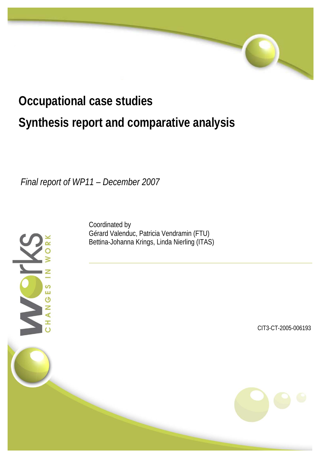# **Occupational case studies Synthesis report and comparative analysis**

*Final report of WP11 – December 2007* 



Gérard Valenduc, Patricia Vendramin (FTU) Bettina-Johanna Krings, Linda Nierling (ITAS)

CIT3-CT-2005-006193

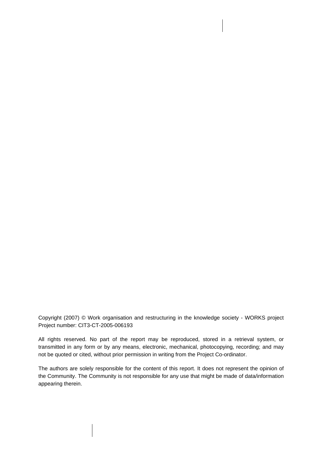Copyright (2007) © Work organisation and restructuring in the knowledge society - WORKS project Project number: CIT3-CT-2005-006193

All rights reserved. No part of the report may be reproduced, stored in a retrieval system, or transmitted in any form or by any means, electronic, mechanical, photocopying, recording; and may not be quoted or cited, without prior permission in writing from the Project Co-ordinator.

The authors are solely responsible for the content of this report. It does not represent the opinion of the Community. The Community is not responsible for any use that might be made of data/information appearing therein.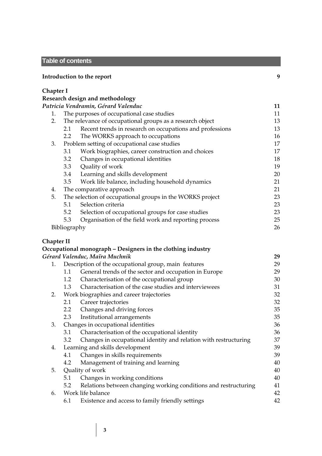### **Table of contents**

### **Introduction to the report 9**

#### **Chapter I**

|    |                                           | Research design and methodology                           |    |  |  |
|----|-------------------------------------------|-----------------------------------------------------------|----|--|--|
|    |                                           | Patricia Vendramin, Gérard Valenduc                       | 11 |  |  |
| 1. | The purposes of occupational case studies |                                                           |    |  |  |
| 2. |                                           | The relevance of occupational groups as a research object | 13 |  |  |
|    | 2.1                                       | Recent trends in research on occupations and professions  | 13 |  |  |
|    | $2.2^{\circ}$                             | The WORKS approach to occupations                         | 16 |  |  |
| 3. |                                           | Problem setting of occupational case studies              | 17 |  |  |
|    | 3.1                                       | Work biographies, career construction and choices         | 17 |  |  |
|    | 3.2                                       | Changes in occupational identities                        | 18 |  |  |
|    | 3.3                                       | Quality of work                                           | 19 |  |  |
|    | 3.4                                       | Learning and skills development                           | 20 |  |  |
|    | 3.5                                       | Work life balance, including household dynamics           | 21 |  |  |
| 4. |                                           | The comparative approach                                  | 21 |  |  |
| 5. |                                           | The selection of occupational groups in the WORKS project | 23 |  |  |
|    | 5.1                                       | Selection criteria                                        | 23 |  |  |
|    | 5.2                                       | Selection of occupational groups for case studies         | 23 |  |  |
|    | 5.3                                       | Organisation of the field work and reporting process      | 25 |  |  |
|    | Bibliography                              |                                                           | 26 |  |  |
|    |                                           |                                                           |    |  |  |

# **Chapter II**

|    |                  | Occupational monograph – Designers in the clothing industry      |    |
|----|------------------|------------------------------------------------------------------|----|
|    |                  | Gérard Valenduc, Maïra Muchnik                                   | 29 |
| 1. |                  | Description of the occupational group, main features             | 29 |
|    | 1.1              | General trends of the sector and occupation in Europe            | 29 |
|    | 1.2              | Characterisation of the occupational group                       | 30 |
|    | 1.3              | Characterisation of the case studies and interviewees            | 31 |
| 2. |                  | Work biographies and career trajectories                         | 32 |
|    | 2.1              | Career trajectories                                              | 32 |
|    | $2.2\phantom{0}$ | Changes and driving forces                                       | 35 |
|    | 2.3              | Institutional arrangements                                       | 35 |
| 3. |                  | Changes in occupational identities                               | 36 |
|    | 3.1              | Characterisation of the occupational identity                    | 36 |
|    | 3.2              | Changes in occupational identity and relation with restructuring | 37 |
| 4. |                  | Learning and skills development                                  | 39 |
|    | 4.1              | Changes in skills requirements                                   | 39 |
|    | 4.2              | Management of training and learning                              | 40 |
| 5. |                  | Quality of work                                                  | 40 |
|    | 5.1              | Changes in working conditions                                    | 40 |
|    | 5.2              | Relations between changing working conditions and restructuring  | 41 |
| 6. |                  | Work life balance                                                | 42 |
|    | 6.1              | Existence and access to family friendly settings                 | 42 |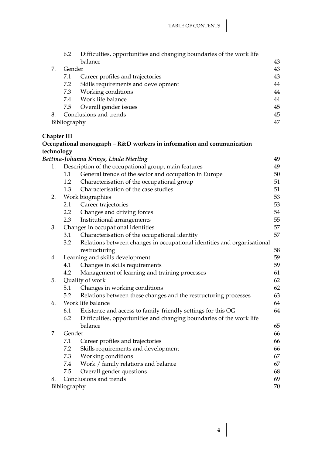|    | Difficulties, opportunities and changing boundaries of the work life<br>6.2 |                                     |    |  |
|----|-----------------------------------------------------------------------------|-------------------------------------|----|--|
|    |                                                                             | balance                             | 43 |  |
|    | Gender                                                                      |                                     | 43 |  |
|    | 7.1                                                                         | Career profiles and trajectories    | 43 |  |
|    | 7.2                                                                         | Skills requirements and development | 44 |  |
|    | 7.3                                                                         | Working conditions                  | 44 |  |
|    | 7.4                                                                         | Work life balance                   | 44 |  |
|    | 7.5                                                                         | Overall gender issues               | 45 |  |
| 8. |                                                                             | Conclusions and trends              | 45 |  |
|    | 47<br>Bibliography                                                          |                                     |    |  |
|    |                                                                             |                                     |    |  |

#### **Chapter III**

|            |                  | Occupational monograph – R&D workers in information and communication   |    |
|------------|------------------|-------------------------------------------------------------------------|----|
| technology |                  |                                                                         |    |
|            |                  | Bettina-Johanna Krings, Linda Nierling                                  | 49 |
| 1.         |                  | Description of the occupational group, main features                    | 49 |
|            | 1.1              | General trends of the sector and occupation in Europe                   | 50 |
|            | 1.2              | Characterisation of the occupational group                              | 51 |
|            | 1.3              | Characterisation of the case studies                                    | 51 |
| 2.         |                  | Work biographies                                                        | 53 |
|            | 2.1              | Career trajectories                                                     | 53 |
|            | $2.2\phantom{0}$ | Changes and driving forces                                              | 54 |
|            | 2.3              | Institutional arrangements                                              | 55 |
| 3.         |                  | Changes in occupational identities                                      | 57 |
|            | 3.1              | Characterisation of the occupational identity                           | 57 |
|            | 3.2              | Relations between changes in occupational identities and organisational |    |
|            |                  | restructuring                                                           | 58 |
| 4.         |                  | Learning and skills development                                         | 59 |
|            | 4.1              | Changes in skills requirements                                          | 59 |
|            | 4.2              | Management of learning and training processes                           | 61 |
| 5.         |                  | Quality of work                                                         | 62 |
|            | 5.1              | Changes in working conditions                                           | 62 |
|            | 5.2              | Relations between these changes and the restructuring processes         | 63 |
| 6.         |                  | Work life balance                                                       | 64 |
|            | 6.1              | Existence and access to family-friendly settings for this OG            | 64 |
|            | 6.2              | Difficulties, opportunities and changing boundaries of the work life    |    |
|            |                  | balance                                                                 | 65 |
| 7.         | Gender           |                                                                         | 66 |
|            | 7.1              | Career profiles and trajectories                                        | 66 |
|            | 7.2              | Skills requirements and development                                     | 66 |
|            | 7.3              | Working conditions                                                      | 67 |
|            | 7.4              | Work / family relations and balance                                     | 67 |
|            | 7.5              | Overall gender questions                                                | 68 |
| 8.         |                  | Conclusions and trends                                                  | 69 |
|            | Bibliography     |                                                                         | 70 |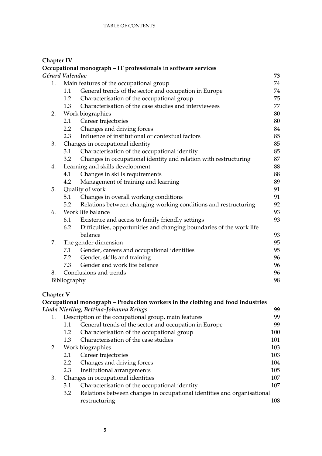| <b>Chapter IV</b> |                                 |                                                                      |    |  |
|-------------------|---------------------------------|----------------------------------------------------------------------|----|--|
|                   |                                 | Occupational monograph – IT professionals in software services       |    |  |
| Gérard Valenduc   |                                 |                                                                      | 73 |  |
| 1.                |                                 | Main features of the occupational group                              | 74 |  |
|                   | 1.1                             | General trends of the sector and occupation in Europe                | 74 |  |
|                   | 1.2                             | Characterisation of the occupational group                           | 75 |  |
|                   | 1.3                             | Characterisation of the case studies and interviewees                | 77 |  |
| 2.                |                                 | Work biographies                                                     | 80 |  |
|                   | 2.1                             | Career trajectories                                                  | 80 |  |
|                   | 2.2                             | Changes and driving forces                                           | 84 |  |
|                   | 2.3                             | Influence of institutional or contextual factors                     | 85 |  |
| 3.                |                                 | Changes in occupational identity                                     | 85 |  |
|                   | 3.1                             | Characterisation of the occupational identity                        | 85 |  |
|                   | 3.2                             | Changes in occupational identity and relation with restructuring     | 87 |  |
| 4.                | Learning and skills development |                                                                      |    |  |
|                   | 4.1                             | Changes in skills requirements                                       | 88 |  |
|                   | 4.2                             | Management of training and learning                                  | 89 |  |
| 5.                |                                 | Quality of work                                                      | 91 |  |
|                   | 5.1                             | Changes in overall working conditions                                | 91 |  |
|                   | 5.2                             | Relations between changing working conditions and restructuring      | 92 |  |
| 6.                |                                 | Work life balance                                                    | 93 |  |
|                   | 6.1                             | Existence and access to family friendly settings                     | 93 |  |
|                   | 6.2                             | Difficulties, opportunities and changing boundaries of the work life |    |  |
|                   |                                 | balance                                                              | 93 |  |
| 7.                |                                 | The gender dimension                                                 | 95 |  |
|                   | 7.1                             | Gender, careers and occupational identities                          | 95 |  |
|                   | 7.2                             | Gender, skills and training                                          | 96 |  |
|                   | 7.3                             | Gender and work life balance                                         | 96 |  |
| 8.                |                                 | Conclusions and trends                                               | 96 |  |

Bibliography 98

### **Chapter V**

|    |               | Occupational monograph – Production workers in the clothing and food industries |     |
|----|---------------|---------------------------------------------------------------------------------|-----|
|    |               | Linda Nierling, Bettina-Johanna Krings                                          | 99  |
| 1. |               | Description of the occupational group, main features                            | 99  |
|    | 1.1           | General trends of the sector and occupation in Europe                           | 99  |
|    | $1.2^{\circ}$ | Characterisation of the occupational group                                      | 100 |
|    | 1.3           | Characterisation of the case studies                                            | 101 |
| 2. |               | Work biographies                                                                | 103 |
|    | 2.1           | Career trajectories                                                             | 103 |
|    | $2.2^{\circ}$ | Changes and driving forces                                                      | 104 |
|    | 2.3           | Institutional arrangements                                                      | 105 |
| 3. |               | Changes in occupational identities                                              | 107 |
|    | 3.1           | Characterisation of the occupational identity                                   | 107 |
|    | 3.2           | Relations between changes in occupational identities and organisational         |     |
|    |               | restructuring                                                                   | 108 |
|    |               |                                                                                 |     |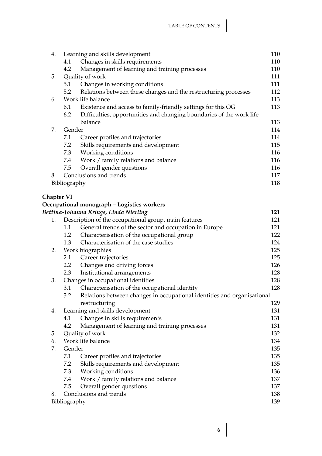| 4. |              | Learning and skills development                                      | 110 |
|----|--------------|----------------------------------------------------------------------|-----|
|    | 4.1          | Changes in skills requirements                                       | 110 |
|    | 4.2          | Management of learning and training processes                        | 110 |
| 5. |              | Quality of work                                                      | 111 |
|    | 5.1          | Changes in working conditions                                        | 111 |
|    | 5.2          | Relations between these changes and the restructuring processes      | 112 |
| 6. |              | Work life balance                                                    | 113 |
|    | 6.1          | Existence and access to family-friendly settings for this OG         | 113 |
|    | 6.2          | Difficulties, opportunities and changing boundaries of the work life |     |
|    |              | balance                                                              | 113 |
| 7. | Gender       |                                                                      | 114 |
|    | 7.1          | Career profiles and trajectories                                     | 114 |
|    | 7.2          | Skills requirements and development                                  | 115 |
|    | 7.3          | Working conditions                                                   | 116 |
|    | 7.4          | Work / family relations and balance                                  | 116 |
|    | 7.5          | Overall gender questions                                             | 116 |
| 8. |              | Conclusions and trends                                               | 117 |
|    | Bibliography |                                                                      | 118 |
|    |              |                                                                      |     |

#### **Chapter VI**

|    |              | Occupational monograph – Logistics workers                              |     |
|----|--------------|-------------------------------------------------------------------------|-----|
|    |              | Bettina-Johanna Krings, Linda Nierling                                  | 121 |
| 1. |              | Description of the occupational group, main features                    | 121 |
|    | 1.1          | General trends of the sector and occupation in Europe                   | 121 |
|    | 1.2          | Characterisation of the occupational group                              | 122 |
|    | 1.3          | Characterisation of the case studies                                    | 124 |
| 2. |              | Work biographies                                                        | 125 |
|    | 2.1          | Career trajectories                                                     | 125 |
|    | $2.2\,$      | Changes and driving forces                                              | 126 |
|    | 2.3          | Institutional arrangements                                              | 128 |
| 3. |              | Changes in occupational identities                                      | 128 |
|    | 3.1          | Characterisation of the occupational identity                           | 128 |
|    | 3.2          | Relations between changes in occupational identities and organisational |     |
|    |              | restructuring                                                           | 129 |
| 4. |              | Learning and skills development                                         | 131 |
|    | 4.1          | Changes in skills requirements                                          | 131 |
|    | 4.2          | Management of learning and training processes                           | 131 |
| 5. |              | Quality of work                                                         | 132 |
| 6. |              | Work life balance                                                       | 134 |
| 7. | Gender       |                                                                         | 135 |
|    | 7.1          | Career profiles and trajectories                                        | 135 |
|    | 7.2          | Skills requirements and development                                     | 135 |
|    | 7.3          | Working conditions                                                      | 136 |
|    | 7.4          | Work / family relations and balance                                     | 137 |
|    | 7.5          | Overall gender questions                                                | 137 |
| 8. |              | Conclusions and trends                                                  | 138 |
|    | Bibliography |                                                                         | 139 |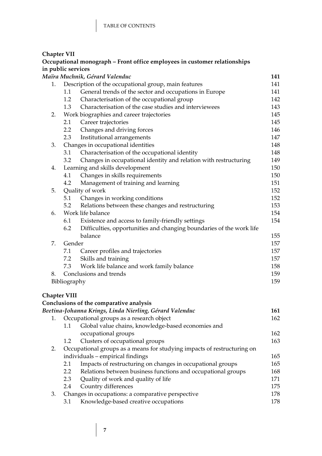#### **Chapter VII Occupational monograph – Front office employees in customer relationships in public services**

|    | Maïra Muchnik, Gérard Valenduc                                              | 141 |
|----|-----------------------------------------------------------------------------|-----|
| 1. | Description of the occupational group, main features                        | 141 |
|    | General trends of the sector and occupations in Europe<br>1.1               | 141 |
|    | 1.2<br>Characterisation of the occupational group                           | 142 |
|    | 1.3<br>Characterisation of the case studies and interviewees                | 143 |
| 2. | Work biographies and career trajectories                                    | 145 |
|    | 2.1<br>Career trajectories                                                  | 145 |
|    | 2.2<br>Changes and driving forces                                           | 146 |
|    | 2.3<br>Institutional arrangements                                           | 147 |
| 3. | Changes in occupational identities                                          | 148 |
|    | 3.1<br>Characterisation of the occupational identity                        | 148 |
|    | 3.2<br>Changes in occupational identity and relation with restructuring     | 149 |
| 4. | Learning and skills development                                             | 150 |
|    | 4.1<br>Changes in skills requirements                                       | 150 |
|    | 4.2<br>Management of training and learning                                  | 151 |
| 5. | Quality of work                                                             | 152 |
|    | 5.1<br>Changes in working conditions                                        | 152 |
|    | 5.2<br>Relations between these changes and restructuring                    | 153 |
| 6. | Work life balance                                                           | 154 |
|    | 6.1<br>Existence and access to family-friendly settings                     | 154 |
|    | 6.2<br>Difficulties, opportunities and changing boundaries of the work life |     |
|    | balance                                                                     | 155 |
| 7. | Gender                                                                      | 157 |
|    | 7.1<br>Career profiles and trajectories                                     | 157 |
|    | 7.2<br>Skills and training                                                  | 157 |
|    | 7.3<br>Work life balance and work family balance                            | 158 |
| 8. | Conclusions and trends                                                      | 159 |
|    | Bibliography                                                                | 159 |
|    | <b>Chapter VIII</b>                                                         |     |
|    | Conclusions of the comparative analysis                                     |     |
|    | Beetina-Johanna Krings, Linda Nierling, Gérard Valenduc                     | 161 |
| 1. | Occupational groups as a research object                                    | 162 |
|    | 1.1<br>Global value chains, knowledge-based economies and                   |     |

|  |     | occupational groups                                                     | 162 |
|--|-----|-------------------------------------------------------------------------|-----|
|  | 1.2 | Clusters of occupational groups                                         | 163 |
|  |     | Occupational groups as a means for studying impacts of restructuring on |     |
|  |     | individuals - empirical findings                                        | 165 |
|  | 2.1 | Impacts of restructuring on changes in occupational groups              | 165 |
|  | 2.2 | Relations between business functions and occupational groups            | 168 |
|  | 2.3 | Quality of work and quality of life                                     | 171 |
|  | 2.4 | Country differences                                                     | 175 |
|  |     | Changes in occupations: a comparative perspective                       | 178 |
|  |     |                                                                         |     |

3.1 Knowledge-based creative occupations 178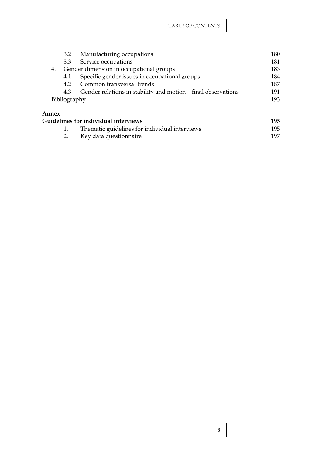|       | 3.2          | Manufacturing occupations                                     | 180 |
|-------|--------------|---------------------------------------------------------------|-----|
|       | 3.3          | Service occupations                                           | 181 |
| 4.    |              | Gender dimension in occupational groups                       | 183 |
|       | 4.1.         | Specific gender issues in occupational groups                 | 184 |
|       | 4.2          | Common transversal trends                                     | 187 |
|       | 4.3          | Gender relations in stability and motion – final observations | 191 |
|       | Bibliography |                                                               | 193 |
| Annex |              |                                                               |     |
|       |              | Guidelines for individual interviews                          | 195 |

| Thematic guidelines for individual interviews | 195 |
|-----------------------------------------------|-----|
| Key data questionnaire                        |     |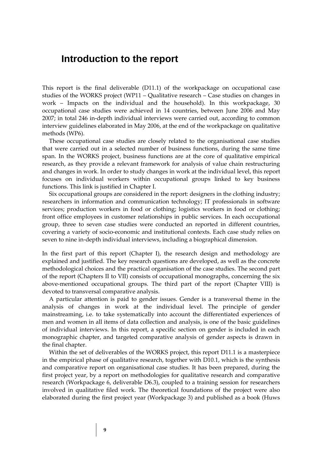### **Introduction to the report**

This report is the final deliverable (D11.1) of the workpackage on occupational case studies of the WORKS project (WP11 – Qualitative research – Case studies on changes in work – Impacts on the individual and the household). In this workpackage, 30 occupational case studies were achieved in 14 countries, between June 2006 and May 2007; in total 246 in-depth individual interviews were carried out, according to common interview guidelines elaborated in May 2006, at the end of the workpackage on qualitative methods (WP6).

These occupational case studies are closely related to the organisational case studies that were carried out in a selected number of business functions, during the same time span. In the WORKS project, business functions are at the core of qualitative empirical research, as they provide a relevant framework for analysis of value chain restructuring and changes in work. In order to study changes in work at the individual level, this report focuses on individual workers within occupational groups linked to key business functions. This link is justified in Chapter I.

Six occupational groups are considered in the report: designers in the clothing industry; researchers in information and communication technology; IT professionals in software services; production workers in food or clothing; logistics workers in food or clothing; front office employees in customer relationships in public services. In each occupational group, three to seven case studies were conducted an reported in different countries, covering a variety of socio-economic and institutional contexts. Each case study relies on seven to nine in-depth individual interviews, including a biographical dimension.

In the first part of this report (Chapter I), the research design and methodology are explained and justified. The key research questions are developed, as well as the concrete methodological choices and the practical organisation of the case studies. The second part of the report (Chapters II to VII) consists of occupational monographs, concerning the six above-mentioned occupational groups. The third part of the report (Chapter VIII) is devoted to transversal comparative analysis.

A particular attention is paid to gender issues. Gender is a transversal theme in the analysis of changes in work at the individual level. The principle of gender mainstreaming, i.e. to take systematically into account the differentiated experiences of men and women in all items of data collection and analysis, is one of the basic guidelines of individual interviews. In this report, a specific section on gender is included in each monographic chapter, and targeted comparative analysis of gender aspects is drawn in the final chapter.

Within the set of deliverables of the WORKS project, this report D11.1 is a masterpiece in the empirical phase of qualitative research, together with D10.1, which is the synthesis and comparative report on organisational case studies. It has been prepared, during the first project year, by a report on methodologies for qualitative research and comparative research (Workpackage 6, deliverable D6.3), coupled to a training session for researchers involved in qualitative filed work. The theoretical foundations of the project were also elaborated during the first project year (Workpackage 3) and published as a book (Huws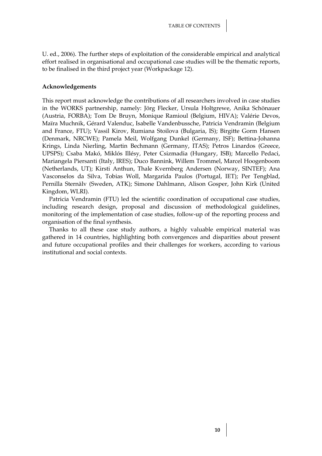U. ed., 2006). The further steps of exploitation of the considerable empirical and analytical effort realised in organisational and occupational case studies will be the thematic reports, to be finalised in the third project year (Workpackage 12).

#### **Acknowledgements**

This report must acknowledge the contributions of all researchers involved in case studies in the WORKS partnership, namely: Jörg Flecker, Ursula Holtgrewe, Anika Schönauer (Austria, FORBA); Tom De Bruyn, Monique Ramioul (Belgium, HIVA); Valérie Devos, Maïra Muchnik, Gérard Valenduc, Isabelle Vandenbussche, Patricia Vendramin (Belgium and France, FTU); Vassil Kirov, Rumiana Stoilova (Bulgaria, IS); Birgitte Gorm Hansen (Denmark, NRCWE); Pamela Meil, Wolfgang Dunkel (Germany, ISF); Bettina-Johanna Krings, Linda Nierling, Martin Bechmann (Germany, ITAS); Petros Linardos (Greece, UPSPS); Csaba Makó, Miklós Illésy, Peter Csizmadia (Hungary, ISB); Marcello Pedaci, Mariangela Piersanti (Italy, IRES); Duco Bannink, Willem Trommel, Marcel Hoogenboom (Netherlands, UT); Kirsti Anthun, Thale Kvernberg Andersen (Norway, SINTEF); Ana Vasconselos da Silva, Tobias Woll, Margarida Paulos (Portugal, IET); Per Tengblad, Pernilla Sternälv (Sweden, ATK); Simone Dahlmann, Alison Gosper, John Kirk (United Kingdom, WLRI).

Patricia Vendramin (FTU) led the scientific coordination of occupational case studies, including research design, proposal and discussion of methodological guidelines, monitoring of the implementation of case studies, follow-up of the reporting process and organisation of the final synthesis.

Thanks to all these case study authors, a highly valuable empirical material was gathered in 14 countries, highlighting both convergences and disparities about present and future occupational profiles and their challenges for workers, according to various institutional and social contexts.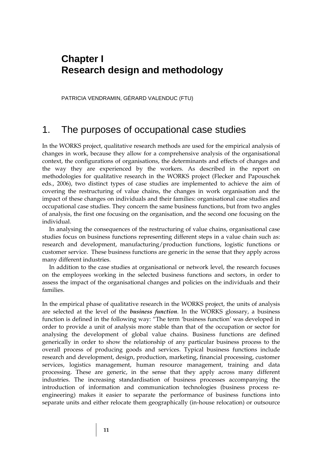# **Chapter I Research design and methodology**

PATRICIA VENDRAMIN, GÉRARD VALENDUC (FTU)

### 1. The purposes of occupational case studies

In the WORKS project, qualitative research methods are used for the empirical analysis of changes in work, because they allow for a comprehensive analysis of the organisational context, the configurations of organisations, the determinants and effects of changes and the way they are experienced by the workers. As described in the report on methodologies for qualitative research in the WORKS project (Flecker and Papouschek eds., 2006), two distinct types of case studies are implemented to achieve the aim of covering the restructuring of value chains, the changes in work organisation and the impact of these changes on individuals and their families: organisational case studies and occupational case studies. They concern the same business functions, but from two angles of analysis, the first one focusing on the organisation, and the second one focusing on the individual.

In analysing the consequences of the restructuring of value chains, organisational case studies focus on business functions representing different steps in a value chain such as: research and development, manufacturing/production functions, logistic functions or customer service. These business functions are generic in the sense that they apply across many different industries.

In addition to the case studies at organisational or network level, the research focuses on the employees working in the selected business functions and sectors, in order to assess the impact of the organisational changes and policies on the individuals and their families.

In the empirical phase of qualitative research in the WORKS project, the units of analysis are selected at the level of the *business function*. In the WORKS glossary, a business function is defined in the following way: "The term 'business function' was developed in order to provide a unit of analysis more stable than that of the occupation or sector for analysing the development of global value chains. Business functions are defined generically in order to show the relationship of any particular business process to the overall process of producing goods and services. Typical business functions include research and development, design, production, marketing, financial processing, customer services, logistics management, human resource management, training and data processing. These are generic, in the sense that they apply across many different industries. The increasing standardisation of business processes accompanying the introduction of information and communication technologies (business process reengineering) makes it easier to separate the performance of business functions into separate units and either relocate them geographically (in-house relocation) or outsource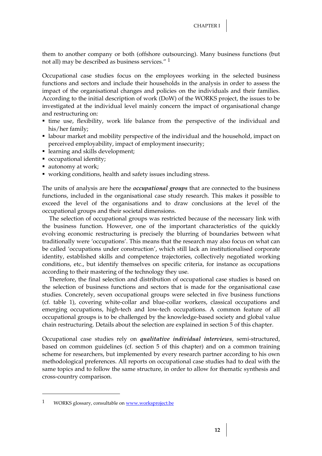them to another company or both (offshore outsourcing). Many business functions (but not all) may be described as business services." 1

Occupational case studies focus on the employees working in the selected business functions and sectors and include their households in the analysis in order to assess the impact of the organisational changes and policies on the individuals and their families. According to the initial description of work (DoW) of the WORKS project, the issues to be investigated at the individual level mainly concern the impact of organisational change and restructuring on:

- time use, flexibility, work life balance from the perspective of the individual and his/her family;
- labour market and mobility perspective of the individual and the household, impact on perceived employability, impact of employment insecurity;
- learning and skills development;
- occupational identity;
- autonomy at work;
- working conditions, health and safety issues including stress.

The units of analysis are here the *occupational groups* that are connected to the business functions, included in the organisational case study research. This makes it possible to exceed the level of the organisations and to draw conclusions at the level of the occupational groups and their societal dimensions.

The selection of occupational groups was restricted because of the necessary link with the business function. However, one of the important characteristics of the quickly evolving economic restructuring is precisely the blurring of boundaries between what traditionally were 'occupations'. This means that the research may also focus on what can be called 'occupations under construction', which still lack an institutionalised corporate identity, established skills and competence trajectories, collectively negotiated working conditions, etc., but identify themselves on specific criteria, for instance as occupations according to their mastering of the technology they use.

Therefore, the final selection and distribution of occupational case studies is based on the selection of business functions and sectors that is made for the organisational case studies. Concretely, seven occupational groups were selected in five business functions (cf. table 1), covering white-collar and blue-collar workers, classical occupations and emerging occupations, high-tech and low-tech occupations. A common feature of all occupational groups is to be challenged by the knowledge-based society and global value chain restructuring. Details about the selection are explained in section 5 of this chapter.

Occupational case studies rely on *qualitative individual interviews*, semi-structured, based on common guidelines (cf. section 5 of this chapter) and on a common training scheme for researchers, but implemented by every research partner according to his own methodological preferences. All reports on occupational case studies had to deal with the same topics and to follow the same structure, in order to allow for thematic synthesis and cross-country comparison.

 $\ddot{\phantom{a}}$ 

<sup>1</sup> WORKS glossary, consultable on www.worksproject.be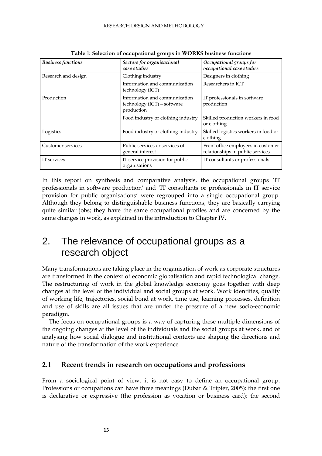| <b>Business functions</b> | Sectors for organisational<br>case studies                                 | Occupational groups for<br>occupational case studies                   |  |  |  |
|---------------------------|----------------------------------------------------------------------------|------------------------------------------------------------------------|--|--|--|
| Research and design       | Clothing industry                                                          | Designers in clothing                                                  |  |  |  |
|                           | Information and communication<br>technology (ICT)                          | Researchers in ICT                                                     |  |  |  |
| Production                | Information and communication<br>technology (ICT) - software<br>production | IT professionals in software<br>production                             |  |  |  |
|                           | Food industry or clothing industry                                         | Skilled production workers in food<br>or clothing                      |  |  |  |
| Logistics                 | Food industry or clothing industry                                         | Skilled logistics workers in food or<br>clothing                       |  |  |  |
| Customer services         | Public services or services of<br>general interest                         | Front office employees in customer<br>relationships in public services |  |  |  |
| IT services               | IT service provision for public<br>organisations                           | IT consultants or professionals                                        |  |  |  |

**Table 1: Selection of occupational groups in WORKS business functions** 

In this report on synthesis and comparative analysis, the occupational groups 'IT professionals in software production' and 'IT consultants or professionals in IT service provision for public organisations' were regrouped into a single occupational group. Although they belong to distinguishable business functions, they are basically carrying quite similar jobs; they have the same occupational profiles and are concerned by the same changes in work, as explained in the introduction to Chapter IV.

### 2. The relevance of occupational groups as a research object

Many transformations are taking place in the organisation of work as corporate structures are transformed in the context of economic globalisation and rapid technological change. The restructuring of work in the global knowledge economy goes together with deep changes at the level of the individual and social groups at work. Work identities, quality of working life, trajectories, social bond at work, time use, learning processes, definition and use of skills are all issues that are under the pressure of a new socio-economic paradigm.

The focus on occupational groups is a way of capturing these multiple dimensions of the ongoing changes at the level of the individuals and the social groups at work, and of analysing how social dialogue and institutional contexts are shaping the directions and nature of the transformation of the work experience.

#### **2.1 Recent trends in research on occupations and professions**

From a sociological point of view, it is not easy to define an occupational group. Professions or occupations can have three meanings (Dubar & Tripier, 2005): the first one is declarative or expressive (the profession as vocation or business card); the second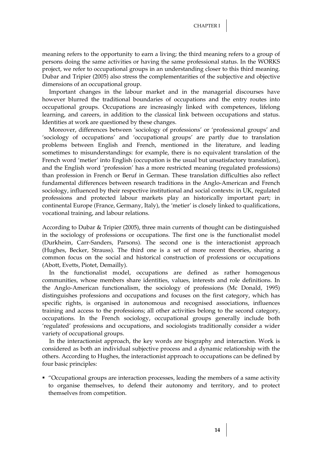CHAPTER I

meaning refers to the opportunity to earn a living; the third meaning refers to a group of persons doing the same activities or having the same professional status. In the WORKS project, we refer to occupational groups in an understanding closer to this third meaning. Dubar and Tripier (2005) also stress the complementarities of the subjective and objective dimensions of an occupational group.

Important changes in the labour market and in the managerial discourses have however blurred the traditional boundaries of occupations and the entry routes into occupational groups. Occupations are increasingly linked with competences, lifelong learning, and careers, in addition to the classical link between occupations and status. Identities at work are questioned by these changes.

Moreover, differences between 'sociology of professions' or 'professional groups' and 'sociology of occupations' and 'occupational groups' are partly due to translation problems between English and French, mentioned in the literature, and leading sometimes to misunderstandings: for example, there is no equivalent translation of the French word 'metier' into English (occupation is the usual but unsatisfactory translation), and the English word 'profession' has a more restricted meaning (regulated professions) than profession in French or Beruf in German. These translation difficulties also reflect fundamental differences between research traditions in the Anglo-American and French sociology, influenced by their respective institutional and social contexts: in UK, regulated professions and protected labour markets play an historically important part; in continental Europe (France, Germany, Italy), the 'metier' is closely linked to qualifications, vocational training, and labour relations.

According to Dubar & Tripier (2005), three main currents of thought can be distinguished in the sociology of professions or occupations. The first one is the functionalist model (Durkheim, Carr-Sanders, Parsons). The second one is the interactionist approach (Hughes, Becker, Strauss). The third one is a set of more recent theories, sharing a common focus on the social and historical construction of professions or occupations (Abott, Evetts, Piotet, Demailly).

In the functionalist model, occupations are defined as rather homogenous communities, whose members share identities, values, interests and role definitions. In the Anglo-American functionalism, the sociology of professions (Mc Donald, 1995) distinguishes professions and occupations and focuses on the first category, which has specific rights, is organised in autonomous and recognised associations, influences training and access to the professions; all other activities belong to the second category, occupations. In the French sociology, occupational groups generally include both 'regulated' professions and occupations, and sociologists traditionally consider a wider variety of occupational groups.

In the interactionist approach, the key words are biography and interaction. Work is considered as both an individual subjective process and a dynamic relationship with the others. According to Hughes, the interactionist approach to occupations can be defined by four basic principles:

 "Occupational groups are interaction processes, leading the members of a same activity to organise themselves, to defend their autonomy and territory, and to protect themselves from competition.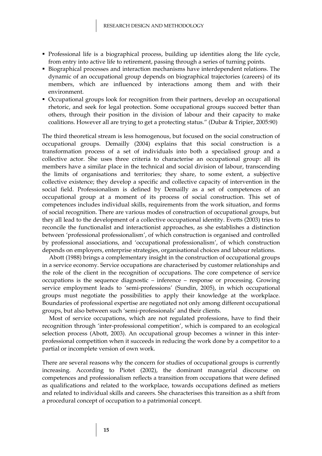- Professional life is a biographical process, building up identities along the life cycle, from entry into active life to retirement, passing through a series of turning points.
- Biographical processes and interaction mechanisms have interdependent relations. The dynamic of an occupational group depends on biographical trajectories (careers) of its members, which are influenced by interactions among them and with their environment.
- Occupational groups look for recognition from their partners, develop an occupational rhetoric, and seek for legal protection. Some occupational groups succeed better than others, through their position in the division of labour and their capacity to make coalitions. However all are trying to get a protecting status." (Dubar & Tripier, 2005:90)

The third theoretical stream is less homogenous, but focused on the social construction of occupational groups. Demailly (2004) explains that this social construction is a transformation process of a set of individuals into both a specialised group and a collective actor. She uses three criteria to characterise an occupational group: all its members have a similar place in the technical and social division of labour, transcending the limits of organisations and territories; they share, to some extent, a subjective collective existence; they develop a specific and collective capacity of intervention in the social field. Professionalism is defined by Demailly as a set of competences of an occupational group at a moment of its process of social construction. This set of competences includes individual skills, requirements from the work situation, and forms of social recognition. There are various modes of construction of occupational groups, but they all lead to the development of a collective occupational identity. Evetts (2003) tries to reconcile the functionalist and interactionist approaches, as she establishes a distinction between 'professional professionalism', of which construction is organised and controlled by professional associations, and 'occupational professionalism', of which construction depends on employers, enterprise strategies, organisational choices and labour relations.

Abott (1988) brings a complementary insight in the construction of occupational groups in a service economy. Service occupations are characterised by customer relationships and the role of the client in the recognition of occupations. The core competence of service occupations is the sequence diagnostic – inference – response or processing. Growing service employment leads to 'semi-professions' (Sundin, 2005), in which occupational groups must negotiate the possibilities to apply their knowledge at the workplace. Boundaries of professional expertise are negotiated not only among different occupational groups, but also between such 'semi-professionals' and their clients.

Most of service occupations, which are not regulated professions, have to find their recognition through 'inter-professional competition', which is compared to an ecological selection process (Abott, 2003). An occupational group becomes a winner in this interprofessional competition when it succeeds in reducing the work done by a competitor to a partial or incomplete version of own work.

There are several reasons why the concern for studies of occupational groups is currently increasing. According to Piotet (2002), the dominant managerial discourse on competences and professionalism reflects a transition from occupations that were defined as qualifications and related to the workplace, towards occupations defined as metiers and related to individual skills and careers. She characterises this transition as a shift from a procedural concept of occupation to a patrimonial concept.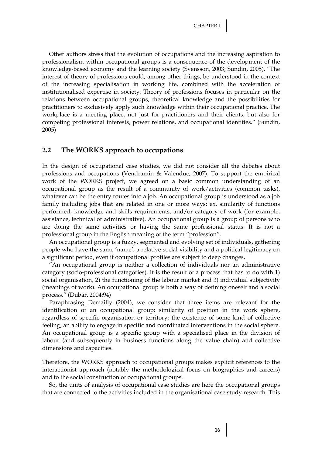CHAPTER I

Other authors stress that the evolution of occupations and the increasing aspiration to professionalism within occupational groups is a consequence of the development of the knowledge-based economy and the learning society (Svensson, 2003; Sundin, 2005). "The interest of theory of professions could, among other things, be understood in the context of the increasing specialisation in working life, combined with the acceleration of institutionalised expertise in society. Theory of professions focuses in particular on the relations between occupational groups, theoretical knowledge and the possibilities for practitioners to exclusively apply such knowledge within their occupational practice. The workplace is a meeting place, not just for practitioners and their clients, but also for competing professional interests, power relations, and occupational identities." (Sundin, 2005)

#### **2.2 The WORKS approach to occupations**

In the design of occupational case studies, we did not consider all the debates about professions and occupations (Vendramin & Valenduc, 2007). To support the empirical work of the WORKS project, we agreed on a basic common understanding of an occupational group as the result of a community of work/activities (common tasks), whatever can be the entry routes into a job. An occupational group is understood as a job family including jobs that are related in one or more ways; ex. similarity of functions performed, knowledge and skills requirements, and/or category of work (for example, assistance, technical or administrative). An occupational group is a group of persons who are doing the same activities or having the same professional status. It is not a professional group in the English meaning of the term "profession".

An occupational group is a fuzzy, segmented and evolving set of individuals, gathering people who have the same 'name', a relative social visibility and a political legitimacy on a significant period, even if occupational profiles are subject to deep changes.

"An occupational group is neither a collection of individuals nor an administrative category (socio-professional categories). It is the result of a process that has to do with 1) social organisation, 2) the functioning of the labour market and 3) individual subjectivity (meanings of work). An occupational group is both a way of defining oneself and a social process." (Dubar, 2004:94)

Paraphrasing Demailly (2004), we consider that three items are relevant for the identification of an occupational group: similarity of position in the work sphere, regardless of specific organisation or territory; the existence of some kind of collective feeling; an ability to engage in specific and coordinated interventions in the social sphere. An occupational group is a specific group with a specialised place in the division of labour (and subsequently in business functions along the value chain) and collective dimensions and capacities.

Therefore, the WORKS approach to occupational groups makes explicit references to the interactionist approach (notably the methodological focus on biographies and careers) and to the social construction of occupational groups.

So, the units of analysis of occupational case studies are here the occupational groups that are connected to the activities included in the organisational case study research. This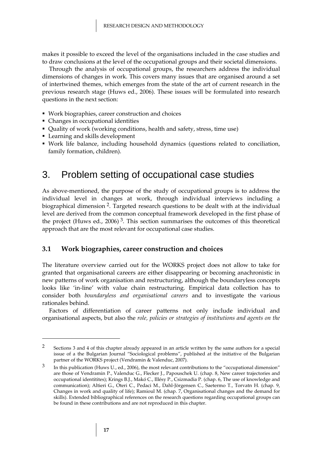makes it possible to exceed the level of the organisations included in the case studies and to draw conclusions at the level of the occupational groups and their societal dimensions.

Through the analysis of occupational groups, the researchers address the individual dimensions of changes in work. This covers many issues that are organised around a set of intertwined themes, which emerges from the state of the art of current research in the previous research stage (Huws ed., 2006). These issues will be formulated into research questions in the next section:

- Work biographies, career construction and choices
- Changes in occupational identities
- Quality of work (working conditions, health and safety, stress, time use)
- Learning and skills development
- Work life balance, including household dynamics (questions related to conciliation, family formation, children).

# 3. Problem setting of occupational case studies

As above-mentioned, the purpose of the study of occupational groups is to address the individual level in changes at work, through individual interviews including a biographical dimension<sup>2</sup>. Targeted research questions to be dealt with at the individual level are derived from the common conceptual framework developed in the first phase of the project (Huws ed., 2006)<sup>3</sup>. This section summarises the outcomes of this theoretical approach that are the most relevant for occupational case studies.

#### **3.1 Work biographies, career construction and choices**

The literature overview carried out for the WORKS project does not allow to take for granted that organisational careers are either disappearing or becoming anachronistic in new patterns of work organisation and restructuring, although the boundaryless concepts looks like 'in-line' with value chain restructuring. Empirical data collection has to consider both *boundaryless and organisational careers* and to investigate the various rationales behind.

Factors of differentiation of career patterns not only include individual and organisational aspects, but also the *role, policies or strategies of institutions and agents on the* 

 $\overline{a}$ 

<sup>&</sup>lt;sup>2</sup> Sections 3 and 4 of this chapter already appeared in an article written by the same authors for a special issue of a the Bulgarian Journal "Sociological problems", published at the initiative of the Bulgarian partner of the WORKS project (Vendramin & Valenduc, 2007).

<sup>3</sup> In this publication (Huws U., ed., 2006), the most relevant contributions to the "occupational dimension" are those of Vendramin P., Valenduc G., Flecker J., Papouschek U. (chap. 8, New career trajectories and occupational identitites); Krings B.J., Makó C., Illésy P., Csizmadia P. (chap. 6, The use of knowledge and communication); Altieri G., Oteri C., Pedaci M., Dahl-Jörgensen C., Saetermo T., Torvatn H. (chap. 9, Changes in work and quality of life); Ramioul M. (chap. 7, Organisational changes and the demand for skills). Extended bibliographical references on the research questions regarding occupational groups can be found in these contributions and are not reproduced in this chapter.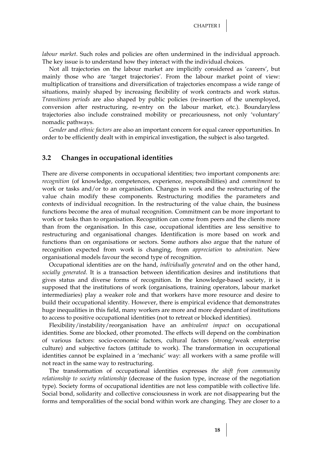*labour market*. Such roles and policies are often undermined in the individual approach. The key issue is to understand how they interact with the individual choices.

Not all trajectories on the labour market are implicitly considered as 'careers', but mainly those who are 'target trajectories'. From the labour market point of view: multiplication of transitions and diversification of trajectories encompass a wide range of situations, mainly shaped by increasing flexibility of work contracts and work status. *Transitions periods* are also shaped by public policies (re-insertion of the unemployed, conversion after restructuring, re-entry on the labour market, etc.). Boundaryless trajectories also include constrained mobility or precariousness, not only 'voluntary' nomadic pathways.

*Gender* and *ethnic factors* are also an important concern for equal career opportunities. In order to be efficiently dealt with in empirical investigation, the subject is also targeted.

#### **3.2 Changes in occupational identities**

There are diverse components in occupational identities; two important components are: *recognition* (of knowledge, competences, experience, responsibilities) and *commitment* to work or tasks and/or to an organisation. Changes in work and the restructuring of the value chain modify these components. Restructuring modifies the parameters and contexts of individual recognition. In the restructuring of the value chain, the business functions become the area of mutual recognition. Commitment can be more important to work or tasks than to organisation. Recognition can come from peers and the clients more than from the organisation. In this case, occupational identities are less sensitive to restructuring and organisational changes. Identification is more based on work and functions than on organisations or sectors. Some authors also argue that the nature of recognition expected from work is changing, from *appreciation* to *admiration.* New organisational models favour the second type of recognition.

Occupational identities are on the hand, *individually generated* and on the other hand, *socially generated*. It is a transaction between identification desires and institutions that gives status and diverse forms of recognition. In the knowledge-based society, it is supposed that the institutions of work (organisations, training operators, labour market intermediaries) play a weaker role and that workers have more resource and desire to build their occupational identity. However, there is empirical evidence that demonstrates huge inequalities in this field, many workers are more and more dependant of institutions to access to positive occupational identities (not to retreat or blocked identities).

Flexibility/instability/reorganisation have an *ambivalent impact* on occupational identities. Some are blocked, other promoted. The effects will depend on the combination of various factors: socio-economic factors, cultural factors (strong/weak enterprise culture) and subjective factors (attitude to work). The transformation in occupational identities cannot be explained in a 'mechanic' way: all workers with a same profile will not react in the same way to restructuring.

The transformation of occupational identities expresses *the shift from community relationship to society relationship* (decrease of the fusion type, increase of the negotiation type). Society forms of occupational identities are not less compatible with collective life. Social bond, solidarity and collective consciousness in work are not disappearing but the forms and temporalities of the social bond within work are changing. They are closer to a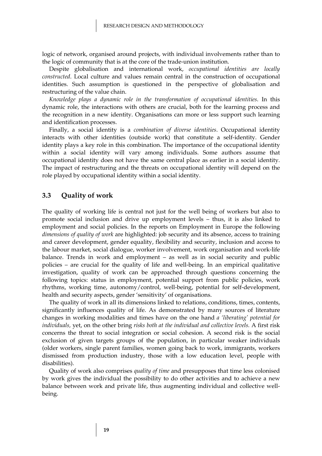logic of network, organised around projects, with individual involvements rather than to the logic of community that is at the core of the trade-union institution.

Despite globalisation and international work, *occupational identities are locally constructed*. Local culture and values remain central in the construction of occupational identities. Such assumption is questioned in the perspective of globalisation and restructuring of the value chain.

*Knowledge plays a dynamic role in the transformation of occupational identities*. In this dynamic role, the interactions with others are crucial, both for the learning process and the recognition in a new identity. Organisations can more or less support such learning and identification processes.

Finally, a social identity is a *combination of diverse identities*. Occupational identity interacts with other identities (outside work) that constitute a self-identity. Gender identity plays a key role in this combination. The importance of the occupational identity within a social identity will vary among individuals. Some authors assume that occupational identity does not have the same central place as earlier in a social identity. The impact of restructuring and the threats on occupational identity will depend on the role played by occupational identity within a social identity.

#### **3.3 Quality of work**

The quality of working life is central not just for the well being of workers but also to promote social inclusion and drive up employment levels – thus, it is also linked to employment and social policies. In the reports on Employment in Europe the following *dimensions of quality of work* are highlighted: job security and its absence, access to training and career development, gender equality, flexibility and security, inclusion and access to the labour market, social dialogue, worker involvement, work organisation and work-life balance. Trends in work and employment – as well as in social security and public policies – are crucial for the quality of life and well-being. In an empirical qualitative investigation, quality of work can be approached through questions concerning the following topics: status in employment, potential support from public policies, work rhythms, working time, autonomy/control, well-being, potential for self-development, health and security aspects, gender 'sensitivity' of organisations.

The quality of work in all its dimensions linked to relations, conditions, times, contents, significantly influences quality of life. As demonstrated by many sources of literature changes in working modalities and times have on the one hand *a 'liberating' potential for individuals,* yet, on the other bring *risks both at the individual and collective levels.* A first risk concerns the threat to social integration or social cohesion. A second risk is the social exclusion of given targets groups of the population, in particular weaker individuals (older workers, single parent families, women going back to work, immigrants, workers dismissed from production industry, those with a low education level, people with disabilities).

Quality of work also comprises *quality of time* and presupposes that time less colonised by work gives the individual the possibility to do other activities and to achieve a new balance between work and private life, thus augmenting individual and collective wellbeing.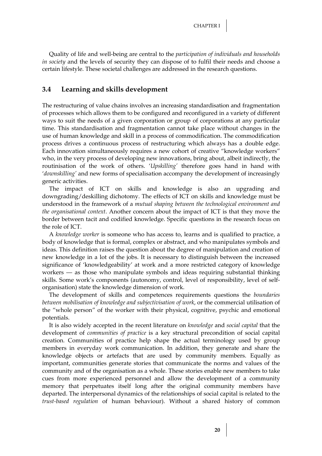CHAPTER I

Quality of life and well-being are central to the *participation of individuals and households in society* and the levels of security they can dispose of to fulfil their needs and choose a certain lifestyle. These societal challenges are addressed in the research questions.

#### **3.4 Learning and skills development**

The restructuring of value chains involves an increasing standardisation and fragmentation of processes which allows them to be configured and reconfigured in a variety of different ways to suit the needs of a given corporation or group of corporations at any particular time. This standardisation and fragmentation cannot take place without changes in the use of human knowledge and skill in a process of commodification. The commodification process drives a continuous process of restructuring which always has a double edge. Each innovation simultaneously requires a new cohort of creative "knowledge workers" who, in the very process of developing new innovations, bring about, albeit indirectly, the routinisation of the work of others. '*Upskilling'* therefore goes hand in hand with '*downskilling'* and new forms of specialisation accompany the development of increasingly generic activities.

The impact of ICT on skills and knowledge is also an upgrading and downgrading/deskilling dichotomy. The effects of ICT on skills and knowledge must be understood in the framework of a *mutual shaping between the technological environment and the organisational context*. Another concern about the impact of ICT is that they move the border between tacit and codified knowledge. Specific questions in the research focus on the role of ICT.

A *knowledge worker* is someone who has access to, learns and is qualified to practice, a body of knowledge that is formal, complex or abstract, and who manipulates symbols and ideas. This definition raises the question about the degree of manipulation and creation of new knowledge in a lot of the jobs. It is necessary to distinguish between the increased significance of 'knowledgeability' at work and a more restricted category of knowledge workers — as those who manipulate symbols and ideas requiring substantial thinking skills. Some work's components (autonomy, control, level of responsibility, level of selforganisation) state the knowledge dimension of work.

The development of skills and competences requirements questions the *boundaries between mobilisation of knowledge and subjectivisation of work*, or the commercial utilisation of the "whole person" of the worker with their physical, cognitive, psychic and emotional potentials.

It is also widely accepted in the recent literature on *knowledge* and *social capital* that the development of *communities of practice* is a key structural precondition of social capital creation*.* Communities of practice help shape the actual terminology used by group members in everyday work communication. In addition, they generate and share the knowledge objects or artefacts that are used by community members. Equally as important, communities generate stories that communicate the norms and values of the community and of the organisation as a whole. These stories enable new members to take cues from more experienced personnel and allow the development of a community memory that perpetuates itself long after the original community members have departed. The interpersonal dynamics of the relationships of social capital is related to the *trust-based regulation* of human behaviour). Without a shared history of common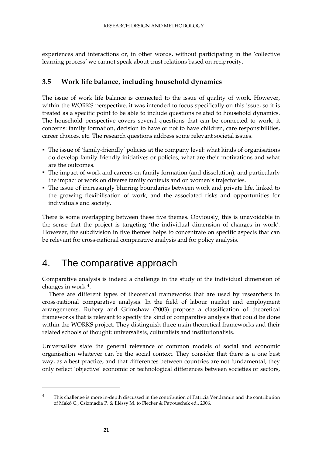experiences and interactions or, in other words, without participating in the 'collective learning process' we cannot speak about trust relations based on reciprocity.

### **3.5 Work life balance, including household dynamics**

The issue of work life balance is connected to the issue of quality of work. However, within the WORKS perspective, it was intended to focus specifically on this issue, so it is treated as a specific point to be able to include questions related to household dynamics. The household perspective covers several questions that can be connected to work; it concerns: family formation, decision to have or not to have children, care responsibilities, career choices, etc. The research questions address some relevant societal issues.

- The issue of 'family-friendly' policies at the company level: what kinds of organisations do develop family friendly initiatives or policies, what are their motivations and what are the outcomes.
- The impact of work and careers on family formation (and dissolution), and particularly the impact of work on diverse family contexts and on women's trajectories.
- The issue of increasingly blurring boundaries between work and private life, linked to the growing flexibilisation of work, and the associated risks and opportunities for individuals and society.

There is some overlapping between these five themes. Obviously, this is unavoidable in the sense that the project is targeting 'the individual dimension of changes in work'. However, the subdivision in five themes helps to concentrate on specific aspects that can be relevant for cross-national comparative analysis and for policy analysis.

### 4. The comparative approach

Comparative analysis is indeed a challenge in the study of the individual dimension of changes in work  $4$ .

There are different types of theoretical frameworks that are used by researchers in cross-national comparative analysis. In the field of labour market and employment arrangements, Rubery and Grimshaw (2003) propose a classification of theoretical frameworks that is relevant to specify the kind of comparative analysis that could be done within the WORKS project. They distinguish three main theoretical frameworks and their related schools of thought: universalists, culturalists and institutionalists.

Universalists state the general relevance of common models of social and economic organisation whatever can be the social context. They consider that there is a one best way, as a best practice, and that differences between countries are not fundamental, they only reflect 'objective' economic or technological differences between societies or sectors,

 $\overline{a}$ 

<sup>&</sup>lt;sup>4</sup> This challenge is more in-depth discussed in the contribution of Patricia Vendramin and the contribution of Makó C., Csizmadia P. & Illéssy M. to Flecker & Papouschek ed., 2006.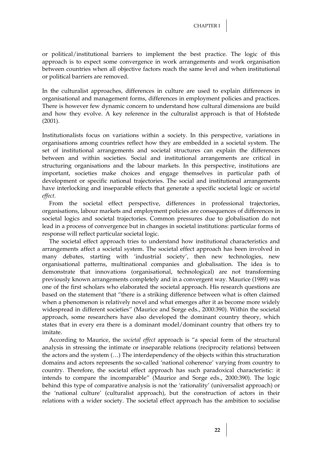CHAPTER I

or political/institutional barriers to implement the best practice. The logic of this approach is to expect some convergence in work arrangements and work organisation between countries when all objective factors reach the same level and when institutional or political barriers are removed.

In the culturalist approaches, differences in culture are used to explain differences in organisational and management forms, differences in employment policies and practices. There is however few dynamic concern to understand how cultural dimensions are build and how they evolve. A key reference in the culturalist approach is that of Hofstede (2001).

Institutionalists focus on variations within a society. In this perspective, variations in organisations among countries reflect how they are embedded in a societal system. The set of institutional arrangements and societal structures can explain the differences between and within societies. Social and institutional arrangements are critical in structuring organisations and the labour markets. In this perspective, institutions are important, societies make choices and engage themselves in particular path of development or specific national trajectories. The social and institutional arrangements have interlocking and inseparable effects that generate a specific societal logic or *societal effect.* 

From the societal effect perspective, differences in professional trajectories, organisations, labour markets and employment policies are consequences of differences in societal logics and societal trajectories. Common pressures due to globalisation do not lead in a process of convergence but in changes in societal institutions: particular forms of response will reflect particular societal logic.

The societal effect approach tries to understand how institutional characteristics and arrangements affect a societal system. The societal effect approach has been involved in many debates, starting with 'industrial society', then new technologies, new organisational patterns, multinational companies and globalisation. The idea is to demonstrate that innovations (organisational, technological) are not transforming previously known arrangements completely and in a convergent way. Maurice (1989) was one of the first scholars who elaborated the societal approach. His research questions are based on the statement that "there is a striking difference between what is often claimed when a phenomenon is relatively novel and what emerges after it as become more widely widespread in different societies" (Maurice and Sorge eds., 2000:390). Within the societal approach, some researchers have also developed the dominant country theory, which states that in every era there is a dominant model/dominant country that others try to imitate.

According to Maurice, the *societal effect* approach is "a special form of the structural analysis in stressing the intimate or inseparable relations (reciprocity relations) between the actors and the system (…) The interdependency of the objects within this structuration domains and actors represents the so-called 'national coherence' varying from country to country. Therefore, the societal effect approach has such paradoxical characteristic: it intends to compare the incomparable" (Maurice and Sorge eds., 2000:390). The logic behind this type of comparative analysis is not the 'rationality' (universalist approach) or the 'national culture' (culturalist approach), but the construction of actors in their relations with a wider society. The societal effect approach has the ambition to socialise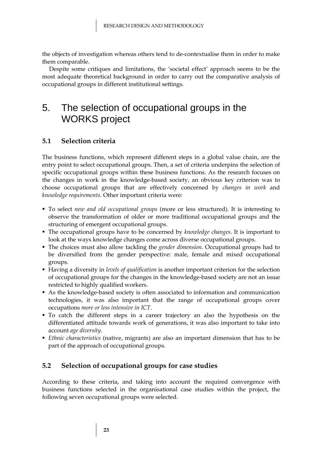the objects of investigation whereas others tend to de-contextualise them in order to make them comparable.

Despite some critiques and limitations, the 'societal effect' approach seems to be the most adequate theoretical background in order to carry out the comparative analysis of occupational groups in different institutional settings.

# 5. The selection of occupational groups in the WORKS project

#### **5.1 Selection criteria**

The business functions, which represent different steps in a global value chain, are the entry point to select occupational groups. Then, a set of criteria underpins the selection of specific occupational groups within these business functions. As the research focuses on the changes in work in the knowledge-based society, an obvious key criterion was to choose occupational groups that are effectively concerned by *changes in work* and *knowledge requirements*. Other important criteria were:

- To select *new and old occupational groups* (more or less structured). It is interesting to observe the transformation of older or more traditional occupational groups and the structuring of emergent occupational groups.
- The occupational groups have to be concerned by *knowledge changes*. It is important to look at the ways knowledge changes come across diverse occupational groups.
- The choices must also allow tackling the *gender dimension.* Occupational groups had to be diversified from the gender perspective: male, female and mixed occupational groups.
- Having a diversity in *levels of qualification* is another important criterion for the selection of occupational groups for the changes in the knowledge-based society are not an issue restricted to highly qualified workers.
- As the knowledge-based society is often associated to information and communication technologies, it was also important that the range of occupational groups cover occupations *more or less intensive in ICT*.
- To catch the different steps in a career trajectory an also the hypothesis on the differentiated attitude towards work of generations, it was also important to take into account *age diversity*.
- *Ethnic characteristics* (native, migrants) are also an important dimension that has to be part of the approach of occupational groups.

#### **5.2 Selection of occupational groups for case studies**

According to these criteria, and taking into account the required convergence with business functions selected in the organisational case studies within the project, the following seven occupational groups were selected.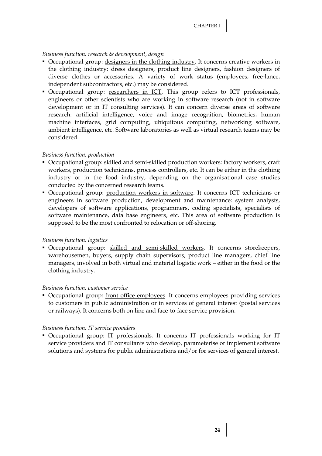#### *Business function: research & development, design*

- Occupational group: designers in the clothing industry. It concerns creative workers in the clothing industry: dress designers, product line designers, fashion designers of diverse clothes or accessories. A variety of work status (employees, free-lance, independent subcontractors, etc.) may be considered.
- Occupational group: researchers in ICT. This group refers to ICT professionals, engineers or other scientists who are working in software research (not in software development or in IT consulting services). It can concern diverse areas of software research: artificial intelligence, voice and image recognition, biometrics, human machine interfaces, grid computing, ubiquitous computing, networking software, ambient intelligence, etc. Software laboratories as well as virtual research teams may be considered.

#### *Business function: production*

- Occupational group: skilled and semi-skilled production workers: factory workers, craft workers, production technicians, process controllers, etc. It can be either in the clothing industry or in the food industry, depending on the organisational case studies conducted by the concerned research teams.
- Occupational group: production workers in software. It concerns ICT technicians or engineers in software production, development and maintenance: system analysts, developers of software applications, programmers, coding specialists, specialists of software maintenance, data base engineers, etc. This area of software production is supposed to be the most confronted to relocation or off-shoring.

#### *Business function: logistics*

Occupational group: skilled and semi-skilled workers. It concerns storekeepers, warehousemen, buyers, supply chain supervisors, product line managers, chief line managers, involved in both virtual and material logistic work – either in the food or the clothing industry.

#### *Business function: customer service*

• Occupational group: front office employees. It concerns employees providing services to customers in public administration or in services of general interest (postal services or railways). It concerns both on line and face-to-face service provision.

#### *Business function: IT service providers*

 Occupational group: IT professionals. It concerns IT professionals working for IT service providers and IT consultants who develop, parameterise or implement software solutions and systems for public administrations and/or for services of general interest.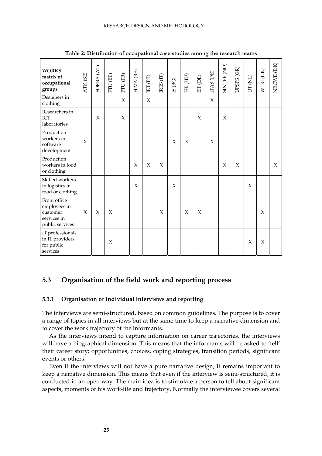| <b>WORKS</b><br>matrix of<br>occupational<br>groups                        | ATK (SE) | FORBA (AT) | FTU (BE) | FTU (FR)            | HIVA (BE) | $\operatorname{IET}$ (PT) | $\text{RES}\left(\text{IT}\right)$ | $\rm IS$ (BG) | $\rm{ISB}$ $\rm(HU)$ | $\sf{ISF}$ (DE)     | <b>TAS (DE)</b> | SINTEF (NO)         | UPSPS (GR) | UT (NL) | WLRI (UK) | NRCWE (DK) |
|----------------------------------------------------------------------------|----------|------------|----------|---------------------|-----------|---------------------------|------------------------------------|---------------|----------------------|---------------------|-----------------|---------------------|------------|---------|-----------|------------|
| Designers in<br>clothing                                                   |          |            |          | $\chi$              |           | $\chi$                    |                                    |               |                      |                     | $\chi$          |                     |            |         |           |            |
| Researchers in<br>ICT<br>laboratories                                      |          | $\chi$     |          | $\boldsymbol{\chi}$ |           |                           |                                    |               |                      | $\boldsymbol{\chi}$ |                 | $\boldsymbol{\chi}$ |            |         |           |            |
| Production<br>workers in<br>software<br>development                        | $\chi$   |            |          |                     |           |                           |                                    | X             | X                    |                     | X               |                     |            |         |           |            |
| Production<br>workers in food<br>or clothing                               |          |            |          |                     | X         | $\chi$                    | $\chi$                             |               |                      |                     |                 | $\chi$              | X          |         |           | $\chi$     |
| Skilled workers<br>in logistics in<br>food or clothing                     |          |            |          |                     | X         |                           |                                    | X             |                      |                     |                 |                     |            | X       |           |            |
| Front office<br>employees in<br>customer<br>services in<br>public services | $\chi$   | $\chi$     | $\chi$   |                     |           |                           | $\chi$                             |               | $\chi$               | X                   |                 |                     |            |         | $\chi$    |            |
| IT professionals<br>in IT providers<br>for public<br>services              |          |            | X        |                     |           |                           |                                    |               |                      |                     |                 |                     |            | X       | X         |            |

**Table 2: Distribution of occupational case studies among the research teams** 

#### **5.3 Organisation of the field work and reporting process**

#### **5.3.1 Organisation of individual interviews and reporting**

The interviews are semi-structured, based on common guidelines. The purpose is to cover a range of topics in all interviews but at the same time to keep a narrative dimension and to cover the work trajectory of the informants.

As the interviews intend to capture information on career trajectories, the interviews will have a biographical dimension. This means that the informants will be asked to 'tell' their career story: opportunities, choices, coping strategies, transition periods, significant events or others.

Even if the interviews will not have a pure narrative design, it remains important to keep a narrative dimension. This means that even if the interview is semi-structured, it is conducted in an open way. The main idea is to stimulate a person to tell about significant aspects, moments of his work-life and trajectory. Normally the interviewee covers several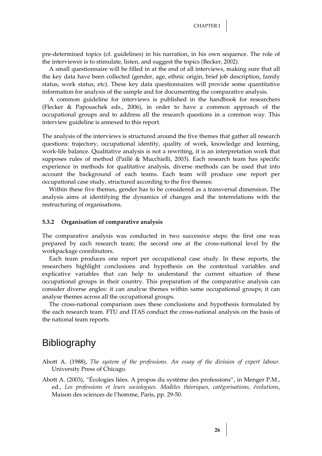pre-determined topics (cf. guidelines) in his narration, in his own sequence. The role of the interviewer is to stimulate, listen, and suggest the topics (Becker, 2002).

A small questionnaire will be filled in at the end of all interviews, making sure that all the key data have been collected (gender, age, ethnic origin, brief job description, family status, work status, etc). These key data questionnaires will provide some quantitative information for analysis of the sample and for documenting the comparative analysis.

A common guideline for interviews is published in the handbook for researchers (Flecker & Papouschek eds., 2006), in order to have a common approach of the occupational groups and to address all the research questions in a common way. This interview guideline is annexed to this report.

The analysis of the interviews is structured around the five themes that gather all research questions: trajectory, occupational identity, quality of work, knowledge and learning, work-life balance. Qualitative analysis is not a rewriting, it is an interpretation work that supposes rules of method (Paillé & Mucchielli, 2003). Each research team has specific experience in methods for qualitative analysis, diverse methods can be used that into account the background of each teams. Each team will produce one report per occupational case study, structured according to the five themes:

Within these five themes, gender has to be considered as a transversal dimension. The analysis aims at identifying the dynamics of changes and the interrelations with the restructuring of organisations.

#### **5.3.2 Organisation of comparative analysis**

The comparative analysis was conducted in two successive steps: the first one was prepared by each research team; the second one at the cross-national level by the workpackage coordinators.

Each team produces one report per occupational case study. In these reports, the researchers highlight conclusions and hypothesis on the contextual variables and explicative variables that can help to understand the current situation of these occupational groups in their country. This preparation of the comparative analysis can consider diverse angles: it can analyse themes within same occupational groups; it can analyse themes across all the occupational groups.

The cross-national comparison uses these conclusions and hypothesis formulated by the each research team. FTU and ITAS conduct the cross-national analysis on the basis of the national team reports.

### **Bibliography**

- Abott A. (1988), *The system of the professions. An essay of the division of expert labour.*  University Press of Chicago.
- Abott A. (2003), "Écologies liées. A propos du système des professions", in Menger P.M., ed., *Les professions et leurs sociologues. Modèles théoriques, catégorisations, évolutions*, Maison des sciences de l'homme, Paris, pp. 29-50.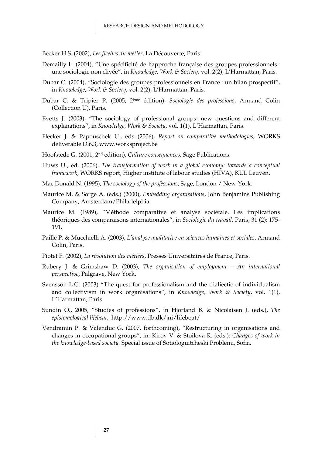Becker H.S. (2002), *Les ficelles du métier*, La Découverte, Paris.

- Demailly L. (2004), "Une spécificité de l'approche française des groupes professionnels : une sociologie non clivée", in *Knowledge, Work & Society*, vol. 2(2), L'Harmattan, Paris.
- Dubar C. (2004), "Sociologie des groupes professionnels en France : un bilan prospectif", in *Knowledge, Work & Society*, vol. 2(2), L'Harmattan, Paris.
- Dubar C. & Tripier P. (2005, 2ème édition), *Sociologie des professions*, Armand Colin (Collection U), Paris.
- Evetts J. (2003), "The sociology of professional groups: new questions and different explanations", in *Knowledge, Work & Society*, vol. 1(1), L'Harmattan, Paris.
- Flecker J. & Papouschek U., eds (2006), *Report on comparative methodologies*, WORKS deliverable D.6.3, www.worksproject.be
- Hoofstede G. (2001, 2nd edition), *Culture consequences*, Sage Publications.
- Huws U., ed. (2006). *The transformation of work in a global economy: towards a conceptual framework*, WORKS report, Higher institute of labour studies (HIVA), KUL Leuven.
- Mac Donald N. (1995), *The sociology of the professions*, Sage, London / New-York.
- Maurice M. & Sorge A. (eds.) (2000), *Embedding organisations*, John Benjamins Publishing Company, Amsterdam/Philadelphia.
- Maurice M. (1989), "Méthode comparative et analyse sociétale. Les implications théoriques des comparaisons internationales", in *Sociologie du travail*, Paris, 31 (2): 175- 191.
- Paillé P. & Mucchielli A. (2003), *L'analyse qualitative en sciences humaines et sociales*, Armand Colin, Paris.
- Piotet F. (2002), *La révolution des métiers*, Presses Universitaires de France, Paris.
- Rubery J. & Grimshaw D. (2003), *The organisation of employment An international perspective*, Palgrave, New York.
- Svensson L.G. (2003) "The quest for professionalism and the dialiectic of individualism and collectivism in work organisations", in *Knowledge, Work & Society*, vol. 1(1), L'Harmattan, Paris.
- Sundin O., 2005, "Studies of professions", in Hjorland B. & Nicolaisen J. (eds.), *The epistemological lifeboat*, http://www.db.dk/jni/lifeboat/
- Vendramin P. & Valenduc G. (2007, forthcoming), "Restructuring in organisations and changes in occupational groups", in: Kirov V. & Stoilova R. (eds.): *Changes of work in the knowledge-based society.* Special issue of Sotiologuitcheski Problemi, Sofia.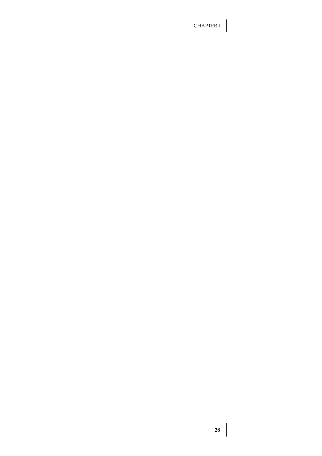CHAPTER I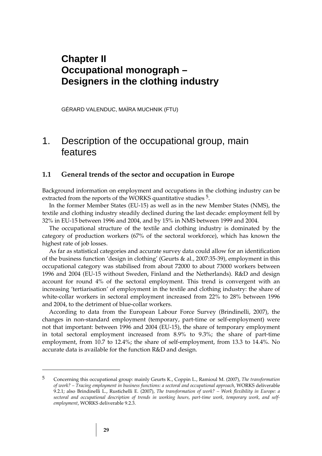# **Chapter II Occupational monograph – Designers in the clothing industry**

GÉRARD VALENDUC, MAÏRA MUCHNIK (FTU)

## 1. Description of the occupational group, main features

#### **1.1 General trends of the sector and occupation in Europe**

Background information on employment and occupations in the clothing industry can be extracted from the reports of the WORKS quantitative studies  $5$ .

In the former Member States (EU-15) as well as in the new Member States (NMS), the textile and clothing industry steadily declined during the last decade: employment fell by 32% in EU-15 between 1996 and 2004, and by 15% in NMS between 1999 and 2004.

The occupational structure of the textile and clothing industry is dominated by the category of production workers (67% of the sectoral workforce), which has known the highest rate of job losses.

As far as statistical categories and accurate survey data could allow for an identification of the business function 'design in clothing' (Geurts & al., 2007:35-39), employment in this occupational category was stabilised from about 72000 to about 73000 workers between 1996 and 2004 (EU-15 without Sweden, Finland and the Netherlands). R&D and design account for round 4% of the sectoral employment. This trend is convergent with an increasing 'tertiarisation' of employment in the textile and clothing industry: the share of white-collar workers in sectoral employment increased from 22% to 28% between 1996 and 2004, to the detriment of blue-collar workers.

According to data from the European Labour Force Survey (Brindinelli, 2007), the changes in non-standard employment (temporary, part-time or self-employment) were not that important: between 1996 and 2004 (EU-15), the share of temporary employment in total sectoral employment increased from 8.9% to 9.3%; the share of part-time employment, from 10.7 to 12.4%; the share of self-employment, from 13.3 to 14.4%. No accurate data is available for the function R&D and design.

 $\overline{a}$ 

<sup>5</sup> Concerning this occupational group: mainly Geurts K., Coppin L., Ramioul M. (2007), *The transformation of work? – Tracing employment in business functions: a sectoral and occupational approach*, WORKS deliverable 9.2.1; also Brindinelli L., Rustichelli E. (2007), *The transformation of work? – Work flexibility in Europe: a sectoral and occupational description of trends in working hours, part-time work, temporary work, and selfemployment*, WORKS deliverable 9.2.3.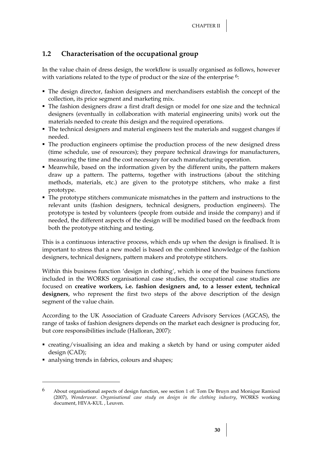### **1.2 Characterisation of the occupational group**

In the value chain of dress design, the workflow is usually organised as follows, however with variations related to the type of product or the size of the enterprise <sup>6</sup>:

- The design director, fashion designers and merchandisers establish the concept of the collection, its price segment and marketing mix.
- The fashion designers draw a first draft design or model for one size and the technical designers (eventually in collaboration with material engineering units) work out the materials needed to create this design and the required operations.
- The technical designers and material engineers test the materials and suggest changes if needed.
- The production engineers optimise the production process of the new designed dress (time schedule, use of resources); they prepare technical drawings for manufacturers, measuring the time and the cost necessary for each manufacturing operation.
- Meanwhile, based on the information given by the different units, the pattern makers draw up a pattern. The patterns, together with instructions (about the stitching methods, materials, etc.) are given to the prototype stitchers, who make a first prototype.
- The prototype stitchers communicate mismatches in the pattern and instructions to the relevant units (fashion designers, technical designers, production engineers). The prototype is tested by volunteers (people from outside and inside the company) and if needed, the different aspects of the design will be modified based on the feedback from both the prototype stitching and testing.

This is a continuous interactive process, which ends up when the design is finalised. It is important to stress that a new model is based on the combined knowledge of the fashion designers, technical designers, pattern makers and prototype stitchers.

Within this business function 'design in clothing', which is one of the business functions included in the WORKS organisational case studies, the occupational case studies are focused on **creative workers, i.e. fashion designers and, to a lesser extent, technical designers**, who represent the first two steps of the above description of the design segment of the value chain.

According to the UK Association of Graduate Careers Advisory Services (AGCAS), the range of tasks of fashion designers depends on the market each designer is producing for, but core responsibilities include (Halloran, 2007):

- creating/visualising an idea and making a sketch by hand or using computer aided design (CAD);
- analysing trends in fabrics, colours and shapes;

 $\overline{a}$ 

<sup>6</sup> About organisational aspects of design function, see section 1 of: Tom De Bruyn and Monique Ramioul (2007), *Wonderwear*. *Organisational case study on design in the clothing industry*, WORKS working document, HIVA-KUL , Leuven.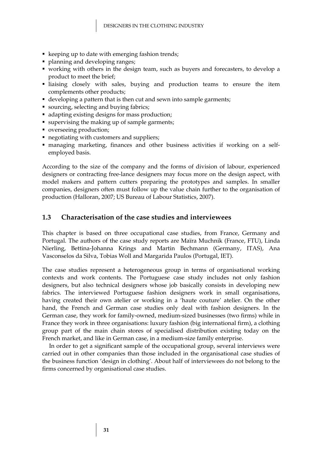- keeping up to date with emerging fashion trends;
- **•** planning and developing ranges;
- working with others in the design team, such as buyers and forecasters, to develop a product to meet the brief;
- liaising closely with sales, buying and production teams to ensure the item complements other products;
- developing a pattern that is then cut and sewn into sample garments;
- sourcing, selecting and buying fabrics;
- adapting existing designs for mass production;
- supervising the making up of sample garments;
- overseeing production;
- negotiating with customers and suppliers;
- managing marketing, finances and other business activities if working on a selfemployed basis.

According to the size of the company and the forms of division of labour, experienced designers or contracting free-lance designers may focus more on the design aspect, with model makers and pattern cutters preparing the prototypes and samples. In smaller companies, designers often must follow up the value chain further to the organisation of production (Halloran, 2007; US Bureau of Labour Statistics, 2007).

#### **1.3 Characterisation of the case studies and interviewees**

This chapter is based on three occupational case studies, from France, Germany and Portugal. The authors of the case study reports are Maïra Muchnik (France, FTU), Linda Nierling, Bettina-Johanna Krings and Martin Bechmann (Germany, ITAS), Ana Vasconselos da Silva, Tobias Woll and Margarida Paulos (Portugal, IET).

The case studies represent a heterogeneous group in terms of organisational working contexts and work contents. The Portuguese case study includes not only fashion designers, but also technical designers whose job basically consists in developing new fabrics. The interviewed Portuguese fashion designers work in small organisations, having created their own atelier or working in a 'haute couture' atelier. On the other hand, the French and German case studies only deal with fashion designers. In the German case, they work for family-owned, medium-sized businesses (two firms) while in France they work in three organisations: luxury fashion (big international firm), a clothing group part of the main chain stores of specialised distribution existing today on the French market, and like in German case, in a medium-size family enterprise.

In order to get a significant sample of the occupational group, several interviews were carried out in other companies than those included in the organisational case studies of the business function 'design in clothing'. About half of interviewees do not belong to the firms concerned by organisational case studies.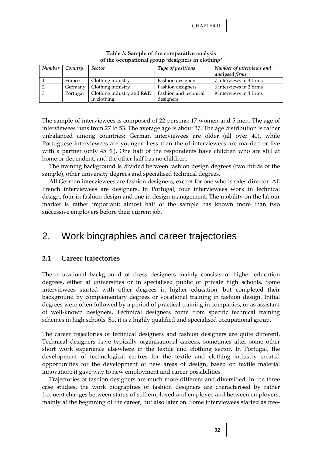| Number | Country  | <b>Sector</b>             | Type of positions     | Number of interviews and<br>analysed firms |  |  |
|--------|----------|---------------------------|-----------------------|--------------------------------------------|--|--|
|        |          |                           |                       |                                            |  |  |
|        | France   | Clothing industry         | Fashion designers     | 7 interviews in 3 firms                    |  |  |
|        | Germany  | Clothing industry         | Fashion designers     | 6 interviews in 2 firms                    |  |  |
|        | Portugal | Clothing industry and R&D | Fashion and technical | 9 interviews in 4 firms                    |  |  |
|        |          | in clothing               | designers             |                                            |  |  |

**Table 3: Sample of the comparative analysis of the occupational group 'designers in clothing'** 

The sample of interviewees is composed of 22 persons: 17 women and 5 men. The age of interviewees runs from 27 to 53. The average age is about 37. The age distribution is rather unbalanced among countries: German interviewees are older (all over 40), while Portuguese interviewees are younger. Less than the of interviewees are married or live with a partner (only 45 %). One half of the respondents have children who are still at home or dependent, and the other half has no children.

The training background is divided between fashion design degrees (two thirds of the sample), other university degrees and specialised technical degrees.

All German interviewees are fashion designers, except for one who is sales director. All French interviewees are designers. In Portugal, four interviewees work in technical design, four in fashion design and one in design management. The mobility on the labour market is rather important: almost half of the sample has known more than two successive employers before their current job.

# 2. Work biographies and career trajectories

#### **2.1 Career trajectories**

The educational background of dress designers mainly consists of higher education degrees, either at universities or in specialised public or private high schools. Some interviewees started with other degrees in higher education, but completed their background by complementary degrees or vocational training in fashion design. Initial degrees were often followed by a period of practical training in companies, or as assistant of well-known designers. Technical designers come from specific technical training schemes in high schools. So, it is a highly qualified and specialised occupational group.

The career trajectories of technical designers and fashion designers are quite different. Technical designers have typically organisational careers, sometimes after some other short work experience elsewhere in the textile and clothing sector. In Portugal, the development of technological centres for the textile and clothing industry created opportunities for the development of new areas of design, based on textile material innovation; it gave way to new employment and career possibilities.

Trajectories of fashion designers are much more different and diversified. In the three case studies, the work biographies of fashion designers are characterised by rather frequent changes between status of self-employed and employee and between employers, mainly at the beginning of the career, but also later on. Some interviewees started as free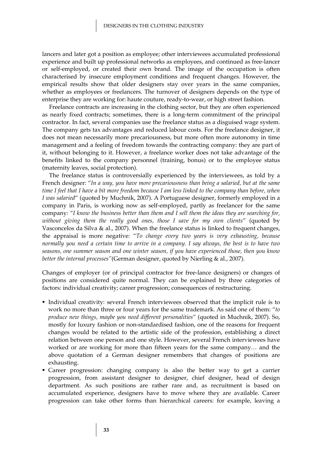lancers and later got a position as employee; other interviewees accumulated professional experience and built up professional networks as employees, and continued as free-lancer or self-employed, or created their own brand. The image of the occupation is often characterised by insecure employment conditions and frequent changes. However, the empirical results show that older designers stay over years in the same companies, whether as employees or freelancers. The turnover of designers depends on the type of enterprise they are working for: haute couture, ready-to-wear, or high street fashion.

Freelance contracts are increasing in the clothing sector, but they are often experienced as nearly fixed contracts; sometimes, there is a long-term commitment of the principal contractor. In fact, several companies use the freelance status as a disguised wage system. The company gets tax advantages and reduced labour costs. For the freelance designer, it does not mean necessarily more precariousness, but more often more autonomy in time management and a feeling of freedom towards the contracting company: they are part of it, without belonging to it. However, a freelance worker does not take advantage of the benefits linked to the company personnel (training, bonus) or to the employee status (maternity leaves, social protection).

The freelance status is controversially experienced by the interviewees, as told by a French designer: "*In a way, you have more precariousness than being a salaried, but at the same time I feel that I have a bit more freedom because I am less linked to the company than before, when I was salaried*" (quoted by Muchnik, 2007). A Portuguese designer, formerly employed in a company in Paris, is working now as self-employed, partly as freelancer for the same company: "*I know the business better than them and I sell them the ideas they are searching for, without giving them the really good ones, those I save for my own clients*" (quoted by Vasconcelos da Silva & al., 2007). When the freelance status is linked to frequent changes, the appraisal is more negative: "*To change every two years is very exhausting, because normally you need a certain time to arrive in a company. I say always, the best is to have two seasons, one summer season and one winter season, if you have experienced those, then you know better the internal processes"*(German designer, quoted by Nierling & al., 2007).

Changes of employer (or of principal contractor for free-lance designers) or changes of positions are considered quite normal. They can be explained by three categories of factors: individual creativity; career progression; consequences of restructuring.

- Individual creativity: several French interviewees observed that the implicit rule is to work no more than three or four years for the same trademark. As said one of them: "*to produce new things, maybe you need different personalities*" (quoted in Muchnik, 2007). So, mostly for luxury fashion or non-standardised fashion, one of the reasons for frequent changes would be related to the artistic side of the profession, establishing a direct relation between one person and one style. However, several French interviewees have worked or are working for more than fifteen years for the same company… and the above quotation of a German designer remembers that changes of positions are exhausting.
- Career progression: changing company is also the better way to get a carrier progression, from assistant designer to designer, chief designer, head of design department. As such positions are rather rare and, as recruitment is based on accumulated experience, designers have to move where they are available. Career progression can take other forms than hierarchical careers: for example, leaving a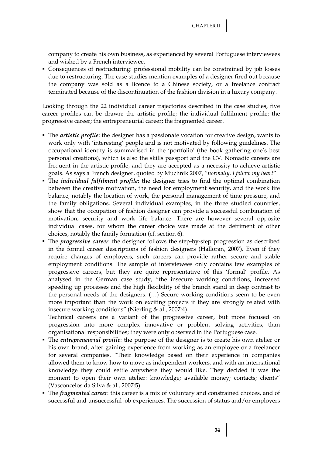company to create his own business, as experienced by several Portuguese interviewees and wished by a French interviewee.

 Consequences of restructuring: professional mobility can be constrained by job losses due to restructuring. The case studies mention examples of a designer fired out because the company was sold as a licence to a Chinese society, or a freelance contract terminated because of the discontinuation of the fashion division in a luxury company.

Looking through the 22 individual career trajectories described in the case studies, five career profiles can be drawn: the artistic profile; the individual fulfilment profile; the progressive career; the entrepreneurial career; the fragmented career.

- The *artistic profile*: the designer has a passionate vocation for creative design, wants to work only with 'interesting' people and is not motivated by following guidelines. The occupational identity is summarised in the 'portfolio' (the book gathering one's best personal creations), which is also the skills passport and the CV. Nomadic careers are frequent in the artistic profile, and they are accepted as a necessity to achieve artistic goals. As says a French designer, quoted by Muchnik 2007, "*normally, I follow my heart*".
- The *individual fulfilment profile*: the designer tries to find the optimal combination between the creative motivation, the need for employment security, and the work life balance, notably the location of work, the personal management of time pressure, and the family obligations. Several individual examples, in the three studied countries, show that the occupation of fashion designer can provide a successful combination of motivation, security and work life balance. There are however several opposite individual cases, for whom the career choice was made at the detriment of other choices, notably the family formation (cf. section 6).
- The *progressive career*: the designer follows the step-by-step progression as described in the formal career descriptions of fashion designers (Halloran, 2007). Even if they require changes of employers, such careers can provide rather secure and stable employment conditions. The sample of interviewees only contains few examples of progressive careers, but they are quite representative of this 'formal' profile. As analysed in the German case study, "the insecure working conditions, increased speeding up processes and the high flexibility of the branch stand in deep contrast to the personal needs of the designers. (…) Secure working conditions seem to be even more important than the work on exciting projects if they are strongly related with insecure working conditions" (Nierling & al., 2007:4).

Technical careers are a variant of the progressive career, but more focused on progression into more complex innovative or problem solving activities, than organisational responsibilities; they were only observed in the Portuguese case.

- The *entrepreneurial profile*: the purpose of the designer is to create his own atelier or his own brand, after gaining experience from working as an employee or a freelancer for several companies. "Their knowledge based on their experience in companies allowed them to know how to move as independent workers, and with an international knowledge they could settle anywhere they would like. They decided it was the moment to open their own atelier: knowledge; available money; contacts; clients" (Vasconcelos da Silva & al., 2007:5).
- The *fragmented career*: this career is a mix of voluntary and constrained choices, and of successful and unsuccessful job experiences. The succession of status and/or employers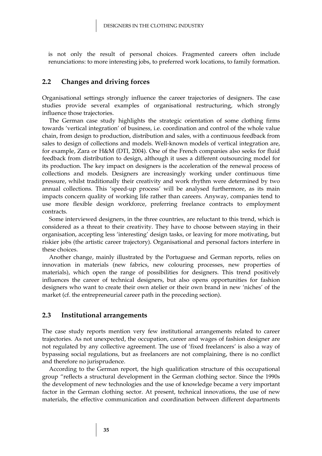is not only the result of personal choices. Fragmented careers often include renunciations: to more interesting jobs, to preferred work locations, to family formation.

#### **2.2 Changes and driving forces**

Organisational settings strongly influence the career trajectories of designers. The case studies provide several examples of organisational restructuring, which strongly influence those trajectories.

The German case study highlights the strategic orientation of some clothing firms towards 'vertical integration' of business, i.e. coordination and control of the whole value chain, from design to production, distribution and sales, with a continuous feedback from sales to design of collections and models. Well-known models of vertical integration are, for example, Zara or H&M (DTI, 2004). One of the French companies also seeks for fluid feedback from distribution to design, although it uses a different outsourcing model for its production. The key impact on designers is the acceleration of the renewal process of collections and models. Designers are increasingly working under continuous time pressure, whilst traditionally their creativity and work rhythm were determined by two annual collections. This 'speed-up process' will be analysed furthermore, as its main impacts concern quality of working life rather than careers. Anyway, companies tend to use more flexible design workforce, preferring freelance contracts to employment contracts.

Some interviewed designers, in the three countries, are reluctant to this trend, which is considered as a threat to their creativity. They have to choose between staying in their organisation, accepting less 'interesting' design tasks, or leaving for more motivating, but riskier jobs (the artistic career trajectory). Organisational and personal factors interfere in these choices.

Another change, mainly illustrated by the Portuguese and German reports, relies on innovation in materials (new fabrics, new colouring processes, new properties of materials), which open the range of possibilities for designers. This trend positively influences the career of technical designers, but also opens opportunities for fashion designers who want to create their own atelier or their own brand in new 'niches' of the market (cf. the entrepreneurial career path in the preceding section).

#### **2.3 Institutional arrangements**

The case study reports mention very few institutional arrangements related to career trajectories. As not unexpected, the occupation, career and wages of fashion designer are not regulated by any collective agreement. The use of 'fixed freelancers' is also a way of bypassing social regulations, but as freelancers are not complaining, there is no conflict and therefore no jurisprudence.

According to the German report, the high qualification structure of this occupational group "reflects a structural development in the German clothing sector. Since the 1990s the development of new technologies and the use of knowledge became a very important factor in the German clothing sector. At present, technical innovations, the use of new materials, the effective communication and coordination between different departments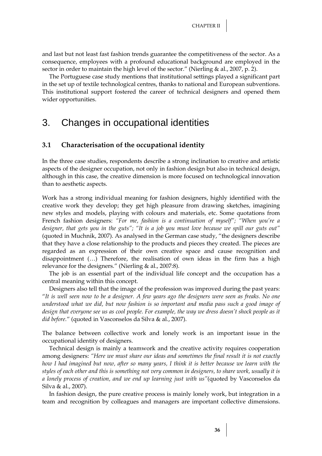CHAPTER II

and last but not least fast fashion trends guarantee the competitiveness of the sector. As a consequence, employees with a profound educational background are employed in the sector in order to maintain the high level of the sector." (Nierling & al., 2007, p. 2).

The Portuguese case study mentions that institutional settings played a significant part in the set up of textile technological centres, thanks to national and European subventions. This institutional support fostered the career of technical designers and opened them wider opportunities.

### 3. Changes in occupational identities

#### **3.1 Characterisation of the occupational identity**

In the three case studies, respondents describe a strong inclination to creative and artistic aspects of the designer occupation, not only in fashion design but also in technical design, although in this case, the creative dimension is more focused on technological innovation than to aesthetic aspects.

Work has a strong individual meaning for fashion designers, highly identified with the creative work they develop; they get high pleasure from drawing sketches, imagining new styles and models, playing with colours and materials, etc. Some quotations from French fashion designers: *"For me, fashion is a continuation of myself"; "When you're a designer, that gets you in the guts"; "It is a job you must love because we spill our guts out"* (quoted in Muchnik, 2007). As analysed in the German case study, "the designers describe that they have a close relationship to the products and pieces they created. The pieces are regarded as an expression of their own creative space and cause recognition and disappointment (…) Therefore, the realisation of own ideas in the firm has a high relevance for the designers." (Nierling & al., 2007:8).

The job is an essential part of the individual life concept and the occupation has a central meaning within this concept.

Designers also tell that the image of the profession was improved during the past years: "*It is well seen now to be a designer. A few years ago the designers were seen as freaks. No one understood what we did, but now fashion is so important and media pass such a good image of design that everyone see us as cool people. For example, the way we dress doesn't shock people as it did before.*" (quoted in Vasconselos da Silva & al., 2007).

The balance between collective work and lonely work is an important issue in the occupational identity of designers.

Technical design is mainly a teamwork and the creative activity requires cooperation among designers: *"Here we must share our ideas and sometimes the final result it is not exactly how I had imagined but now, after so many years, I think it is better because we learn with the styles of each other and this is something not very common in designers, to share work, usually it is a lonely process of creation, and we end up learning just with us"*(quoted by Vasconselos da Silva & al., 2007).

In fashion design, the pure creative process is mainly lonely work, but integration in a team and recognition by colleagues and managers are important collective dimensions.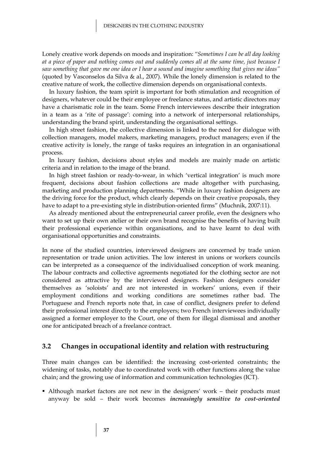Lonely creative work depends on moods and inspiration: "*Sometimes I can be all day looking at a piece of paper and nothing comes out and suddenly comes all at the same time, just because I saw something that gave me one idea or I hear a sound and imagine something that gives me ideas"*  (quoted by Vasconselos da Silva & al., 2007). While the lonely dimension is related to the creative nature of work, the collective dimension depends on organisational contexts.

In luxury fashion, the team spirit is important for both stimulation and recognition of designers, whatever could be their employee or freelance status, and artistic directors may have a charismatic role in the team. Some French interviewees describe their integration in a team as a 'rite of passage': coming into a network of interpersonal relationships, understanding the brand spirit, understanding the organisational settings.

In high street fashion, the collective dimension is linked to the need for dialogue with collection managers, model makers, marketing managers, product managers; even if the creative activity is lonely, the range of tasks requires an integration in an organisational process.

In luxury fashion, decisions about styles and models are mainly made on artistic criteria and in relation to the image of the brand.

In high street fashion or ready-to-wear, in which 'vertical integration' is much more frequent, decisions about fashion collections are made altogether with purchasing, marketing and production planning departments. "While in luxury fashion designers are the driving force for the product, which clearly depends on their creative proposals, they have to adapt to a pre-existing style in distribution-oriented firms" (Muchnik, 2007:11).

As already mentioned about the entrepreneurial career profile, even the designers who want to set up their own atelier or their own brand recognise the benefits of having built their professional experience within organisations, and to have learnt to deal with organisational opportunities and constraints.

In none of the studied countries, interviewed designers are concerned by trade union representation or trade union activities. The low interest in unions or workers councils can be interpreted as a consequence of the individualised conception of work meaning. The labour contracts and collective agreements negotiated for the clothing sector are not considered as attractive by the interviewed designers. Fashion designers consider themselves as 'soloists' and are not interested in workers' unions, even if their employment conditions and working conditions are sometimes rather bad. The Portuguese and French reports note that, in case of conflict, designers prefer to defend their professional interest directly to the employers; two French interviewees individually assigned a former employer to the Court, one of them for illegal dismissal and another one for anticipated breach of a freelance contract.

### **3.2 Changes in occupational identity and relation with restructuring**

Three main changes can be identified: the increasing cost-oriented constraints; the widening of tasks, notably due to coordinated work with other functions along the value chain; and the growing use of information and communication technologies (ICT).

 Although market factors are not new in the designers' work – their products must anyway be sold – their work becomes *increasingly sensitive to cost-oriented*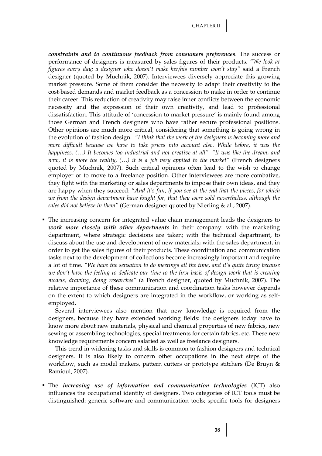*constraints and to continuous feedback from consumers preferences*. The success or performance of designers is measured by sales figures of their products. *"We look at figures every day; a designer who doesn't make her/his number won't stay"* said a French designer (quoted by Muchnik, 2007). Interviewees diversely appreciate this growing market pressure. Some of them consider the necessity to adapt their creativity to the cost-based demands and market feedback as a concession to make in order to continue their career. This reduction of creativity may raise inner conflicts between the economic necessity and the expression of their own creativity, and lead to professional dissatisfaction. This attitude of 'concession to market pressure' is mainly found among those German and French designers who have rather secure professional positions. Other opinions are much more critical, considering that something is going wrong in the evolution of fashion design. *"I think that the work of the designers is becoming more and more difficult because we have to take prices into account also. While before, it was the happiness. (…) It becomes too industrial and not creative at all". "It was like the dream, and*  now, it is more the reality, (...) it is a job very applied to the market" (French designers quoted by Muchnik, 2007). Such critical opinions often lead to the wish to change employer or to move to a freelance position. Other interviewees are more combative, they fight with the marketing or sales departments to impose their own ideas, and they are happy when they succeed: "*And it's fun, if you see at the end that the pieces, for which we from the design department have fought for, that they were sold nevertheless, although the sales did not believe in them"* (German designer quoted by Nierling & al., 2007).

 The increasing concern for integrated value chain management leads the designers to *work more closely with other departments* in their company: with the marketing department, where strategic decisions are taken; with the technical department, to discuss about the use and development of new materials; with the sales department, in order to get the sales figures of their products. These coordination and communication tasks next to the development of collections become increasingly important and require a lot of time. *"We have the sensation to do meetings all the time, and it's quite tiring because we don't have the feeling to dedicate our time to the first basis of design work that is creating models, drawing, doing researches"* (a French designer, quoted by Muchnik, 2007). The relative importance of these communication and coordination tasks however depends on the extent to which designers are integrated in the workflow, or working as selfemployed.

Several interviewees also mention that new knowledge is required from the designers, because they have extended working fields: the designers today have to know more about new materials, physical and chemical properties of new fabrics, new sewing or assembling technologies, special treatments for certain fabrics, etc. These new knowledge requirements concern salaried as well as freelance designers.

This trend in widening tasks and skills is common to fashion designers and technical designers. It is also likely to concern other occupations in the next steps of the workflow, such as model makers, pattern cutters or prototype stitchers (De Bruyn & Ramioul, 2007).

 The *increasing use of information and communication technologies* (ICT) also influences the occupational identity of designers. Two categories of ICT tools must be distinguished: generic software and communication tools; specific tools for designers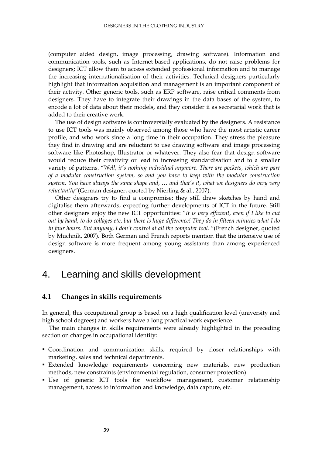(computer aided design, image processing, drawing software). Information and communication tools, such as Internet-based applications, do not raise problems for designers; ICT allow them to access extended professional information and to manage the increasing internationalisation of their activities. Technical designers particularly highlight that information acquisition and management is an important component of their activity. Other generic tools, such as ERP software, raise critical comments from designers. They have to integrate their drawings in the data bases of the system, to encode a lot of data about their models, and they consider ii as secretarial work that is added to their creative work.

The use of design software is controversially evaluated by the designers. A resistance to use ICT tools was mainly observed among those who have the most artistic career profile, and who work since a long time in their occupation. They stress the pleasure they find in drawing and are reluctant to use drawing software and image processing software like Photoshop, Illustrator or whatever. They also fear that design software would reduce their creativity or lead to increasing standardisation and to a smaller variety of patterns. "*Well, it's nothing individual anymore. There are pockets, which are part of a modular construction system, so and you have to keep with the modular construction system. You have always the same shape and, … and that's it, what we designers do very very reluctantly"*(German designer, quoted by Nierling & al., 2007).

Other designers try to find a compromise; they still draw sketches by hand and digitalise them afterwards, expecting further developments of ICT in the future. Still other designers enjoy the new ICT opportunities: "*It is very efficient, even if I like to cut out by hand, to do collages etc, but there is huge difference! They do in fifteen minutes what I do in four hours. But anyway, I don't control at all the computer tool.* "(French designer, quoted by Muchnik, 2007). Both German and French reports mention that the intensive use of design software is more frequent among young assistants than among experienced designers.

## 4. Learning and skills development

#### **4.1 Changes in skills requirements**

In general, this occupational group is based on a high qualification level (university and high school degrees) and workers have a long practical work experience.

The main changes in skills requirements were already highlighted in the preceding section on changes in occupational identity:

- Coordination and communication skills, required by closer relationships with marketing, sales and technical departments.
- Extended knowledge requirements concerning new materials, new production methods, new constraints (environmental regulation, consumer protection)
- Use of generic ICT tools for workflow management, customer relationship management, access to information and knowledge, data capture, etc.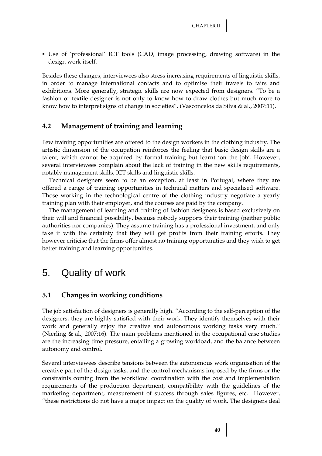Use of 'professional' ICT tools (CAD, image processing, drawing software) in the design work itself.

Besides these changes, interviewees also stress increasing requirements of linguistic skills, in order to manage international contacts and to optimise their travels to fairs and exhibitions. More generally, strategic skills are now expected from designers. "To be a fashion or textile designer is not only to know how to draw clothes but much more to know how to interpret signs of change in societies". (Vasconcelos da Silva & al., 2007:11).

## **4.2 Management of training and learning**

Few training opportunities are offered to the design workers in the clothing industry. The artistic dimension of the occupation reinforces the feeling that basic design skills are a talent, which cannot be acquired by formal training but learnt 'on the job'. However, several interviewees complain about the lack of training in the new skills requirements, notably management skills, ICT skills and linguistic skills.

Technical designers seem to be an exception, at least in Portugal, where they are offered a range of training opportunities in technical matters and specialised software. Those working in the technological centre of the clothing industry negotiate a yearly training plan with their employer, and the courses are paid by the company.

The management of learning and training of fashion designers is based exclusively on their will and financial possibility, because nobody supports their training (neither public authorities nor companies). They assume training has a professional investment, and only take it with the certainty that they will get profits from their training efforts. They however criticise that the firms offer almost no training opportunities and they wish to get better training and learning opportunities.

# 5. Quality of work

## **5.1 Changes in working conditions**

The job satisfaction of designers is generally high. "According to the self-perception of the designers, they are highly satisfied with their work. They identify themselves with their work and generally enjoy the creative and autonomous working tasks very much." (Nierling & al., 2007:16). The main problems mentioned in the occupational case studies are the increasing time pressure, entailing a growing workload, and the balance between autonomy and control.

Several interviewees describe tensions between the autonomous work organisation of the creative part of the design tasks, and the control mechanisms imposed by the firms or the constraints coming from the workflow: coordination with the cost and implementation requirements of the production department, compatibility with the guidelines of the marketing department, measurement of success through sales figures, etc. However, "these restrictions do not have a major impact on the quality of work. The designers deal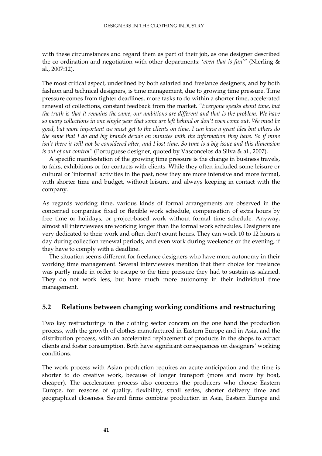with these circumstances and regard them as part of their job, as one designer described the co-ordination and negotiation with other departments: '*even that is fun*'" (Nierling & al., 2007:12).

The most critical aspect, underlined by both salaried and freelance designers, and by both fashion and technical designers, is time management, due to growing time pressure. Time pressure comes from tighter deadlines, more tasks to do within a shorter time, accelerated renewal of collections, constant feedback from the market. *"Everyone speaks about time, but the truth is that it remains the same, our ambitions are different and that is the problem. We have so many collections in one single year that some are left behind or don't even come out. We must be good, but more important we must get to the clients on time. I can have a great idea but others do the same that I do and big brands decide on minutes with the information they have. So if mine isn't there it will not be considered after, and I lost time. So time is a big issue and this dimension is out of our control"* (Portuguese designer, quoted by Vasconcelos da Silva & al., 2007).

A specific manifestation of the growing time pressure is the change in business travels, to fairs, exhibitions or for contacts with clients. While they often included some leisure or cultural or 'informal' activities in the past, now they are more intensive and more formal, with shorter time and budget, without leisure, and always keeping in contact with the company.

As regards working time, various kinds of formal arrangements are observed in the concerned companies: fixed or flexible work schedule, compensation of extra hours by free time or holidays, or project-based work without formal time schedule. Anyway, almost all interviewees are working longer than the formal work schedules. Designers are very dedicated to their work and often don't count hours. They can work 10 to 12 hours a day during collection renewal periods, and even work during weekends or the evening, if they have to comply with a deadline.

The situation seems different for freelance designers who have more autonomy in their working time management. Several interviewees mention that their choice for freelance was partly made in order to escape to the time pressure they had to sustain as salaried. They do not work less, but have much more autonomy in their individual time management.

## **5.2 Relations between changing working conditions and restructuring**

Two key restructurings in the clothing sector concern on the one hand the production process, with the growth of clothes manufactured in Eastern Europe and in Asia, and the distribution process, with an accelerated replacement of products in the shops to attract clients and foster consumption. Both have significant consequences on designers' working conditions.

The work process with Asian production requires an acute anticipation and the time is shorter to do creative work, because of longer transport (more and more by boat, cheaper). The acceleration process also concerns the producers who choose Eastern Europe, for reasons of quality, flexibility, small series, shorter delivery time and geographical closeness. Several firms combine production in Asia, Eastern Europe and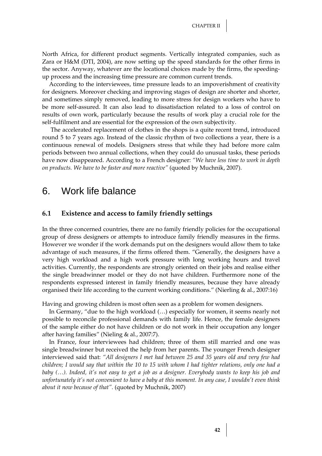North Africa, for different product segments. Vertically integrated companies, such as Zara or H&M (DTI, 2004), are now setting up the speed standards for the other firms in the sector. Anyway, whatever are the locational choices made by the firms, the speedingup process and the increasing time pressure are common current trends.

According to the interviewees, time pressure leads to an impoverishment of creativity for designers. Moreover checking and improving stages of design are shorter and shorter, and sometimes simply removed, leading to more stress for design workers who have to be more self-assured. It can also lead to dissatisfaction related to a loss of control on results of own work, particularly because the results of work play a crucial role for the self-fulfilment and are essential for the expression of the own subjectivity.

The accelerated replacement of clothes in the shops is a quite recent trend, introduced round 5 to 7 years ago. Instead of the classic rhythm of two collections a year, there is a continuous renewal of models. Designers stress that while they had before more calm periods between two annual collections, when they could do unusual tasks, these periods have now disappeared. According to a French designer: *"We have less time to work in depth on products. We have to be faster and more reactive"* (quoted by Muchnik, 2007).

## 6. Work life balance

### **6.1 Existence and access to family friendly settings**

In the three concerned countries, there are no family friendly policies for the occupational group of dress designers or attempts to introduce family friendly measures in the firms. However we wonder if the work demands put on the designers would allow them to take advantage of such measures, if the firms offered them. "Generally, the designers have a very high workload and a high work pressure with long working hours and travel activities. Currently, the respondents are strongly oriented on their jobs and realise either the single breadwinner model or they do not have children. Furthermore none of the respondents expressed interest in family friendly measures, because they have already organised their life according to the current working conditions." (Nierling & al., 2007:16)

Having and growing children is most often seen as a problem for women designers.

In Germany, "due to the high workload (…) especially for women, it seems nearly not possible to reconcile professional demands with family life. Hence, the female designers of the sample either do not have children or do not work in their occupation any longer after having families" (Nieling & al., 2007:7).

In France, four interviewees had children; three of them still married and one was single breadwinner but received the help from her parents. The younger French designer interviewed said that: *"All designers I met had between 25 and 35 years old and very few had children; I would say that within the 10 to 15 with whom I had tighter relations, only one had a baby (…). Indeed, it's not easy to get a job as a designer. Everybody wants to keep his job and unfortunately it's not convenient to have a baby at this moment. In any case, I wouldn't even think about it now because of that".* (quoted by Muchnik, 2007)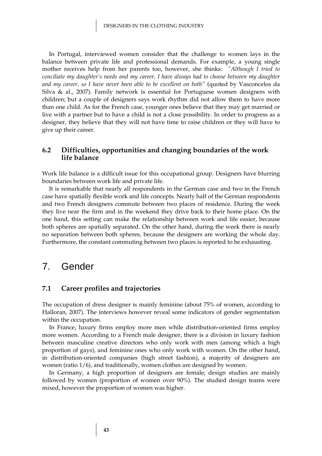In Portugal, interviewed women consider that the challenge to women lays in the balance between private life and professional demands. For example, a young single mother receives help from her parents too, however, she thinks: *"Although I tried to conciliate my daughter's needs and my career, I have always had to choose between my daughter and my career, so I have never been able to be excellent on both"* (quoted by Vasconcelos da Silva & al., 2007). Family network is essential for Portuguese women designers with children; but a couple of designers says work rhythm did not allow them to have more than one child. As for the French case, younger ones believe that they may get married or live with a partner but to have a child is not a close possibility. In order to progress as a designer, they believe that they will not have time to raise children or they will have to give up their career.

## **6.2 Difficulties, opportunities and changing boundaries of the work life balance**

Work life balance is a difficult issue for this occupational group. Designers have blurring boundaries between work life and private life.

It is remarkable that nearly all respondents in the German case and two in the French case have spatially flexible work and life concepts. Nearly half of the German respondents and two French designers commute between two places of residence. During the week they live near the firm and in the weekend they drive back to their home place. On the one hand, this setting can make the relationship between work and life easier, because both spheres are spatially separated. On the other hand, during the week there is nearly no separation between both spheres, because the designers are working the whole day. Furthermore, the constant commuting between two places is reported to be exhausting.

## 7. Gender

### **7.1 Career profiles and trajectories**

The occupation of dress designer is mainly feminine (about 75% of women, according to Halloran, 2007). The interviews however reveal some indicators of gender segmentation within the occupation.

In France, luxury firms employ more men while distribution-oriented firms employ more women. According to a French male designer, there is a division in luxury fashion between masculine creative directors who only work with men (among which a high proportion of gays), and feminine ones who only work with women. On the other hand, in distribution-oriented companies (high street fashion), a majority of designers are women (ratio  $1/6$ ), and traditionally, women clothes are designed by women.

In Germany, a high proportion of designers are female; design studies are mainly followed by women (proportion of women over 90%). The studied design teams were mixed, however the proportion of women was higher.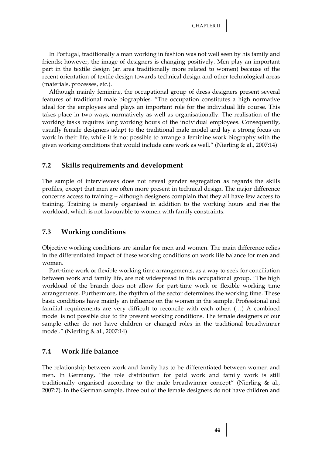In Portugal, traditionally a man working in fashion was not well seen by his family and friends; however, the image of designers is changing positively. Men play an important part in the textile design (an area traditionally more related to women) because of the recent orientation of textile design towards technical design and other technological areas (materials, processes, etc.).

Although mainly feminine, the occupational group of dress designers present several features of traditional male biographies. "The occupation constitutes a high normative ideal for the employees and plays an important role for the individual life course. This takes place in two ways, normatively as well as organisationally. The realisation of the working tasks requires long working hours of the individual employees. Consequently, usually female designers adapt to the traditional male model and lay a strong focus on work in their life, while it is not possible to arrange a feminine work biography with the given working conditions that would include care work as well." (Nierling & al., 2007:14)

## **7.2 Skills requirements and development**

The sample of interviewees does not reveal gender segregation as regards the skills profiles, except that men are often more present in technical design. The major difference concerns access to training – although designers complain that they all have few access to training. Training is merely organised in addition to the working hours and rise the workload, which is not favourable to women with family constraints.

## **7.3 Working conditions**

Objective working conditions are similar for men and women. The main difference relies in the differentiated impact of these working conditions on work life balance for men and women.

Part-time work or flexible working time arrangements, as a way to seek for conciliation between work and family life, are not widespread in this occupational group. "The high workload of the branch does not allow for part-time work or flexible working time arrangements. Furthermore, the rhythm of the sector determines the working time. These basic conditions have mainly an influence on the women in the sample. Professional and familial requirements are very difficult to reconcile with each other. (…) A combined model is not possible due to the present working conditions. The female designers of our sample either do not have children or changed roles in the traditional breadwinner model." (Nierling & al., 2007:14)

## **7.4 Work life balance**

The relationship between work and family has to be differentiated between women and men. In Germany, "the role distribution for paid work and family work is still traditionally organised according to the male breadwinner concept" (Nierling & al., 2007:7). In the German sample, three out of the female designers do not have children and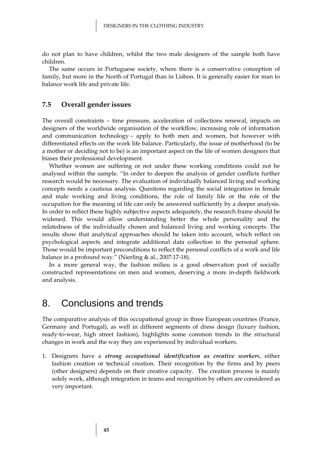do not plan to have children, whilst the two male designers of the sample both have children.

The same occurs in Portuguese society, where there is a conservative conception of family, but more in the North of Portugal than in Lisbon. It is generally easier for man to balance work life and private life.

### **7.5 Overall gender issues**

The overall constraints – time pressure, acceleration of collections renewal, impacts on designers of the worldwide organisation of the workflow, increasing role of information and communication technology – apply to both men and women, but however with differentiated effects on the work life balance. Particularly, the issue of motherhood (to be a mother or deciding not to be) is an important aspect on the life of women designers that biases their professional development.

Whether women are suffering or not under these working conditions could not be analysed within the sample. "In order to deepen the analysis of gender conflicts further research would be necessary. The evaluation of individually balanced living and working concepts needs a cautious analysis. Questions regarding the social integration in female and male working and living conditions, the role of family life or the role of the occupation for the meaning of life can only be answered sufficiently by a deeper analysis. In order to reflect these highly subjective aspects adequately, the research frame should be widened. This would allow understanding better the whole personality and the relatedness of the individually chosen and balanced living and working concepts. The results show that analytical approaches should be taken into account, which reflect on psychological aspects and integrate additional data collection in the personal sphere. Those would be important preconditions to reflect the personal conflicts of a work and life balance in a profound way." (Nierling & al., 2007:17-18).

In a more general way, the fashion milieu is a good observation post of socially constructed representations on men and women, deserving a more in-depth fieldwork and analysis.

## 8. Conclusions and trends

The comparative analysis of this occupational group in three European countries (France, Germany and Portugal), as well in different segments of dress design (luxury fashion, ready-to-wear, high street fashion), highlights some common trends in the structural changes in work and the way they are experienced by individual workers.

1. Designers have a *strong occupational identification as creative worker*s, either fashion creation or technical creation. Their recognition by the firms and by peers (other designers) depends on their creative capacity. The creation process is mainly solely work, although integration in teams and recognition by others are considered as very important.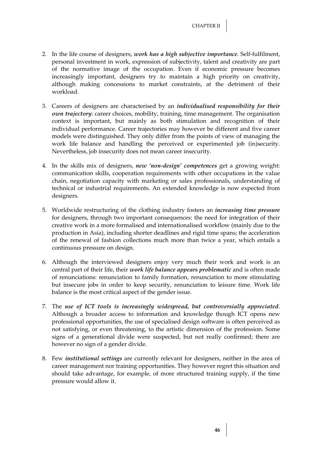- 2. In the life course of designers, *work has a high subjective importance*. Self-fulfilment, personal investment in work, expression of subjectivity, talent and creativity are part of the normative image of the occupation. Even if economic pressure becomes increasingly important, designers try to maintain a high priority on creativity, although making concessions to market constraints, at the detriment of their workload.
- 3. Careers of designers are characterised by an *individualised responsibility for their own trajectory*: career choices, mobility, training, time management. The organisation context is important, but mainly as both stimulation and recognition of their individual performance. Career trajectories may however be different and five career models were distinguished. They only differ from the points of view of managing the work life balance and handling the perceived or experimented job (in)security. Nevertheless, job insecurity does not mean career insecurity.
- 4. In the skills mix of designers, *new 'non-design' competences* get a growing weight: communication skills, cooperation requirements with other occupations in the value chain, negotiation capacity with marketing or sales professionals, understanding of technical or industrial requirements. An extended knowledge is now expected from designers.
- 5. Worldwide restructuring of the clothing industry fosters an *increasing time pressure*  for designers, through two important consequences: the need for integration of their creative work in a more formalised and internationalised workflow (mainly due to the production in Asia), including shorter deadlines and rigid time spans; the acceleration of the renewal of fashion collections much more than twice a year, which entails a continuous pressure on design.
- 6. Although the interviewed designers enjoy very much their work and work is an central part of their life, their *work life balance appears problematic* and is often made of renunciations: renunciation to family formation, renunciation to more stimulating but insecure jobs in order to keep security, renunciation to leisure time. Work life balance is the most critical aspect of the gender issue.
- 7. The *use of ICT tools is increasingly widespread, but controversially appreciated*. Although a broader access to information and knowledge though ICT opens new professional opportunities, the use of specialised design software is often perceived as not satisfying, or even threatening, to the artistic dimension of the profession. Some signs of a generational divide were suspected, but not really confirmed; there are however no sign of a gender divide.
- 8. Few *institutional settings* are currently relevant for designers, neither in the area of career management nor training opportunities. They however regret this situation and should take advantage, for example, of more structured training supply, if the time pressure would allow it.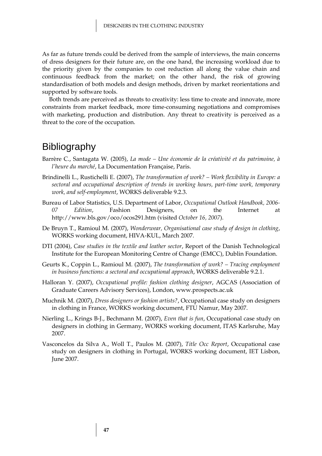As far as future trends could be derived from the sample of interviews, the main concerns of dress designers for their future are, on the one hand, the increasing workload due to the priority given by the companies to cost reduction all along the value chain and continuous feedback from the market; on the other hand, the risk of growing standardisation of both models and design methods, driven by market reorientations and supported by software tools.

Both trends are perceived as threats to creativity: less time to create and innovate, more constraints from market feedback, more time-consuming negotiations and compromises with marketing, production and distribution. Any threat to creativity is perceived as a threat to the core of the occupation.

# Bibliography

- Barrère C., Santagata W. (2005), *La mode Une économie de la créativité et du patrimoine, à l'heure du marché*, La Documentation Française, Paris.
- Brindinelli L., Rustichelli E. (2007), *The transformation of work? Work flexibility in Europe: a sectoral and occupational description of trends in working hours, part-time work, temporary work, and self-employment*, WORKS deliverable 9.2.3.
- Bureau of Labor Statistics, U.S. Department of Labor, *Occupational Outlook Handbook, 2006- 07 Edition*, Fashion Designers, on the Internet at http://www.bls.gov/oco/ocos291.htm (visited *October 16, 2007*).
- De Bruyn T., Ramioul M. (2007), *Wonderwear, Organisational case study of design in clothing*, WORKS working document, HIVA-KUL, March 2007.
- DTI (2004), *Case studies in the textile and leather sector*, Report of the Danish Technological Institute for the European Monitoring Centre of Change (EMCC), Dublin Foundation.
- Geurts K., Coppin L., Ramioul M. (2007), *The transformation of work? Tracing employment in business functions: a sectoral and occupational approach*, WORKS deliverable 9.2.1.
- Halloran Y. (2007), *Occupational profile: fashion clothing designer*, AGCAS (Association of Graduate Careers Advisory Services), London, www.prospects.ac.uk
- Muchnik M. (2007), *Dress designers or fashion artists?*, Occupational case study on designers in clothing in France, WORKS working document, FTU Namur, May 2007.
- Nierling L., Krings B-J., Bechmann M. (2007), *Even that is fun*, Occupational case study on designers in clothing in Germany, WORKS working document, ITAS Karlsruhe, May 2007.
- Vasconcelos da Silva A., Woll T., Paulos M. (2007), *Title Occ Report*, Occupational case study on designers in clothing in Portugal, WORKS working document, IET Lisbon, June 2007.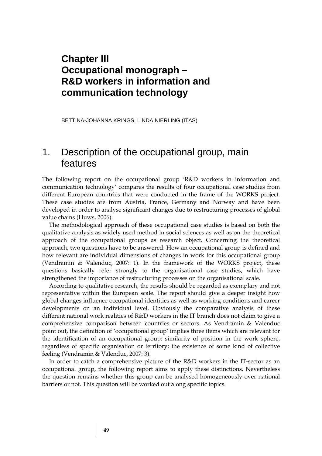# **Chapter III Occupational monograph – R&D workers in information and communication technology**

BETTINA-JOHANNA KRINGS, LINDA NIERLING (ITAS)

# 1. Description of the occupational group, main features

The following report on the occupational group 'R&D workers in information and communication technology' compares the results of four occupational case studies from different European countries that were conducted in the frame of the WORKS project. These case studies are from Austria, France, Germany and Norway and have been developed in order to analyse significant changes due to restructuring processes of global value chains (Huws, 2006).

The methodological approach of these occupational case studies is based on both the qualitative analysis as widely used method in social sciences as well as on the theoretical approach of the occupational groups as research object. Concerning the theoretical approach, two questions have to be answered: How an occupational group is defined and how relevant are individual dimensions of changes in work for this occupational group (Vendramin & Valenduc, 2007: 1). In the framework of the WORKS project, these questions basically refer strongly to the organisational case studies, which have strengthened the importance of restructuring processes on the organisational scale.

According to qualitative research, the results should be regarded as exemplary and not representative within the European scale. The report should give a deeper insight how global changes influence occupational identities as well as working conditions and career developments on an individual level. Obviously the comparative analysis of these different national work realities of R&D workers in the IT branch does not claim to give a comprehensive comparison between countries or sectors. As Vendramin & Valenduc point out, the definition of 'occupational group' implies three items which are relevant for the identification of an occupational group: similarity of position in the work sphere, regardless of specific organisation or territory; the existence of some kind of collective feeling (Vendramin & Valenduc, 2007: 3).

In order to catch a comprehensive picture of the R&D workers in the IT-sector as an occupational group, the following report aims to apply these distinctions. Nevertheless the question remains whether this group can be analysed homogeneously over national barriers or not. This question will be worked out along specific topics.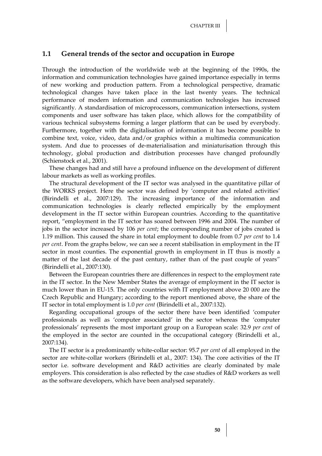### **1.1 General trends of the sector and occupation in Europe**

Through the introduction of the worldwide web at the beginning of the 1990s, the information and communication technologies have gained importance especially in terms of new working and production pattern. From a technological perspective, dramatic technological changes have taken place in the last twenty years. The technical performance of modern information and communication technologies has increased significantly. A standardisation of microprocessors, communication intersections, system components and user software has taken place, which allows for the compatibility of various technical subsystems forming a larger platform that can be used by everybody. Furthermore, together with the digitalisation of information it has become possible to combine text, voice, video, data and/or graphics within a multimedia communication system. And due to processes of de-materialisation and miniaturisation through this technology, global production and distribution processes have changed profoundly (Schienstock et al., 2001).

These changes had and still have a profound influence on the development of different labour markets as well as working profiles.

The structural development of the IT sector was analysed in the quantitative pillar of the WORKS project. Here the sector was defined by 'computer and related activities' (Birindelli et al., 2007:129). The increasing importance of the information and communication technologies is clearly reflected empirically by the employment development in the IT sector within European countries. According to the quantitative report, "employment in the IT sector has soared between 1996 and 2004. The number of jobs in the sector increased by 106 *per cent*; the corresponding number of jobs created is 1.19 million. This caused the share in total employment to double from 0.7 *per cent* to 1.4 *per cent*. From the graphs below, we can see a recent stabilisation in employment in the IT sector in most counties. The exponential growth in employment in IT thus is mostly a matter of the last decade of the past century, rather than of the past couple of years" (Birindelli et al., 2007:130).

Between the European countries there are differences in respect to the employment rate in the IT sector. In the New Member States the average of employment in the IT sector is much lower than in EU-15. The only countries with IT employment above 20 000 are the Czech Republic and Hungary; according to the report mentioned above, the share of the IT sector in total employment is 1.0 *per cent* (Birindelli et al., 2007:132).

Regarding occupational groups of the sector there have been identified 'computer professionals as well as 'computer associated' in the sector whereas the 'computer professionals' represents the most important group on a European scale: 32.9 *per cent* of the employed in the sector are counted in the occupational category (Birindelli et al., 2007:134).

The IT sector is a predominantly white-collar sector: 95.7 *per cent* of all employed in the sector are white-collar workers (Birindelli et al., 2007: 134). The core activities of the IT sector i.e. software development and R&D activities are clearly dominated by male employers. This consideration is also reflected by the case studies of R&D workers as well as the software developers, which have been analysed separately.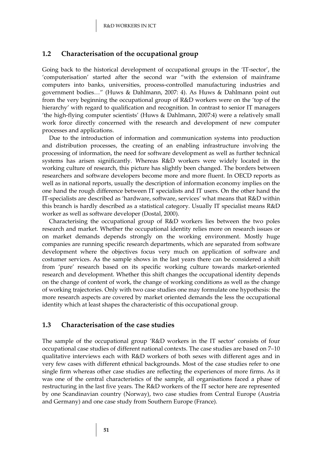## **1.2 Characterisation of the occupational group**

Going back to the historical development of occupational groups in the 'IT-sector', the 'computerisation' started after the second war "with the extension of mainframe computers into banks, universities, process-controlled manufacturing industries and government bodies…" (Huws & Dahlmann, 2007: 4). As Huws & Dahlmann point out from the very beginning the occupational group of R&D workers were on the 'top of the hierarchy' with regard to qualification and recognition. In contrast to senior IT managers 'the high-flying computer scientists' (Huws & Dahlmann, 2007:4) were a relatively small work force directly concerned with the research and development of new computer processes and applications.

Due to the introduction of information and communication systems into production and distribution processes, the creating of an enabling infrastructure involving the processing of information, the need for software development as well as further technical systems has arisen significantly. Whereas R&D workers were widely located in the working culture of research, this picture has slightly been changed. The borders between researchers and software developers become more and more fluent. In OECD reports as well as in national reports, usually the description of information economy implies on the one hand the rough difference between IT specialists and IT users. On the other hand the IT-specialists are described as 'hardware, software, services' what means that R&D within this branch is hardly described as a statistical category. Usually IT specialist means R&D worker as well as software developer (Dostal, 2000).

Characterising the occupational group of R&D workers lies between the two poles research and market. Whether the occupational identity relies more on research issues or on market demands depends strongly on the working environment. Mostly huge companies are running specific research departments, which are separated from software development where the objectives focus very much on application of software and costumer services. As the sample shows in the last years there can be considered a shift from 'pure' research based on its specific working culture towards market-oriented research and development. Whether this shift changes the occupational identity depends on the change of content of work, the change of working conditions as well as the change of working trajectories. Only with two case studies one may formulate one hypothesis: the more research aspects are covered by market oriented demands the less the occupational identity which at least shapes the characteristic of this occupational group.

#### **1.3 Characterisation of the case studies**

The sample of the occupational group 'R&D workers in the IT sector' consists of four occupational case studies of different national contexts. The case studies are based on 7–10 qualitative interviews each with R&D workers of both sexes with different ages and in very few cases with different ethnical backgrounds. Most of the case studies refer to one single firm whereas other case studies are reflecting the experiences of more firms. As it was one of the central characteristics of the sample, all organisations faced a phase of restructuring in the last five years. The R&D workers of the IT sector here are represented by one Scandinavian country (Norway), two case studies from Central Europe (Austria and Germany) and one case study from Southern Europe (France).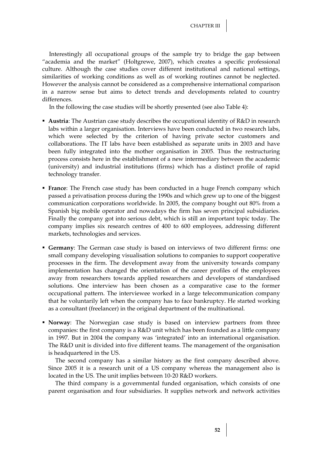Interestingly all occupational groups of the sample try to bridge the gap between "academia and the market" (Holtgrewe, 2007), which creates a specific professional culture. Although the case studies cover different institutional and national settings, similarities of working conditions as well as of working routines cannot be neglected. However the analysis cannot be considered as a comprehensive international comparison in a narrow sense but aims to detect trends and developments related to country differences.

In the following the case studies will be shortly presented (see also Table 4):

- **Austria**: The Austrian case study describes the occupational identity of R&D in research labs within a larger organisation. Interviews have been conducted in two research labs, which were selected by the criterion of having private sector customers and collaborations. The IT labs have been established as separate units in 2003 and have been fully integrated into the mother organisation in 2005. Thus the restructuring process consists here in the establishment of a new intermediary between the academic (university) and industrial institutions (firms) which has a distinct profile of rapid technology transfer.
- **France**: The French case study has been conducted in a huge French company which passed a privatisation process during the 1990s and which grew up to one of the biggest communication corporations worldwide. In 2005, the company bought out 80% from a Spanish big mobile operator and nowadays the firm has seven principal subsidiaries. Finally the company got into serious debt, which is still an important topic today. The company implies six research centres of 400 to 600 employees, addressing different markets, technologies and services.
- **Germany**: The German case study is based on interviews of two different firms: one small company developing visualisation solutions to companies to support cooperative processes in the firm. The development away from the university towards company implementation has changed the orientation of the career profiles of the employees away from researchers towards applied researchers and developers of standardised solutions. One interview has been chosen as a comparative case to the former occupational pattern. The interviewee worked in a large telecommunication company that he voluntarily left when the company has to face bankruptcy. He started working as a consultant (freelancer) in the original department of the multinational.
- **Norway**: The Norwegian case study is based on interview partners from three companies: the first company is a R&D unit which has been founded as a little company in 1997. But in 2004 the company was 'integrated' into an international organisation. The R&D unit is divided into five different teams. The management of the organisation is headquartered in the US.

The second company has a similar history as the first company described above. Since 2005 it is a research unit of a US company whereas the management also is located in the US. The unit implies between 10-20 R&D workers.

The third company is a governmental funded organisation, which consists of one parent organisation and four subsidiaries. It supplies network and network activities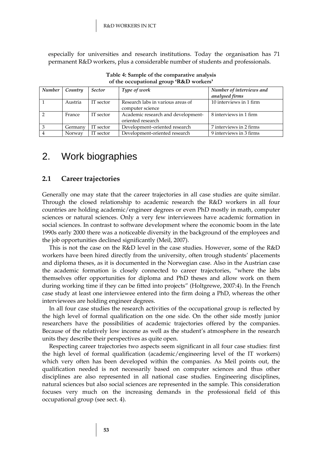especially for universities and research institutions. Today the organisation has 71 permanent R&D workers, plus a considerable number of students and professionals.

| Number | Country | <b>Sector</b> | Type of work                                            | Number of interviews and<br>analysed firms |
|--------|---------|---------------|---------------------------------------------------------|--------------------------------------------|
|        | Austria | IT sector     | Research labs in various areas of<br>computer science   | 10 interviews in 1 firm                    |
|        | France  | IT sector     | Academic research and development-<br>oriented research | 8 interviews in 1 firm                     |
|        | Germany | IT sector     | Development-oriented research                           | 7 interviews in 2 firms                    |
|        | Norway  | IT sector     | Development-oriented research                           | 9 interviews in 3 firms                    |

#### **Table 4: Sample of the comparative analysis of the occupational group 'R&D workers'**

# 2. Work biographies

## **2.1 Career trajectories**

Generally one may state that the career trajectories in all case studies are quite similar. Through the closed relationship to academic research the R&D workers in all four countries are holding academic/engineer degrees or even PhD mostly in math, computer sciences or natural sciences. Only a very few interviewees have academic formation in social sciences. In contrast to software development where the economic boom in the late 1990s early 2000 there was a noticeable diversity in the background of the employees and the job opportunities declined significantly (Meil, 2007).

This is not the case on the R&D level in the case studies. However, some of the R&D workers have been hired directly from the university, often trough students' placements and diploma theses, as it is documented in the Norwegian case. Also in the Austrian case the academic formation is closely connected to career trajectories, "where the labs themselves offer opportunities for diploma and PhD theses and allow work on them during working time if they can be fitted into projects" (Holtgrewe, 2007:4). In the French case study at least one interviewee entered into the firm doing a PhD, whereas the other interviewees are holding engineer degrees.

In all four case studies the research activities of the occupational group is reflected by the high level of formal qualification on the one side. On the other side mostly junior researchers have the possibilities of academic trajectories offered by the companies. Because of the relatively low income as well as the student's atmosphere in the research units they describe their perspectives as quite open.

Respecting career trajectories two aspects seem significant in all four case studies: first the high level of formal qualification (academic/engineering level of the IT workers) which very often has been developed within the companies. As Meil points out, the qualification needed is not necessarily based on computer sciences and thus other disciplines are also represented in all national case studies. Engineering disciplines, natural sciences but also social sciences are represented in the sample. This consideration focuses very much on the increasing demands in the professional field of this occupational group (see sect. 4).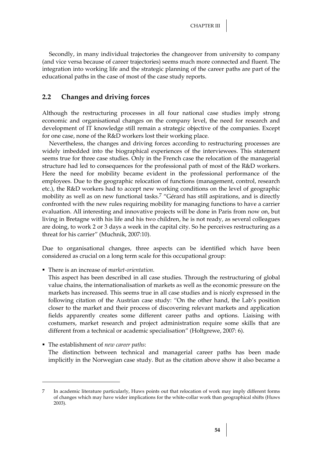Secondly, in many individual trajectories the changeover from university to company (and vice versa because of career trajectories) seems much more connected and fluent. The integration into working life and the strategic planning of the career paths are part of the educational paths in the case of most of the case study reports.

## **2.2 Changes and driving forces**

Although the restructuring processes in all four national case studies imply strong economic and organisational changes on the company level, the need for research and development of IT knowledge still remain a strategic objective of the companies. Except for one case, none of the R&D workers lost their working place.

Nevertheless, the changes and driving forces according to restructuring processes are widely imbedded into the biographical experiences of the interviewees. This statement seems true for three case studies. Only in the French case the relocation of the managerial structure had led to consequences for the professional path of most of the R&D workers. Here the need for mobility became evident in the professional performance of the employees. Due to the geographic relocation of functions (management, control, research etc.), the R&D workers had to accept new working conditions on the level of geographic mobility as well as on new functional tasks.<sup>7</sup> "Gérard has still aspirations, and is directly confronted with the new rules requiring mobility for managing functions to have a carrier evaluation. All interesting and innovative projects will be done in Paris from now on, but living in Bretagne with his life and his two children, he is not ready, as several colleagues are doing, to work 2 or 3 days a week in the capital city. So he perceives restructuring as a threat for his carrier" (Muchnik, 2007:10).

Due to organisational changes, three aspects can be identified which have been considered as crucial on a long term scale for this occupational group:

There is an increase of *market-orientation.*

This aspect has been described in all case studies. Through the restructuring of global value chains, the internationalisation of markets as well as the economic pressure on the markets has increased. This seems true in all case studies and is nicely expressed in the following citation of the Austrian case study: "On the other hand, the Lab's position closer to the market and their process of discovering relevant markets and application fields apparently creates some different career paths and options. Liaising with costumers, market research and project administration require some skills that are different from a technical or academic specialisation" (Holtgrewe, 2007: 6).

The establishment of *new career paths*:

 $\overline{a}$ 

The distinction between technical and managerial career paths has been made implicitly in the Norwegian case study. But as the citation above show it also became a

<sup>7</sup> In academic literature particularly, Huws points out that relocation of work may imply different forms of changes which may have wider implications for the white-collar work than geographical shifts (Huws 2003).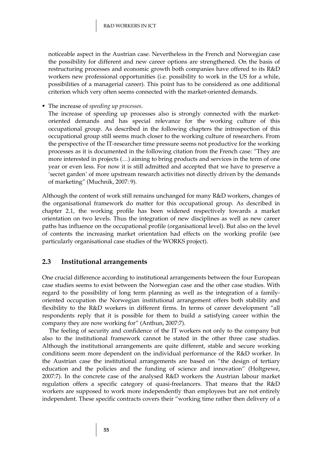noticeable aspect in the Austrian case. Nevertheless in the French and Norwegian case the possibility for different and new career options are strengthened. On the basis of restructuring processes and economic growth both companies have offered to its R&D workers new professional opportunities (i.e. possibility to work in the US for a while, possibilities of a managerial career). This point has to be considered as one additional criterion which very often seems connected with the market-oriented demands.

The increase of *speeding up processes*.

The increase of speeding up processes also is strongly connected with the marketoriented demands and has special relevance for the working culture of this occupational group. As described in the following chapters the introspection of this occupational group still seems much closer to the working culture of researchers. From the perspective of the IT-researcher time pressure seems not productive for the working processes as it is documented in the following citation from the French case: "They are more interested in projects (…) aiming to bring products and services in the term of one year or even less. For now it is still admitted and accepted that we have to preserve a 'secret garden' of more upstream research activities not directly driven by the demands of marketing" (Muchnik, 2007: 9).

Although the content of work still remains unchanged for many R&D workers, changes of the organisational framework do matter for this occupational group. As described in chapter 2.1, the working profile has been widened respectively towards a market orientation on two levels. Thus the integration of new disciplines as well as new career paths has influence on the occupational profile (organisational level). But also on the level of contents the increasing market orientation had effects on the working profile (see particularly organisational case studies of the WORKS project).

## **2.3 Institutional arrangements**

One crucial difference according to institutional arrangements between the four European case studies seems to exist between the Norwegian case and the other case studies. With regard to the possibility of long term planning as well as the integration of a familyoriented occupation the Norwegian institutional arrangement offers both stability and flexibility to the R&D workers in different firms. In terms of career development "all respondents reply that it is possible for them to build a satisfying career within the company they are now working for" (Anthun, 2007:7).

The feeling of security and confidence of the IT workers not only to the company but also to the institutional framework cannot be stated in the other three case studies. Although the institutional arrangements are quite different, stable and secure working conditions seem more dependent on the individual performance of the R&D worker. In the Austrian case the institutional arrangements are based on "the design of tertiary education and the policies and the funding of science and innovation" (Holtgrewe, 2007:7). In the concrete case of the analysed R&D workers the Austrian labour market regulation offers a specific category of quasi-freelancers. That means that the R&D workers are supposed to work more independently than employees but are not entirely independent. These specific contracts covers their "working time rather then delivery of a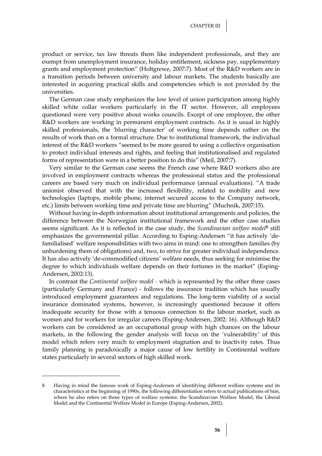product or service, tax law threats them like independent professionals, and they are exempt from unemployment insurance, holiday entitlement, sickness pay, supplementary grants and employment protection" (Holtgrewe, 2007:7). Most of the R&D workers are in a transition periods between university and labour markets. The students basically are interested in acquiring practical skills and competencies which is not provided by the universities.

The German case study emphasizes the low level of union participation among highly skilled white collar workers particularly in the IT sector. However, all employees questioned were very positive about works councils. Except of one employee, the other R&D workers are working in permanent employment contracts. As it is usual in highly skilled professionals, the 'blurring character' of working time depends rather on the results of work than on a formal structure. Due to institutional framework, the individual interest of the R&D workers "seemed to be more geared to using a collective organisation to protect individual interests and rights, and feeling that institutionalised and regulated forms of representation were in a better position to do this" (Meil, 2007:7).

Very similar to the German case seems the French case where R&D workers also are involved in employment contracts whereas the professional status and the professional careers are based very much on individual performance (annual evaluations). "A trade unionist observed that with the increased flexibility, related to mobility and new technologies (laptops, mobile phone, internet secured access to the Company network, etc.) limits between working time and private time are blurring" (Muchnik, 2007:15).

Without having in-depth information about institutional arrangements and policies, the difference between the Norwegian institutional framework and the other case studies seems significant. As it is reflected in the case study, the *Scandinavian welfare model*8 still emphasizes the governmental pillar. According to Esping-Andersen "it has actively 'defamilialised' welfare responsibilities with two aims in mind: one to strengthen families (by unburdening them of obligations) and, two, to strive for greater individual independence. It has also actively 'de-commodified citizens' welfare needs, thus seeking for minimise the degree to which individuals welfare depends on their fortunes in the market" (Esping-Andersen, 2002:13).

In contrast the *Continental welfare model -* which is represented by the other three cases (particularly Germany and France) - follows the insurance tradition which has usually introduced employment guarantees and regulations. The long-term viability of a social insurance dominated systems, however, is increasingly questioned because it offers inadequate security for those with a tenuous connection to the labour market, such as women and for workers for irregular careers (Esping-Andersen, 2002: 16). Although R&D workers can be considered as an occupational group with high chances on the labour markets, in the following the gender analysis will focus on the 'vulnerability' of this model which refers very much to employment stagnation and to inactivity rates. Thus family planning is paradoxically a major cause of low fertility in Continental welfare states particularly in several sectors of high skilled work.

 $\overline{a}$ 

<sup>8</sup> Having in mind the famous work of Esping-Andersen of identifying different welfare systems and its characteristics at the beginning of 1990s, the following differentiation refers to actual publications of him, where he also refers on three types of welfare systems: the Scandinavian Welfare Model, the Liberal Model and the Continental Welfare Model in Europe (Esping-Andersen, 2002).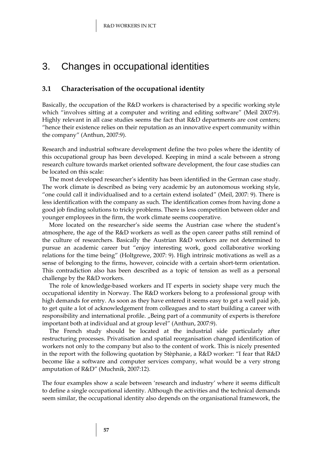# 3. Changes in occupational identities

## **3.1 Characterisation of the occupational identity**

Basically, the occupation of the R&D workers is characterised by a specific working style which "involves sitting at a computer and writing and editing software" (Meil 2007:9). Highly relevant in all case studies seems the fact that R&D departments are cost centers; "hence their existence relies on their reputation as an innovative expert community within the company" (Anthun, 2007:9).

Research and industrial software development define the two poles where the identity of this occupational group has been developed. Keeping in mind a scale between a strong research culture towards market oriented software development, the four case studies can be located on this scale:

The most developed researcher's identity has been identified in the German case study. The work climate is described as being very academic by an autonomous working style, "one could call it individualised and to a certain extend isolated" (Meil, 2007: 9). There is less identification with the company as such. The identification comes from having done a good job finding solutions to tricky problems. There is less competition between older and younger employees in the firm, the work climate seems cooperative.

More located on the researcher's side seems the Austrian case where the student's atmosphere, the age of the R&D workers as well as the open career paths still remind of the culture of researchers. Basically the Austrian R&D workers are not determined to pursue an academic career but "enjoy interesting work, good collaborative working relations for the time being" (Holtgrewe, 2007: 9). High intrinsic motivations as well as a sense of belonging to the firms, however, coincide with a certain short-term orientation. This contradiction also has been described as a topic of tension as well as a personal challenge by the R&D workers.

The role of knowledge-based workers and IT experts in society shape very much the occupational identity in Norway. The R&D workers belong to a professional group with high demands for entry. As soon as they have entered it seems easy to get a well paid job, to get quite a lot of acknowledgement from colleagues and to start building a career with responsibility and international profile. "Being part of a community of experts is therefore important both at individual and at group level" (Anthun, 2007:9).

The French study should be located at the industrial side particularly after restructuring processes. Privatisation and spatial reorganisation changed identification of workers not only to the company but also to the content of work. This is nicely presented in the report with the following quotation by Stèphanie, a R&D worker: "I fear that R&D become like a software and computer services company, what would be a very strong amputation of R&D" (Muchnik, 2007:12).

The four examples show a scale between 'research and industry' where it seems difficult to define a single occupational identity. Although the activities and the technical demands seem similar, the occupational identity also depends on the organisational framework, the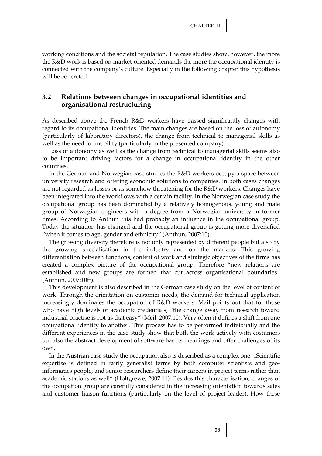working conditions and the societal reputation. The case studies show, however, the more the R&D work is based on market-oriented demands the more the occupational identity is connected with the company's culture. Especially in the following chapter this hypothesis will be concreted.

## **3.2 Relations between changes in occupational identities and organisational restructuring**

As described above the French R&D workers have passed significantly changes with regard to its occupational identities. The main changes are based on the loss of autonomy (particularly of laboratory directors), the change from technical to managerial skills as well as the need for mobility (particularly in the presented company).

Loss of autonomy as well as the change from technical to managerial skills seems also to be important driving factors for a change in occupational identity in the other countries.

In the German and Norwegian case studies the R&D workers occupy a space between university research and offering economic solutions to companies. In both cases changes are not regarded as losses or as somehow threatening for the R&D workers. Changes have been integrated into the workflows with a certain facility. In the Norwegian case study the occupational group has been dominated by a relatively homogenous, young and male group of Norwegian engineers with a degree from a Norwegian university in former times. According to Anthun this had probably an influence in the occupational group. Today the situation has changed and the occupational group is getting more diversified "when it comes to age, gender and ethnicity" (Anthun, 2007:10).

The growing diversity therefore is not only represented by different people but also by the growing specialisation in the industry and on the markets. This growing differentiation between functions, content of work and strategic objectives of the firms has created a complex picture of the occupational group. Therefore "new relations are established and new groups are formed that cut across organisational boundaries" (Anthun, 2007:10ff).

This development is also described in the German case study on the level of content of work. Through the orientation on customer needs, the demand for technical application increasingly dominates the occupation of R&D workers. Mail points out that for those who have high levels of academic credentials, "the change away from research toward industrial practise is not as that easy" (Meil, 2007:10). Very often it defines a shift from one occupational identity to another. This process has to be performed individually and the different experiences in the case study show that both the work actively with costumers but also the abstract development of software has its meanings and offer challenges of its own.

In the Austrian case study the occupation also is described as a complex one. "Scientific expertise is defined in fairly generalist terms by both computer scientists and geoinformatics people, and senior researchers define their careers in project terms rather than academic stations as well" (Holtgrewe, 2007:11). Besides this characterisation, changes of the occupation group are carefully considered in the increasing orientation towards sales and customer liaison functions (particularly on the level of project leader). How these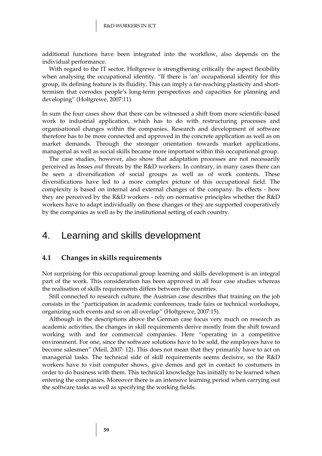additional functions have been integrated into the workflow, also depends on the individual performance.

With regard to the IT sector, Holtgrewe is strengthening critically the aspect flexibility when analysing the occupational identity. "If there is 'an' occupational identity for this group, its defining feature is its fluidity. This can imply a far-reaching plasticity and shorttermism that corrodes people's long-term perspectives and capacities for planning and developing" (Holtgrewe, 2007:11).

In sum the four cases show that there can be witnessed a shift from more scientific-based work to industrial application, which has to do with restructuring processes and organisational changes within the companies. Research and development of software therefore has to be more connected and approved in the concrete application as well as on market demands. Through the stronger orientation towards market applications, managerial as well as social skills became more important within this occupational group.

The case studies, however, also show that adaptation processes are not necessarily perceived as losses *and* threats by the R&D workers. In contrary, in many cases there can be seen a diversification of social groups as well as of work contents. These diversifications have led to a more complex picture of this occupational field. The complexity is based on internal and external changes of the company. Its effects - how they are perceived by the R&D workers - rely on normative principles whether the R&D workers have to adapt individually on these changes or they are supported cooperatively by the companies as well as by the institutional setting of each country.

# 4. Learning and skills development

## **4.1 Changes in skills requirements**

Not surprising for this occupational group learning and skills development is an integral part of the work. This consideration has been approved in all four case studies whereas the realisation of skills requirements differs between the countries.

Still connected to research culture, the Austrian case describes that training on the job consists in the "participation in academic conferences, trade fairs or technical workshops, organizing such events and so on all overlap" (Holtgrewe, 2007:15).

Although in the descriptions above the German case focus very much on research as academic activities, the changes in skill requirements derive mostly from the shift toward working with and for commercial companies. Here "operating in a competitive environment. For one, since the software solutions have to be sold, the employees have to become salesmen" (Meil, 2007: 12). This does not mean that they primarily have to act on managerial tasks. The technical side of skill requirements seems decisive, so the R&D workers have to visit computer shows, give demos and get in contact to costumers in order to do business with them. This technical knowledge has initially to be learned when entering the companies. Moreover there is an intensive learning period when carrying out the software tasks as well as specifying the working fields.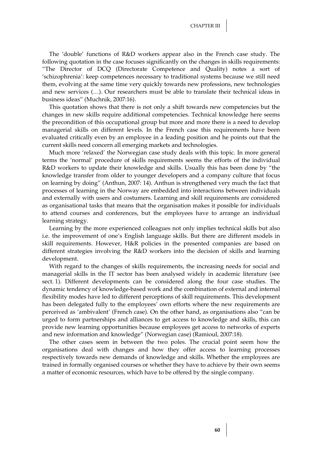The 'double' functions of R&D workers appear also in the French case study. The following quotation in the case focuses significantly on the changes in skills requirements: "The Director of DCQ (Directorate Competence and Quality) notes a sort of 'schizophrenia': keep competences necessary to traditional systems because we still need them, evolving at the same time very quickly towards new professions, new technologies and new services (…). Our researchers must be able to translate their technical ideas in business ideas" (Muchnik, 2007:16).

This quotation shows that there is not only a shift towards new competencies but the changes in new skills require additional competencies. Technical knowledge here seems the precondition of this occupational group but more and more there is a need to develop managerial skills on different levels. In the French case this requirements have been evaluated critically even by an employee in a leading position and he points out that the current skills need concern all emerging markets and technologies.

Much more 'relaxed' the Norwegian case study deals with this topic. In more general terms the 'normal' procedure of skills requirements seems the efforts of the individual R&D workers to update their knowledge and skills. Usually this has been done by "the knowledge transfer from older to younger developers and a company culture that focus on learning by doing" (Anthun, 2007: 14). Anthun is strengthened very much the fact that processes of learning in the Norway are embedded into interactions between individuals and externally with users and costumers. Learning and skill requirements are considered as organisational tasks that means that the organisation makes it possible for individuals to attend courses and conferences, but the employees have to arrange an individual learning strategy.

Learning by the more experienced colleagues not only implies technical skills but also i.e. the improvement of one's English language skills. But there are different models in skill requirements. However, H&R policies in the presented companies are based on different strategies involving the R&D workers into the decision of skills and learning development.

With regard to the changes of skills requirements, the increasing needs for social and managerial skills in the IT sector has been analysed widely in academic literature (see sect. 1). Different developments can be considered along the four case studies. The dynamic tendency of knowledge-based work and the combination of external and internal flexibility modes have led to different perceptions of skill requirements. This development has been delegated fully to the employees' own efforts where the new requirements are perceived as 'ambivalent' (French case). On the other hand, as organisations also "can be urged to form partnerships and alliances to get access to knowledge and skills, this can provide new learning opportunities because employees get access to networks of experts and new information and knowledge" (Norwegian case) (Ramioul, 2007:18).

The other cases seem in between the two poles. The crucial point seem how the organisations deal with changes and how they offer access to learning processes respectively towards new demands of knowledge and skills. Whether the employees are trained in formally organised courses or whether they have to achieve by their own seems a matter of economic resources, which have to be offered by the single company.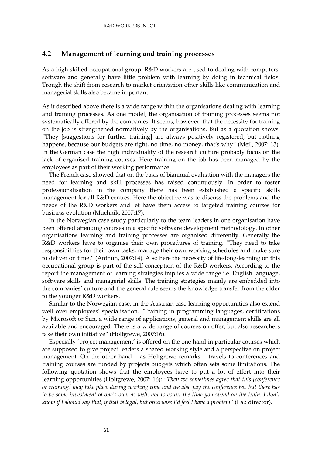### **4.2 Management of learning and training processes**

As a high skilled occupational group, R&D workers are used to dealing with computers, software and generally have little problem with learning by doing in technical fields. Trough the shift from research to market orientation other skills like communication and managerial skills also became important.

As it described above there is a wide range within the organisations dealing with learning and training processes. As one model, the organisation of training processes seems not systematically offered by the companies. It seems, however, that the necessity for training on the job is strengthened normatively by the organisations. But as a quotation shows: "They [suggestions for further training] are always positively registered, but nothing happens, because our budgets are tight, no time, no money, that's why" (Meil, 2007: 13). In the German case the high individuality of the research culture probably focus on the lack of organised training courses. Here training on the job has been managed by the employees as part of their working performance.

The French case showed that on the basis of biannual evaluation with the managers the need for learning and skill processes has raised continuously. In order to foster professionalisation in the company there has been established a specific skills management for all R&D centres. Here the objective was to discuss the problems and the needs of the R&D workers and let have them access to targeted training courses for business evolution (Muchnik, 2007:17).

In the Norwegian case study particularly to the team leaders in one organisation have been offered attending courses in a specific software development methodology. In other organisations learning and training processes are organised differently. Generally the R&D workers have to organise their own procedures of training. "They need to take responsibilities for their own tasks, manage their own working schedules and make sure to deliver on time." (Anthun, 2007:14). Also here the necessity of life-long-learning on this occupational group is part of the self-conception of the R&D-workers. According to the report the management of learning strategies implies a wide range i.e. English language, software skills and managerial skills. The training strategies mainly are embedded into the companies' culture and the general rule seems the knowledge transfer from the older to the younger R&D workers.

Similar to the Norwegian case, in the Austrian case learning opportunities also extend well over employees' specialisation. "Training in programming languages, certifications by Microsoft or Sun, a wide range of applications, general and management skills are all available and encouraged. There is a wide range of courses on offer, but also researchers take their own initiative" (Holtgrewe, 2007:16).

Especially 'project management' is offered on the one hand in particular courses which are supposed to give project leaders a shared working style and a perspective on project management. On the other hand – as Holtgrewe remarks – travels to conferences and training courses are funded by projects budgets which often sets some limitations. The following quotation shows that the employees have to put a lot of effort into their learning opportunities (Holtgrewe, 2007: 16): "*Then we sometimes agree that this [conference or training] may take place during working time and we also pay the conference fee, but there has to be some investment of one's own as well, not to count the time you spend on the train. I don't know if I should say that, if that is legal, but otherwise I'd feel I have a problem*" (Lab director).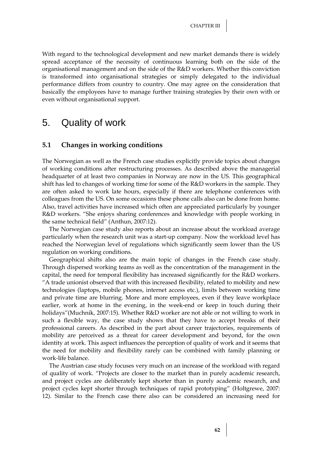With regard to the technological development and new market demands there is widely spread acceptance of the necessity of continuous learning both on the side of the organisational management and on the side of the R&D workers. Whether this conviction is transformed into organisational strategies or simply delegated to the individual performance differs from country to country. One may agree on the consideration that basically the employees have to manage further training strategies by their own with or even without organisational support.

## 5. Quality of work

## **5.1 Changes in working conditions**

The Norwegian as well as the French case studies explicitly provide topics about changes of working conditions after restructuring processes. As described above the managerial headquarter of at least two companies in Norway are now in the US. This geographical shift has led to changes of working time for some of the R&D workers in the sample. They are often asked to work late hours, especially if there are telephone conferences with colleagues from the US. On some occasions these phone calls also can be done from home. Also, travel activities have increased which often are appreciated particularly by younger R&D workers. "She enjoys sharing conferences and knowledge with people working in the same technical field" (Anthun, 2007:12).

The Norwegian case study also reports about an increase about the workload average particularly when the research unit was a start-up company. Now the workload level has reached the Norwegian level of regulations which significantly seem lower than the US regulation on working conditions.

Geographical shifts also are the main topic of changes in the French case study. Through dispersed working teams as well as the concentration of the management in the capital, the need for temporal flexibility has increased significantly for the R&D workers. "A trade unionist observed that with this increased flexibility, related to mobility and new technologies (laptops, mobile phones, internet access etc.), limits between working time and private time are blurring. More and more employees, even if they leave workplace earlier, work at home in the evening, in the week-end or keep in touch during their holidays"(Muchnik, 2007:15). Whether R&D worker are not able or not willing to work in such a flexible way, the case study shows that they have to accept breaks of their professional careers. As described in the part about career trajectories, requirements of mobility are perceived as a threat for career development and beyond, for the own identity at work. This aspect influences the perception of quality of work and it seems that the need for mobility and flexibility rarely can be combined with family planning or work-life balance.

The Austrian case study focuses very much on an increase of the workload with regard of quality of work. "Projects are closer to the market than in purely academic research, and project cycles are deliberately kept shorter than in purely academic research, and project cycles kept shorter through techniques of rapid prototyping" (Holtgrewe, 2007: 12). Similar to the French case there also can be considered an increasing need for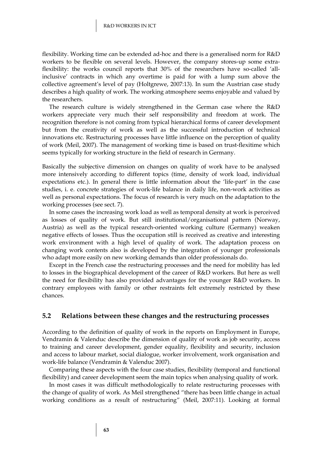flexibility. Working time can be extended ad-hoc and there is a generalised norm for R&D workers to be flexible on several levels. However, the company stores-up some extraflexibility: the works council reports that 30% of the researchers have so-called 'allinclusive' contracts in which any overtime is paid for with a lump sum above the collective agreement's level of pay (Holtgrewe, 2007:13). In sum the Austrian case study describes a high quality of work. The working atmosphere seems enjoyable and valued by the researchers.

The research culture is widely strengthened in the German case where the R&D workers appreciate very much their self responsibility and freedom at work. The recognition therefore is not coming from typical hierarchical forms of career development but from the creativity of work as well as the successful introduction of technical innovations etc. Restructuring processes have little influence on the perception of quality of work (Meil, 2007). The management of working time is based on trust-flexitime which seems typically for working structure in the field of research in Germany.

Basically the subjective dimension on changes on quality of work have to be analysed more intensively according to different topics (time, density of work load, individual expectations etc.). In general there is little information about the 'life-part' in the case studies, i. e. concrete strategies of work-life balance in daily life, non-work activities as well as personal expectations. The focus of research is very much on the adaptation to the working processes (see sect. 7).

In some cases the increasing work load as well as temporal density at work is perceived as losses of quality of work. But still institutional/organisational pattern (Norway, Austria) as well as the typical research-oriented working culture (Germany) weaken negative effects of losses. Thus the occupation still is received as creative and interesting work environment with a high level of quality of work. The adaptation process on changing work contents also is developed by the integration of younger professionals who adapt more easily on new working demands than older professionals do.

Except in the French case the restructuring processes and the need for mobility has led to losses in the biographical development of the career of R&D workers. But here as well the need for flexibility has also provided advantages for the younger R&D workers. In contrary employees with family or other restraints felt extremely restricted by these chances.

### **5.2 Relations between these changes and the restructuring processes**

According to the definition of quality of work in the reports on Employment in Europe, Vendramin & Valenduc describe the dimension of quality of work as job security, access to training and career development, gender equality, flexibility and security, inclusion and access to labour market, social dialogue, worker involvement, work organisation and work-life balance (Vendramin & Valenduc 2007).

Comparing these aspects with the four case studies, flexibility (temporal and functional flexibility) and career development seem the main topics when analysing quality of work.

In most cases it was difficult methodologically to relate restructuring processes with the change of quality of work. As Meil strengthened "there has been little change in actual working conditions as a result of restructuring" (Meil, 2007:11). Looking at formal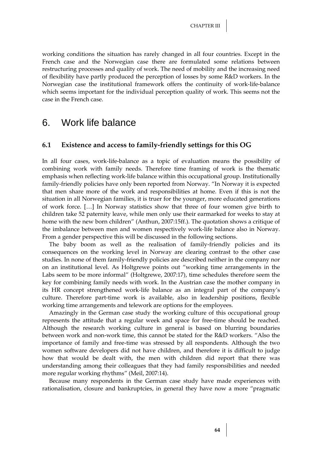working conditions the situation has rarely changed in all four countries. Except in the French case and the Norwegian case there are formulated some relations between restructuring processes and quality of work. The need of mobility and the increasing need of flexibility have partly produced the perception of losses by some R&D workers. In the Norwegian case the institutional framework offers the continuity of work-life-balance which seems important for the individual perception quality of work. This seems not the case in the French case.

## 6. Work life balance

## **6.1 Existence and access to family-friendly settings for this OG**

In all four cases, work-life-balance as a topic of evaluation means the possibility of combining work with family needs. Therefore time framing of work is the thematic emphasis when reflecting work-life balance within this occupational group. Institutionally family-friendly policies have only been reported from Norway. "In Norway it is expected that men share more of the work and responsibilities at home. Even if this is not the situation in all Norwegian families, it is truer for the younger, more educated generations of work force. […] In Norway statistics show that three of four women give birth to children take 52 paternity leave, while men only use their earmarked for weeks to stay at home with the new born children" (Anthun, 2007:15ff.). The quotation shows a critique of the imbalance between men and women respectively work-life balance also in Norway. From a gender perspective this will be discussed in the following sections.

The baby boom as well as the realisation of family-friendly policies and its consequences on the working level in Norway are clearing contrast to the other case studies. In none of them family-friendly policies are described neither in the company nor on an institutional level. As Holtgrewe points out "working time arrangements in the Labs seem to be more informal" (Holtgrewe, 2007:17), time schedules therefore seem the key for combining family needs with work. In the Austrian case the mother company in its HR concept strengthened work-life balance as an integral part of the company's culture. Therefore part-time work is available, also in leadership positions, flexible working time arrangements and telework are options for the employees.

Amazingly in the German case study the working culture of this occupational group represents the attitude that a regular week and space for free-time should be reached. Although the research working culture in general is based on blurring boundaries between work and non-work time, this cannot be stated for the R&D workers. "Also the importance of family and free-time was stressed by all respondents. Although the two women software developers did not have children, and therefore it is difficult to judge how that would be dealt with, the men with children did report that there was understanding among their colleagues that they had family responsibilities and needed more regular working rhythms" (Meil, 2007:14).

Because many respondents in the German case study have made experiences with rationalisation, closure and bankruptcies, in general they have now a more "pragmatic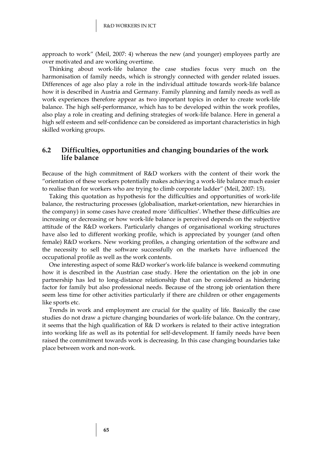approach to work" (Meil, 2007: 4) whereas the new (and younger) employees partly are over motivated and are working overtime.

Thinking about work-life balance the case studies focus very much on the harmonisation of family needs, which is strongly connected with gender related issues. Differences of age also play a role in the individual attitude towards work-life balance how it is described in Austria and Germany. Family planning and family needs as well as work experiences therefore appear as two important topics in order to create work-life balance. The high self-performance, which has to be developed within the work profiles, also play a role in creating and defining strategies of work-life balance. Here in general a high self esteem and self-confidence can be considered as important characteristics in high skilled working groups.

## **6.2 Difficulties, opportunities and changing boundaries of the work life balance**

Because of the high commitment of R&D workers with the content of their work the "orientation of these workers potentially makes achieving a work-life balance much easier to realise than for workers who are trying to climb corporate ladder" (Meil, 2007: 15).

Taking this quotation as hypothesis for the difficulties and opportunities of work-life balance, the restructuring processes (globalisation, market-orientation, new hierarchies in the company) in some cases have created more 'difficulties'. Whether these difficulties are increasing or decreasing or how work-life balance is perceived depends on the subjective attitude of the R&D workers. Particularly changes of organisational working structures have also led to different working profile, which is appreciated by younger (and often female) R&D workers. New working profiles, a changing orientation of the software and the necessity to sell the software successfully on the markets have influenced the occupational profile as well as the work contents.

One interesting aspect of some R&D worker's work-life balance is weekend commuting how it is described in the Austrian case study. Here the orientation on the job in one partnership has led to long-distance relationship that can be considered as hindering factor for family but also professional needs. Because of the strong job orientation there seem less time for other activities particularly if there are children or other engagements like sports etc.

Trends in work and employment are crucial for the quality of life. Basically the case studies do not draw a picture changing boundaries of work-life balance. On the contrary, it seems that the high qualification of R& D workers is related to their active integration into working life as well as its potential for self-development. If family needs have been raised the commitment towards work is decreasing. In this case changing boundaries take place between work and non-work.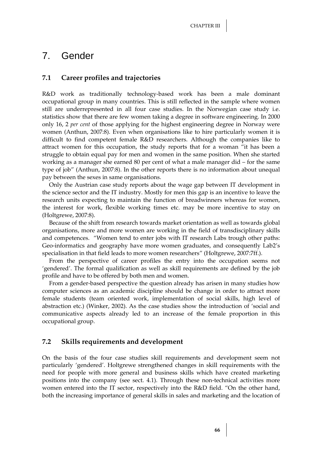# 7. Gender

#### **7.1 Career profiles and trajectories**

R&D work as traditionally technology-based work has been a male dominant occupational group in many countries. This is still reflected in the sample where women still are underrepresented in all four case studies. In the Norwegian case study i.e. statistics show that there are few women taking a degree in software engineering. In 2000 only 16, 2 *per cent* of those applying for the highest engineering degree in Norway were women (Anthun, 2007:8). Even when organisations like to hire particularly women it is difficult to find competent female R&D researchers. Although the companies like to attract women for this occupation, the study reports that for a woman "it has been a struggle to obtain equal pay for men and women in the same position. When she started working as a manager she earned 80 per cent of what a male manager did – for the same type of job" (Anthun, 2007:8). In the other reports there is no information about unequal pay between the sexes in same organisations.

Only the Austrian case study reports about the wage gap between IT development in the science sector and the IT industry. Mostly for men this gap is an incentive to leave the research units expecting to maintain the function of breadwinners whereas for women, the interest for work, flexible working times etc. may be more incentive to stay on (Holtgrewe, 2007:8).

Because of the shift from research towards market orientation as well as towards global organisations, more and more women are working in the field of transdisciplinary skills and competences. "Women tend to enter jobs with IT research Labs trough other paths: Geo-informatics and geography have more women graduates, and consequently Lab2's specialisation in that field leads to more women researchers" (Holtgrewe, 2007:7ff.).

From the perspective of career profiles the entry into the occupation seems not 'gendered'. The formal qualification as well as skill requirements are defined by the job profile and have to be offered by both men and women.

From a gender-based perspective the question already has arisen in many studies how computer sciences as an academic discipline should be change in order to attract more female students (team oriented work, implementation of social skills, high level of abstraction etc.) (Winker, 2002). As the case studies show the introduction of 'social and communicative aspects already led to an increase of the female proportion in this occupational group.

#### **7.2 Skills requirements and development**

On the basis of the four case studies skill requirements and development seem not particularly 'gendered'. Holtgrewe strengthened changes in skill requirements with the need for people with more general and business skills which have created marketing positions into the company (see sect. 4.1). Through these non-technical activities more women entered into the IT sector, respectively into the R&D field. "On the other hand, both the increasing importance of general skills in sales and marketing and the location of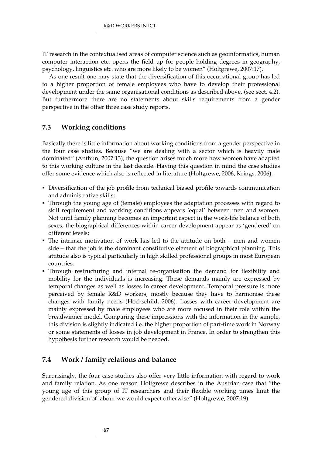IT research in the contextualised areas of computer science such as geoinformatics, human computer interaction etc. opens the field up for people holding degrees in geography, psychology, linguistics etc. who are more likely to be women" (Holtgrewe, 2007:17).

As one result one may state that the diversification of this occupational group has led to a higher proportion of female employees who have to develop their professional development under the same organisational conditions as described above. (see sect. 4.2). But furthermore there are no statements about skills requirements from a gender perspective in the other three case study reports.

## **7.3 Working conditions**

Basically there is little information about working conditions from a gender perspective in the four case studies. Because "we are dealing with a sector which is heavily male dominated" (Anthun, 2007:13), the question arises much more how women have adapted to this working culture in the last decade. Having this question in mind the case studies offer some evidence which also is reflected in literature (Holtgrewe, 2006, Krings, 2006).

- Diversification of the job profile from technical biased profile towards communication and administrative skills;
- Through the young age of (female) employees the adaptation processes with regard to skill requirement and working conditions appears 'equal' between men and women. Not until family planning becomes an important aspect in the work-life balance of both sexes, the biographical differences within career development appear as 'gendered' on different levels;
- $\blacksquare$  The intrinsic motivation of work has led to the attitude on both men and women side – that the job is the dominant constitutive element of biographical planning. This attitude also is typical particularly in high skilled professional groups in most European countries.
- Through restructuring and internal re-organisation the demand for flexibility and mobility for the individuals is increasing. These demands mainly are expressed by temporal changes as well as losses in career development. Temporal pressure is more perceived by female R&D workers, mostly because they have to harmonise these changes with family needs (Hochschild, 2006). Losses with career development are mainly expressed by male employees who are more focused in their role within the breadwinner model. Comparing these impressions with the information in the sample, this division is slightly indicated i.e. the higher proportion of part-time work in Norway or some statements of losses in job development in France. In order to strengthen this hypothesis further research would be needed.

## **7.4 Work / family relations and balance**

Surprisingly, the four case studies also offer very little information with regard to work and family relation. As one reason Holtgrewe describes in the Austrian case that "the young age of this group of IT researchers and their flexible working times limit the gendered division of labour we would expect otherwise" (Holtgrewe, 2007:19).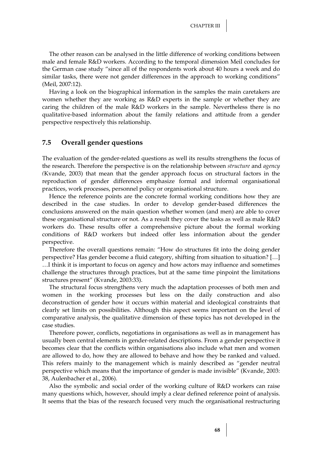The other reason can be analysed in the little difference of working conditions between male and female R&D workers. According to the temporal dimension Meil concludes for the German case study "since all of the respondents work about 40 hours a week and do similar tasks, there were not gender differences in the approach to working conditions" (Meil, 2007:12).

Having a look on the biographical information in the samples the main caretakers are women whether they are working as R&D experts in the sample or whether they are caring the children of the male R&D workers in the sample. Nevertheless there is no qualitative-based information about the family relations and attitude from a gender perspective respectively this relationship.

## **7.5 Overall gender questions**

The evaluation of the gender-related questions as well its results strengthens the focus of the research. Therefore the perspective is on the relationship between *structure* and *agency (*Kvande, 2003) that mean that the gender approach focus on structural factors in the reproduction of gender differences emphasize formal and informal organisational practices, work processes, personnel policy or organisational structure.

Hence the reference points are the concrete formal working conditions how they are described in the case studies. In order to develop gender-based differences the conclusions answered on the main question whether women (and men) are able to cover these organisational structure or not. As a result they cover the tasks as well as male R&D workers do. These results offer a comprehensive picture about the formal working conditions of R&D workers but indeed offer less information about the gender perspective.

Therefore the overall questions remain: "How do structures fit into the doing gender perspective? Has gender become a fluid category, shifting from situation to situation? […] …I think it is important to focus on agency and how actors may influence and sometimes challenge the structures through practices, but at the same time pinpoint the limitations structures present" (Kvande, 2003:33).

The structural focus strengthens very much the adaptation processes of both men and women in the working processes but less on the daily construction and also deconstruction of gender how it occurs within material and ideological constraints that clearly set limits on possibilities. Although this aspect seems important on the level of comparative analysis, the qualitative dimension of these topics has not developed in the case studies.

Therefore power, conflicts, negotiations in organisations as well as in management has usually been central elements in gender-related descriptions. From a gender perspective it becomes clear that the conflicts within organisations also include what men and women are allowed to do, how they are allowed to behave and how they be ranked and valued. This refers mainly to the management which is mainly described as "gender neutral perspective which means that the importance of gender is made invisible" (Kvande, 2003: 38, Aulenbacher et al., 2006).

Also the symbolic and social order of the working culture of R&D workers can raise many questions which, however, should imply a clear defined reference point of analysis. It seems that the bias of the research focused very much the organisational restructuring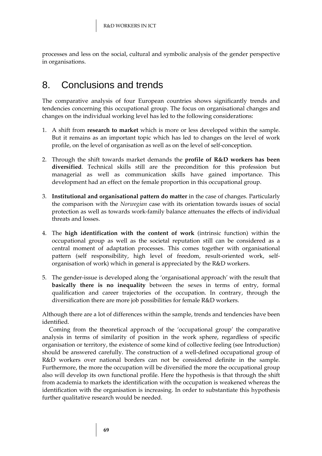processes and less on the social, cultural and symbolic analysis of the gender perspective in organisations.

# 8. Conclusions and trends

The comparative analysis of four European countries shows significantly trends and tendencies concerning this occupational group. The focus on organisational changes and changes on the individual working level has led to the following considerations:

- 1. A shift from **research to market** which is more or less developed within the sample. But it remains as an important topic which has led to changes on the level of work profile, on the level of organisation as well as on the level of self-conception.
- 2. Through the shift towards market demands the **profile of R&D workers has been diversified**. Technical skills still are the precondition for this profession but managerial as well as communication skills have gained importance. This development had an effect on the female proportion in this occupational group.
- 3. **Institutional and organisational pattern do matter** in the case of changes. Particularly the comparison with the *Norwegian* case with its orientation towards issues of social protection as well as towards work-family balance attenuates the effects of individual threats and losses.
- 4. The **high identification with the content of work** (intrinsic function) within the occupational group as well as the societal reputation still can be considered as a central moment of adaptation processes. This comes together with organisational pattern (self responsibility, high level of freedom, result-oriented work, selforganisation of work) which in general is appreciated by the R&D workers.
- 5. The gender-issue is developed along the 'organisational approach' with the result that **basically there is no inequality** between the sexes in terms of entry, formal qualification and career trajectories of the occupation. In contrary, through the diversification there are more job possibilities for female R&D workers.

Although there are a lot of differences within the sample, trends and tendencies have been identified.

Coming from the theoretical approach of the 'occupational group' the comparative analysis in terms of similarity of position in the work sphere, regardless of specific organisation or territory, the existence of some kind of collective feeling (see Introduction) should be answered carefully. The construction of a well-defined occupational group of R&D workers over national borders can not be considered definite in the sample. Furthermore, the more the occupation will be diversified the more the occupational group also will develop its own functional profile. Here the hypothesis is that through the shift from academia to markets the identification with the occupation is weakened whereas the identification with the organisation is increasing. In order to substantiate this hypothesis further qualitative research would be needed.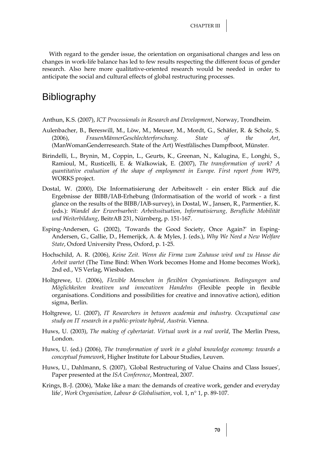With regard to the gender issue, the orientation on organisational changes and less on changes in work-life balance has led to few results respecting the different focus of gender research. Also here more qualitative-oriented research would be needed in order to anticipate the social and cultural effects of global restructuring processes.

# **Bibliography**

Anthun, K.S. (2007), *ICT Processionals in Research and Development*, Norway, Trondheim.

- Aulenbacher, B., Bereswill, M., Löw, M., Meuser, M., Mordt, G., Schäfer, R. & Scholz, S. (2006), *FrauenMännerGeschlechterforschung. State of the Art*, (ManWomanGenderresearch. State of the Art) Westfälisches Dampfboot, Münster.
- Birindelli, L., Brynin, M., Coppin, L., Geurts, K., Greenan, N., Kalugina, E., Longhi, S., Ramioul, M., Rusticelli, E. & Walkowiak, E. (2007), *The transformation of work? A quantitative evaluation of the shape of employment in Europe. First report from WP9*, WORKS project.
- Dostal, W. (2000), Die Informatisierung der Arbeitswelt ein erster Blick auf die Ergebnisse der BIBB/IAB-Erhebung (Informatisation of the world of work - a first glance on the results of the BIBB/IAB-survey), in Dostal, W., Jansen, R., Parmentier, K. (eds.): *Wandel der Erwerbsarbeit: Arbeitssituation, Informatisierung, Berufliche Mobilität und Weiterbildung*, BeitrAB 231, Nürnberg, p. 151-167.
- Esping-Andersen, G. (2002), 'Towards the Good Society, Once Again?' in Esping-Andersen, G., Gallie, D., Hemerijck, A. & Myles, J. (eds.), *Why We Need a New Welfare State*, Oxford University Press, Oxford, p. 1-25.
- Hochschild, A. R. (2006), *Keine Zeit. Wenn die Firma zum Zuhause wird und zu Hause die Arbeit wartet* (The Time Bind: When Work becomes Home and Home becomes Work), 2nd ed., VS Verlag, Wiesbaden.
- Holtgrewe, U. (2006), *Flexible Menschen in flexiblen Organisationen. Bedingungen und Möglichkeiten kreativen und innovativen Handelns* (Flexible people in flexible organisations. Conditions and possibilities for creative and innovative action), edition sigma, Berlin.
- Holtgrewe, U. (2007), *IT Researchers in between academia and industry. Occupational case study on IT research in a public-private hybrid*, *Austria*. Vienna.
- Huws, U. (2003), *The making of cybertariat. Virtual work in a real world*, The Merlin Press, London.
- Huws, U. (ed.) (2006), *The transformation of work in a global knowledge economy: towards a conceptual framework*, Higher Institute for Labour Studies, Leuven.
- Huws, U., Dahlmann, S. (2007), 'Global Restructuring of Value Chains and Class Issues', Paper presented at the *ISA Conference*, Montreal, 2007.
- Krings, B.-J. (2006), 'Make like a man: the demands of creative work, gender and everyday life', *Work Organisation, Labour & Globalisation*, vol. 1, n° 1, p. 89-107.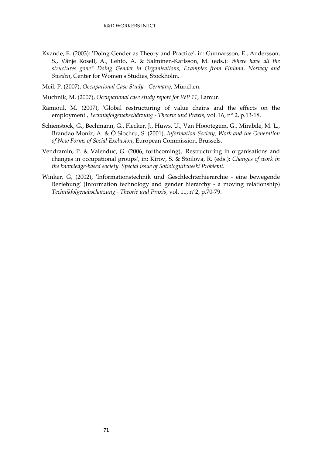- Kvande, E. (2003): 'Doing Gender as Theory and Practice', in: Gunnarsson, E., Andersson, S., Vänje Rosell, A., Lehto, A. & Salminen-Karlsson, M. (eds.): *Where have all the structures gone? Doing Gender in Organisations, Examples from Finland, Norway and Sweden*, Center for Women's Studies, Stockholm.
- Meil, P. (2007), *Occupational Case Study Germany*, München.

Muchnik, M. (2007), *Occupational case study report for WP 11*, Lamur.

- Ramioul, M. (2007), 'Global restructuring of value chains and the effects on the employment', *Technikfolgenabschätzung - Theorie und Praxis*, vol. 16, n° 2, p.13-18.
- Schienstock, G., Bechmann, G., Flecker, J., Huws, U., Van Hoootegem, G., Mirabile, M. L., Brandao Moniz, A. & Ò Siochru, S. (2001), *Information Society, Work and the Generation of New Forms of Social Exclusion*, European Commission, Brussels.
- Vendramin, P. & Valenduc, G. (2006, forthcoming), 'Restructuring in organisations and changes in occupational groups', in: Kirov, S. & Stoilova, R. (eds.): *Changes of work in the knowledge-based society. Special issue of Sotiologuitcheski Problemi.*
- Winker, G, (2002), 'Informationstechnik und Geschlechterhierarchie eine bewegende Beziehung' (Information technology and gender hierarchy - a moving relationship) *Technikfolgenabschätzung - Theorie und Praxis*, vol. 11, n°2, p.70-79.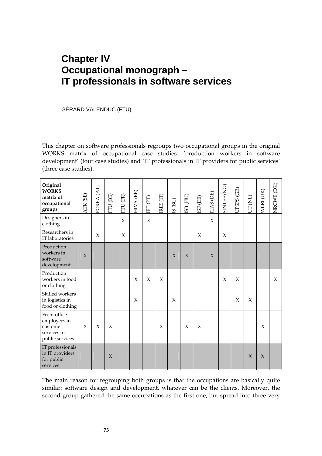# **Chapter IV Occupational monograph – IT professionals in software services**

GÉRARD VALENDUC (FTU)

This chapter on software professionals regroups two occupational groups in the original WORKS matrix of occupational case studies: 'production workers in software development' (four case studies) and 'IT professionals in IT providers for public services' (three case studies).

| Original<br><b>WORKS</b><br>matrix of<br>occupational<br>groups            | ATK (SE) | FORBA (AT) | FTU (BE) | FTU (FR) | HIVA (BE) | $\operatorname{IFT}$ (PT) | IRES $(TT)$ | $\rm IS$ (BG)       | ISB (HU) | ISF (DE) | ITAS (DE) | SINTEF (NO) | UPSPS (GR) | UT (NL) | WLRI (UK) | NRCWE (DK) |
|----------------------------------------------------------------------------|----------|------------|----------|----------|-----------|---------------------------|-------------|---------------------|----------|----------|-----------|-------------|------------|---------|-----------|------------|
| Designers in<br>clothing                                                   |          |            |          | X        |           | X                         |             |                     |          |          | X         |             |            |         |           |            |
| Researchers in<br>IT laboratories                                          |          | $\chi$     |          | X        |           |                           |             |                     |          | X        |           | X           |            |         |           |            |
| Production<br>workers in<br>software<br>development                        | $\chi$   |            |          |          |           |                           |             | $\boldsymbol{\chi}$ | $\chi$   |          | $\chi$    |             |            |         |           |            |
| Production<br>workers in food<br>or clothing                               |          |            |          |          | $\chi$    | $\boldsymbol{\chi}$       | $\chi$      |                     |          |          |           | X           | $\chi$     |         |           | X          |
| Skilled workers<br>in logistics in<br>food or clothing                     |          |            |          |          | $\chi$    |                           |             | $\chi$              |          |          |           |             | X          | $\chi$  |           |            |
| Front office<br>employees in<br>customer<br>services in<br>public services | $\chi$   | $\chi$     | $\chi$   |          |           |                           | $\chi$      |                     | $\chi$   | $\chi$   |           |             |            |         | X         |            |
| IT professionals<br>in IT providers<br>for public<br>services              |          |            | $\chi$   |          |           |                           |             |                     |          |          |           |             |            | $\chi$  | $\chi$    |            |

The main reason for regrouping both groups is that the occupations are basically quite similar: software design and development, whatever can be the clients. Moreover, the second group gathered the same occupations as the first one, but spread into three very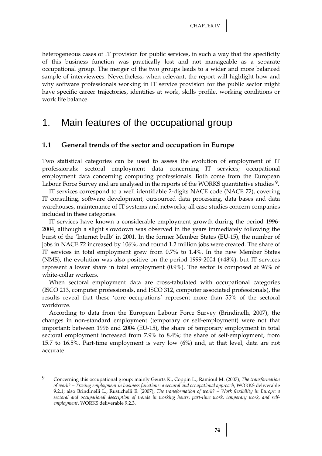heterogeneous cases of IT provision for public services, in such a way that the specificity of this business function was practically lost and not manageable as a separate occupational group. The merger of the two groups leads to a wider and more balanced sample of interviewees. Nevertheless, when relevant, the report will highlight how and why software professionals working in IT service provision for the public sector might have specific career trajectories, identities at work, skills profile, working conditions or work life balance.

## 1. Main features of the occupational group

### **1.1 General trends of the sector and occupation in Europe**

Two statistical categories can be used to assess the evolution of employment of IT professionals: sectoral employment data concerning IT services; occupational employment data concerning computing professionals. Both come from the European Labour Force Survey and are analysed in the reports of the WORKS quantitative studies <sup>9</sup>.

IT services correspond to a well identifiable 2-digits NACE code (NACE 72), covering IT consulting, software development, outsourced data processing, data bases and data warehouses, maintenance of IT systems and networks; all case studies concern companies included in these categories.

IT services have known a considerable employment growth during the period 1996- 2004, although a slight slowdown was observed in the years immediately following the burst of the 'Internet bulb' in 2001. In the former Member States (EU-15), the number of jobs in NACE 72 increased by 106%, and round 1.2 million jobs were created. The share of IT services in total employment grew from 0.7% to 1.4%. In the new Member States (NMS), the evolution was also positive on the period 1999-2004 (+48%), but IT services represent a lower share in total employment (0.9%). The sector is composed at 96% of white-collar workers.

When sectoral employment data are cross-tabulated with occupational categories (ISCO 213, computer professionals, and ISCO 312, computer associated professionals), the results reveal that these 'core occupations' represent more than 55% of the sectoral workforce.

According to data from the European Labour Force Survey (Brindinelli, 2007), the changes in non-standard employment (temporary or self-employment) were not that important: between 1996 and 2004 (EU-15), the share of temporary employment in total sectoral employment increased from 7.9% to 8.4%; the share of self-employment, from 15.7 to 16.5%. Part-time employment is very low (6%) and, at that level, data are not accurate.

 $\overline{a}$ 

<sup>9</sup> Concerning this occupational group: mainly Geurts K., Coppin L., Ramioul M. (2007), *The transformation of work? – Tracing employment in business functions: a sectoral and occupational approach*, WORKS deliverable 9.2.1; also Brindinelli L., Rustichelli E. (2007), *The transformation of work? – Work flexibility in Europe: a sectoral and occupational description of trends in working hours, part-time work, temporary work, and selfemployment*, WORKS deliverable 9.2.3.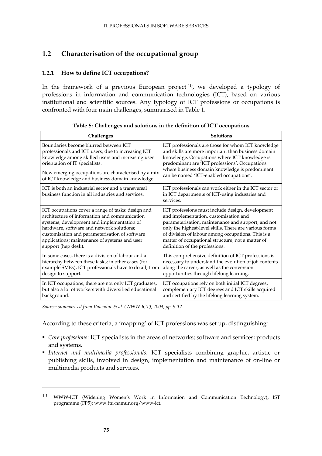## **1.2 Characterisation of the occupational group**

### **1.2.1 How to define ICT occupations?**

In the framework of a previous European project  $10$ , we developed a typology of professions in information and communication technologies (ICT), based on various institutional and scientific sources. Any typology of ICT professions or occupations is confronted with four main challenges, summarised in Table 1.

| Challenges                                                                                              | <b>Solutions</b>                                                                                                      |  |  |  |
|---------------------------------------------------------------------------------------------------------|-----------------------------------------------------------------------------------------------------------------------|--|--|--|
| Boundaries become blurred between ICT                                                                   | ICT professionals are those for whom ICT knowledge                                                                    |  |  |  |
| professionals and ICT users, due to increasing ICT                                                      | and skills are more important than business domain                                                                    |  |  |  |
| knowledge among skilled users and increasing user                                                       | knowledge. Occupations where ICT knowledge is                                                                         |  |  |  |
| orientation of IT specialists.                                                                          | predominant are 'ICT professions'. Occupations                                                                        |  |  |  |
| New emerging occupations are characterised by a mix                                                     | where business domain knowledge is predominant                                                                        |  |  |  |
| of ICT knowledge and business domain knowledge.                                                         | can be named 'ICT-enabled occupations'.                                                                               |  |  |  |
| ICT is both an industrial sector and a transversal<br>business function in all industries and services. | ICT professionals can work either in the ICT sector or<br>in ICT departments of ICT-using industries and<br>services. |  |  |  |
| ICT occupations cover a range of tasks: design and                                                      | ICT professions must include design, development                                                                      |  |  |  |
| architecture of information and communication                                                           | and implementation, customisation and                                                                                 |  |  |  |
| systems; development and implementation of                                                              | parameterisation, maintenance and support, and not                                                                    |  |  |  |
| hardware, software and network solutions;                                                               | only the highest-level skills. There are various forms                                                                |  |  |  |
| customisation and parameterisation of software                                                          | of division of labour among occupations. This is a                                                                    |  |  |  |
| applications; maintenance of systems and user                                                           | matter of occupational structure, not a matter of                                                                     |  |  |  |
| support (hep desk).                                                                                     | definition of the professions.                                                                                        |  |  |  |
| In some cases, there is a division of labour and a                                                      | This comprehensive definition of ICT professions is                                                                   |  |  |  |
| hierarchy between these tasks; in other cases (for                                                      | necessary to understand the evolution of job contents                                                                 |  |  |  |
| example SMEs), ICT professionals have to do all, from                                                   | along the career, as well as the conversion                                                                           |  |  |  |
| design to support.                                                                                      | opportunities through lifelong learning.                                                                              |  |  |  |
| In ICT occupations, there are not only ICT graduates,                                                   | ICT occupations rely on both initial ICT degrees,                                                                     |  |  |  |
| but also a lot of workers with diversified educational                                                  | complementary ICT degrees and ICT skills acquired                                                                     |  |  |  |
| background.                                                                                             | and certified by the lifelong learning system.                                                                        |  |  |  |

| Table 5: Challenges and solutions in the definition of ICT occupations |  |  |
|------------------------------------------------------------------------|--|--|
|                                                                        |  |  |

*Source: summarised from Valenduc & al. (WWW-ICT), 2004, pp. 9-12.* 

According to these criteria, a 'mapping' of ICT professions was set up, distinguishing:

- *Core professions*: ICT specialists in the areas of networks; software and services; products and systems.
- *Internet and multimedia professionals*: ICT specialists combining graphic, artistic or publishing skills, involved in design, implementation and maintenance of on-line or multimedia products and services.

 $\overline{a}$ 

<sup>10</sup> WWW-ICT (Widening Women's Work in Information and Communication Technology), IST programme (FP5): www.ftu-namur.org/www-ict.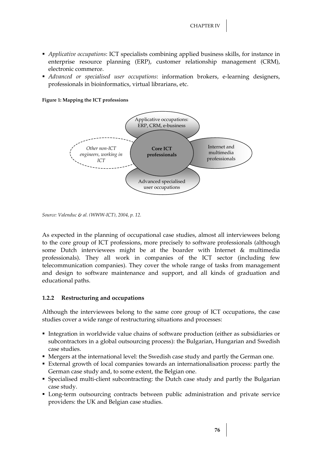- *Applicative occupations*: ICT specialists combining applied business skills, for instance in enterprise resource planning (ERP), customer relationship management (CRM), electronic commerce.
- *Advanced or specialised user occupations*: information brokers, e-learning designers, professionals in bioinformatics, virtual librarians, etc.

**Figure 1: Mapping the ICT professions** 



*Source: Valenduc & al. (WWW-ICT), 2004, p. 12.* 

As expected in the planning of occupational case studies, almost all interviewees belong to the core group of ICT professions, more precisely to software professionals (although some Dutch interviewees might be at the boarder with Internet & multimedia professionals). They all work in companies of the ICT sector (including few telecommunication companies). They cover the whole range of tasks from management and design to software maintenance and support, and all kinds of graduation and educational paths.

### **1.2.2 Restructuring and occupations**

Although the interviewees belong to the same core group of ICT occupations, the case studies cover a wide range of restructuring situations and processes:

- Integration in worldwide value chains of software production (either as subsidiaries or subcontractors in a global outsourcing process): the Bulgarian, Hungarian and Swedish case studies.
- Mergers at the international level: the Swedish case study and partly the German one.
- External growth of local companies towards an internationalisation process: partly the German case study and, to some extent, the Belgian one.
- Specialised multi-client subcontracting: the Dutch case study and partly the Bulgarian case study.
- Long-term outsourcing contracts between public administration and private service providers: the UK and Belgian case studies.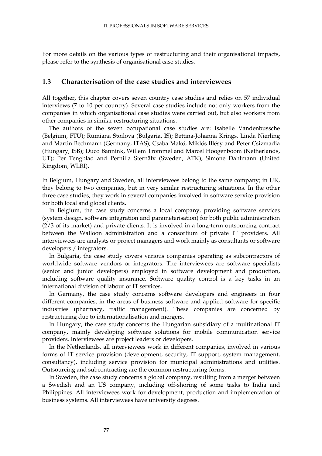For more details on the various types of restructuring and their organisational impacts, please refer to the synthesis of organisational case studies.

### **1.3 Characterisation of the case studies and interviewees**

All together, this chapter covers seven country case studies and relies on 57 individual interviews (7 to 10 per country). Several case studies include not only workers from the companies in which organisational case studies were carried out, but also workers from other companies in similar restructuring situations.

The authors of the seven occupational case studies are: Isabelle Vandenbussche (Belgium, FTU); Rumiana Stoilova (Bulgaria, IS); Bettina-Johanna Krings, Linda Nierling and Martin Bechmann (Germany, ITAS); Csaba Makó, Miklós Illésy and Peter Csizmadia (Hungary, ISB); Duco Bannink, Willem Trommel and Marcel Hoogenboom (Netherlands, UT); Per Tengblad and Pernilla Sternälv (Sweden, ATK); Simone Dahlmann (United Kingdom, WLRI).

In Belgium, Hungary and Sweden, all interviewees belong to the same company; in UK, they belong to two companies, but in very similar restructuring situations. In the other three case studies, they work in several companies involved in software service provision for both local and global clients.

In Belgium, the case study concerns a local company, providing software services (system design, software integration and parameterisation) for both public administration (2/3 of its market) and private clients. It is involved in a long-term outsourcing contract between the Walloon administration and a consortium of private IT providers. All interviewees are analysts or project managers and work mainly as consultants or software developers / integrators.

In Bulgaria, the case study covers various companies operating as subcontractors of worldwide software vendors or integrators. The interviewees are software specialists (senior and junior developers) employed in software development and production, including software quality insurance. Software quality control is a key tasks in an international division of labour of IT services.

In Germany, the case study concerns software developers and engineers in four different companies, in the areas of business software and applied software for specific industries (pharmacy, traffic management). These companies are concerned by restructuring due to internationalisation and mergers.

In Hungary, the case study concerns the Hungarian subsidiary of a multinational IT company, mainly developing software solutions for mobile communication service providers. Interviewees are project leaders or developers.

In the Netherlands, all interviewees work in different companies, involved in various forms of IT service provision (development, security, IT support, system management, consultancy), including service provision for municipal administrations and utilities. Outsourcing and subcontracting are the common restructuring forms.

In Sweden, the case study concerns a global company, resulting from a merger between a Swedish and an US company, including off-shoring of some tasks to India and Philippines. All interviewees work for development, production and implementation of business systems. All interviewees have university degrees.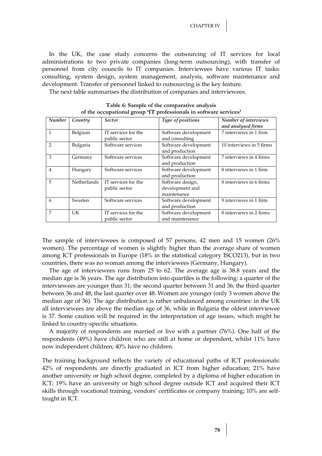In the UK, the case study concerns the outsourcing of IT services for local administrations to two private companies (long-term outsourcing), with transfer of personnel from city councils to IT companies. Interviewees have various IT tasks: consulting, system design, system management, analysis, software maintenance and development. Transfer of personnel linked to outsourcing is the key feature.

The next table summarises the distribution of companies and interviewees.

| of the occupational group 11 professionals in software services |                    |                                      |                                                    |                                            |  |  |  |  |
|-----------------------------------------------------------------|--------------------|--------------------------------------|----------------------------------------------------|--------------------------------------------|--|--|--|--|
| <b>Number</b>                                                   | Country            | <b>Sector</b>                        | Type of positions                                  | Number of interviews<br>and analysed firms |  |  |  |  |
| 1                                                               | Belgium            | IT services for the<br>public sector | Software development<br>and consulting             | 7 interviews in 1 firm                     |  |  |  |  |
| $\overline{2}$                                                  | Bulgaria           | Software services                    | Software development<br>and production             | 10 interviews in 5 firms                   |  |  |  |  |
| 3                                                               | Germany            | Software services                    | Software development<br>and production             | 7 interviews in 4 firms                    |  |  |  |  |
| $\overline{4}$                                                  | Hungary            | Software services                    | Software development<br>and production             | 8 interviews in 1 firm                     |  |  |  |  |
| 5                                                               | <b>Netherlands</b> | IT services for the<br>public sector | Software design,<br>development and<br>maintenance | 8 interviews in 6 firms                    |  |  |  |  |
| 6                                                               | Sweden             | Software services                    | Software development<br>and production             | 9 interviews in 1 firm                     |  |  |  |  |
| 7                                                               | <b>UK</b>          | IT services for the<br>public sector | Software development<br>and maintenance            | 8 interviews in 2 firms                    |  |  |  |  |

**Table 6: Sample of the comparative analysis of the occupational group 'IT professionals in software services'** 

The sample of interviewees is composed of 57 persons, 42 men and 15 women (26% women). The percentage of women is slightly higher than the average share of women among ICT professionals in Europe (18% in the statistical category ISCO213), but in two countries, there was no woman among the interviewees (Germany, Hungary).

The age of interviewees runs from 25 to 62. The average age is 38.8 years and the median age is 36 years. The age distribution into quartiles is the following: a quarter of the interviewees are younger than 31; the second quarter between 31 and 36; the third quarter between 36 and 48; the last quarter over 48. Women are younger (only 3 women above the median age of 36). The age distribution is rather unbalanced among countries: in the UK all interviewees are above the median age of 36, while in Bulgaria the oldest interviewee is 37. Some caution will be required in the interpretation of age issues, which might be linked to country-specific situations.

A majority of respondents are married or live with a partner (76%). One half of the respondents (49%) have children who are still at home or dependent, whilst 11% have now independent children; 40% have no children.

The training background reflects the variety of educational paths of ICT professionals: 42% of respondents are directly graduated in ICT from higher education; 21% have another university or high school degree, completed by a diploma of higher education in ICT; 19% have an university or high school degree outside ICT and acquired their ICT skills through vocational training, vendors' certificates or company training; 10% are selftaught in ICT.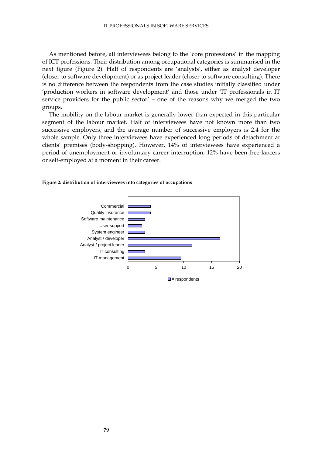As mentioned before, all interviewees belong to the 'core professions' in the mapping of ICT professions. Their distribution among occupational categories is summarised in the next figure (Figure 2). Half of respondents are 'analysts', either as analyst developer (closer to software development) or as project leader (closer to software consulting). There is no difference between the respondents from the case studies initially classified under 'production workers in software development' and those under 'IT professionals in IT service providers for the public sector' – one of the reasons why we merged the two groups.

The mobility on the labour market is generally lower than expected in this particular segment of the labour market. Half of interviewees have not known more than two successive employers, and the average number of successive employers is 2.4 for the whole sample. Only three interviewees have experienced long periods of detachment at clients' premises (body-shopping). However, 14% of interviewees have experienced a period of unemployment or involuntary career interruption; 12% have been free-lancers or self-employed at a moment in their career.

#### **Figure 2: distribution of interviewees into categories of occupations**

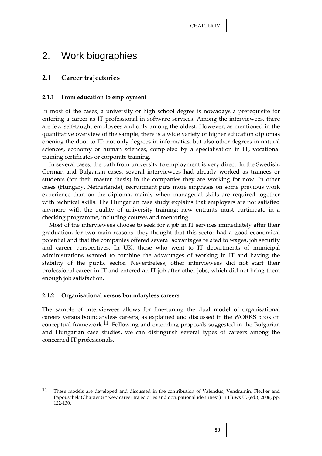## 2. Work biographies

### **2.1 Career trajectories**

#### **2.1.1 From education to employment**

In most of the cases, a university or high school degree is nowadays a prerequisite for entering a career as IT professional in software services. Among the interviewees, there are few self-taught employees and only among the oldest. However, as mentioned in the quantitative overview of the sample, there is a wide variety of higher education diplomas opening the door to IT: not only degrees in informatics, but also other degrees in natural sciences, economy or human sciences, completed by a specialisation in IT, vocational training certificates or corporate training.

In several cases, the path from university to employment is very direct. In the Swedish, German and Bulgarian cases, several interviewees had already worked as trainees or students (for their master thesis) in the companies they are working for now. In other cases (Hungary, Netherlands), recruitment puts more emphasis on some previous work experience than on the diploma, mainly when managerial skills are required together with technical skills. The Hungarian case study explains that employers are not satisfied anymore with the quality of university training; new entrants must participate in a checking programme, including courses and mentoring.

Most of the interviewees choose to seek for a job in IT services immediately after their graduation, for two main reasons: they thought that this sector had a good economical potential and that the companies offered several advantages related to wages, job security and career perspectives. In UK, those who went to IT departments of municipal administrations wanted to combine the advantages of working in IT and having the stability of the public sector. Nevertheless, other interviewees did not start their professional career in IT and entered an IT job after other jobs, which did not bring them enough job satisfaction.

#### **2.1.2 Organisational versus boundaryless careers**

 $\overline{a}$ 

The sample of interviewees allows for fine-tuning the dual model of organisational careers versus boundaryless careers, as explained and discussed in the WORKS book on conceptual framework  $^{11}$ . Following and extending proposals suggested in the Bulgarian and Hungarian case studies, we can distinguish several types of careers among the concerned IT professionals.

<sup>11</sup> These models are developed and discussed in the contribution of Valenduc, Vendramin, Flecker and Papouschek (Chapter 8 "New career trajectories and occupational identities") in Huws U. (ed.), 2006, pp. 122-130.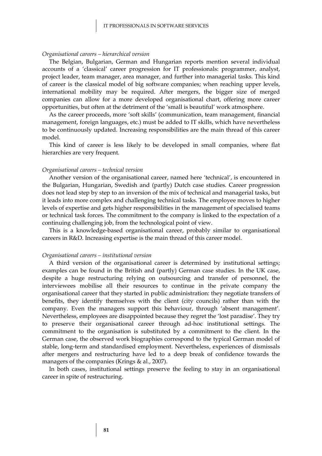#### *Organisational careers – hierarchical version*

The Belgian, Bulgarian, German and Hungarian reports mention several individual accounts of a 'classical' career progression for IT professionals: programmer, analyst, project leader, team manager, area manager, and further into managerial tasks. This kind of career is the classical model of big software companies; when reaching upper levels, international mobility may be required. After mergers, the bigger size of merged companies can allow for a more developed organisational chart, offering more career opportunities, but often at the detriment of the 'small is beautiful' work atmosphere.

As the career proceeds, more 'soft skills' (communication, team management, financial management, foreign languages, etc.) must be added to IT skills, which have nevertheless to be continuously updated. Increasing responsibilities are the main thread of this career model.

This kind of career is less likely to be developed in small companies, where flat hierarchies are very frequent.

#### *Organisational careers – technical version*

Another version of the organisational career, named here 'technical', is encountered in the Bulgarian, Hungarian, Swedish and (partly) Dutch case studies. Career progression does not lead step by step to an inversion of the mix of technical and managerial tasks, but it leads into more complex and challenging technical tasks. The employee moves to higher levels of expertise and gets higher responsibilities in the management of specialised teams or technical task forces. The commitment to the company is linked to the expectation of a continuing challenging job, from the technological point of view.

This is a knowledge-based organisational career, probably similar to organisational careers in R&D. Increasing expertise is the main thread of this career model.

#### *Organisational careers – institutional version*

A third version of the organisational career is determined by institutional settings; examples can be found in the British and (partly) German case studies. In the UK case, despite a huge restructuring relying on outsourcing and transfer of personnel, the interviewees mobilise all their resources to continue in the private company the organisational career that they started in public administration: they negotiate transfers of benefits, they identify themselves with the client (city councils) rather than with the company. Even the managers support this behaviour, through 'absent management'. Nevertheless, employees are disappointed because they regret the 'lost paradise'. They try to preserve their organisational career through ad-hoc institutional settings. The commitment to the organisation is substituted by a commitment to the client. In the German case, the observed work biographies correspond to the typical German model of stable, long-term and standardised employment. Nevertheless, experiences of dismissals after mergers and restructuring have led to a deep break of confidence towards the managers of the companies (Krings & al., 2007).

In both cases, institutional settings preserve the feeling to stay in an organisational career in spite of restructuring.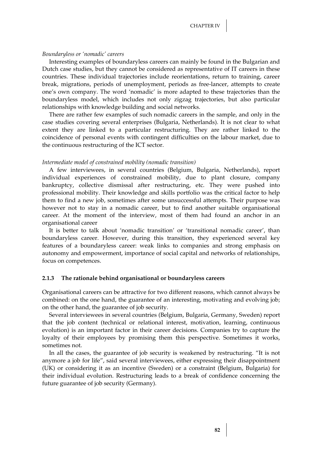#### *Boundaryless or 'nomadic' careers*

Interesting examples of boundaryless careers can mainly be found in the Bulgarian and Dutch case studies, but they cannot be considered as representative of IT careers in these countries. These individual trajectories include reorientations, return to training, career break, migrations, periods of unemployment, periods as free-lancer, attempts to create one's own company. The word 'nomadic' is more adapted to these trajectories than the boundaryless model, which includes not only zigzag trajectories, but also particular relationships with knowledge building and social networks.

There are rather few examples of such nomadic careers in the sample, and only in the case studies covering several enterprises (Bulgaria, Netherlands). It is not clear to what extent they are linked to a particular restructuring. They are rather linked to the coincidence of personal events with contingent difficulties on the labour market, due to the continuous restructuring of the ICT sector.

#### *Intermediate model of constrained mobility (nomadic transition)*

A few interviewees, in several countries (Belgium, Bulgaria, Netherlands), report individual experiences of constrained mobility, due to plant closure, company bankruptcy, collective dismissal after restructuring, etc. They were pushed into professional mobility. Their knowledge and skills portfolio was the critical factor to help them to find a new job, sometimes after some unsuccessful attempts. Their purpose was however not to stay in a nomadic career, but to find another suitable organisational career. At the moment of the interview, most of them had found an anchor in an organisational career

It is better to talk about 'nomadic transition' or 'transitional nomadic career', than boundaryless career. However, during this transition, they experienced several key features of a boundaryless career: weak links to companies and strong emphasis on autonomy and empowerment, importance of social capital and networks of relationships, focus on competences.

#### **2.1.3 The rationale behind organisational or boundaryless careers**

Organisational careers can be attractive for two different reasons, which cannot always be combined: on the one hand, the guarantee of an interesting, motivating and evolving job; on the other hand, the guarantee of job security.

Several interviewees in several countries (Belgium, Bulgaria, Germany, Sweden) report that the job content (technical or relational interest, motivation, learning, continuous evolution) is an important factor in their career decisions. Companies try to capture the loyalty of their employees by promising them this perspective. Sometimes it works, sometimes not.

In all the cases, the guarantee of job security is weakened by restructuring. "It is not anymore a job for life", said several interviewees, either expressing their disappointment (UK) or considering it as an incentive (Sweden) or a constraint (Belgium, Bulgaria) for their individual evolution. Restructuring leads to a break of confidence concerning the future guarantee of job security (Germany).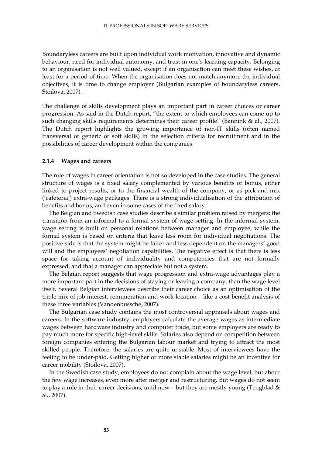Boundaryless careers are built upon individual work motivation, innovative and dynamic behaviour, need for individual autonomy, and trust in one's learning capacity. Belonging to an organisation is not well valued, except if an organisation can meet these wishes, at least for a period of time. When the organisation does not match anymore the individual objectives, it is time to change employer (Bulgarian examples of boundaryless careers, Stoilova, 2007).

The challenge of skills development plays an important part in career choices or career progression. As said in the Dutch report, "the extent to which employees can come up to such changing skills requirements determines their career profile" (Bannink & al., 2007). The Dutch report highlights the growing importance of non-IT skills (often named transversal or generic or soft skills) in the selection criteria for recruitment and in the possibilities of career development within the companies.

#### **2.1.4 Wages and careers**

The role of wages in career orientation is not so developed in the case studies. The general structure of wages is a fixed salary complemented by various benefits or bonus, either linked to project results, or to the financial wealth of the company, or as pick-and-mix ('cafeteria') extra-wage packages. There is a strong individualisation of the attribution of benefits and bonus, and even in some cases of the fixed salary.

The Belgian and Swedish case studies describe a similar problem raised by mergers: the transition from an informal to a formal system of wage setting. In the informal system, wage setting is built on personal relations between manager and employee, while the formal system is based on criteria that leave less room for individual negotiations. The positive side is that the system might be fairer and less dependent on the managers' good will and the employees' negotiation capabilities. The negative effect is that there is less space for taking account of individuality and competencies that are not formally expressed, and that a manager can appreciate but not a system.

The Belgian report suggests that wage progression and extra-wage advantages play a more important part in the decisions of staying or leaving a company, than the wage level itself. Several Belgian interviewees describe their career choice as an optimisation of the triple mix of job interest, remuneration and work location – like a cost-benefit analysis of these three variables (Vandenbussche, 2007).

The Bulgarian case study contains the most controversial appraisals about wages and careers. In the software industry, employers calculate the average wages as intermediate wages between hardware industry and computer trade, but some employers are ready to pay much more for specific high-level skills. Salaries also depend on competition between foreign companies entering the Bulgarian labour market and trying to attract the most skilled people. Therefore, the salaries are quite unstable. Most of interviewees have the feeling to be under-paid. Getting higher or more stable salaries might be an incentive for career mobility (Stoilova, 2007).

In the Swedish case study, employees do not complain about the wage level, but about the few wage increases, even more after merger and restructuring. But wages do not seem to play a role in their career decisions, until now – but they are mostly young (Tengblad  $\&$ al., 2007).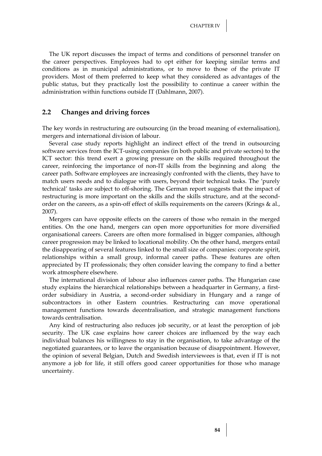The UK report discusses the impact of terms and conditions of personnel transfer on the career perspectives. Employees had to opt either for keeping similar terms and conditions as in municipal administrations, or to move to those of the private IT providers. Most of them preferred to keep what they considered as advantages of the public status, but they practically lost the possibility to continue a career within the administration within functions outside IT (Dahlmann, 2007).

### **2.2 Changes and driving forces**

The key words in restructuring are outsourcing (in the broad meaning of externalisation), mergers and international division of labour.

Several case study reports highlight an indirect effect of the trend in outsourcing software services from the ICT-using companies (in both public and private sectors) to the ICT sector: this trend exert a growing pressure on the skills required throughout the career, reinforcing the importance of non-IT skills from the beginning and along the career path. Software employees are increasingly confronted with the clients, they have to match users needs and to dialogue with users, beyond their technical tasks. The 'purely technical' tasks are subject to off-shoring. The German report suggests that the impact of restructuring is more important on the skills and the skills structure, and at the secondorder on the careers, as a spin-off effect of skills requirements on the careers (Krings & al., 2007).

Mergers can have opposite effects on the careers of those who remain in the merged entities. On the one hand, mergers can open more opportunities for more diversified organisational careers. Careers are often more formalised in bigger companies, although career progression may be linked to locational mobility. On the other hand, mergers entail the disappearing of several features linked to the small size of companies: corporate spirit, relationships within a small group, informal career paths. These features are often appreciated by IT professionals; they often consider leaving the company to find a better work atmosphere elsewhere.

The international division of labour also influences career paths. The Hungarian case study explains the hierarchical relationships between a headquarter in Germany, a firstorder subsidiary in Austria, a second-order subsidiary in Hungary and a range of subcontractors in other Eastern countries. Restructuring can move operational management functions towards decentralisation, and strategic management functions towards centralisation.

Any kind of restructuring also reduces job security, or at least the perception of job security. The UK case explains how career choices are influenced by the way each individual balances his willingness to stay in the organisation, to take advantage of the negotiated guarantees, or to leave the organisation because of disappointment. However, the opinion of several Belgian, Dutch and Swedish interviewees is that, even if IT is not anymore a job for life, it still offers good career opportunities for those who manage uncertainty.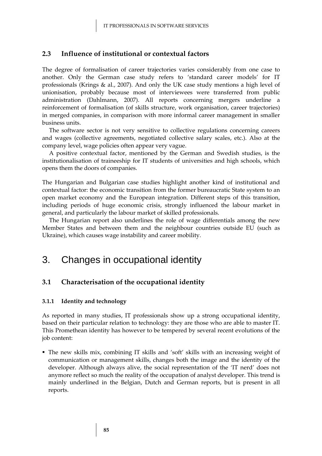### **2.3 Influence of institutional or contextual factors**

The degree of formalisation of career trajectories varies considerably from one case to another. Only the German case study refers to 'standard career models' for IT professionals (Krings & al., 2007). And only the UK case study mentions a high level of unionisation, probably because most of interviewees were transferred from public administration (Dahlmann, 2007). All reports concerning mergers underline a reinforcement of formalisation (of skills structure, work organisation, career trajectories) in merged companies, in comparison with more informal career management in smaller business units.

The software sector is not very sensitive to collective regulations concerning careers and wages (collective agreements, negotiated collective salary scales, etc.). Also at the company level, wage policies often appear very vague.

A positive contextual factor, mentioned by the German and Swedish studies, is the institutionalisation of traineeship for IT students of universities and high schools, which opens them the doors of companies.

The Hungarian and Bulgarian case studies highlight another kind of institutional and contextual factor: the economic transition from the former bureaucratic State system to an open market economy and the European integration. Different steps of this transition, including periods of huge economic crisis, strongly influenced the labour market in general, and particularly the labour market of skilled professionals.

The Hungarian report also underlines the role of wage differentials among the new Member States and between them and the neighbour countries outside EU (such as Ukraine), which causes wage instability and career mobility.

## 3. Changes in occupational identity

### **3.1 Characterisation of the occupational identity**

#### **3.1.1 Identity and technology**

As reported in many studies, IT professionals show up a strong occupational identity, based on their particular relation to technology: they are those who are able to master IT. This Promethean identity has however to be tempered by several recent evolutions of the job content:

 The new skills mix, combining IT skills and 'soft' skills with an increasing weight of communication or management skills, changes both the image and the identity of the developer. Although always alive, the social representation of the 'IT nerd' does not anymore reflect so much the reality of the occupation of analyst developer. This trend is mainly underlined in the Belgian, Dutch and German reports, but is present in all reports.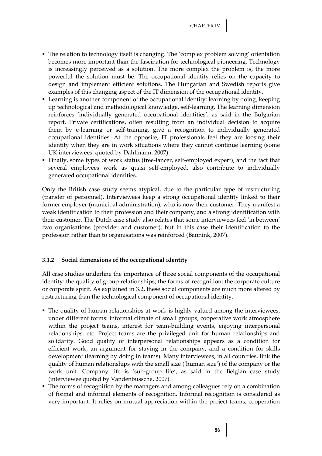- The relation to technology itself is changing. The 'complex problem solving' orientation becomes more important than the fascination for technological pioneering. Technology is increasingly perceived as a solution. The more complex the problem is, the more powerful the solution must be. The occupational identity relies on the capacity to design and implement efficient solutions. The Hungarian and Swedish reports give examples of this changing aspect of the IT dimension of the occupational identity.
- Learning is another component of the occupational identity: learning by doing, keeping up technological and methodological knowledge, self-learning. The learning dimension reinforces 'individually generated occupational identities', as said in the Bulgarian report. Private certifications, often resulting from an individual decision to acquire them by e-learning or self-training, give a recognition to individually generated occupational identities. At the opposite, IT professionals feel they are loosing their identity when they are in work situations where they cannot continue learning (some UK interviewees, quoted by Dahlmann, 2007).
- Finally, some types of work status (free-lancer, self-employed expert), and the fact that several employees work as quasi self-employed, also contribute to individually generated occupational identities.

Only the British case study seems atypical, due to the particular type of restructuring (transfer of personnel). Interviewees keep a strong occupational identity linked to their former employer (municipal administration), who is now their customer. They manifest a weak identification to their profession and their company, and a strong identification with their customer. The Dutch case study also relates that some interviewees feel 'in between' two organisations (provider and customer), but in this case their identification to the profession rather than to organisations was reinforced (Bannink, 2007).

### **3.1.2 Social dimensions of the occupational identity**

All case studies underline the importance of three social components of the occupational identity: the quality of group relationships; the forms of recognition; the corporate culture or corporate spirit. As explained in 3.2, these social components are much more altered by restructuring than the technological component of occupational identity.

- The quality of human relationships at work is highly valued among the interviewees, under different forms: informal climate of small groups, cooperative work atmosphere within the project teams, interest for team-building events, enjoying interpersonal relationships, etc. Project teams are the privileged unit for human relationships and solidarity. Good quality of interpersonal relationships appears as a condition for efficient work, an argument for staying in the company, and a condition for skills development (learning by doing in teams). Many interviewees, in all countries, link the quality of human relationships with the small size ('human size') of the company or the work unit. Company life is 'sub-group life', as said in the Belgian case study (interviewee quoted by Vandenbussche, 2007).
- The forms of recognition by the managers and among colleagues rely on a combination of formal and informal elements of recognition. Informal recognition is considered as very important. It relies on mutual appreciation within the project teams, cooperation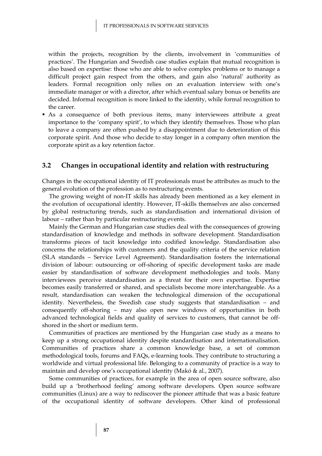within the projects, recognition by the clients, involvement in 'communities of practices'. The Hungarian and Swedish case studies explain that mutual recognition is also based on expertise: those who are able to solve complex problems or to manage a difficult project gain respect from the others, and gain also 'natural' authority as leaders. Formal recognition only relies on an evaluation interview with one's immediate manager or with a director, after which eventual salary bonus or benefits are decided. Informal recognition is more linked to the identity, while formal recognition to the career.

 As a consequence of both previous items, many interviewees attribute a great importance to the 'company spirit', to which they identify themselves. Those who plan to leave a company are often pushed by a disappointment due to deterioration of this corporate spirit. And those who decide to stay longer in a company often mention the corporate spirit as a key retention factor.

#### **3.2 Changes in occupational identity and relation with restructuring**

Changes in the occupational identity of IT professionals must be attributes as much to the general evolution of the profession as to restructuring events.

The growing weight of non-IT skills has already been mentioned as a key element in the evolution of occupational identity. However, IT-skills themselves are also concerned by global restructuring trends, such as standardisation and international division of labour – rather than by particular restructuring events.

Mainly the German and Hungarian case studies deal with the consequences of growing standardisation of knowledge and methods in software development. Standardisation transforms pieces of tacit knowledge into codified knowledge. Standardisation also concerns the relationships with customers and the quality criteria of the service relation (SLA standards – Service Level Agreement). Standardisation fosters the international division of labour: outsourcing or off-shoring of specific development tasks are made easier by standardisation of software development methodologies and tools. Many interviewees perceive standardisation as a threat for their own expertise. Expertise becomes easily transferred or shared, and specialists become more interchangeable. As a result, standardisation can weaken the technological dimension of the occupational identity. Nevertheless, the Swedish case study suggests that standardisation – and consequently off-shoring – may also open new windows of opportunities in both advanced technological fields and quality of services to customers, that cannot be offshored in the short or medium term.

Communities of practices are mentioned by the Hungarian case study as a means to keep up a strong occupational identity despite standardisation and internationalisation. Communities of practices share a common knowledge base, a set of common methodological tools, forums and FAQs, e-learning tools. They contribute to structuring a worldwide and virtual professional life. Belonging to a community of practice is a way to maintain and develop one's occupational identity (Makó & al., 2007).

Some communities of practices, for example in the area of open source software, also build up a 'brotherhood feeling' among software developers. Open source software communities (Linux) are a way to rediscover the pioneer attitude that was a basic feature of the occupational identity of software developers. Other kind of professional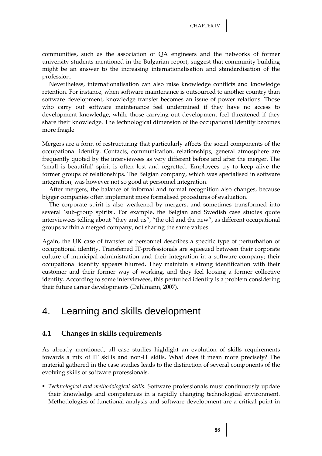communities, such as the association of QA engineers and the networks of former university students mentioned in the Bulgarian report, suggest that community building might be an answer to the increasing internationalisation and standardisation of the profession.

Nevertheless, internationalisation can also raise knowledge conflicts and knowledge retention. For instance, when software maintenance is outsourced to another country than software development, knowledge transfer becomes an issue of power relations. Those who carry out software maintenance feel undermined if they have no access to development knowledge, while those carrying out development feel threatened if they share their knowledge. The technological dimension of the occupational identity becomes more fragile.

Mergers are a form of restructuring that particularly affects the social components of the occupational identity. Contacts, communication, relationships, general atmosphere are frequently quoted by the interviewees as very different before and after the merger. The 'small is beautiful' spirit is often lost and regretted. Employees try to keep alive the former groups of relationships. The Belgian company, which was specialised in software integration, was however not so good at personnel integration.

After mergers, the balance of informal and formal recognition also changes, because bigger companies often implement more formalised procedures of evaluation.

The corporate spirit is also weakened by mergers, and sometimes transformed into several 'sub-group spirits'. For example, the Belgian and Swedish case studies quote interviewees telling about "they and us", "the old and the new", as different occupational groups within a merged company, not sharing the same values.

Again, the UK case of transfer of personnel describes a specific type of perturbation of occupational identity. Transferred IT-professionals are squeezed between their corporate culture of municipal administration and their integration in a software company; their occupational identity appears blurred. They maintain a strong identification with their customer and their former way of working, and they feel loosing a former collective identity. According to some interviewees, this perturbed identity is a problem considering their future career developments (Dahlmann, 2007).

## 4. Learning and skills development

### **4.1 Changes in skills requirements**

As already mentioned, all case studies highlight an evolution of skills requirements towards a mix of IT skills and non-IT skills. What does it mean more precisely? The material gathered in the case studies leads to the distinction of several components of the evolving skills of software professionals.

 *Technological and methodological skills*. Software professionals must continuously update their knowledge and competences in a rapidly changing technological environment. Methodologies of functional analysis and software development are a critical point in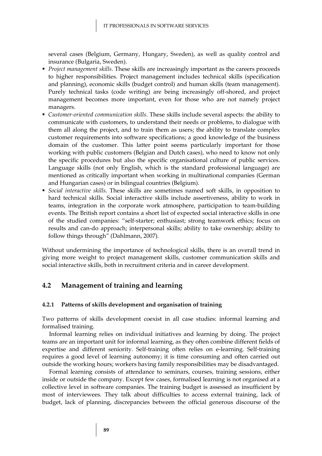several cases (Belgium, Germany, Hungary, Sweden), as well as quality control and insurance (Bulgaria, Sweden).

- *Project management skills*. These skills are increasingly important as the careers proceeds to higher responsibilities. Project management includes technical skills (specification and planning), economic skills (budget control) and human skills (team management). Purely technical tasks (code writing) are being increasingly off-shored, and project management becomes more important, even for those who are not namely project managers.
- *Customer-oriented communication skills*. These skills include several aspects: the ability to communicate with customers, to understand their needs or problems, to dialogue with them all along the project, and to train them as users; the ability to translate complex customer requirements into software specifications; a good knowledge of the business domain of the customer. This latter point seems particularly important for those working with public customers (Belgian and Dutch cases), who need to know not only the specific procedures but also the specific organisational culture of public services. Language skills (not only English, which is the standard professional language) are mentioned as critically important when working in multinational companies (German and Hungarian cases) or in bilingual countries (Belgium).
- *Social interactive skills*. These skills are sometimes named soft skills, in opposition to hard technical skills. Social interactive skills include assertiveness, ability to work in teams, integration in the corporate work atmosphere, participation to team-building events. The British report contains a short list of expected social interactive skills in one of the studied companies: "self-starter; enthusiast; strong teamwork ethics; focus on results and can-do approach; interpersonal skills; ability to take ownership; ability to follow things through" (Dahlmann, 2007).

Without undermining the importance of technological skills, there is an overall trend in giving more weight to project management skills, customer communication skills and social interactive skills, both in recruitment criteria and in career development.

### **4.2 Management of training and learning**

#### **4.2.1 Patterns of skills development and organisation of training**

Two patterns of skills development coexist in all case studies: informal learning and formalised training.

Informal learning relies on individual initiatives and learning by doing. The project teams are an important unit for informal learning, as they often combine different fields of expertise and different seniority. Self-training often relies on e-learning. Self-training requires a good level of learning autonomy; it is time consuming and often carried out outside the working hours; workers having family responsibilities may be disadvantaged.

Formal learning consists of attendance to seminars, courses, training sessions, either inside or outside the company. Except few cases, formalised learning is not organised at a collective level in software companies. The training budget is assessed as insufficient by most of interviewees. They talk about difficulties to access external training, lack of budget, lack of planning, discrepancies between the official generous discourse of the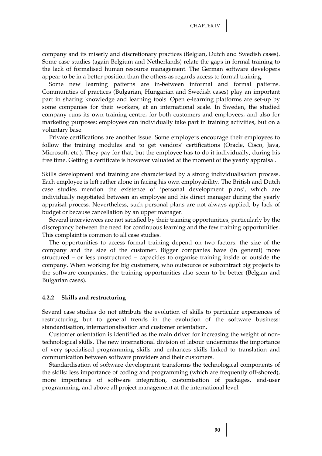company and its miserly and discretionary practices (Belgian, Dutch and Swedish cases). Some case studies (again Belgium and Netherlands) relate the gaps in formal training to the lack of formalised human resource management. The German software developers appear to be in a better position than the others as regards access to formal training.

Some new learning patterns are in-between informal and formal patterns. Communities of practices (Bulgarian, Hungarian and Swedish cases) play an important part in sharing knowledge and learning tools. Open e-learning platforms are set-up by some companies for their workers, at an international scale. In Sweden, the studied company runs its own training centre, for both customers and employees, and also for marketing purposes; employees can individually take part in training activities, but on a voluntary base.

Private certifications are another issue. Some employers encourage their employees to follow the training modules and to get vendors' certifications (Oracle, Cisco, Java, Microsoft, etc.). They pay for that, but the employee has to do it individually, during his free time. Getting a certificate is however valuated at the moment of the yearly appraisal.

Skills development and training are characterised by a strong individualisation process. Each employee is left rather alone in facing his own employability. The British and Dutch case studies mention the existence of 'personal development plans', which are individually negotiated between an employee and his direct manager during the yearly appraisal process. Nevertheless, such personal plans are not always applied, by lack of budget or because cancellation by an upper manager.

Several interviewees are not satisfied by their training opportunities, particularly by the discrepancy between the need for continuous learning and the few training opportunities. This complaint is common to all case studies.

The opportunities to access formal training depend on two factors: the size of the company and the size of the customer. Bigger companies have (in general) more structured – or less unstructured – capacities to organise training inside or outside the company. When working for big customers, who outsource or subcontract big projects to the software companies, the training opportunities also seem to be better (Belgian and Bulgarian cases).

#### **4.2.2 Skills and restructuring**

Several case studies do not attribute the evolution of skills to particular experiences of restructuring, but to general trends in the evolution of the software business: standardisation, internationalisation and customer orientation.

Customer orientation is identified as the main driver for increasing the weight of nontechnological skills. The new international division of labour undermines the importance of very specialised programming skills and enhances skills linked to translation and communication between software providers and their customers.

Standardisation of software development transforms the technological components of the skills: less importance of coding and programming (which are frequently off-shored), more importance of software integration, customisation of packages, end-user programming, and above all project management at the international level.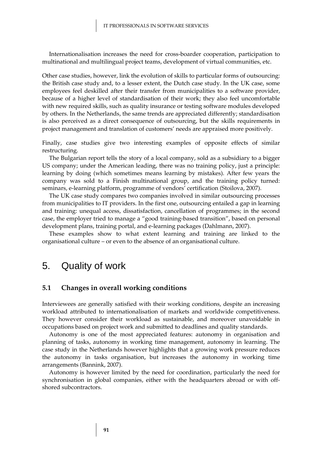Internationalisation increases the need for cross-boarder cooperation, participation to multinational and multilingual project teams, development of virtual communities, etc.

Other case studies, however, link the evolution of skills to particular forms of outsourcing: the British case study and, to a lesser extent, the Dutch case study. In the UK case, some employees feel deskilled after their transfer from municipalities to a software provider, because of a higher level of standardisation of their work; they also feel uncomfortable with new required skills, such as quality insurance or testing software modules developed by others. In the Netherlands, the same trends are appreciated differently; standardisation is also perceived as a direct consequence of outsourcing, but the skills requirements in project management and translation of customers' needs are appraised more positively.

Finally, case studies give two interesting examples of opposite effects of similar restructuring.

The Bulgarian report tells the story of a local company, sold as a subsidiary to a bigger US company; under the American leading, there was no training policy, just a principle: learning by doing (which sometimes means learning by mistakes). After few years the company was sold to a Finish multinational group, and the training policy turned: seminars, e-learning platform, programme of vendors' certification (Stoilova, 2007).

The UK case study compares two companies involved in similar outsourcing processes from municipalities to IT providers. In the first one, outsourcing entailed a gap in learning and training: unequal access, dissatisfaction, cancellation of programmes; in the second case, the employer tried to manage a "good training-based transition", based on personal development plans, training portal, and e-learning packages (Dahlmann, 2007).

These examples show to what extent learning and training are linked to the organisational culture – or even to the absence of an organisational culture.

## 5. Quality of work

#### **5.1 Changes in overall working conditions**

Interviewees are generally satisfied with their working conditions, despite an increasing workload attributed to internationalisation of markets and worldwide competitiveness. They however consider their workload as sustainable, and moreover unavoidable in occupations based on project work and submitted to deadlines and quality standards.

Autonomy is one of the most appreciated features: autonomy in organisation and planning of tasks, autonomy in working time management, autonomy in learning. The case study in the Netherlands however highlights that a growing work pressure reduces the autonomy in tasks organisation, but increases the autonomy in working time arrangements (Bannink, 2007).

Autonomy is however limited by the need for coordination, particularly the need for synchronisation in global companies, either with the headquarters abroad or with offshored subcontractors.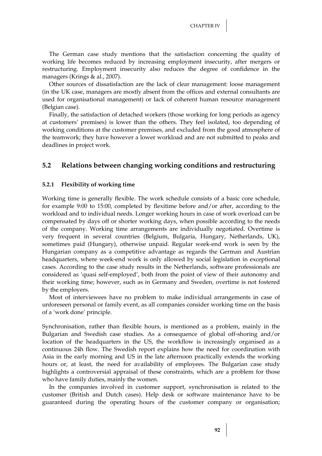The German case study mentions that the satisfaction concerning the quality of working life becomes reduced by increasing employment insecurity, after mergers or restructuring. Employment insecurity also reduces the degree of confidence in the managers (Krings & al., 2007).

Other sources of dissatisfaction are the lack of clear management: loose management (in the UK case, managers are mostly absent from the offices and external consultants are used for organisational management) or lack of coherent human resource management (Belgian case).

Finally, the satisfaction of detached workers (those working for long periods as agency at customers' premises) is lower than the others. They feel isolated, too depending of working conditions at the customer premises, and excluded from the good atmosphere of the teamwork; they have however a lower workload and are not submitted to peaks and deadlines in project work.

### **5.2 Relations between changing working conditions and restructuring**

#### **5.2.1 Flexibility of working time**

Working time is generally flexible. The work schedule consists of a basic core schedule, for example 9:00 to 15:00, completed by flexitime before and/or after, according to the workload and to individual needs. Longer working hours in case of work overload can be compensated by days off or shorter working days, when possible according to the needs of the company. Working time arrangements are individually negotiated. Overtime is very frequent in several countries (Belgium, Bulgaria, Hungary, Netherlands, UK), sometimes paid (Hungary), otherwise unpaid. Regular week-end work is seen by the Hungarian company as a competitive advantage as regards the German and Austrian headquarters, where week-end work is only allowed by social legislation in exceptional cases. According to the case study results in the Netherlands, software professionals are considered as 'quasi self-employed', both from the point of view of their autonomy and their working time; however, such as in Germany and Sweden, overtime is not fostered by the employers.

Most of interviewees have no problem to make individual arrangements in case of unforeseen personal or family event, as all companies consider working time on the basis of a 'work done' principle.

Synchronisation, rather than flexible hours, is mentioned as a problem, mainly in the Bulgarian and Swedish case studies. As a consequence of global off-shoring and/or location of the headquarters in the US, the workflow is increasingly organised as a continuous 24h flow. The Swedish report explains how the need for coordination with Asia in the early morning and US in the late afternoon practically extends the working hours or, at least, the need for availability of employees. The Bulgarian case study highlights a controversial appraisal of these constraints, which are a problem for those who have family duties, mainly the women.

In the companies involved in customer support, synchronisation is related to the customer (British and Dutch cases). Help desk or software maintenance have to be guaranteed during the operating hours of the customer company or organisation;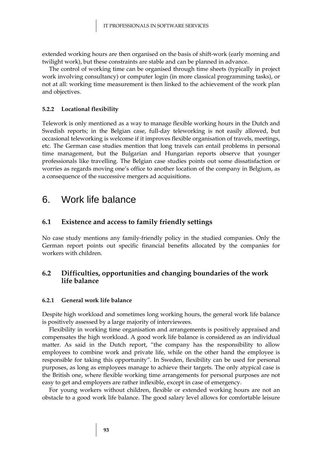extended working hours are then organised on the basis of shift-work (early morning and twilight work), but these constraints are stable and can be planned in advance.

The control of working time can be organised through time sheets (typically in project work involving consultancy) or computer login (in more classical programming tasks), or not at all: working time measurement is then linked to the achievement of the work plan and objectives.

#### **5.2.2 Locational flexibility**

Telework is only mentioned as a way to manage flexible working hours in the Dutch and Swedish reports; in the Belgian case, full-day teleworking is not easily allowed, but occasional teleworking is welcome if it improves flexible organisation of travels, meetings, etc. The German case studies mention that long travels can entail problems in personal time management, but the Bulgarian and Hungarian reports observe that younger professionals like travelling. The Belgian case studies points out some dissatisfaction or worries as regards moving one's office to another location of the company in Belgium, as a consequence of the successive mergers ad acquisitions.

# 6. Work life balance

### **6.1 Existence and access to family friendly settings**

No case study mentions any family-friendly policy in the studied companies. Only the German report points out specific financial benefits allocated by the companies for workers with children.

## **6.2 Difficulties, opportunities and changing boundaries of the work life balance**

#### **6.2.1 General work life balance**

Despite high workload and sometimes long working hours, the general work life balance is positively assessed by a large majority of interviewees.

Flexibility in working time organisation and arrangements is positively appraised and compensates the high workload. A good work life balance is considered as an individual matter. As said in the Dutch report, "the company has the responsibility to allow employees to combine work and private life, while on the other hand the employee is responsible for taking this opportunity". In Sweden, flexibility can be used for personal purposes, as long as employees manage to achieve their targets. The only atypical case is the British one, where flexible working time arrangements for personal purposes are not easy to get and employers are rather inflexible, except in case of emergency.

For young workers without children, flexible or extended working hours are not an obstacle to a good work life balance. The good salary level allows for comfortable leisure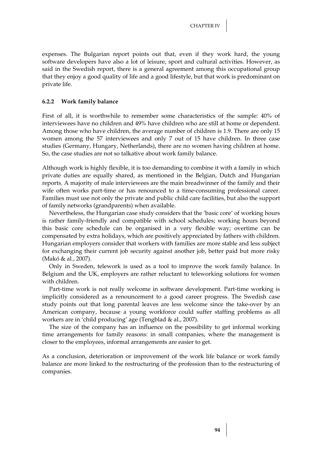expenses. The Bulgarian report points out that, even if they work hard, the young software developers have also a lot of leisure, sport and cultural activities. However, as said in the Swedish report, there is a general agreement among this occupational group that they enjoy a good quality of life and a good lifestyle, but that work is predominant on private life.

#### **6.2.2 Work family balance**

First of all, it is worthwhile to remember some characteristics of the sample: 40% of interviewees have no children and 49% have children who are still at home or dependent. Among those who have children, the average number of children is 1.9. There are only 15 women among the 57 interviewees and only 7 out of 15 have children. In three case studies (Germany, Hungary, Netherlands), there are no women having children at home. So, the case studies are not so talkative about work family balance.

Although work is highly flexible, it is too demanding to combine it with a family in which private duties are equally shared, as mentioned in the Belgian, Dutch and Hungarian reports. A majority of male interviewees are the main breadwinner of the family and their wife often works part-time or has renounced to a time-consuming professional career. Families must use not only the private and public child care facilities, but also the support of family networks (grandparents) when available.

Nevertheless, the Hungarian case study considers that the 'basic core' of working hours is rather family-friendly and compatible with school schedules; working hours beyond this basic core schedule can be organised in a very flexible way; overtime can be compensated by extra holidays, which are positively appreciated by fathers with children. Hungarian employers consider that workers with families are more stable and less subject for exchanging their current job security against another job, better paid but more risky (Makó & al., 2007).

Only in Sweden, telework is used as a tool to improve the work family balance. In Belgium and the UK, employers are rather reluctant to teleworking solutions for women with children.

Part-time work is not really welcome in software development. Part-time working is implicitly considered as a renouncement to a good career progress. The Swedish case study points out that long parental leaves are less welcome since the take-over by an American company, because a young workforce could suffer staffing problems as all workers are in 'child producing' age (Tengblad & al., 2007).

The size of the company has an influence on the possibility to get informal working time arrangements for family reasons: in small companies, where the management is closer to the employees, informal arrangements are easier to get.

As a conclusion, deterioration or improvement of the work life balance or work family balance are more linked to the restructuring of the profession than to the restructuring of companies.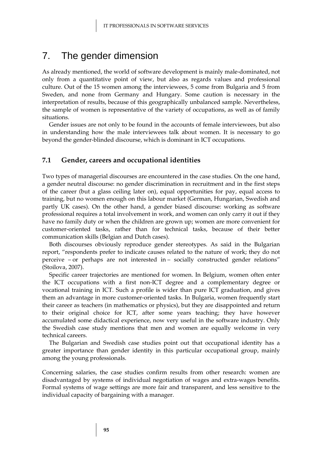# 7. The gender dimension

As already mentioned, the world of software development is mainly male-dominated, not only from a quantitative point of view, but also as regards values and professional culture. Out of the 15 women among the interviewees, 5 come from Bulgaria and 5 from Sweden, and none from Germany and Hungary. Some caution is necessary in the interpretation of results, because of this geographically unbalanced sample. Nevertheless, the sample of women is representative of the variety of occupations, as well as of family situations.

Gender issues are not only to be found in the accounts of female interviewees, but also in understanding how the male interviewees talk about women. It is necessary to go beyond the gender-blinded discourse, which is dominant in ICT occupations.

### **7.1 Gender, careers and occupational identities**

Two types of managerial discourses are encountered in the case studies. On the one hand, a gender neutral discourse: no gender discrimination in recruitment and in the first steps of the career (but a glass ceiling later on), equal opportunities for pay, equal access to training, but no women enough on this labour market (German, Hungarian, Swedish and partly UK cases). On the other hand, a gender biased discourse: working as software professional requires a total involvement in work, and women can only carry it out if they have no family duty or when the children are grown up; women are more convenient for customer-oriented tasks, rather than for technical tasks, because of their better communication skills (Belgian and Dutch cases).

Both discourses obviously reproduce gender stereotypes. As said in the Bulgarian report, "respondents prefer to indicate causes related to the nature of work; they do not perceive – or perhaps are not interested in – socially constructed gender relations" (Stoilova, 2007).

Specific career trajectories are mentioned for women. In Belgium, women often enter the ICT occupations with a first non-ICT degree and a complementary degree or vocational training in ICT. Such a profile is wider than pure ICT graduation, and gives them an advantage in more customer-oriented tasks. In Bulgaria, women frequently start their career as teachers (in mathematics or physics), but they are disappointed and return to their original choice for ICT, after some years teaching; they have however accumulated some didactical experience, now very useful in the software industry. Only the Swedish case study mentions that men and women are equally welcome in very technical careers.

The Bulgarian and Swedish case studies point out that occupational identity has a greater importance than gender identity in this particular occupational group, mainly among the young professionals.

Concerning salaries, the case studies confirm results from other research: women are disadvantaged by systems of individual negotiation of wages and extra-wages benefits. Formal systems of wage settings are more fair and transparent, and less sensitive to the individual capacity of bargaining with a manager.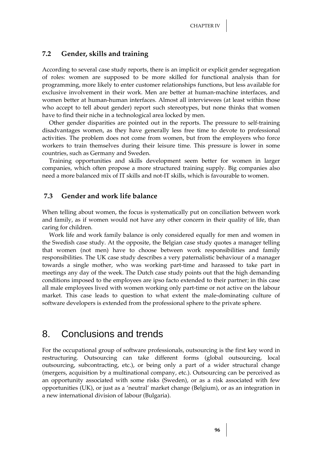#### **7.2 Gender, skills and training**

According to several case study reports, there is an implicit or explicit gender segregation of roles: women are supposed to be more skilled for functional analysis than for programming, more likely to enter customer relationships functions, but less available for exclusive involvement in their work. Men are better at human-machine interfaces, and women better at human-human interfaces. Almost all interviewees (at least within those who accept to tell about gender) report such stereotypes, but none thinks that women have to find their niche in a technological area locked by men.

Other gender disparities are pointed out in the reports. The pressure to self-training disadvantages women, as they have generally less free time to devote to professional activities. The problem does not come from women, but from the employers who force workers to train themselves during their leisure time. This pressure is lower in some countries, such as Germany and Sweden.

Training opportunities and skills development seem better for women in larger companies, which often propose a more structured training supply. Big companies also need a more balanced mix of IT skills and not-IT skills, which is favourable to women.

#### **7.3 Gender and work life balance**

When telling about women, the focus is systematically put on conciliation between work and family, as if women would not have any other concern in their quality of life, than caring for children.

Work life and work family balance is only considered equally for men and women in the Swedish case study. At the opposite, the Belgian case study quotes a manager telling that women (not men) have to choose between work responsibilities and family responsibilities. The UK case study describes a very paternalistic behaviour of a manager towards a single mother, who was working part-time and harassed to take part in meetings any day of the week. The Dutch case study points out that the high demanding conditions imposed to the employees are ipso facto extended to their partner; in this case all male employees lived with women working only part-time or not active on the labour market. This case leads to question to what extent the male-dominating culture of software developers is extended from the professional sphere to the private sphere.

## 8. Conclusions and trends

For the occupational group of software professionals, outsourcing is the first key word in restructuring. Outsourcing can take different forms (global outsourcing, local outsourcing, subcontracting, etc.), or being only a part of a wider structural change (mergers, acquisition by a multinational company, etc.). Outsourcing can be perceived as an opportunity associated with some risks (Sweden), or as a risk associated with few opportunities (UK), or just as a 'neutral' market change (Belgium), or as an integration in a new international division of labour (Bulgaria).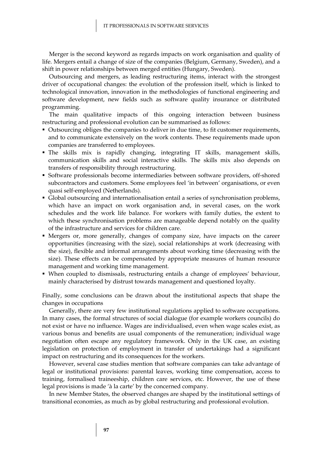Merger is the second keyword as regards impacts on work organisation and quality of life. Mergers entail a change of size of the companies (Belgium, Germany, Sweden), and a shift in power relationships between merged entities (Hungary, Sweden).

Outsourcing and mergers, as leading restructuring items, interact with the strongest driver of occupational changes: the evolution of the profession itself, which is linked to technological innovation, innovation in the methodologies of functional engineering and software development, new fields such as software quality insurance or distributed programming.

The main qualitative impacts of this ongoing interaction between business restructuring and professional evolution can be summarised as follows:

- Outsourcing obliges the companies to deliver in due time, to fit customer requirements, and to communicate extensively on the work contents. These requirements made upon companies are transferred to employees.
- The skills mix is rapidly changing, integrating IT skills, management skills, communication skills and social interactive skills. The skills mix also depends on transfers of responsibility through restructuring.
- Software professionals become intermediaries between software providers, off-shored subcontractors and customers. Some employees feel 'in between' organisations, or even quasi self-employed (Netherlands).
- Global outsourcing and internationalisation entail a series of synchronisation problems, which have an impact on work organisation and, in several cases, on the work schedules and the work life balance. For workers with family duties, the extent to which these synchronisation problems are manageable depend notably on the quality of the infrastructure and services for children care.
- Mergers or, more generally, changes of company size, have impacts on the career opportunities (increasing with the size), social relationships at work (decreasing with the size), flexible and informal arrangements about working time (decreasing with the size). These effects can be compensated by appropriate measures of human resource management and working time management.
- When coupled to dismissals, restructuring entails a change of employees' behaviour, mainly characterised by distrust towards management and questioned loyalty.

Finally, some conclusions can be drawn about the institutional aspects that shape the changes in occupations

Generally, there are very few institutional regulations applied to software occupations. In many cases, the formal structures of social dialogue (for example workers councils) do not exist or have no influence. Wages are individualised, even when wage scales exist, as various bonus and benefits are usual components of the remuneration; individual wage negotiation often escape any regulatory framework. Only in the UK case, an existing legislation on protection of employment in transfer of undertakings had a significant impact on restructuring and its consequences for the workers.

However, several case studies mention that software companies can take advantage of legal or institutional provisions: parental leaves, working time compensation, access to training, formalised traineeship, children care services, etc. However, the use of these legal provisions is made 'à la carte' by the concerned company.

In new Member States, the observed changes are shaped by the institutional settings of transitional economies, as much as by global restructuring and professional evolution.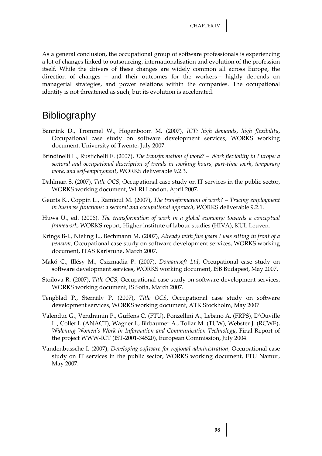As a general conclusion, the occupational group of software professionals is experiencing a lot of changes linked to outsourcing, internationalisation and evolution of the profession itself. While the drivers of these changes are widely common all across Europe, the direction of changes – and their outcomes for the workers – highly depends on managerial strategies, and power relations within the companies. The occupational identity is not threatened as such, but its evolution is accelerated.

# **Bibliography**

- Bannink D., Trommel W., Hogenboom M. (2007), *ICT: high demands, high flexibility*, Occupational case study on software development services, WORKS working document, University of Twente, July 2007.
- Brindinelli L., Rustichelli E. (2007), *The transformation of work? Work flexibility in Europe: a sectoral and occupational description of trends in working hours, part-time work, temporary work, and self-employment*, WORKS deliverable 9.2.3.
- Dahlman S. (2007), *Title OCS*, Occupational case study on IT services in the public sector, WORKS working document, WLRI London, April 2007.
- Geurts K., Coppin L., Ramioul M. (2007), *The transformation of work? Tracing employment in business functions: a sectoral and occupational approach*, WORKS deliverable 9.2.1.
- Huws U., ed. (2006). *The transformation of work in a global economy: towards a conceptual framework*, WORKS report, Higher institute of labour studies (HIVA), KUL Leuven.
- Krings B-J., Nieling L., Bechmann M. (2007), *Already with five years I was sitting in front of a pensum*, Occupational case study on software development services, WORKS working document, ITAS Karlsruhe, March 2007.
- Makó C., Illésy M., Csizmadia P. (2007), *Domainsoft Ltd*, Occupational case study on software development services, WORKS working document, ISB Budapest, May 2007.
- Stoilova R. (2007), *Title OCS*, Occupational case study on software development services, WORKS working document, IS Sofia, March 2007.
- Tengblad P., Sternälv P. (2007), *Title OCS*, Occupational case study on software development services, WORKS working document, ATK Stockholm, May 2007.
- Valenduc G., Vendramin P., Guffens C. (FTU), Ponzellini A., Lebano A. (FRPS), D'Ouville L., Collet I. (ANACT), Wagner I., Birbaumer A., Tollar M. (TUW), Webster J. (RCWE), *Widening Women's Work in Information and Communication Technology*, Final Report of the project WWW-ICT (IST-2001-34520), European Commission, July 2004.
- Vandenbussche I. (2007), *Developing software for regional administration*, Occupational case study on IT services in the public sector, WORKS working document, FTU Namur, May 2007.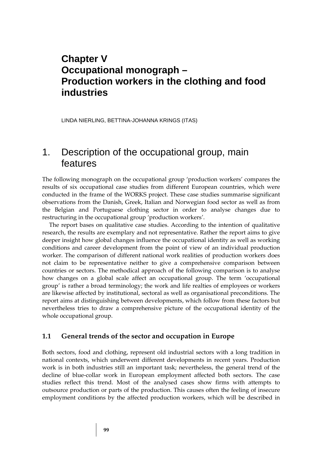# **Chapter V Occupational monograph – Production workers in the clothing and food industries**

LINDA NIERLING, BETTINA-JOHANNA KRINGS (ITAS)

# 1. Description of the occupational group, main features

The following monograph on the occupational group 'production workers' compares the results of six occupational case studies from different European countries, which were conducted in the frame of the WORKS project. These case studies summarise significant observations from the Danish, Greek, Italian and Norwegian food sector as well as from the Belgian and Portuguese clothing sector in order to analyse changes due to restructuring in the occupational group 'production workers'.

The report bases on qualitative case studies. According to the intention of qualitative research, the results are exemplary and not representative. Rather the report aims to give deeper insight how global changes influence the occupational identity as well as working conditions and career development from the point of view of an individual production worker. The comparison of different national work realities of production workers does not claim to be representative neither to give a comprehensive comparison between countries or sectors. The methodical approach of the following comparison is to analyse how changes on a global scale affect an occupational group. The term 'occupational group' is rather a broad terminology; the work and life realties of employees or workers are likewise affected by institutional, sectoral as well as organisational preconditions. The report aims at distinguishing between developments, which follow from these factors but nevertheless tries to draw a comprehensive picture of the occupational identity of the whole occupational group.

### **1.1 General trends of the sector and occupation in Europe**

Both sectors, food and clothing, represent old industrial sectors with a long tradition in national contexts, which underwent different developments in recent years. Production work is in both industries still an important task; nevertheless, the general trend of the decline of blue-collar work in European employment affected both sectors. The case studies reflect this trend. Most of the analysed cases show firms with attempts to outsource production or parts of the production. This causes often the feeling of insecure employment conditions by the affected production workers, which will be described in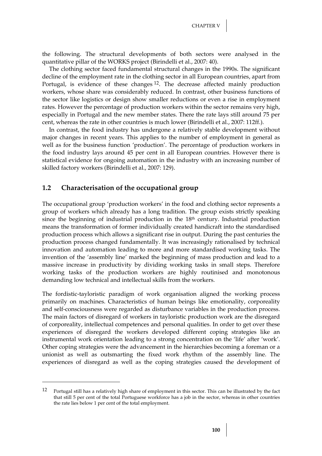the following. The structural developments of both sectors were analysed in the quantitative pillar of the WORKS project (Birindelli et al., 2007: 40).

The clothing sector faced fundamental structural changes in the 1990s. The significant decline of the employment rate in the clothing sector in all European countries, apart from Portugal, is evidence of these changes <sup>12</sup>. The decrease affected mainly production workers, whose share was considerably reduced. In contrast, other business functions of the sector like logistics or design show smaller reductions or even a rise in employment rates. However the percentage of production workers within the sector remains very high, especially in Portugal and the new member states. There the rate lays still around 75 per cent, whereas the rate in other countries is much lower (Birindelli et al., 2007: 112ff.).

In contrast, the food industry has undergone a relatively stable development without major changes in recent years. This applies to the number of employment in general as well as for the business function 'production'. The percentage of production workers in the food industry lays around 45 per cent in all European countries. However there is statistical evidence for ongoing automation in the industry with an increasing number of skilled factory workers (Birindelli et al., 2007: 129).

### **1.2 Characterisation of the occupational group**

 $\overline{a}$ 

The occupational group 'production workers' in the food and clothing sector represents a group of workers which already has a long tradition. The group exists strictly speaking since the beginning of industrial production in the 18<sup>th</sup> century. Industrial production means the transformation of former individually created handicraft into the standardised production process which allows a significant rise in output. During the past centuries the production process changed fundamentally. It was increasingly rationalised by technical innovation and automation leading to more and more standardised working tasks. The invention of the 'assembly line' marked the beginning of mass production and lead to a massive increase in productivity by dividing working tasks in small steps. Therefore working tasks of the production workers are highly routinised and monotonous demanding low technical and intellectual skills from the workers.

The fordistic-tayloristic paradigm of work organisation aligned the working process primarily on machines. Characteristics of human beings like emotionality, corporeality and self-consciousness were regarded as disturbance variables in the production process. The main factors of disregard of workers in tayloristic production work are the disregard of corporeality, intellectual competences and personal qualities. In order to get over these experiences of disregard the workers developed different coping strategies like an instrumental work orientation leading to a strong concentration on the 'life' after 'work'. Other coping strategies were the advancement in the hierarchies becoming a foreman or a unionist as well as outsmarting the fixed work rhythm of the assembly line. The experiences of disregard as well as the coping strategies caused the development of

<sup>12</sup> Portugal still has a relatively high share of employment in this sector. This can be illustrated by the fact that still 5 per cent of the total Portuguese workforce has a job in the sector, whereas in other countries the rate lies below 1 per cent of the total employment.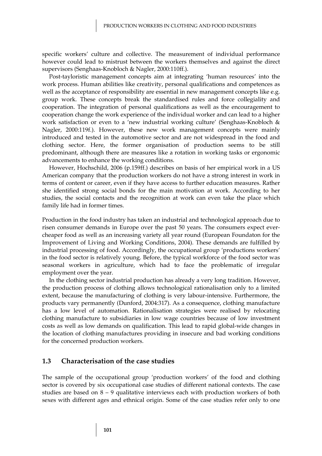specific workers' culture and collective. The measurement of individual performance however could lead to mistrust between the workers themselves and against the direct supervisors (Senghaas-Knobloch & Nagler, 2000:110ff.).

Post-tayloristic management concepts aim at integrating 'human resources' into the work process. Human abilities like creativity, personal qualifications and competences as well as the acceptance of responsibility are essential in new management concepts like e.g. group work. These concepts break the standardised rules and force collegiality and cooperation. The integration of personal qualifications as well as the encouragement to cooperation change the work experience of the individual worker and can lead to a higher work satisfaction or even to a 'new industrial working culture' (Senghaas-Knobloch & Nagler, 2000:119f.). However, these new work management concepts were mainly introduced and tested in the automotive sector and are not widespread in the food and clothing sector. Here, the former organisation of production seems to be still predominant, although there are measures like a rotation in working tasks or ergonomic advancements to enhance the working conditions.

However, Hochschild, 2006 (p.159ff.) describes on basis of her empirical work in a US American company that the production workers do not have a strong interest in work in terms of content or career, even if they have access to further education measures. Rather she identified strong social bonds for the main motivation at work. According to her studies, the social contacts and the recognition at work can even take the place which family life had in former times.

Production in the food industry has taken an industrial and technological approach due to risen consumer demands in Europe over the past 50 years. The consumers expect evercheaper food as well as an increasing variety all year round (European Foundaton for the Improvement of Living and Working Conditions, 2004). These demands are fulfilled by industrial processing of food. Accordingly, the occupational group 'productions workers' in the food sector is relatively young. Before, the typical workforce of the food sector was seasonal workers in agriculture, which had to face the problematic of irregular employment over the year.

In the clothing sector industrial production has already a very long tradition. However, the production process of clothing allows technological rationalisation only to a limited extent, because the manufacturing of clothing is very labour-intensive. Furthermore, the products vary permanently (Dunford, 2004:317). As a consequence, clothing manufacture has a low level of automation. Rationalisation strategies were realised by relocating clothing manufacture to subsidiaries in low wage countries because of low investment costs as well as low demands on qualification. This lead to rapid global-wide changes in the location of clothing manufactures providing in insecure and bad working conditions for the concerned production workers.

### **1.3 Characterisation of the case studies**

The sample of the occupational group 'production workers' of the food and clothing sector is covered by six occupational case studies of different national contexts. The case studies are based on 8 – 9 qualitative interviews each with production workers of both sexes with different ages and ethnical origin. Some of the case studies refer only to one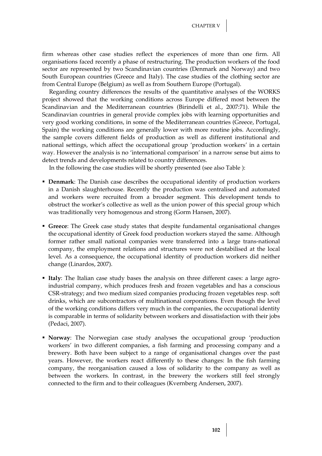firm whereas other case studies reflect the experiences of more than one firm. All organisations faced recently a phase of restructuring. The production workers of the food sector are represented by two Scandinavian countries (Denmark and Norway) and two South European countries (Greece and Italy). The case studies of the clothing sector are from Central Europe (Belgium) as well as from Southern Europe (Portugal).

Regarding country differences the results of the quantitative analyses of the WORKS project showed that the working conditions across Europe differed most between the Scandinavian and the Mediterranean countries (Birindelli et al., 2007:71). While the Scandinavian countries in general provide complex jobs with learning opportunities and very good working conditions, in some of the Mediterranean countries (Greece, Portugal, Spain) the working conditions are generally lower with more routine jobs. Accordingly, the sample covers different fields of production as well as different institutional and national settings, which affect the occupational group 'production workers' in a certain way. However the analysis is no 'international comparison' in a narrow sense but aims to detect trends and developments related to country differences.

In the following the case studies will be shortly presented (see also Table ):

- **Denmark:** The Danish case describes the occupational identity of production workers in a Danish slaughterhouse. Recently the production was centralised and automated and workers were recruited from a broader segment. This development tends to obstruct the worker's collective as well as the union power of this special group which was traditionally very homogenous and strong (Gorm Hansen, 2007).
- **Greece**: The Greek case study states that despite fundamental organisational changes the occupational identity of Greek food production workers stayed the same. Although former rather small national companies were transferred into a large trans-national company, the employment relations and structures were not destabilised at the local level. As a consequence, the occupational identity of production workers did neither change (Linardos, 2007).
- **Italy**: The Italian case study bases the analysis on three different cases: a large agroindustrial company, which produces fresh and frozen vegetables and has a conscious CSR-strategy; and two medium sized companies producing frozen vegetables resp. soft drinks, which are subcontractors of multinational corporations. Even though the level of the working conditions differs very much in the companies, the occupational identity is comparable in terms of solidarity between workers and dissatisfaction with their jobs (Pedaci, 2007).
- **Norway**: The Norwegian case study analyses the occupational group 'production workers' in two different companies, a fish farming and processing company and a brewery. Both have been subject to a range of organisational changes over the past years. However, the workers react differently to these changes: In the fish farming company, the reorganisation caused a loss of solidarity to the company as well as between the workers. In contrast, in the brewery the workers still feel strongly connected to the firm and to their colleagues (Kvernberg Andersen, 2007).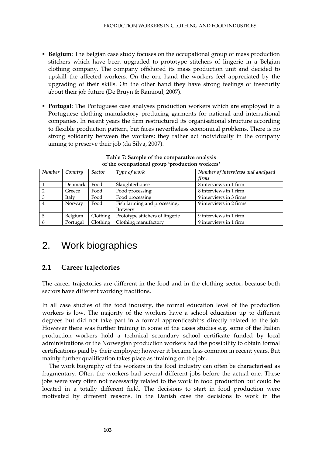- **Belgium**: The Belgian case study focuses on the occupational group of mass production stitchers which have been upgraded to prototype stitchers of lingerie in a Belgian clothing company. The company offshored its mass production unit and decided to upskill the affected workers. On the one hand the workers feel appreciated by the upgrading of their skills. On the other hand they have strong feelings of insecurity about their job future (De Bruyn & Ramioul, 2007).
- **Portugal**: The Portuguese case analyses production workers which are employed in a Portuguese clothing manufactory producing garments for national and international companies. In recent years the firm restructured its organisational structure according to flexible production pattern, but faces nevertheless economical problems. There is no strong solidarity between the workers; they rather act individually in the company aiming to preserve their job (da Silva, 2007).

| Number        | Country  | <b>Sector</b> | Type of work                                   | Number of interviews and analysed<br>firms |
|---------------|----------|---------------|------------------------------------------------|--------------------------------------------|
|               | Denmark  | Food          | Slaughterhouse                                 | 8 interviews in 1 firm                     |
| $\mathcal{D}$ | Greece   | Food          | Food processing                                | 8 interviews in 1 firm                     |
| 3             | Italy    | Food          | Food processing                                | 9 interviews in 3 firms                    |
| 4             | Norway   | Food          | Fish farming and processing;<br><b>Brewery</b> | 9 interviews in 2 firms                    |
| 5             | Belgium  | Clothing      | Prototype stitchers of lingerie                | 9 interviews in 1 firm                     |
| 6             | Portugal | Clothing      | Clothing manufactory                           | 9 interviews in 1 firm                     |

**Table 7: Sample of the comparative analysis of the occupational group 'production workers'** 

# 2. Work biographies

## **2.1 Career trajectories**

The career trajectories are different in the food and in the clothing sector, because both sectors have different working traditions.

In all case studies of the food industry, the formal education level of the production workers is low. The majority of the workers have a school education up to different degrees but did not take part in a formal apprenticeships directly related to the job. However there was further training in some of the cases studies e.g. some of the Italian production workers hold a technical secondary school certificate funded by local administrations or the Norwegian production workers had the possibility to obtain formal certifications paid by their employer; however it became less common in recent years. But mainly further qualification takes place as 'training on the job'.

The work biography of the workers in the food industry can often be characterised as fragmentary. Often the workers had several different jobs before the actual one. These jobs were very often not necessarily related to the work in food production but could be located in a totally different field. The decisions to start in food production were motivated by different reasons. In the Danish case the decisions to work in the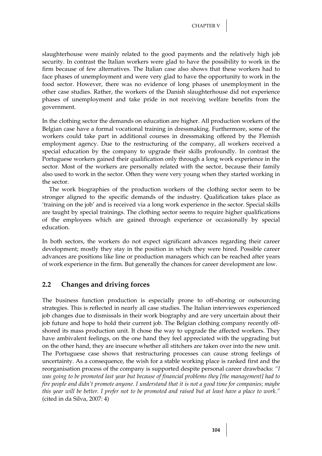slaughterhouse were mainly related to the good payments and the relatively high job security. In contrast the Italian workers were glad to have the possibility to work in the firm because of few alternatives. The Italian case also shows that these workers had to face phases of unemployment and were very glad to have the opportunity to work in the food sector. However, there was no evidence of long phases of unemployment in the other case studies. Rather, the workers of the Danish slaughterhouse did not experience phases of unemployment and take pride in not receiving welfare benefits from the government.

In the clothing sector the demands on education are higher. All production workers of the Belgian case have a formal vocational training in dressmaking. Furthermore, some of the workers could take part in additional courses in dressmaking offered by the Flemish employment agency. Due to the restructuring of the company, all workers received a special education by the company to upgrade their skills profoundly. In contrast the Portuguese workers gained their qualification only through a long work experience in the sector. Most of the workers are personally related with the sector, because their family also used to work in the sector. Often they were very young when they started working in the sector.

The work biographies of the production workers of the clothing sector seem to be stronger aligned to the specific demands of the industry. Qualification takes place as 'training on the job' and is received via a long work experience in the sector. Special skills are taught by special trainings. The clothing sector seems to require higher qualifications of the employees which are gained through experience or occasionally by special education.

In both sectors, the workers do not expect significant advances regarding their career development; mostly they stay in the position in which they were hired. Possible career advances are positions like line or production managers which can be reached after years of work experience in the firm. But generally the chances for career development are low.

## **2.2 Changes and driving forces**

The business function production is especially prone to off-shoring or outsourcing strategies. This is reflected in nearly all case studies. The Italian interviewees experienced job changes due to dismissals in their work biography and are very uncertain about their job future and hope to hold their current job. The Belgian clothing company recently offshored its mass production unit. It chose the way to upgrade the affected workers. They have ambivalent feelings, on the one hand they feel appreciated with the upgrading but on the other hand, they are insecure whether all stitchers are taken over into the new unit. The Portuguese case shows that restructuring processes can cause strong feelings of uncertainty. As a consequence, the wish for a stable working place is ranked first and the reorganisation process of the company is supported despite personal career drawbacks: *"I was going to be promoted last year but because of financial problems they [the management] had to fire people and didn't promote anyone. I understand that it is not a good time for companies; maybe this year will be better. I prefer not to be promoted and raised but at least have a place to work."* (cited in da Silva, 2007: 4)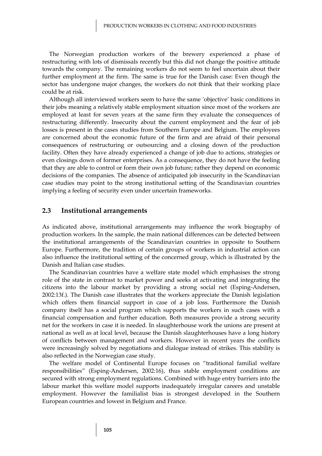The Norwegian production workers of the brewery experienced a phase of restructuring with lots of dismissals recently but this did not change the positive attitude towards the company. The remaining workers do not seem to feel uncertain about their further employment at the firm. The same is true for the Danish case: Even though the sector has undergone major changes, the workers do not think that their working place could be at risk.

Although all interviewed workers seem to have the same 'objective' basic conditions in their jobs meaning a relatively stable employment situation since most of the workers are employed at least for seven years at the same firm they evaluate the consequences of restructuring differently. Insecurity about the current employment and the fear of job losses is present in the cases studies from Southern Europe and Belgium. The employees are concerned about the economic future of the firm and are afraid of their personal consequences of restructuring or outsourcing and a closing down of the production facility. Often they have already experienced a change of job due to actions, strategies or even closings down of former enterprises. As a consequence, they do not have the feeling that they are able to control or form their own job future; rather they depend on economic decisions of the companies. The absence of anticipated job insecurity in the Scandinavian case studies may point to the strong institutional setting of the Scandinavian countries implying a feeling of security even under uncertain frameworks.

#### **2.3 Institutional arrangements**

As indicated above, institutional arrangements may influence the work biography of production workers. In the sample, the main national differences can be detected between the institutional arrangements of the Scandinavian countries in opposite to Southern Europe. Furthermore, the tradition of certain groups of workers in industrial action can also influence the institutional setting of the concerned group, which is illustrated by the Danish and Italian case studies.

The Scandinavian countries have a welfare state model which emphasises the strong role of the state in contrast to market power and seeks at activating and integrating the citizens into the labour market by providing a strong social net (Esping-Andersen, 2002:13f.). The Danish case illustrates that the workers appreciate the Danish legislation which offers them financial support in case of a job loss. Furthermore the Danish company itself has a social program which supports the workers in such cases with a financial compensation and further education. Both measures provide a strong security net for the workers in case it is needed. In slaughterhouse work the unions are present at national as well as at local level, because the Danish slaughterhouses have a long history of conflicts between management and workers. However in recent years the conflicts were increasingly solved by negotiations and dialogue instead of strikes. This stability is also reflected in the Norwegian case study.

The welfare model of Continental Europe focuses on "traditional familial welfare responsibilities" (Esping-Andersen, 2002:16), thus stable employment conditions are secured with strong employment regulations. Combined with huge entry barriers into the labour market this welfare model supports inadequately irregular careers and unstable employment. However the familialist bias is strongest developed in the Southern European countries and lowest in Belgium and France.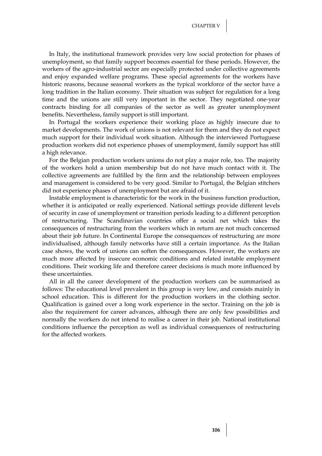In Italy, the institutional framework provides very low social protection for phases of unemployment, so that family support becomes essential for these periods. However, the workers of the agro-industrial sector are especially protected under collective agreements and enjoy expanded welfare programs. These special agreements for the workers have historic reasons, because seasonal workers as the typical workforce of the sector have a long tradition in the Italian economy. Their situation was subject for regulation for a long time and the unions are still very important in the sector. They negotiated one-year contracts binding for all companies of the sector as well as greater unemployment benefits. Nevertheless, family support is still important.

In Portugal the workers experience their working place as highly insecure due to market developments. The work of unions is not relevant for them and they do not expect much support for their individual work situation. Although the interviewed Portuguese production workers did not experience phases of unemployment, family support has still a high relevance.

For the Belgian production workers unions do not play a major role, too. The majority of the workers hold a union membership but do not have much contact with it. The collective agreements are fulfilled by the firm and the relationship between employees and management is considered to be very good. Similar to Portugal, the Belgian stitchers did not experience phases of unemployment but are afraid of it.

Instable employment is characteristic for the work in the business function production, whether it is anticipated or really experienced. National settings provide different levels of security in case of unemployment or transition periods leading to a different perception of restructuring. The Scandinavian countries offer a social net which takes the consequences of restructuring from the workers which in return are not much concerned about their job future. In Continental Europe the consequences of restructuring are more individualised, although family networks have still a certain importance. As the Italian case shows, the work of unions can soften the consequences. However, the workers are much more affected by insecure economic conditions and related instable employment conditions. Their working life and therefore career decisions is much more influenced by these uncertainties.

All in all the career development of the production workers can be summarised as follows: The educational level prevalent in this group is very low, and consists mainly in school education. This is different for the production workers in the clothing sector. Qualification is gained over a long work experience in the sector. Training on the job is also the requirement for career advances, although there are only few possibilities and normally the workers do not intend to realise a career in their job. National institutional conditions influence the perception as well as individual consequences of restructuring for the affected workers.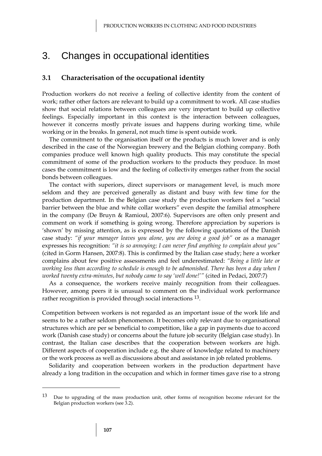# 3. Changes in occupational identities

#### **3.1 Characterisation of the occupational identity**

Production workers do not receive a feeling of collective identity from the content of work; rather other factors are relevant to build up a commitment to work. All case studies show that social relations between colleagues are very important to build up collective feelings. Especially important in this context is the interaction between colleagues, however it concerns mostly private issues and happens during working time, while working or in the breaks. In general, not much time is spent outside work.

The commitment to the organisation itself or the products is much lower and is only described in the case of the Norwegian brewery and the Belgian clothing company. Both companies produce well known high quality products. This may constitute the special commitment of some of the production workers to the products they produce. In most cases the commitment is low and the feeling of collectivity emerges rather from the social bonds between colleagues.

The contact with superiors, direct supervisors or management level, is much more seldom and they are perceived generally as distant and busy with few time for the production department. In the Belgian case study the production workers feel a "social barrier between the blue and white collar workers" even despite the familial atmosphere in the company (De Bruyn & Ramioul, 2007:6). Supervisors are often only present and comment on work if something is going wrong. Therefore appreciation by superiors is 'shown' by missing attention, as is expressed by the following quotations of the Danish case study: *"if your manager leaves you alone, you are doing a good job"* or as a manager expresses his recognition: *"it is so annoying; I can never find anything to complain about you"* (cited in Gorm Hansen, 2007:8). This is confirmed by the Italian case study; here a worker complains about few positive assessments and feel underestimated: *"Being a little late or working less than according to schedule is enough to be admonished. There has been a day when I worked twenty extra-minutes, but nobody came to say 'well done!'"* (cited in Pedaci, 2007:7)

As a consequence, the workers receive mainly recognition from their colleagues. However, among peers it is unusual to comment on the individual work performance rather recognition is provided through social interactions <sup>13</sup>.

Competition between workers is not regarded as an important issue of the work life and seems to be a rather seldom phenomenon. It becomes only relevant due to organisational structures which are per se beneficial to competition, like a gap in payments due to accord work (Danish case study) or concerns about the future job security (Belgian case study). In contrast, the Italian case describes that the cooperation between workers are high. Different aspects of cooperation include e.g. the share of knowledge related to machinery or the work process as well as discussions about and assistance in job related problems.

Solidarity and cooperation between workers in the production department have already a long tradition in the occupation and which in former times gave rise to a strong

 $\overline{a}$ 

<sup>13</sup> Due to upgrading of the mass production unit, other forms of recognition become relevant for the Belgian production workers (see 3.2).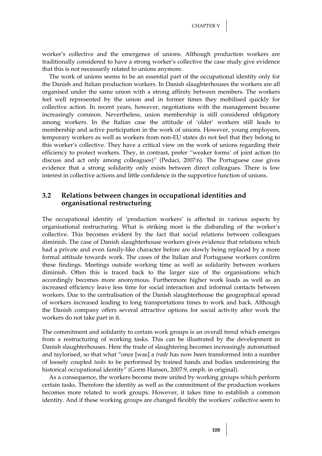worker's collective and the emergence of unions. Although production workers are traditionally considered to have a strong worker's collective the case study give evidence that this is not necessarily related to unions anymore.

The work of unions seems to be an essential part of the occupational identity only for the Danish and Italian production workers. In Danish slaughterhouses the workers are all organised under the same union with a strong affinity between members. The workers feel well represented by the union and in former times they mobilised quickly for collective action. In recent years, however, negotiations with the management became increasingly common. Nevertheless, union membership is still considered obligatory among workers. In the Italian case the attitude of 'older' workers still leads to membership and active participation in the work of unions. However, young employees, temporary workers as well as workers from non-EU states do not feel that they belong to this worker's collective. They have a critical view on the work of unions regarding their efficiency to protect workers. They, in contrast, prefer ''weaker forms' of joint action (to discuss and act only among colleagues)" (Pedaci, 2007:6). The Portuguese case gives evidence that a strong solidarity only exists between direct colleagues. There is low interest in collective actions and little confidence in the supportive function of unions.

## **3.2 Relations between changes in occupational identities and organisational restructuring**

The occupational identity of 'production workers' is affected in various aspects by organisational restructuring. What is striking most is the disbanding of the worker's collective. This becomes evident by the fact that social relations between colleagues diminish. The case of Danish slaughterhouse workers gives evidence that relations which had a private and even family-like character before are slowly being replaced by a more formal attitude towards work. The cases of the Italian and Portuguese workers confirm these findings. Meetings outside working time as well as solidarity between workers diminish. Often this is traced back to the larger size of the organisations which accordingly becomes more anonymous. Furthermore higher work loads as well as an increased efficiency leave less time for social interaction and informal contacts between workers. Due to the centralisation of the Danish slaughterhouse the geographical spread of workers increased leading to long transportations times to work and back. Although the Danish company offers several attractive options for social activity after work the workers do not take part in it.

The commitment and solidarity to certain work groups is an overall trend which emerges from a restructuring of working tasks. This can be illustrated by the development in Danish slaughterhouses. Here the trade of slaughtering becomes increasingly automatised and taylorised, so that what "once [was] a *trade* has now been transformed into a number of loosely coupled *tasks* to be performed by trained hands and bodies undermining the historical occupational identity" (Gorm Hansen, 2007:9, emph. in original).

As a consequence, the workers become more united by working groups which perform certain tasks. Therefore the identity as well as the commitment of the production workers becomes more related to work groups. However, it takes time to establish a common identity. And if these working groups are changed flexibly the workers' collective seem to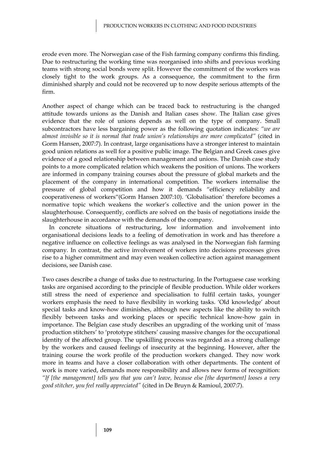erode even more. The Norwegian case of the Fish farming company confirms this finding. Due to restructuring the working time was reorganised into shifts and previous working teams with strong social bonds were split. However the commitment of the workers was closely tight to the work groups. As a consequence, the commitment to the firm diminished sharply and could not be recovered up to now despite serious attempts of the firm.

Another aspect of change which can be traced back to restructuring is the changed attitude towards unions as the Danish and Italian cases show. The Italian case gives evidence that the role of unions depends as well on the type of company. Small subcontractors have less bargaining power as the following quotation indicates: *"we are almost invisible so it is normal that trade union's relationships are more complicated"* (cited in Gorm Hansen, 2007:7). In contrast, large organisations have a stronger interest to maintain good union relations as well for a positive public image. The Belgian and Greek cases give evidence of a good relationship between management and unions. The Danish case study points to a more complicated relation which weakens the position of unions. The workers are informed in company training courses about the pressure of global markets and the placement of the company in international competition. The workers internalise the pressure of global competition and how it demands "efficiency reliability and cooperativeness of workers"(Gorm Hansen 2007:10). 'Globalisation' therefore becomes a normative topic which weakens the worker's collective and the union power in the slaughterhouse. Consequently, conflicts are solved on the basis of negotiations inside the slaughterhouse in accordance with the demands of the company.

In concrete situations of restructuring, low information and involvement into organisational decisions leads to a feeling of demotivation in work and has therefore a negative influence on collective feelings as was analysed in the Norwegian fish farming company. In contrast, the active involvement of workers into decisions processes gives rise to a higher commitment and may even weaken collective action against management decisions, see Danish case.

Two cases describe a change of tasks due to restructuring. In the Portuguese case working tasks are organised according to the principle of flexible production. While older workers still stress the need of experience and specialisation to fulfil certain tasks, younger workers emphasis the need to have flexibility in working tasks. 'Old knowledge' about special tasks and know-how diminishes, although new aspects like the ability to switch flexibly between tasks and working places or specific technical know-how gain in importance. The Belgian case study describes an upgrading of the working unit of 'mass production stitchers' to 'prototype stitchers' causing massive changes for the occupational identity of the affected group. The upskilling process was regarded as a strong challenge by the workers and caused feelings of insecurity at the beginning. However, after the training course the work profile of the production workers changed. They now work more in teams and have a closer collaboration with other departments. The content of work is more varied, demands more responsibility and allows new forms of recognition: *"If [the management] tells you that you can't leave, because else [the department] looses a very good stitcher, you feel really appreciated"* (cited in De Bruyn & Ramioul, 2007:7).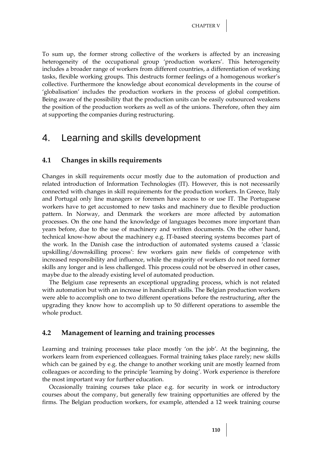To sum up, the former strong collective of the workers is affected by an increasing heterogeneity of the occupational group 'production workers'. This heterogeneity includes a broader range of workers from different countries, a differentiation of working tasks, flexible working groups. This destructs former feelings of a homogenous worker's collective. Furthermore the knowledge about economical developments in the course of 'globalisation' includes the production workers in the process of global competition. Being aware of the possibility that the production units can be easily outsourced weakens the position of the production workers as well as of the unions. Therefore, often they aim at supporting the companies during restructuring.

## 4. Learning and skills development

## **4.1 Changes in skills requirements**

Changes in skill requirements occur mostly due to the automation of production and related introduction of Information Technologies (IT). However, this is not necessarily connected with changes in skill requirements for the production workers. In Greece, Italy and Portugal only line managers or foremen have access to or use IT. The Portuguese workers have to get accustomed to new tasks and machinery due to flexible production pattern. In Norway, and Denmark the workers are more affected by automation processes. On the one hand the knowledge of languages becomes more important than years before, due to the use of machinery and written documents. On the other hand, technical know-how about the machinery e.g. IT-based steering systems becomes part of the work. In the Danish case the introduction of automated systems caused a 'classic upskilling/downskilling process': few workers gain new fields of competence with increased responsibility and influence, while the majority of workers do not need former skills any longer and is less challenged. This process could not be observed in other cases, maybe due to the already existing level of automated production.

The Belgium case represents an exceptional upgrading process, which is not related with automation but with an increase in handicraft skills. The Belgian production workers were able to accomplish one to two different operations before the restructuring, after the upgrading they know how to accomplish up to 50 different operations to assemble the whole product.

#### **4.2 Management of learning and training processes**

Learning and training processes take place mostly 'on the job'. At the beginning, the workers learn from experienced colleagues. Formal training takes place rarely; new skills which can be gained by e.g. the change to another working unit are mostly learned from colleagues or according to the principle 'learning by doing'. Work experience is therefore the most important way for further education.

Occasionally training courses take place e.g. for security in work or introductory courses about the company, but generally few training opportunities are offered by the firms. The Belgian production workers, for example, attended a 12 week training course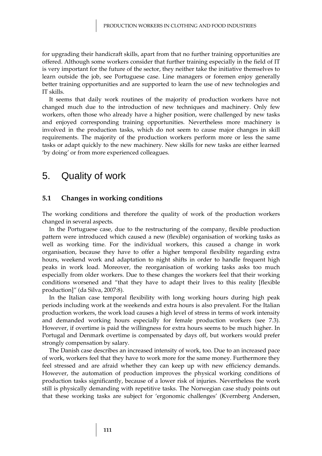for upgrading their handicraft skills, apart from that no further training opportunities are offered. Although some workers consider that further training especially in the field of IT is very important for the future of the sector, they neither take the initiative themselves to learn outside the job, see Portuguese case. Line managers or foremen enjoy generally better training opportunities and are supported to learn the use of new technologies and IT skills.

It seems that daily work routines of the majority of production workers have not changed much due to the introduction of new techniques and machinery. Only few workers, often those who already have a higher position, were challenged by new tasks and enjoyed corresponding training opportunities. Nevertheless more machinery is involved in the production tasks, which do not seem to cause major changes in skill requirements. The majority of the production workers perform more or less the same tasks or adapt quickly to the new machinery. New skills for new tasks are either learned 'by doing' or from more experienced colleagues.

## 5. Quality of work

#### **5.1 Changes in working conditions**

The working conditions and therefore the quality of work of the production workers changed in several aspects.

In the Portuguese case, due to the restructuring of the company, flexible production pattern were introduced which caused a new (flexible) organisation of working tasks as well as working time. For the individual workers, this caused a change in work organisation, because they have to offer a higher temporal flexibility regarding extra hours, weekend work and adaptation to night shifts in order to handle frequent high peaks in work load. Moreover, the reorganisation of working tasks asks too much especially from older workers. Due to these changes the workers feel that their working conditions worsened and "that they have to adapt their lives to this reality [flexible production]" (da Silva, 2007:8).

In the Italian case temporal flexibility with long working hours during high peak periods including work at the weekends and extra hours is also prevalent. For the Italian production workers, the work load causes a high level of stress in terms of work intensity and demanded working hours especially for female production workers (see 7.3). However, if overtime is paid the willingness for extra hours seems to be much higher. In Portugal and Denmark overtime is compensated by days off, but workers would prefer strongly compensation by salary.

The Danish case describes an increased intensity of work, too. Due to an increased pace of work, workers feel that they have to work more for the same money. Furthermore they feel stressed and are afraid whether they can keep up with new efficiency demands. However, the automation of production improves the physical working conditions of production tasks significantly, because of a lower risk of injuries. Nevertheless the work still is physically demanding with repetitive tasks. The Norwegian case study points out that these working tasks are subject for 'ergonomic challenges' (Kvernberg Andersen,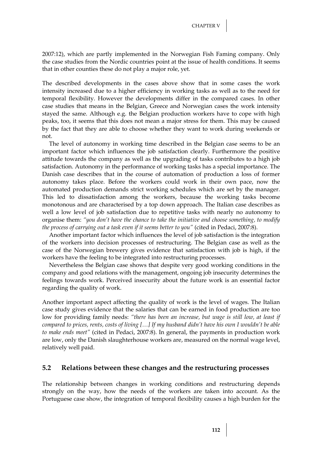2007:12), which are partly implemented in the Norwegian Fish Faming company. Only the case studies from the Nordic countries point at the issue of health conditions. It seems that in other counties these do not play a major role, yet.

The described developments in the cases above show that in some cases the work intensity increased due to a higher efficiency in working tasks as well as to the need for temporal flexibility. However the developments differ in the compared cases. In other case studies that means in the Belgian, Greece and Norwegian cases the work intensity stayed the same. Although e.g. the Belgian production workers have to cope with high peaks, too, it seems that this does not mean a major stress for them. This may be caused by the fact that they are able to choose whether they want to work during weekends or not.

The level of autonomy in working time described in the Belgian case seems to be an important factor which influences the job satisfaction clearly. Furthermore the positive attitude towards the company as well as the upgrading of tasks contributes to a high job satisfaction. Autonomy in the performance of working tasks has a special importance. The Danish case describes that in the course of automation of production a loss of former autonomy takes place. Before the workers could work in their own pace, now the automated production demands strict working schedules which are set by the manager. This led to dissatisfaction among the workers, because the working tasks become monotonous and are characterised by a top down approach. The Italian case describes as well a low level of job satisfaction due to repetitive tasks with nearly no autonomy to organise them: *"you don't have the chance to take the initiative and choose something, to modify the process of carrying out a task even if it seems better to you"* (cited in Pedaci, 2007:8).

Another important factor which influences the level of job satisfaction is the integration of the workers into decision processes of restructuring. The Belgian case as well as the case of the Norwegian brewery gives evidence that satisfaction with job is high, if the workers have the feeling to be integrated into restructuring processes.

Nevertheless the Belgian case shows that despite very good working conditions in the company and good relations with the management, ongoing job insecurity determines the feelings towards work. Perceived insecurity about the future work is an essential factor regarding the quality of work.

Another important aspect affecting the quality of work is the level of wages. The Italian case study gives evidence that the salaries that can be earned in food production are too low for providing family needs: *"there has been an increase, but wage is still low, at least if compared to prices, rents, costs of living […] If my husband didn't have his own I wouldn't be able to make ends meet"* (cited in Pedaci, 2007:8). In general, the payments in production work are low, only the Danish slaughterhouse workers are, measured on the normal wage level, relatively well paid.

### **5.2 Relations between these changes and the restructuring processes**

The relationship between changes in working conditions and restructuring depends strongly on the way, how the needs of the workers are taken into account. As the Portuguese case show, the integration of temporal flexibility causes a high burden for the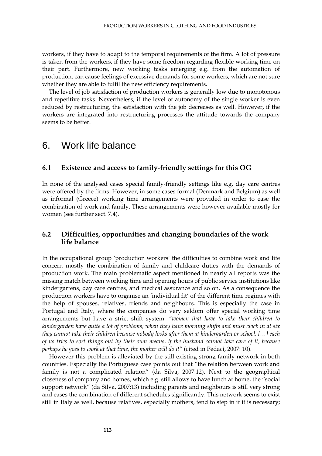workers, if they have to adapt to the temporal requirements of the firm. A lot of pressure is taken from the workers, if they have some freedom regarding flexible working time on their part. Furthermore, new working tasks emerging e.g. from the automation of production, can cause feelings of excessive demands for some workers, which are not sure whether they are able to fulfil the new efficiency requirements.

The level of job satisfaction of production workers is generally low due to monotonous and repetitive tasks. Nevertheless, if the level of autonomy of the single worker is even reduced by restructuring, the satisfaction with the job decreases as well. However, if the workers are integrated into restructuring processes the attitude towards the company seems to be better.

## 6. Work life balance

### **6.1 Existence and access to family-friendly settings for this OG**

In none of the analysed cases special family-friendly settings like e.g. day care centres were offered by the firms. However, in some cases formal (Denmark and Belgium) as well as informal (Greece) working time arrangements were provided in order to ease the combination of work and family. These arrangements were however available mostly for women (see further sect. 7.4).

## **6.2 Difficulties, opportunities and changing boundaries of the work life balance**

In the occupational group 'production workers' the difficulties to combine work and life concern mostly the combination of family and childcare duties with the demands of production work. The main problematic aspect mentioned in nearly all reports was the missing match between working time and opening hours of public service institutions like kindergartens, day care centres, and medical assurance and so on. As a consequence the production workers have to organise an 'individual fit' of the different time regimes with the help of spouses, relatives, friends and neighbours. This is especially the case in Portugal and Italy, where the companies do very seldom offer special working time arrangements but have a strict shift system: *"women that have to take their children to kindergarden have quite a lot of problems; when they have morning shifts and must clock in at six they cannot take their children because nobody looks after them at kindergarden or school. […] each of us tries to sort things out by their own means, if the husband cannot take care of it, because perhaps he goes to work at that time, the mother will do it"* (cited in Pedaci, 2007: 10).

However this problem is alleviated by the still existing strong family network in both countries. Especially the Portuguese case points out that "the relation between work and family is not a complicated relation" (da Silva, 2007:12). Next to the geographical closeness of company and homes, which e.g. still allows to have lunch at home, the "social support network" (da Silva, 2007:13) including parents and neighbours is still very strong and eases the combination of different schedules significantly. This network seems to exist still in Italy as well, because relatives, especially mothers, tend to step in if it is necessary;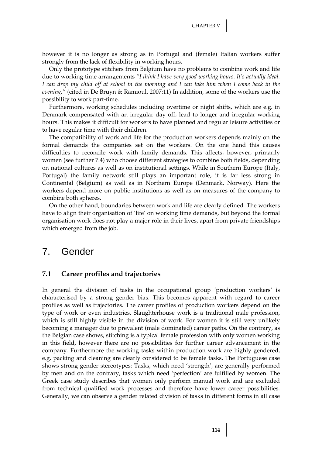however it is no longer as strong as in Portugal and (female) Italian workers suffer strongly from the lack of flexibility in working hours.

Only the prototype stitchers from Belgium have no problems to combine work and life due to working time arrangements *"I think I have very good working hours. It's actually ideal. I can drop my child off at school in the morning and I can take him when I come back in the evening."* (cited in De Bruyn & Ramioul, 2007:11) In addition, some of the workers use the possibility to work part-time.

Furthermore, working schedules including overtime or night shifts, which are e.g. in Denmark compensated with an irregular day off, lead to longer and irregular working hours. This makes it difficult for workers to have planned and regular leisure activities or to have regular time with their children.

The compatibility of work and life for the production workers depends mainly on the formal demands the companies set on the workers. On the one hand this causes difficulties to reconcile work with family demands. This affects, however, primarily women (see further 7.4) who choose different strategies to combine both fields, depending on national cultures as well as on institutional settings. While in Southern Europe (Italy, Portugal) the family network still plays an important role, it is far less strong in Continental (Belgium) as well as in Northern Europe (Denmark, Norway). Here the workers depend more on public institutions as well as on measures of the company to combine both spheres.

On the other hand, boundaries between work and life are clearly defined. The workers have to align their organisation of 'life' on working time demands, but beyond the formal organisation work does not play a major role in their lives, apart from private friendships which emerged from the job.

## 7. Gender

#### **7.1 Career profiles and trajectories**

In general the division of tasks in the occupational group 'production workers' is characterised by a strong gender bias. This becomes apparent with regard to career profiles as well as trajectories. The career profiles of production workers depend on the type of work or even industries. Slaughterhouse work is a traditional male profession, which is still highly visible in the division of work. For women it is still very unlikely becoming a manager due to prevalent (male dominated) career paths. On the contrary, as the Belgian case shows, stitching is a typical female profession with only women working in this field, however there are no possibilities for further career advancement in the company. Furthermore the working tasks within production work are highly gendered, e.g. packing and cleaning are clearly considered to be female tasks. The Portuguese case shows strong gender stereotypes: Tasks, which need 'strength', are generally performed by men and on the contrary, tasks which need 'perfection' are fulfilled by women. The Greek case study describes that women only perform manual work and are excluded from technical qualified work processes and therefore have lower career possibilities. Generally, we can observe a gender related division of tasks in different forms in all case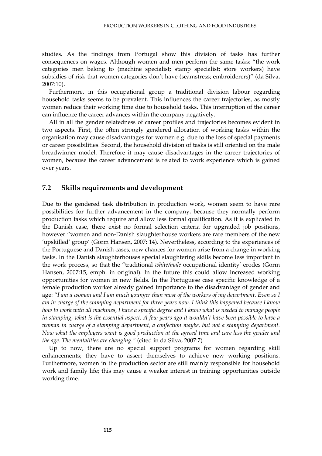studies. As the findings from Portugal show this division of tasks has further consequences on wages. Although women and men perform the same tasks: "the work categories men belong to (machine specialist; stamp specialist; store workers) have subsidies of risk that women categories don't have (seamstress; embroiderers)" (da Silva, 2007:10).

Furthermore, in this occupational group a traditional division labour regarding household tasks seems to be prevalent. This influences the career trajectories, as mostly women reduce their working time due to household tasks. This interruption of the career can influence the career advances within the company negatively.

All in all the gender relatedness of career profiles and trajectories becomes evident in two aspects. First, the often strongly gendered allocation of working tasks within the organisation may cause disadvantages for women e.g. due to the loss of special payments or career possibilities. Second, the household division of tasks is still oriented on the male breadwinner model. Therefore it may cause disadvantages in the career trajectories of women, because the career advancement is related to work experience which is gained over years.

### **7.2 Skills requirements and development**

Due to the gendered task distribution in production work, women seem to have rare possibilities for further advancement in the company, because they normally perform production tasks which require and allow less formal qualification. As it is explicated in the Danish case, there exist no formal selection criteria for upgraded job positions, however "women and non-Danish slaughterhouse workers are rare members of the new 'upskilled' group' (Gorm Hansen, 2007: 14). Nevertheless, according to the experiences of the Portuguese and Danish cases, new chances for women arise from a change in working tasks. In the Danish slaughterhouses special slaughtering skills become less important in the work process, so that the "traditional *white/male* occupational identity' erodes (Gorm Hansen, 2007:15, emph. in original). In the future this could allow increased working opportunities for women in new fields. In the Portuguese case specific knowledge of a female production worker already gained importance to the disadvantage of gender and age: "*I am a woman and I am much younger than most of the workers of my department. Even so I am in charge of the stamping department for three years now. I think this happened because I know how to work with all machines, I have a specific degree and I know what is needed to manage people in stamping, what is the essential aspect. A few years ago it wouldn't have been possible to have a woman in charge of a stamping department, a confection maybe, but not a stamping department. Now what the employers want is good production at the agreed time and care less the gender and the age. The mentalities are changing."* (cited in da Silva, 2007:7)

Up to now, there are no special support programs for women regarding skill enhancements; they have to assert themselves to achieve new working positions. Furthermore, women in the production sector are still mainly responsible for household work and family life; this may cause a weaker interest in training opportunities outside working time.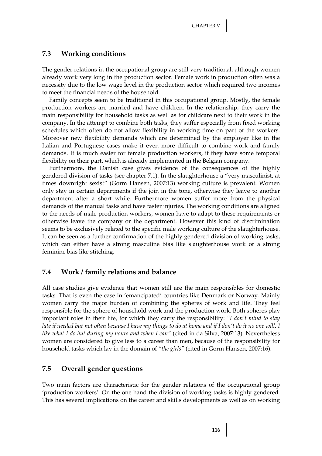#### **7.3 Working conditions**

The gender relations in the occupational group are still very traditional, although women already work very long in the production sector. Female work in production often was a necessity due to the low wage level in the production sector which required two incomes to meet the financial needs of the household.

Family concepts seem to be traditional in this occupational group. Mostly, the female production workers are married and have children. In the relationship, they carry the main responsibility for household tasks as well as for childcare next to their work in the company. In the attempt to combine both tasks, they suffer especially from fixed working schedules which often do not allow flexibility in working time on part of the workers. Moreover new flexibility demands which are determined by the employer like in the Italian and Portuguese cases make it even more difficult to combine work and family demands. It is much easier for female production workers, if they have some temporal flexibility on their part, which is already implemented in the Belgian company.

Furthermore, the Danish case gives evidence of the consequences of the highly gendered division of tasks (see chapter 7.1). In the slaughterhouse a "very masculinist, at times downright sexist" (Gorm Hansen, 2007:13) working culture is prevalent. Women only stay in certain departments if the join in the tone, otherwise they leave to another department after a short while. Furthermore women suffer more from the physical demands of the manual tasks and have faster injuries. The working conditions are aligned to the needs of male production workers, women have to adapt to these requirements or otherwise leave the company or the department. However this kind of discrimination seems to be exclusively related to the specific male working culture of the slaughterhouse. It can be seen as a further confirmation of the highly gendered division of working tasks, which can either have a strong masculine bias like slaughterhouse work or a strong feminine bias like stitching.

### **7.4 Work / family relations and balance**

All case studies give evidence that women still are the main responsibles for domestic tasks. That is even the case in 'emancipated' countries like Denmark or Norway. Mainly women carry the major burden of combining the spheres of work and life. They feel responsible for the sphere of household work and the production work. Both spheres play important roles in their life, for which they carry the responsibility: *"I don't mind to stay late if needed but not often because I have my things to do at home and if I don't do it no one will. I like what I do but during my hours and when I can"* (cited in da Silva, 2007:13). Nevertheless women are considered to give less to a career than men, because of the responsibility for household tasks which lay in the domain of *"the girls"* (cited in Gorm Hansen, 2007:16).

#### **7.5 Overall gender questions**

Two main factors are characteristic for the gender relations of the occupational group 'production workers'. On the one hand the division of working tasks is highly gendered. This has several implications on the career and skills developments as well as on working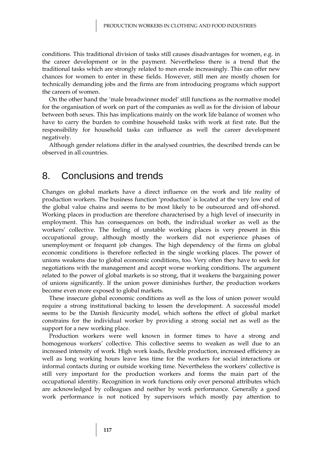conditions. This traditional division of tasks still causes disadvantages for women, e.g. in the career development or in the payment. Nevertheless there is a trend that the traditional tasks which are strongly related to men erode increasingly. This can offer new chances for women to enter in these fields. However, still men are mostly chosen for technically demanding jobs and the firms are from introducing programs which support the careers of women.

On the other hand the 'male breadwinner model' still functions as the normative model for the organisation of work on part of the companies as well as for the division of labour between both sexes. This has implications mainly on the work life balance of women who have to carry the burden to combine household tasks with work at first rate. But the responsibility for household tasks can influence as well the career development negatively.

Although gender relations differ in the analysed countries, the described trends can be observed in all countries.

## 8. Conclusions and trends

Changes on global markets have a direct influence on the work and life reality of production workers. The business function 'production' is located at the very low end of the global value chains and seems to be most likely to be outsourced and off-shored. Working places in production are therefore characterised by a high level of insecurity in employment. This has consequences on both, the individual worker as well as the workers' collective. The feeling of unstable working places is very present in this occupational group, although mostly the workers did not experience phases of unemployment or frequent job changes. The high dependency of the firms on global economic conditions is therefore reflected in the single working places. The power of unions weakens due to global economic conditions, too. Very often they have to seek for negotiations with the management and accept worse working conditions. The argument related to the power of global markets is so strong, that it weakens the bargaining power of unions significantly. If the union power diminishes further, the production workers become even more exposed to global markets.

These insecure global economic conditions as well as the loss of union power would require a strong institutional backing to lessen the development. A successful model seems to be the Danish flexicurity model, which softens the effect of global market constrains for the individual worker by providing a strong social net as well as the support for a new working place.

Production workers were well known in former times to have a strong and homogenous workers' collective. This collective seems to weaken as well due to an increased intensity of work. High work loads, flexible production, increased efficiency as well as long working hours leave less time for the workers for social interactions or informal contacts during or outside working time. Nevertheless the workers' collective is still very important for the production workers and forms the main part of the occupational identity. Recognition in work functions only over personal attributes which are acknowledged by colleagues and neither by work performance. Generally a good work performance is not noticed by supervisors which mostly pay attention to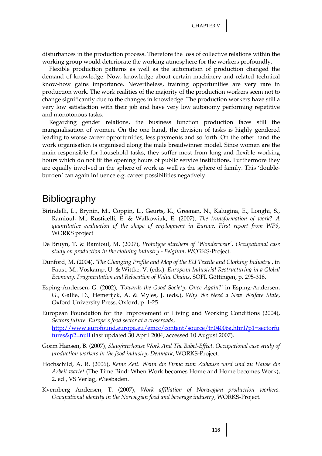disturbances in the production process. Therefore the loss of collective relations within the working group would deteriorate the working atmosphere for the workers profoundly.

Flexible production patterns as well as the automation of production changed the demand of knowledge. Now, knowledge about certain machinery and related technical know-how gains importance. Nevertheless, training opportunities are very rare in production work. The work realities of the majority of the production workers seem not to change significantly due to the changes in knowledge. The production workers have still a very low satisfaction with their job and have very low autonomy performing repetitive and monotonous tasks.

Regarding gender relations, the business function production faces still the marginalisation of women. On the one hand, the division of tasks is highly gendered leading to worse career opportunities, less payments and so forth. On the other hand the work organisation is organised along the male breadwinner model. Since women are the main responsible for household tasks, they suffer most from long and flexible working hours which do not fit the opening hours of public service institutions. Furthermore they are equally involved in the sphere of work as well as the sphere of family. This 'doubleburden' can again influence e.g. career possibilities negatively.

## **Bibliography**

- Birindelli, L., Brynin, M., Coppin, L., Geurts, K., Greenan, N., Kalugina, E., Longhi, S., Ramioul, M., Rusticelli, E. & Walkowiak, E. (2007), *The transformation of work? A quantitative evaluation of the shape of employment in Europe. First report from WP9*, WORKS project
- De Bruyn, T. & Ramioul, M. (2007), *Prototype stitchers of 'Wonderwear'. Occupational case study on production in the clothing industry - Belgium*, WORKS-Project.
- Dunford, M. (2004), '*The Changing Profile and Map of the EU Textile and Clothing Industry*', in Faust, M., Voskamp, U. & Wittke, V. (eds.), *European Industrial Restructuring in a Global Economy: Fragmentation and Relocation of Value Chains*, SOFI, Göttingen, p. 295-318.
- Esping-Andersen, G. (2002), '*Towards the Good Society, Once Again?*' in Esping-Andersen, G., Gallie, D., Hemerijck, A. & Myles, J. (eds.), *Why We Need a New Welfare State*, Oxford University Press, Oxford, p. 1-25.
- European Foundation for the Improvement of Living and Working Conditions (2004), *Sectors future. Europe's food sector at a crossroads*, http://www.eurofound.europa.eu/emcc/content/source/tn04006a.html?p1=sectorfu tures&p2=null (last updated 30 April 2004; accessed 10 August 2007).
- Gorm Hansen, B. (2007), *Slaughterhouse Work And The Babel-Effect. Occupational case study of production workers in the food industry, Denmark*, WORKS-Project.
- Hochschild, A. R. (2006), *Keine Zeit. Wenn die Firma zum Zuhause wird und zu Hause die Arbeit wartet* (The Time Bind: When Work becomes Home and Home becomes Work), 2. ed., VS Verlag, Wiesbaden.
- Kvernberg Andersen, T. (2007), *Work affiliation of Norwegian production workers. Occupational identity in the Norwegian food and beverage industry*, WORKS-Project.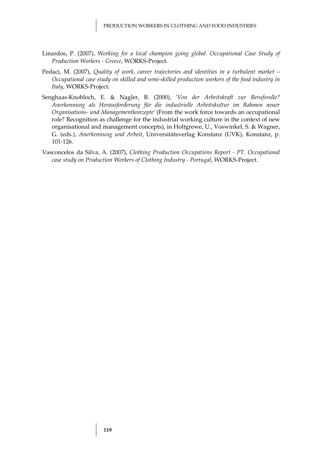- Linardos, P. (2007), *Working for a local champion going global. Occupational Case Study of Production Workers - Greece*, WORKS-Project.
- Pedaci, M. (2007), *Quality of work, career trajectories and identities in a turbulent market Occupational case study on skilled and semi-skilled production workers of the food industry in Italy*, WORKS-Project.
- Senghaas-Knobloch, E. & Nagler, B. (2000), '*Von der Arbeitskraft zur Berufsrolle? Anerkennung als Herausforderung für die industrielle Arbeitskultur im Rahmen neuer Organisations- und Managementkonzepte*' (From the work force towards an occupational role? Recognition as challenge for the industrial working culture in the context of new organisational and management concepts), in Holtgrewe, U., Voswinkel, S. & Wagner, G. (eds.), *Anerkennung und Arbeit*, Universitätsverlag Konstanz (UVK), Konstanz, p. 101-126.
- Vasconcelos da Silva, A. (2007), *Clothing Production Occupations Report PT. Occupational case study on Production Workers of Clothing Industry - Portugal*, WORKS-Project.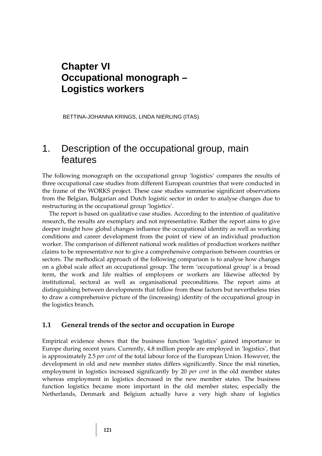# **Chapter VI Occupational monograph – Logistics workers**

BETTINA-JOHANNA KRINGS, LINDA NIERLING (ITAS)

# 1. Description of the occupational group, main features

The following monograph on the occupational group 'logistics' compares the results of three occupational case studies from different European countries that were conducted in the frame of the WORKS project. These case studies summarise significant observations from the Belgian, Bulgarian and Dutch logistic sector in order to analyse changes due to restructuring in the occupational group 'logistics'.

The report is based on qualitative case studies. According to the intention of qualitative research, the results are exemplary and not representative. Rather the report aims to give deeper insight how global changes influence the occupational identity as well as working conditions and career development from the point of view of an individual production worker. The comparison of different national work realities of production workers neither claims to be representative nor to give a comprehensive comparison between countries or sectors. The methodical approach of the following comparison is to analyse how changes on a global scale affect an occupational group. The term 'occupational group' is a broad term, the work and life realties of employees or workers are likewise affected by institutional, sectoral as well as organisational preconditions. The report aims at distinguishing between developments that follow from these factors but nevertheless tries to draw a comprehensive picture of the (increasing) identity of the occupational group in the logistics branch.

## **1.1 General trends of the sector and occupation in Europe**

Empirical evidence shows that the business function 'logistics' gained importance in Europe during recent years. Currently, 4.8 million people are employed in 'logistics', that is approximately 2.5 *per cent* of the total labour force of the European Union. However, the development in old and new member states differs significantly. Since the mid nineties, employment in logistics increased significantly by 20 *per cent* in the old member states whereas employment in logistics decreased in the new member states. The business function logistics became more important in the old member states; especially the Netherlands, Denmark and Belgium actually have a very high share of logistics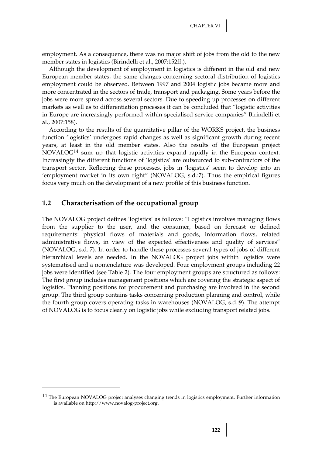employment. As a consequence, there was no major shift of jobs from the old to the new member states in logistics (Birindelli et al., 2007:152ff.).

Although the development of employment in logistics is different in the old and new European member states, the same changes concerning sectoral distribution of logistics employment could be observed. Between 1997 and 2004 logistic jobs became more and more concentrated in the sectors of trade, transport and packaging. Some years before the jobs were more spread across several sectors. Due to speeding up processes on different markets as well as to differentiation processes it can be concluded that "logistic activities in Europe are increasingly performed within specialised service companies" Birindelli et al., 2007:158).

According to the results of the quantitative pillar of the WORKS project, the business function 'logistics' undergoes rapid changes as well as significant growth during recent years, at least in the old member states. Also the results of the European project NOVALOG<sup>14</sup> sum up that logistic activities expand rapidly in the European context. Increasingly the different functions of 'logistics' are outsourced to sub-contractors of the transport sector. Reflecting these processes, jobs in 'logistics' seem to develop into an 'employment market in its own right" (NOVALOG, s.d.:7). Thus the empirical figures focus very much on the development of a new profile of this business function.

#### **1.2 Characterisation of the occupational group**

 $\overline{a}$ 

The NOVALOG project defines 'logistics' as follows: "Logistics involves managing flows from the supplier to the user, and the consumer, based on forecast or defined requirements: physical flows of materials and goods, information flows, related administrative flows, in view of the expected effectiveness and quality of services" (NOVALOG, s.d.:7). In order to handle these processes several types of jobs of different hierarchical levels are needed. In the NOVALOG project jobs within logistics were systematised and a nomenclature was developed. Four employment groups including 22 jobs were identified (see Table 2). The four employment groups are structured as follows: The first group includes management positions which are covering the strategic aspect of logistics. Planning positions for procurement and purchasing are involved in the second group. The third group contains tasks concerning production planning and control, while the fourth group covers operating tasks in warehouses (NOVALOG, s.d.:9). The attempt of NOVALOG is to focus clearly on logistic jobs while excluding transport related jobs.

<sup>14</sup> The European NOVALOG project analyses changing trends in logistics employment. Further information is available on http://www.novalog-project.org.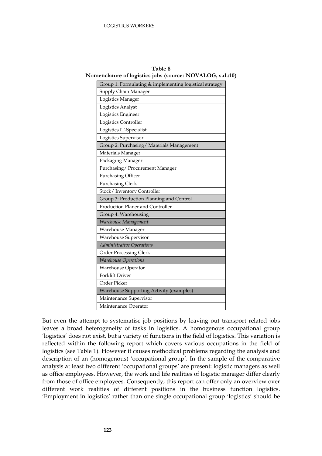| Nomenclature of logistics jobs (source: NOVALOG, s.d.:10)<br>Group 1: Formulating & implementing logistical strategy<br>Supply Chain Manager<br>Logistics Manager |  |  |  |  |
|-------------------------------------------------------------------------------------------------------------------------------------------------------------------|--|--|--|--|
|                                                                                                                                                                   |  |  |  |  |
|                                                                                                                                                                   |  |  |  |  |
|                                                                                                                                                                   |  |  |  |  |
| Logistics Analyst                                                                                                                                                 |  |  |  |  |
| Logistics Engineer                                                                                                                                                |  |  |  |  |
| Logistics Controller                                                                                                                                              |  |  |  |  |
| Logistics IT-Specialist                                                                                                                                           |  |  |  |  |
| Logistics Supervisor                                                                                                                                              |  |  |  |  |
| Group 2: Purchasing/Materials Management                                                                                                                          |  |  |  |  |
| Materiale Manager                                                                                                                                                 |  |  |  |  |

**Table 8** 

| noup = : 1 archaethy, materiale management      |  |  |  |  |  |
|-------------------------------------------------|--|--|--|--|--|
| Materials Manager                               |  |  |  |  |  |
| Packaging Manager                               |  |  |  |  |  |
| Purchasing/ Procurement Manager                 |  |  |  |  |  |
| <b>Purchasing Officer</b>                       |  |  |  |  |  |
| <b>Purchasing Clerk</b>                         |  |  |  |  |  |
| Stock/Inventory Controller                      |  |  |  |  |  |
| Group 3: Production Planning and Control        |  |  |  |  |  |
| Production Planer and Controller                |  |  |  |  |  |
| Group 4: Warehousing                            |  |  |  |  |  |
| Warehouse Management                            |  |  |  |  |  |
| Warehouse Manager                               |  |  |  |  |  |
| Warehouse Supervisor                            |  |  |  |  |  |
| <b>Administrative Operations</b>                |  |  |  |  |  |
| <b>Order Processing Clerk</b>                   |  |  |  |  |  |
| <b>Warehouse Operations</b>                     |  |  |  |  |  |
| Warehouse Operator                              |  |  |  |  |  |
| <b>Forklift Driver</b>                          |  |  |  |  |  |
| Order Picker                                    |  |  |  |  |  |
| <b>Warehouse Supporting Activity (examples)</b> |  |  |  |  |  |

But even the attempt to systematise job positions by leaving out transport related jobs leaves a broad heterogeneity of tasks in logistics. A homogenous occupational group 'logistics' does not exist, but a variety of functions in the field of logistics. This variation is reflected within the following report which covers various occupations in the field of logistics (see Table 1). However it causes methodical problems regarding the analysis and description of an (homogenous) 'occupational group'. In the sample of the comparative analysis at least two different 'occupational groups' are present: logistic managers as well as office employees. However, the work and life realities of logistic manager differ clearly from those of office employees. Consequently, this report can offer only an overview over different work realities of different positions in the business function logistics. 'Employment in logistics' rather than one single occupational group 'logistics' should be

Maintenance Supervisor Maintenance Operator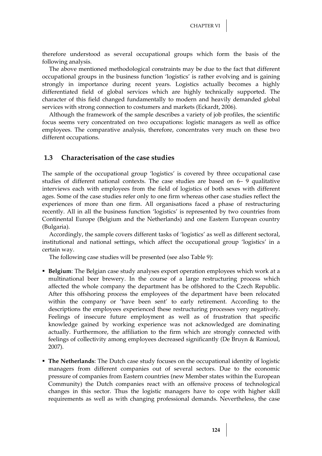therefore understood as several occupational groups which form the basis of the following analysis.

The above mentioned methodological constraints may be due to the fact that different occupational groups in the business function 'logistics' is rather evolving and is gaining strongly in importance during recent years. Logistics actually becomes a highly differentiated field of global services which are highly technically supported. The character of this field changed fundamentally to modern and heavily demanded global services with strong connection to costumers and markets (Eckardt, 2006).

Although the framework of the sample describes a variety of job profiles, the scientific focus seems very concentrated on two occupations: logistic managers as well as office employees. The comparative analysis, therefore, concentrates very much on these two different occupations.

### **1.3 Characterisation of the case studies**

The sample of the occupational group 'logistics' is covered by three occupational case studies of different national contexts. The case studies are based on 6– 9 qualitative interviews each with employees from the field of logistics of both sexes with different ages. Some of the case studies refer only to one firm whereas other case studies reflect the experiences of more than one firm. All organisations faced a phase of restructuring recently. All in all the business function 'logistics' is represented by two countries from Continental Europe (Belgium and the Netherlands) and one Eastern European country (Bulgaria).

Accordingly, the sample covers different tasks of 'logistics' as well as different sectoral, institutional and national settings, which affect the occupational group 'logistics' in a certain way.

The following case studies will be presented (see also Table 9):

- **Belgium**: The Belgian case study analyses export operation employees which work at a multinational beer brewery. In the course of a large restructuring process which affected the whole company the department has be offshored to the Czech Republic. After this offshoring process the employees of the department have been relocated within the company or 'have been sent' to early retirement. According to the descriptions the employees experienced these restructuring processes very negatively. Feelings of insecure future employment as well as of frustration that specific knowledge gained by working experience was not acknowledged are dominating actually. Furthermore, the affiliation to the firm which are strongly connected with feelings of collectivity among employees decreased significantly (De Bruyn & Ramioul, 2007).
- **The Netherlands**: The Dutch case study focuses on the occupational identity of logistic managers from different companies out of several sectors. Due to the economic pressure of companies from Eastern countries (new Member states within the European Community) the Dutch companies react with an offensive process of technological changes in this sector. Thus the logistic managers have to cope with higher skill requirements as well as with changing professional demands. Nevertheless, the case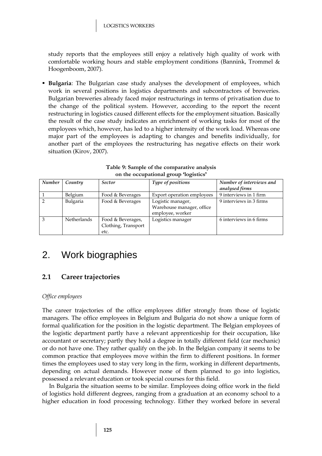study reports that the employees still enjoy a relatively high quality of work with comfortable working hours and stable employment conditions (Bannink, Trommel & Hoogenboom, 2007).

 **Bulgaria**: The Bulgarian case study analyses the development of employees, which work in several positions in logistics departments and subcontractors of breweries. Bulgarian breweries already faced major restructurings in terms of privatisation due to the change of the political system. However, according to the report the recent restructuring in logistics caused different effects for the employment situation. Basically the result of the case study indicates an enrichment of working tasks for most of the employees which, however, has led to a higher intensity of the work load. Whereas one major part of the employees is adapting to changes and benefits individually, for another part of the employees the restructuring has negative effects on their work situation (Kirov, 2007).

| Number | Country            | <b>Sector</b>                                    | Type of positions                                                  | Number of interviews and<br>analysed firms |
|--------|--------------------|--------------------------------------------------|--------------------------------------------------------------------|--------------------------------------------|
|        | Belgium            | Food & Beverages                                 | Export operation employees                                         | 9 interviews in 1 firm                     |
|        | Bulgaria           | Food & Beverages                                 | Logistic manager,<br>Warehouse manager, office<br>employee, worker | 9 interviews in 3 firms                    |
| 3      | <b>Netherlands</b> | Food & Beverages,<br>Clothing, Transport<br>etc. | Logistics manager                                                  | 6 interviews in 6 firms                    |

**Table 9: Sample of the comparative analysis on the occupational group 'logistics'** 

# 2. Work biographies

## **2.1 Career trajectories**

#### *Office employees*

The career trajectories of the office employees differ strongly from those of logistic managers. The office employees in Belgium and Bulgaria do not show a unique form of formal qualification for the position in the logistic department. The Belgian employees of the logistic department partly have a relevant apprenticeship for their occupation, like accountant or secretary; partly they hold a degree in totally different field (car mechanic) or do not have one. They rather qualify on the job. In the Belgian company it seems to be common practice that employees move within the firm to different positions. In former times the employees used to stay very long in the firm, working in different departments, depending on actual demands. However none of them planned to go into logistics, possessed a relevant education or took special courses for this field.

In Bulgaria the situation seems to be similar. Employees doing office work in the field of logistics hold different degrees, ranging from a graduation at an economy school to a higher education in food processing technology. Either they worked before in several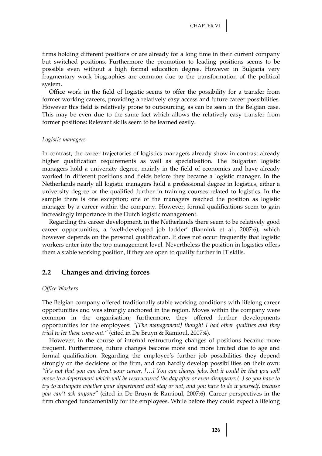firms holding different positions or are already for a long time in their current company but switched positions. Furthermore the promotion to leading positions seems to be possible even without a high formal education degree. However in Bulgaria very fragmentary work biographies are common due to the transformation of the political system.

Office work in the field of logistic seems to offer the possibility for a transfer from former working careers, providing a relatively easy access and future career possibilities. However this field is relatively prone to outsourcing, as can be seen in the Belgian case. This may be even due to the same fact which allows the relatively easy transfer from former positions: Relevant skills seem to be learned easily.

#### *Logistic managers*

In contrast, the career trajectories of logistics managers already show in contrast already higher qualification requirements as well as specialisation. The Bulgarian logistic managers hold a university degree, mainly in the field of economics and have already worked in different positions and fields before they became a logistic manager. In the Netherlands nearly all logistic managers hold a professional degree in logistics, either a university degree or the qualified further in training courses related to logistics. In the sample there is one exception; one of the managers reached the position as logistic manager by a career within the company. However, formal qualifications seem to gain increasingly importance in the Dutch logistic management.

Regarding the career development, in the Netherlands there seem to be relatively good career opportunities, a 'well-developed job ladder' (Bannink et al., 2007:6), which however depends on the personal qualification. It does not occur frequently that logistic workers enter into the top management level. Nevertheless the position in logistics offers them a stable working position, if they are open to qualify further in IT skills.

## **2.2 Changes and driving forces**

#### *Office Workers*

The Belgian company offered traditionally stable working conditions with lifelong career opportunities and was strongly anchored in the region. Moves within the company were common in the organisation; furthermore, they offered further developments opportunities for the employees: *"[The management] thought I had other qualities and they tried to let these come out."* (cited in De Bruyn & Ramioul, 2007:4).

However, in the course of internal restructuring changes of positions became more frequent. Furthermore, future changes become more and more limited due to age and formal qualification. Regarding the employee's further job possibilities they depend strongly on the decisions of the firm, and can hardly develop possibilities on their own: *"it's not that you can direct your career. […] You can change jobs, but it could be that you will move to a department which will be restructured the day after or even disappears (..) so you have to try to anticipate whether your department will stay or not, and you have to do it yourself, because you can't ask anyone"* (cited in De Bruyn & Ramioul, 2007:6). Career perspectives in the firm changed fundamentally for the employees. While before they could expect a lifelong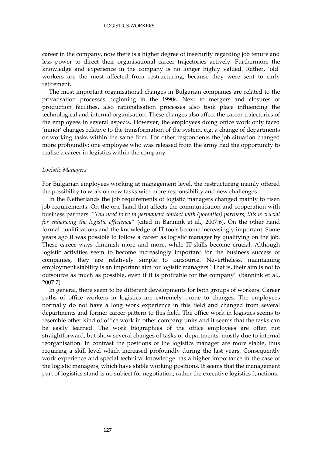career in the company, now there is a higher degree of insecurity regarding job tenure and less power to direct their organisational career trajectories actively. Furthermore the knowledge and experience in the company is no longer highly valued. Rather, 'old' workers are the most affected from restructuring, because they were sent to early retirement.

The most important organisational changes in Bulgarian companies are related to the privatisation processes beginning in the 1990s. Next to mergers and closures of production facilities, also rationalisation processes also took place influencing the technological and internal organisation. These changes also affect the career trajectories of the employees in several aspects. However, the employees doing office work only faced 'minor' changes relative to the transformation of the system, e.g. a change of departments or working tasks within the same firm. For other respondents the job situation changed more profoundly: one employee who was released from the army had the opportunity to realise a career in logistics within the company.

#### *Logistic Managers*

For Bulgarian employees working at management level, the restructuring mainly offered the possibility to work on new tasks with more responsibility and new challenges.

In the Netherlands the job requirements of logistic managers changed mainly to risen job requirements. On the one hand that affects the communication and cooperation with business partners: *"You need to be in permanent contact with (potential) partners; this is crucial for enhancing the logistic efficiency"* (cited in Bannink et al., 2007:6). On the other hand formal qualifications and the knowledge of IT tools become increasingly important. Some years ago it was possible to follow a career as logistic manager by qualifying on the job. These career ways diminish more and more, while IT-skills become crucial. Although logistic activities seem to become increasingly important for the business success of companies, they are relatively simple to outsource. Nevertheless, maintaining employment stability is an important aim for logistic managers "That is, their aim is not to outsource as much as possible, even if it is profitable for the company" (Bannink et al., 2007:7).

In general, there seem to be different developments for both groups of workers. Career paths of office workers in logistics are extremely prone to changes. The employees normally do not have a long work experience in this field and changed from several departments and former career pattern to this field. The office work in logistics seems to resemble other kind of office work in other company units and it seems that the tasks can be easily learned. The work biographies of the office employees are often not straightforward, but show several changes of tasks or departments, mostly due to internal reorganisation. In contrast the positions of the logistics manager are more stable, thus requiring a skill level which increased profoundly during the last years. Consequently work experience and special technical knowledge has a higher importance in the case of the logistic managers, which have stable working positions. It seems that the management part of logistics stand is no subject for negotiation, rather the executive logistics functions.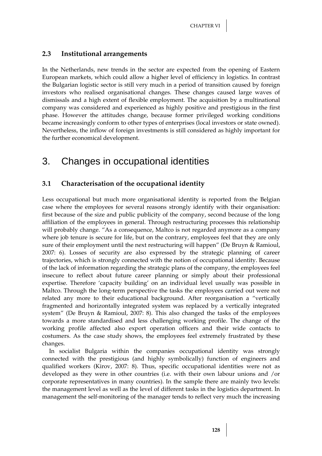## **2.3 Institutional arrangements**

In the Netherlands, new trends in the sector are expected from the opening of Eastern European markets, which could allow a higher level of efficiency in logistics. In contrast the Bulgarian logistic sector is still very much in a period of transition caused by foreign investors who realised organisational changes. These changes caused large waves of dismissals and a high extent of flexible employment. The acquisition by a multinational company was considered and experienced as highly positive and prestigious in the first phase. However the attitudes change, because former privileged working conditions became increasingly conform to other types of enterprises (local investors or state owned). Nevertheless, the inflow of foreign investments is still considered as highly important for the further economical development.

# 3. Changes in occupational identities

## **3.1 Characterisation of the occupational identity**

Less occupational but much more organisational identity is reported from the Belgian case where the employees for several reasons strongly identify with their organisation: first because of the size and public publicity of the company, second because of the long affiliation of the employees in general. Through restructuring processes this relationship will probably change. "As a consequence, Maltco is not regarded anymore as a company where job tenure is secure for life, but on the contrary, employees feel that they are only sure of their employment until the next restructuring will happen" (De Bruyn & Ramioul, 2007: 6). Losses of security are also expressed by the strategic planning of career trajectories, which is strongly connected with the notion of occupational identity. Because of the lack of information regarding the strategic plans of the company, the employees feel insecure to reflect about future career planning or simply about their professional expertise. Therefore 'capacity building' on an individual level usually was possible in Maltco. Through the long-term perspective the tasks the employees carried out were not related any more to their educational background. After reorganisation a "vertically fragmented and horizontally integrated system was replaced by a vertically integrated system" (De Bruyn & Ramioul, 2007: 8). This also changed the tasks of the employees towards a more standardised and less challenging working profile. The change of the working profile affected also export operation officers and their wide contacts to costumers. As the case study shows, the employees feel extremely frustrated by these changes.

In socialist Bulgaria within the companies occupational identity was strongly connected with the prestigious (and highly symbolically) function of engineers and qualified workers (Kirov, 2007: 8). Thus, specific occupational identities were not as developed as they were in other countries (i.e. with their own labour unions and /or corporate representatives in many countries). In the sample there are mainly two levels: the management level as well as the level of different tasks in the logistics department. In management the self-monitoring of the manager tends to reflect very much the increasing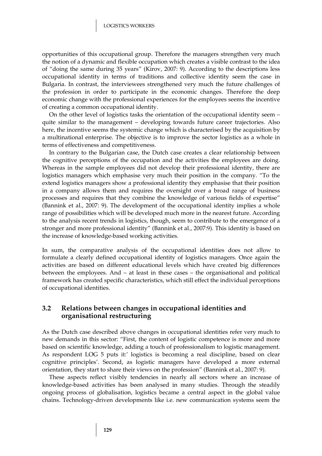opportunities of this occupational group. Therefore the managers strengthen very much the notion of a dynamic and flexible occupation which creates a visible contrast to the idea of "doing the same during 35 years" (Kirov, 2007: 9). According to the descriptions less occupational identity in terms of traditions and collective identity seem the case in Bulgaria. In contrast, the interviewees strengthened very much the future challenges of the profession in order to participate in the economic changes. Therefore the deep economic change with the professional experiences for the employees seems the incentive of creating a common occupational identity.

On the other level of logistics tasks the orientation of the occupational identity seem – quite similar to the management – developing towards future career trajectories. Also here, the incentive seems the systemic change which is characterised by the acquisition by a multinational enterprise. The objective is to improve the sector logistics as a whole in terms of effectiveness and competitiveness.

In contrary to the Bulgarian case, the Dutch case creates a clear relationship between the cognitive perceptions of the occupation and the activities the employees are doing. Whereas in the sample employees did not develop their professional identity, there are logistics managers which emphasise very much their position in the company. "To the extend logistics managers show a professional identity they emphasise that their position in a company allows them and requires the oversight over a broad range of business processes and requires that they combine the knowledge of various fields of expertise" (Bannink et al., 2007: 9). The development of the occupational identity implies a whole range of possibilities which will be developed much more in the nearest future. According to the analysis recent trends in logistics, though, seem to contribute to the emergence of a stronger and more professional identity" (Bannink et al., 2007:9). This identity is based on the increase of knowledge-based working activities.

In sum, the comparative analysis of the occupational identities does not allow to formulate a clearly defined occupational identity of logistics managers. Once again the activities are based on different educational levels which have created big differences between the employees. And – at least in these cases – the organisational and political framework has created specific characteristics, which still effect the individual perceptions of occupational identities.

### **3.2 Relations between changes in occupational identities and organisational restructuring**

As the Dutch case described above changes in occupational identities refer very much to new demands in this sector: "First, the content of logistic competence is more and more based on scientific knowledge, adding a touch of professionalism to logistic management. As respondent LOG 5 puts it:' logistics is becoming a real discipline, based on clear cognitive principles'. Second, as logistic managers have developed a more external orientation, they start to share their views on the profession" (Bannink et al., 2007: 9).

These aspects reflect visibly tendencies in nearly all sectors where an increase of knowledge-based activities has been analysed in many studies. Through the steadily ongoing process of globalisation, logistics became a central aspect in the global value chains. Technology-driven developments like i.e. new communication systems seem the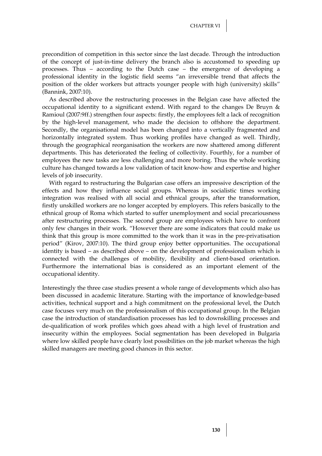precondition of competition in this sector since the last decade. Through the introduction of the concept of just-in-time delivery the branch also is accustomed to speeding up processes. Thus – according to the Dutch case – the emergence of developing a professional identity in the logistic field seems "an irreversible trend that affects the position of the older workers but attracts younger people with high (university) skills" (Bannink, 2007:10).

As described above the restructuring processes in the Belgian case have affected the occupational identity to a significant extend. With regard to the changes De Bruyn & Ramioul (2007:9ff.) strengthen four aspects: firstly, the employees felt a lack of recognition by the high-level management, who made the decision to offshore the department. Secondly, the organisational model has been changed into a vertically fragmented and horizontally integrated system. Thus working profiles have changed as well. Thirdly, through the geographical reorganisation the workers are now shattered among different departments. This has deteriorated the feeling of collectivity. Fourthly, for a number of employees the new tasks are less challenging and more boring. Thus the whole working culture has changed towards a low validation of tacit know-how and expertise and higher levels of job insecurity.

With regard to restructuring the Bulgarian case offers an impressive description of the effects and how they influence social groups. Whereas in socialistic times working integration was realised with all social and ethnical groups, after the transformation, firstly unskilled workers are no longer accepted by employers. This refers basically to the ethnical group of Roma which started to suffer unemployment and social precariousness after restructuring processes. The second group are employees which have to confront only few changes in their work. "However there are some indicators that could make us think that this group is more committed to the work than it was in the pre-privatisation period" (Kirov, 2007:10). The third group enjoy better opportunities. The occupational identity is based – as described above – on the development of professionalism which is connected with the challenges of mobility, flexibility and client-based orientation. Furthermore the international bias is considered as an important element of the occupational identity.

Interestingly the three case studies present a whole range of developments which also has been discussed in academic literature. Starting with the importance of knowledge-based activities, technical support and a high commitment on the professional level, the Dutch case focuses very much on the professionalism of this occupational group. In the Belgian case the introduction of standardisation processes has led to downskilling processes and de-qualification of work profiles which goes ahead with a high level of frustration and insecurity within the employees. Social segmentation has been developed in Bulgaria where low skilled people have clearly lost possibilities on the job market whereas the high skilled managers are meeting good chances in this sector.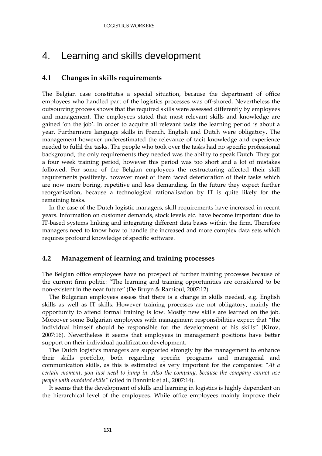# 4. Learning and skills development

## **4.1 Changes in skills requirements**

The Belgian case constitutes a special situation, because the department of office employees who handled part of the logistics processes was off-shored. Nevertheless the outsourcing process shows that the required skills were assessed differently by employees and management. The employees stated that most relevant skills and knowledge are gained 'on the job'. In order to acquire all relevant tasks the learning period is about a year. Furthermore language skills in French, English and Dutch were obligatory. The management however underestimated the relevance of tacit knowledge and experience needed to fulfil the tasks. The people who took over the tasks had no specific professional background, the only requirements they needed was the ability to speak Dutch. They got a four week training period, however this period was too short and a lot of mistakes followed. For some of the Belgian employees the restructuring affected their skill requirements positively, however most of them faced deterioration of their tasks which are now more boring, repetitive and less demanding. In the future they expect further reorganisation, because a technological rationalisation by IT is quite likely for the remaining tasks.

In the case of the Dutch logistic managers, skill requirements have increased in recent years. Information on customer demands, stock levels etc. have become important due to IT-based systems linking and integrating different data bases within the firm. Therefore managers need to know how to handle the increased and more complex data sets which requires profound knowledge of specific software.

## **4.2 Management of learning and training processes**

The Belgian office employees have no prospect of further training processes because of the current firm politic: "The learning and training opportunities are considered to be non-existent in the near future" (De Bruyn & Ramioul, 2007:12).

The Bulgarian employees assess that there is a change in skills needed, e.g. English skills as well as IT skills. However training processes are not obligatory, mainly the opportunity to attend formal training is low. Mostly new skills are learned on the job. Moreover some Bulgarian employees with management responsibilities expect that "the individual himself should be responsible for the development of his skills" (Kirov, 2007:16). Nevertheless it seems that employees in management positions have better support on their individual qualification development.

The Dutch logistics managers are supported strongly by the management to enhance their skills portfolio, both regarding specific programs and managerial and communication skills, as this is estimated as very important for the companies: *"At a certain moment, you just need to jump in. Also the company, because the company cannot use people with outdated skills"* (cited in Bannink et al., 2007:14).

It seems that the development of skills and learning in logistics is highly dependent on the hierarchical level of the employees. While office employees mainly improve their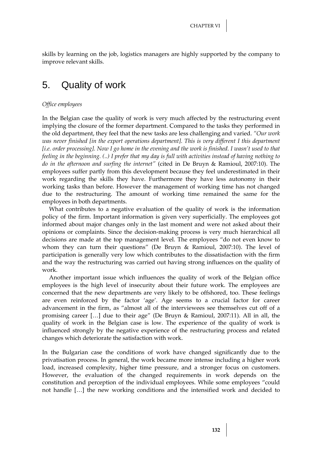skills by learning on the job, logistics managers are highly supported by the company to improve relevant skills.

# 5. Quality of work

#### *Office employees*

In the Belgian case the quality of work is very much affected by the restructuring event implying the closure of the former department. Compared to the tasks they performed in the old department, they feel that the new tasks are less challenging and varied. *"Our work*  was never finished [in the export operations department]. This is very different I this department *[i.e. order processing]. Now I go home in the evening and the work is finished. I wasn't used to that feeling in the beginning. (..) I prefer that my day is full with activities instead of having nothing to do in the afternoon and surfing the internet"* (cited in De Bruyn & Ramioul, 2007:10). The employees suffer partly from this development because they feel underestimated in their work regarding the skills they have. Furthermore they have less autonomy in their working tasks than before. However the management of working time has not changed due to the restructuring. The amount of working time remained the same for the employees in both departments.

What contributes to a negative evaluation of the quality of work is the information policy of the firm. Important information is given very superficially. The employees got informed about major changes only in the last moment and were not asked about their opinions or complaints. Since the decision-making process is very much hierarchical all decisions are made at the top management level. The employees "do not even know to whom they can turn their questions" (De Bruyn & Ramioul, 2007:10). The level of participation is generally very low which contributes to the dissatisfaction with the firm and the way the restructuring was carried out having strong influences on the quality of work.

Another important issue which influences the quality of work of the Belgian office employees is the high level of insecurity about their future work. The employees are concerned that the new departments are very likely to be offshored, too. These feelings are even reinforced by the factor 'age'. Age seems to a crucial factor for career advancement in the firm, as "almost all of the interviewees see themselves cut off of a promising career […] due to their age" (De Bruyn & Ramioul, 2007:11). All in all, the quality of work in the Belgian case is low. The experience of the quality of work is influenced strongly by the negative experience of the restructuring process and related changes which deteriorate the satisfaction with work.

In the Bulgarian case the conditions of work have changed significantly due to the privatisation process. In general, the work became more intense including a higher work load, increased complexity, higher time pressure, and a stronger focus on customers. However, the evaluation of the changed requirements in work depends on the constitution and perception of the individual employees. While some employees "could not handle […] the new working conditions and the intensified work and decided to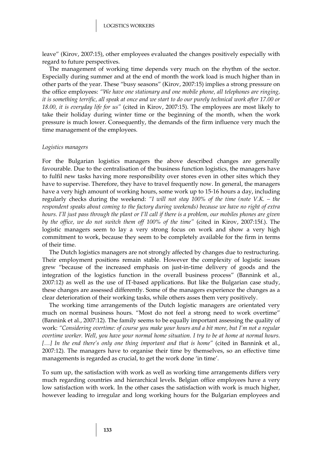leave" (Kirov, 2007:15), other employees evaluated the changes positively especially with regard to future perspectives.

The management of working time depends very much on the rhythm of the sector. Especially during summer and at the end of month the work load is much higher than in other parts of the year. These "busy seasons" (Kirov, 2007:15) implies a strong pressure on the office employees: *"We have one stationary and one mobile phone, all telephones are ringing, it is something terrific, all speak at once and we start to do our purely technical work after 17.00 or 18.00, it is everyday life for us"* (cited in Kirov, 2007:15). The employees are most likely to take their holiday during winter time or the beginning of the month, when the work pressure is much lower. Consequently, the demands of the firm influence very much the time management of the employees.

#### *Logistics managers*

For the Bulgarian logistics managers the above described changes are generally favourable. Due to the centralisation of the business function logistics, the managers have to fulfil new tasks having more responsibility over stores even in other sites which they have to supervise. Therefore, they have to travel frequently now. In general, the managers have a very high amount of working hours, some work up to 15-16 hours a day, including regularly checks during the weekend: *"I will not stay 100% of the time (note V.K. – the respondent speaks about coming to the factory during weekends) because we have no right of extra hours. I'll just pass through the plant or I'll call if there is a problem, our mobiles phones are given by the office, we do not switch them off 100% of the time"* (cited in Kirov, 2007:15f.). The logistic managers seem to lay a very strong focus on work and show a very high commitment to work, because they seem to be completely available for the firm in terms of their time.

The Dutch logistics managers are not strongly affected by changes due to restructuring. Their employment positions remain stable. However the complexity of logistic issues grew "because of the increased emphasis on just-in-time delivery of goods and the integration of the logistics function in the overall business process" (Bannink et al., 2007:12) as well as the use of IT-based applications. But like the Bulgarian case study, these changes are assessed differently. Some of the managers experience the changes as a clear deterioration of their working tasks, while others asses them very positively.

The working time arrangements of the Dutch logistic managers are orientated very much on normal business hours. "Most do not feel a strong need to work overtime" (Bannink et al., 2007:12). The family seems to be equally important assessing the quality of work: *"Considering overtime: of course you make your hours and a bit more, but I'm not a regular overtime worker. Well, you have your normal home situation. I try to be at home at normal hours. […] In the end there's only one thing important and that is home"* (cited in Bannink et al., 2007:12). The managers have to organise their time by themselves, so an effective time managements is regarded as crucial, to get the work done 'in time'.

To sum up, the satisfaction with work as well as working time arrangements differs very much regarding countries and hierarchical levels. Belgian office employees have a very low satisfaction with work. In the other cases the satisfaction with work is much higher, however leading to irregular and long working hours for the Bulgarian employees and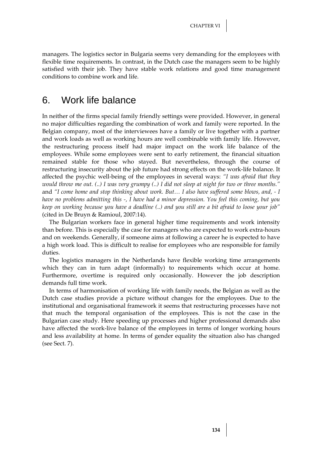managers. The logistics sector in Bulgaria seems very demanding for the employees with flexible time requirements. In contrast, in the Dutch case the managers seem to be highly satisfied with their job. They have stable work relations and good time management conditions to combine work and life.

## 6. Work life balance

In neither of the firms special family friendly settings were provided. However, in general no major difficulties regarding the combination of work and family were reported. In the Belgian company, most of the interviewees have a family or live together with a partner and work loads as well as working hours are well combinable with family life. However, the restructuring process itself had major impact on the work life balance of the employees. While some employees were sent to early retirement, the financial situation remained stable for those who stayed. But nevertheless, through the course of restructuring insecurity about the job future had strong effects on the work-life balance. It affected the psychic well-being of the employees in several ways: *"I was afraid that they would throw me out. (..) I was very grumpy (..) I did not sleep at night for two or three months."*  and *"I come home and stop thinking about work. But… I also have suffered some blows, and, - I have no problems admitting this -, I have had a minor depression. You feel this coming, but you keep on working because you have a deadline (..) and you still are a bit afraid to loose your job"*  (cited in De Bruyn & Ramioul, 2007:14).

The Bulgarian workers face in general higher time requirements and work intensity than before. This is especially the case for managers who are expected to work extra-hours and on weekends. Generally, if someone aims at following a career he is expected to have a high work load. This is difficult to realise for employees who are responsible for family duties.

The logistics managers in the Netherlands have flexible working time arrangements which they can in turn adapt (informally) to requirements which occur at home. Furthermore, overtime is required only occasionally. However the job description demands full time work.

In terms of harmonisation of working life with family needs, the Belgian as well as the Dutch case studies provide a picture without changes for the employees. Due to the institutional and organisational framework it seems that restructuring processes have not that much the temporal organisation of the employees. This is not the case in the Bulgarian case study. Here speeding up processes and higher professional demands also have affected the work-live balance of the employees in terms of longer working hours and less availability at home. In terms of gender equality the situation also has changed (see Sect. 7).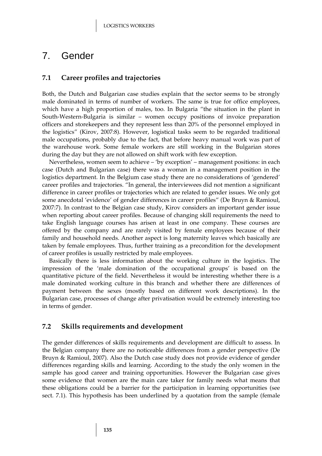# 7. Gender

#### **7.1 Career profiles and trajectories**

Both, the Dutch and Bulgarian case studies explain that the sector seems to be strongly male dominated in terms of number of workers. The same is true for office employees, which have a high proportion of males, too. In Bulgaria "the situation in the plant in South-Western-Bulgaria is similar – women occupy positions of invoice preparation officers and storekeepers and they represent less than 20% of the personnel employed in the logistics" (Kirov, 2007:8). However, logistical tasks seem to be regarded traditional male occupations, probably due to the fact, that before heavy manual work was part of the warehouse work. Some female workers are still working in the Bulgarian stores during the day but they are not allowed on shift work with few exception.

Nevertheless, women seem to achieve – 'by exception' – management positions: in each case (Dutch and Bulgarian case) there was a woman in a management position in the logistics department. In the Belgium case study there are no considerations of 'gendered' career profiles and trajectories. "In general, the interviewees did not mention a significant difference in career profiles or trajectories which are related to gender issues. We only got some anecdotal 'evidence' of gender differences in career profiles" (De Bruyn & Ramioul, 2007:7). In contrast to the Belgian case study, Kirov considers an important gender issue when reporting about career profiles. Because of changing skill requirements the need to take English language courses has arisen at least in one company. These courses are offered by the company and are rarely visited by female employees because of their family and household needs. Another aspect is long maternity leaves which basically are taken by female employees. Thus, further training as a precondition for the development of career profiles is usually restricted by male employees.

Basically there is less information about the working culture in the logistics. The impression of the 'male domination of the occupational groups' is based on the quantitative picture of the field. Nevertheless it would be interesting whether there is a male dominated working culture in this branch and whether there are differences of payment between the sexes (mostly based on different work descriptions). In the Bulgarian case, processes of change after privatisation would be extremely interesting too in terms of gender.

#### **7.2 Skills requirements and development**

The gender differences of skills requirements and development are difficult to assess. In the Belgian company there are no noticeable differences from a gender perspective (De Bruyn & Ramioul, 2007). Also the Dutch case study does not provide evidence of gender differences regarding skills and learning. According to the study the only women in the sample has good career and training opportunities. However the Bulgarian case gives some evidence that women are the main care taker for family needs what means that these obligations could be a barrier for the participation in learning opportunities (see sect. 7.1). This hypothesis has been underlined by a quotation from the sample (female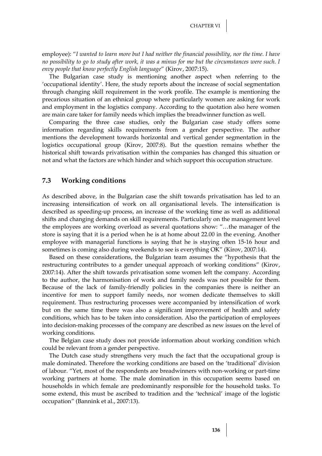employee): "*I wanted to learn more but I had neither the financial possibility, nor the time. I have no possibility to go to study after work, it was a minus for me but the circumstances were such. I envy people that know perfectly English language*" (Kirov, 2007:15).

The Bulgarian case study is mentioning another aspect when referring to the 'occupational identity'. Here, the study reports about the increase of social segmentation through changing skill requirement in the work profile. The example is mentioning the precarious situation of an ethnical group where particularly women are asking for work and employment in the logistics company. According to the quotation also here women are main care taker for family needs which implies the breadwinner function as well.

Comparing the three case studies, only the Bulgarian case study offers some information regarding skills requirements from a gender perspective. The author mentions the development towards horizontal and vertical gender segmentation in the logistics occupational group (Kirov, 2007:8). But the question remains whether the historical shift towards privatisation within the companies has changed this situation or not and what the factors are which hinder and which support this occupation structure.

### **7.3 Working conditions**

As described above, in the Bulgarian case the shift towards privatisation has led to an increasing intensification of work on all organisational levels. The intensification is described as speeding-up process, an increase of the working time as well as additional shifts and changing demands on skill requirements. Particularly on the management level the employees are working overload as several quotations show: "…the manager of the store is saying that it is a period when he is at home about 22.00 in the evening. Another employee with managerial functions is saying that he is staying often 15-16 hour and sometimes is coming also during weekends to see is everything OK" (Kirov, 2007:14).

Based on these considerations, the Bulgarian team assumes the "hypothesis that the restructuring contributes to a gender unequal approach of working conditions" (Kirov, 2007:14). After the shift towards privatisation some women left the company. According to the author, the harmonisation of work and family needs was not possible for them. Because of the lack of family-friendly policies in the companies there is neither an incentive for men to support family needs, nor women dedicate themselves to skill requirement. Thus restructuring processes were accompanied by intensification of work but on the same time there was also a significant improvement of health and safety conditions, which has to be taken into consideration. Also the participation of employees into decision-making processes of the company are described as new issues on the level of working conditions.

The Belgian case study does not provide information about working condition which could be relevant from a gender perspective.

The Dutch case study strengthens very much the fact that the occupational group is male dominated. Therefore the working conditions are based on the 'traditional' division of labour. "Yet, most of the respondents are breadwinners with non-working or part-time working partners at home. The male domination in this occupation seems based on households in which female are predominantly responsible for the household tasks. To some extend, this must be ascribed to tradition and the 'technical' image of the logistic occupation" (Bannink et al., 2007:13).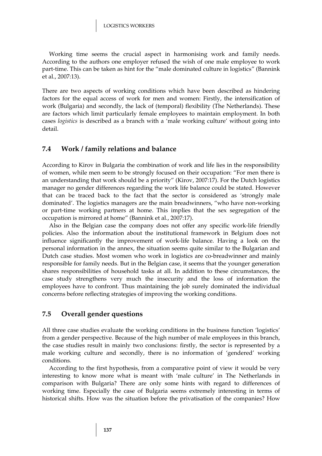Working time seems the crucial aspect in harmonising work and family needs. According to the authors one employer refused the wish of one male employee to work part-time. This can be taken as hint for the "male dominated culture in logistics" (Bannink et al., 2007:13).

There are two aspects of working conditions which have been described as hindering factors for the equal access of work for men and women: Firstly, the intensification of work (Bulgaria) and secondly, the lack of (temporal) flexibility (The Netherlands). These are factors which limit particularly female employees to maintain employment. In both cases *logistics* is described as a branch with a 'male working culture' without going into detail.

#### **7.4 Work / family relations and balance**

According to Kirov in Bulgaria the combination of work and life lies in the responsibility of women, while men seem to be strongly focused on their occupation: "For men there is an understanding that work should be a priority" (Kirov, 2007:17). For the Dutch logistics manager no gender differences regarding the work life balance could be stated. However that can be traced back to the fact that the sector is considered as 'strongly male dominated'. The logistics managers are the main breadwinners, "who have non-working or part-time working partners at home. This implies that the sex segregation of the occupation is mirrored at home" (Bannink et al., 2007:17).

Also in the Belgian case the company does not offer any specific work-life friendly policies. Also the information about the institutional framework in Belgium does not influence significantly the improvement of work-life balance. Having a look on the personal information in the annex, the situation seems quite similar to the Bulgarian and Dutch case studies. Most women who work in logistics are co-breadwinner and mainly responsible for family needs. But in the Belgian case, it seems that the younger generation shares responsibilities of household tasks at all. In addition to these circumstances, the case study strengthens very much the insecurity and the loss of information the employees have to confront. Thus maintaining the job surely dominated the individual concerns before reflecting strategies of improving the working conditions.

#### **7.5 Overall gender questions**

All three case studies evaluate the working conditions in the business function 'logistics' from a gender perspective. Because of the high number of male employees in this branch, the case studies result in mainly two conclusions: firstly, the sector is represented by a male working culture and secondly, there is no information of 'gendered' working conditions.

According to the first hypothesis, from a comparative point of view it would be very interesting to know more what is meant with 'male culture' in The Netherlands in comparison with Bulgaria? There are only some hints with regard to differences of working time. Especially the case of Bulgaria seems extremely interesting in terms of historical shifts. How was the situation before the privatisation of the companies? How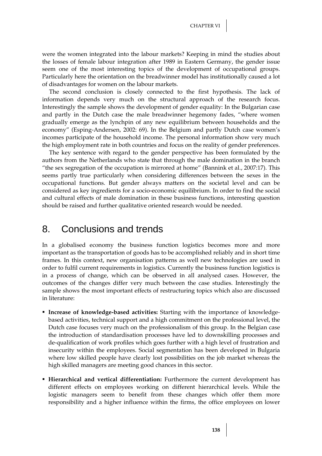were the women integrated into the labour markets? Keeping in mind the studies about the losses of female labour integration after 1989 in Eastern Germany, the gender issue seem one of the most interesting topics of the development of occupational groups. Particularly here the orientation on the breadwinner model has institutionally caused a lot of disadvantages for women on the labour markets.

The second conclusion is closely connected to the first hypothesis. The lack of information depends very much on the structural approach of the research focus. Interestingly the sample shows the development of gender equality: In the Bulgarian case and partly in the Dutch case the male breadwinner hegemony fades, "where women gradually emerge as the lynchpin of any new equilibrium between households and the economy" (Esping-Andersen, 2002: 69). In the Belgium and partly Dutch case women's incomes participate of the household income. The personal information show very much the high employment rate in both countries and focus on the reality of gender preferences.

The key sentence with regard to the gender perspective has been formulated by the authors from the Netherlands who state that through the male domination in the branch "the sex segregation of the occupation is mirrored at home" (Bannink et al., 2007:17). This seems partly true particularly when considering differences between the sexes in the occupational functions. But gender always matters on the societal level and can be considered as key ingredients for a socio-economic equilibrium. In order to find the social and cultural effects of male domination in these business functions, interesting question should be raised and further qualitative oriented research would be needed.

## 8. Conclusions and trends

In a globalised economy the business function logistics becomes more and more important as the transportation of goods has to be accomplished reliably and in short time frames. In this context, new organisation patterns as well new technologies are used in order to fulfil current requirements in logistics. Currently the business function logistics is in a process of change, which can be observed in all analysed cases. However, the outcomes of the changes differ very much between the case studies. Interestingly the sample shows the most important effects of restructuring topics which also are discussed in literature:

- **Increase of knowledge-based activities:** Starting with the importance of knowledgebased activities, technical support and a high commitment on the professional level, the Dutch case focuses very much on the professionalism of this group. In the Belgian case the introduction of standardisation processes have led to downskilling processes and de-qualification of work profiles which goes further with a high level of frustration and insecurity within the employees. Social segmentation has been developed in Bulgaria where low skilled people have clearly lost possibilities on the job market whereas the high skilled managers are meeting good chances in this sector.
- **Hierarchical and vertical differentiation:** Furthermore the current development has different effects on employees working on different hierarchical levels. While the logistic managers seem to benefit from these changes which offer them more responsibility and a higher influence within the firms, the office employees on lower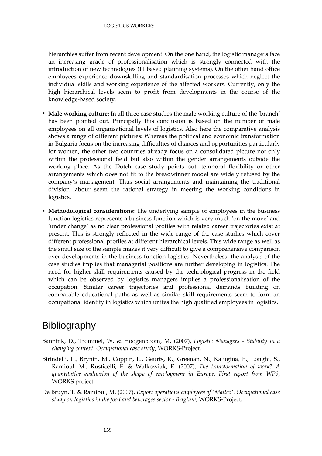hierarchies suffer from recent development. On the one hand, the logistic managers face an increasing grade of professionalisation which is strongly connected with the introduction of new technologies (IT based planning systems). On the other hand office employees experience downskilling and standardisation processes which neglect the individual skills and working experience of the affected workers. Currently, only the high hierarchical levels seem to profit from developments in the course of the knowledge-based society.

- **Male working culture:** In all three case studies the male working culture of the 'branch' has been pointed out. Principally this conclusion is based on the number of male employees on all organisational levels of logistics. Also here the comparative analysis shows a range of different pictures: Whereas the political and economic transformation in Bulgaria focus on the increasing difficulties of chances and opportunities particularly for women, the other two countries already focus on a consolidated picture not only within the professional field but also within the gender arrangements outside the working place. As the Dutch case study points out, temporal flexibility or other arrangements which does not fit to the breadwinner model are widely refused by the company's management. Thus social arrangements and maintaining the traditional division labour seem the rational strategy in meeting the working conditions in logistics.
- **Methodological considerations:** The underlying sample of employees in the business function logistics represents a business function which is very much 'on the move' and 'under change' as no clear professional profiles with related career trajectories exist at present. This is strongly reflected in the wide range of the case studies which cover different professional profiles at different hierarchical levels. This wide range as well as the small size of the sample makes it very difficult to give a comprehensive comparison over developments in the business function logistics. Nevertheless, the analysis of the case studies implies that managerial positions are further developing in logistics. The need for higher skill requirements caused by the technological progress in the field which can be observed by logistics managers implies a professionalisation of the occupation. Similar career trajectories and professional demands building on comparable educational paths as well as similar skill requirements seem to form an occupational identity in logistics which unites the high qualified employees in logistics.

# **Bibliography**

- Bannink, D., Trommel, W. & Hoogenboom, M. (2007), *Logistic Managers Stability in a changing context. Occupational case study*, WORKS-Project.
- Birindelli, L., Brynin, M., Coppin, L., Geurts, K., Greenan, N., Kalugina, E., Longhi, S., Ramioul, M., Rusticelli, E. & Walkowiak, E. (2007), *The transformation of work? A quantitative evaluation of the shape of employment in Europe. First report from WP9*, WORKS project.
- De Bruyn, T. & Ramioul, M. (2007), *Export operations employees of 'Maltco'. Occupational case study on logistics in the food and beverages sector - Belgium*, WORKS-Project.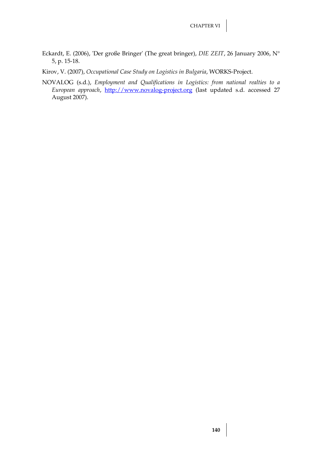- Eckardt, E. (2006), 'Der große Bringer' (The great bringer), *DIE ZEIT*, 26 January 2006, N° 5, p. 15-18.
- Kirov, V. (2007), *Occupational Case Study on Logistics in Bulgaria*, WORKS-Project.
- NOVALOG (s.d.), *Employment and Qualifications in Logistics: from national realties to a European approach*, http://www.novalog-project.org (last updated s.d. accessed 27 August 2007).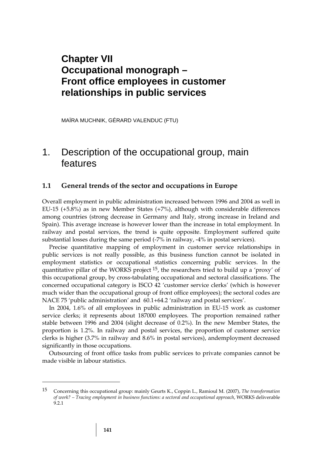# **Chapter VII Occupational monograph – Front office employees in customer relationships in public services**

MAÏRA MUCHNIK, GÉRARD VALENDUC (FTU)

## 1. Description of the occupational group, main features

#### **1.1 General trends of the sector and occupations in Europe**

Overall employment in public administration increased between 1996 and 2004 as well in EU-15 (+5.8%) as in new Member States (+7%), although with considerable differences among countries (strong decrease in Germany and Italy, strong increase in Ireland and Spain). This average increase is however lower than the increase in total employment. In railway and postal services, the trend is quite opposite. Employment suffered quite substantial losses during the same period (-7% in railway, -4% in postal services).

Precise quantitative mapping of employment in customer service relationships in public services is not really possible, as this business function cannot be isolated in employment statistics or occupational statistics concerning public services. In the quantitative pillar of the WORKS project  $15$ , the researchers tried to build up a 'proxy' of this occupational group, by cross-tabulating occupational and sectoral classifications. The concerned occupational category is ISCO 42 'customer service clerks' (which is however much wider than the occupational group of front office employees); the sectoral codes are NACE 75 'public administration' and 60.1+64.2 'railway and postal services'.

In 2004, 1.6% of all employees in public administration in EU-15 work as customer service clerks; it represents about 187000 employees. The proportion remained rather stable between 1996 and 2004 (slight decrease of 0.2%). In the new Member States, the proportion is 1.2%. In railway and postal services, the proportion of customer service clerks is higher (3.7% in railway and 8.6% in postal services), andemployment decreased significantly in those occupations.

Outsourcing of front office tasks from public services to private companies cannot be made visible in labour statistics.

 $\overline{a}$ 

<sup>15</sup> Concerning this occupational group: mainly Geurts K., Coppin L., Ramioul M. (2007), *The transformation of work? – Tracing employment in business functions: a sectoral and occupational approach*, WORKS deliverable 9.2.1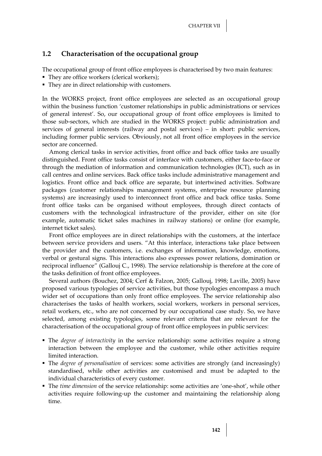### **1.2 Characterisation of the occupational group**

The occupational group of front office employees is characterised by two main features:

- They are office workers (clerical workers);
- They are in direct relationship with customers.

In the WORKS project, front office employees are selected as an occupational group within the business function 'customer relationships in public administrations or services of general interest'. So, our occupational group of front office employees is limited to those sub-sectors, which are studied in the WORKS project: public administration and services of general interests (railway and postal services) – in short: public services, including former public services. Obviously, not all front office employees in the service sector are concerned.

Among clerical tasks in service activities, front office and back office tasks are usually distinguished. Front office tasks consist of interface with customers, either face-to-face or through the mediation of information and communication technologies (ICT), such as in call centres and online services. Back office tasks include administrative management and logistics. Front office and back office are separate, but intertwined activities. Software packages (customer relationships management systems, enterprise resource planning systems) are increasingly used to interconnect front office and back office tasks. Some front office tasks can be organised without employees, through direct contacts of customers with the technological infrastructure of the provider, either on site (for example, automatic ticket sales machines in railway stations) or online (for example, internet ticket sales).

Front office employees are in direct relationships with the customers, at the interface between service providers and users. "At this interface, interactions take place between the provider and the customers, i.e. exchanges of information, knowledge, emotions, verbal or gestural signs. This interactions also expresses power relations, domination or reciprocal influence" (Gallouj C., 1998). The service relationship is therefore at the core of the tasks definition of front office employees.

Several authors (Bouchez, 2004; Cerf & Falzon, 2005; Gallouj, 1998; Laville, 2005) have proposed various typologies of service activities, but those typologies encompass a much wider set of occupations than only front office employees. The service relationship also characterises the tasks of health workers, social workers, workers in personal services, retail workers, etc., who are not concerned by our occupational case study. So, we have selected, among existing typologies, some relevant criteria that are relevant for the characterisation of the occupational group of front office employees in public services:

- The *degree of interactivity* in the service relationship: some activities require a strong interaction between the employee and the customer, while other activities require limited interaction.
- The *degree of personalisation* of services: some activities are strongly (and increasingly) standardised, while other activities are customised and must be adapted to the individual characteristics of every customer.
- The *time dimension* of the service relationship: some activities are 'one-shot', while other activities require following-up the customer and maintaining the relationship along time.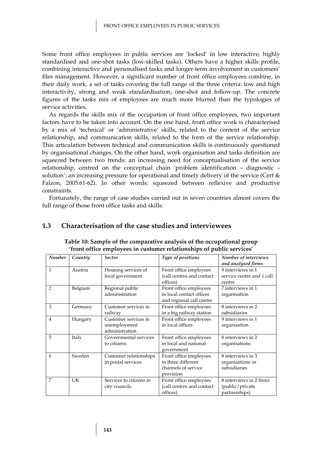Some front office employees in public services are 'locked' in low interactive, highly standardised and one-shot tasks (low-skilled tasks). Others have a higher skills profile, combining interactive and personalised tasks and longer-term involvement in customers' files management. However, a significant number of front office employees combine, in their daily work, a set of tasks covering the full range of the three criteria: low and high interactivity, strong and weak standardisation, one-shot and follow-up. The concrete figures of the tasks mix of employees are much more blurred than the typologies of service activities.

As regards the skills mix of the occupation of front office employees, two important factors have to be taken into account. On the one hand, front office work is characterised by a mix of 'technical' or 'administrative' skills, related to the content of the service relationship, and communication skills, related to the form of the service relationship. This articulation between technical and communication skills is continuously questioned by organisational changes. On the other hand, work organisation and tasks definition are squeezed between two trends: an increasing need for conceptualisation of the service relationship, centred on the conceptual chain 'problem identification – diagnostic – solution'; an increasing pressure for operational and timely delivery of the service (Cerf  $\&$ Falzon, 2005:61-62). In other words: squeezed between reflexive and productive constraints.

Fortunately, the range of case studies carried out in seven countries almost covers the full range of those front office tasks and skills.

### **1.3 Characterisation of the case studies and interviewees**

| Number         | Country   | <b>Sector</b>                                          | Type of positions                                                                | Number of interviews<br>and analysed firms                  |
|----------------|-----------|--------------------------------------------------------|----------------------------------------------------------------------------------|-------------------------------------------------------------|
| $\mathbf{1}$   | Austria   | Housing services of<br>local government                | Front office employees<br>(call centres and contact<br>offices)                  | 9 interviews in 1<br>service centre and 1 call<br>centre    |
| 2              | Belgium   | Regional public<br>administration                      | Front office employees<br>in local contact offices<br>and regional call centre   | 7 interviews in 1<br>organisation                           |
| 3              | Germany   | Customer services in<br>railway                        | Front office employees<br>in a big railway station                               | 8 interviews in 2<br>subsidiaries                           |
| $\overline{4}$ | Hungary   | Customer services in<br>unemployment<br>administration | Front office employees<br>in local offices                                       | 9 interviews in 1<br>organisation                           |
| 5              | Italy     | Governmental services<br>to citizens                   | Front office employees<br>in local and national<br>government                    | 8 interviews in 2<br>organisations                          |
| 6              | Sweden    | Customer relationships<br>in postal services           | Front office employees<br>in three different<br>channels of service<br>provision | 8 interviews in 3<br>organisations or<br>subsidiaries       |
| $\overline{7}$ | <b>UK</b> | Services to citizens in<br>city councils               | Front office employees<br>(call centres and contact<br>offices)                  | 8 interviews in 2 firms<br>(public/private<br>partnerships) |

**Table 10: Sample of the comparative analysis of the occupational group 'front office employees in customer relationships of public services'**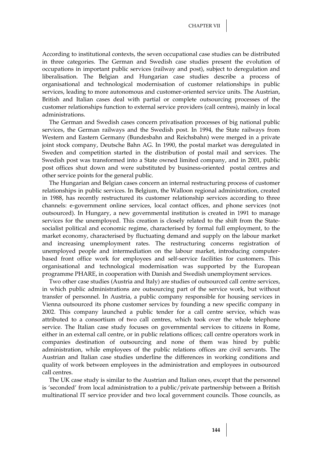According to institutional contexts, the seven occupational case studies can be distributed in three categories. The German and Swedish case studies present the evolution of occupations in important public services (railway and post), subject to deregulation and liberalisation. The Belgian and Hungarian case studies describe a process of organisational and technological modernisation of customer relationships in public services, leading to more autonomous and customer-oriented service units. The Austrian, British and Italian cases deal with partial or complete outsourcing processes of the customer relationships function to external service providers (call centres), mainly in local administrations.

The German and Swedish cases concern privatisation processes of big national public services, the German railways and the Swedish post. In 1994, the State railways from Western and Eastern Germany (Bundesbahn and Reichsbahn) were merged in a private joint stock company, Deutsche Bahn AG. In 1990, the postal market was deregulated in Sweden and competition started in the distribution of postal mail and services. The Swedish post was transformed into a State owned limited company, and in 2001, public post offices shut down and were substituted by business-oriented postal centres and other service points for the general public.

The Hungarian and Belgian cases concern an internal restructuring process of customer relationships in public services. In Belgium, the Walloon regional administration, created in 1988, has recently restructured its customer relationship services according to three channels: e-government online services, local contact offices, and phone services (not outsourced). In Hungary, a new governmental institution is created in 1991 to manage services for the unemployed. This creation is closely related to the shift from the Statesocialist political and economic regime, characterised by formal full employment, to the market economy, characterised by fluctuating demand and supply on the labour market and increasing unemployment rates. The restructuring concerns registration of unemployed people and intermediation on the labour market, introducing computerbased front office work for employees and self-service facilities for customers. This organisational and technological modernisation was supported by the European programme PHARE, in cooperation with Danish and Swedish unemployment services.

Two other case studies (Austria and Italy) are studies of outsourced call centre services, in which public administrations are outsourcing part of the service work, but without transfer of personnel. In Austria, a public company responsible for housing services in Vienna outsourced its phone customer services by founding a new specific company in 2002. This company launched a public tender for a call centre service, which was attributed to a consortium of two call centres, which took over the whole telephone service. The Italian case study focuses on governmental services to citizens in Rome, either in an external call centre, or in public relations offices; call centre operators work in companies destination of outsourcing and none of them was hired by public administration, while employees of the public relations offices are civil servants. The Austrian and Italian case studies underline the differences in working conditions and quality of work between employees in the administration and employees in outsourced call centres.

The UK case study is similar to the Austrian and Italian ones, except that the personnel is 'seconded' from local administration to a public/private partnership between a British multinational IT service provider and two local government councils. Those councils, as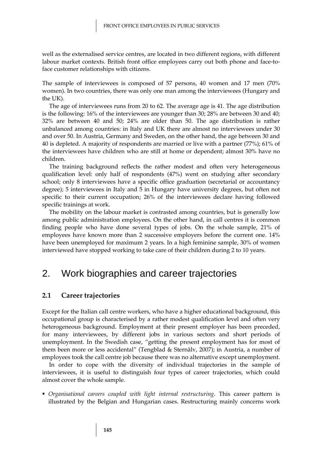well as the externalised service centres, are located in two different regions, with different labour market contexts. British front office employees carry out both phone and face-toface customer relationships with citizens.

The sample of interviewees is composed of 57 persons, 40 women and 17 men (70% women). In two countries, there was only one man among the interviewees (Hungary and the UK).

The age of interviewees runs from 20 to 62. The average age is 41. The age distribution is the following: 16% of the interviewees are younger than 30; 28% are between 30 and 40; 32% are between 40 and 50; 24% are older than 50. The age distribution is rather unbalanced among countries: in Italy and UK there are almost no interviewees under 30 and over 50. In Austria, Germany and Sweden, on the other hand, the age between 30 and 40 is depleted. A majority of respondents are married or live with a partner (77%); 61% of the interviewees have children who are still at home or dependent; almost 30% have no children.

The training background reflects the rather modest and often very heterogeneous qualification level: only half of respondents (47%) went on studying after secondary school; only 8 interviewees have a specific office graduation (secretarial or accountancy degree); 5 interviewees in Italy and 5 in Hungary have university degrees, but often not specific to their current occupation; 26% of the interviewees declare having followed specific trainings at work.

The mobility on the labour market is contrasted among countries, but is generally low among public administration employees. On the other hand, in call centres it is common finding people who have done several types of jobs. On the whole sample, 21% of employees have known more than 2 successive employers before the current one. 14% have been unemployed for maximum 2 years. In a high feminine sample, 30% of women interviewed have stopped working to take care of their children during 2 to 10 years.

## 2. Work biographies and career trajectories

### **2.1 Career trajectories**

Except for the Italian call centre workers, who have a higher educational background, this occupational group is characterised by a rather modest qualification level and often very heterogeneous background. Employment at their present employer has been preceded, for many interviewees, by different jobs in various sectors and short periods of unemployment. In the Swedish case, "getting the present employment has for most of them been more or less accidental" (Tengblad & Sternälv, 2007); in Austria, a number of employees took the call centre job because there was no alternative except unemployment.

In order to cope with the diversity of individual trajectories in the sample of interviewees, it is useful to distinguish four types of career trajectories, which could almost cover the whole sample.

 *Organisational careers coupled with light internal restructuring*. This career pattern is illustrated by the Belgian and Hungarian cases. Restructuring mainly concerns work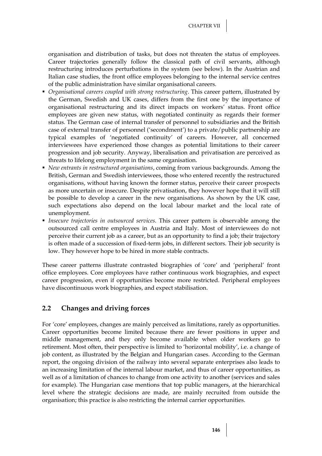CHAPTER VII

organisation and distribution of tasks, but does not threaten the status of employees. Career trajectories generally follow the classical path of civil servants, although restructuring introduces perturbations in the system (see below). In the Austrian and Italian case studies, the front office employees belonging to the internal service centres of the public administration have similar organisational careers.

- *Organisational careers coupled with strong restructuring*. This career pattern, illustrated by the German, Swedish and UK cases, differs from the first one by the importance of organisational restructuring and its direct impacts on workers' status. Front office employees are given new status, with negotiated continuity as regards their former status. The German case of internal transfer of personnel to subsidiaries and the British case of external transfer of personnel ('secondment') to a private/public partnership are typical examples of 'negotiated continuity' of careers. However, all concerned interviewees have experienced those changes as potential limitations to their career progression and job security. Anyway, liberalisation and privatisation are perceived as threats to lifelong employment in the same organisation.
- *New entrants in restructured organisations*, coming from various backgrounds. Among the British, German and Swedish interviewees, those who entered recently the restructured organisations, without having known the former status, perceive their career prospects as more uncertain or insecure. Despite privatisation, they however hope that it will still be possible to develop a career in the new organisations. As shown by the UK case, such expectations also depend on the local labour market and the local rate of unemployment.
- *Insecure trajectories in outsourced services*. This career pattern is observable among the outsourced call centre employees in Austria and Italy. Most of interviewees do not perceive their current job as a career, but as an opportunity to find a job; their trajectory is often made of a succession of fixed-term jobs, in different sectors. Their job security is low. They however hope to be hired in more stable contracts.

These career patterns illustrate contrasted biographies of 'core' and 'peripheral' front office employees. Core employees have rather continuous work biographies, and expect career progression, even if opportunities become more restricted. Peripheral employees have discontinuous work biographies, and expect stabilisation.

## **2.2 Changes and driving forces**

For 'core' employees, changes are mainly perceived as limitations, rarely as opportunities. Career opportunities become limited because there are fewer positions in upper and middle management, and they only become available when older workers go to retirement. Most often, their perspective is limited to 'horizontal mobility', i.e. a change of job content, as illustrated by the Belgian and Hungarian cases. According to the German report, the ongoing division of the railway into several separate enterprises also leads to an increasing limitation of the internal labour market, and thus of career opportunities, as well as of a limitation of chances to change from one activity to another (services and sales for example). The Hungarian case mentions that top public managers, at the hierarchical level where the strategic decisions are made, are mainly recruited from outside the organisation; this practice is also restricting the internal carrier opportunities.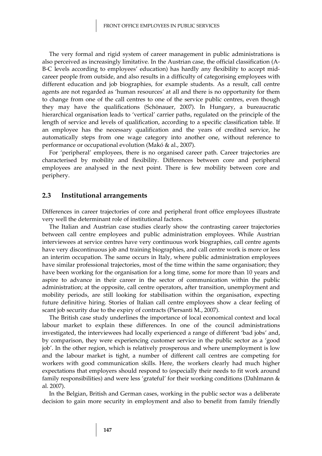The very formal and rigid system of career management in public administrations is also perceived as increasingly limitative. In the Austrian case, the official classification (A-B-C levels according to employees' education) has hardly any flexibility to accept midcareer people from outside, and also results in a difficulty of categorising employees with different education and job biographies, for example students. As a result, call centre agents are not regarded as 'human resources' at all and there is no opportunity for them to change from one of the call centres to one of the service public centres, even though they may have the qualifications (Schönauer, 2007). In Hungary, a bureaucratic hierarchical organisation leads to 'vertical' carrier paths, regulated on the principle of the length of service and levels of qualification, according to a specific classification table. If an employee has the necessary qualification and the years of credited service, he automatically steps from one wage category into another one, without reference to performance or occupational evolution (Makó & al., 2007).

For 'peripheral' employees, there is no organised career path. Career trajectories are characterised by mobility and flexibility. Differences between core and peripheral employees are analysed in the next point. There is few mobility between core and periphery.

## **2.3 Institutional arrangements**

Differences in career trajectories of core and peripheral front office employees illustrate very well the determinant role of institutional factors.

The Italian and Austrian case studies clearly show the contrasting career trajectories between call centre employees and public administration employees. While Austrian interviewees at service centres have very continuous work biographies, call centre agents have very discontinuous job and training biographies, and call centre work is more or less an interim occupation. The same occurs in Italy, where public administration employees have similar professional trajectories, most of the time within the same organisation; they have been working for the organisation for a long time, some for more than 10 years and aspire to advance in their career in the sector of communication within the public administration; at the opposite, call centre operators, after transition, unemployment and mobility periods, are still looking for stabilisation within the organisation, expecting future definitive hiring. Stories of Italian call centre employees show a clear feeling of scant job security due to the expiry of contracts (Piersanti M., 2007).

The British case study underlines the importance of local economical context and local labour market to explain these differences. In one of the council administrations investigated, the interviewees had locally experienced a range of different 'bad jobs' and, by comparison, they were experiencing customer service in the public sector as a 'good job'. In the other region, which is relatively prosperous and where unemployment is low and the labour market is tight, a number of different call centres are competing for workers with good communication skills. Here, the workers clearly had much higher expectations that employers should respond to (especially their needs to fit work around family responsibilities) and were less 'grateful' for their working conditions (Dahlmann & al. 2007).

In the Belgian, British and German cases, working in the public sector was a deliberate decision to gain more security in employment and also to benefit from family friendly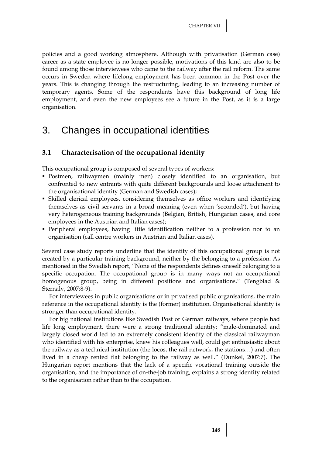CHAPTER VII

policies and a good working atmosphere. Although with privatisation (German case) career as a state employee is no longer possible, motivations of this kind are also to be found among those interviewees who came to the railway after the rail reform. The same occurs in Sweden where lifelong employment has been common in the Post over the years. This is changing through the restructuring, leading to an increasing number of temporary agents. Some of the respondents have this background of long life employment, and even the new employees see a future in the Post, as it is a large organisation.

## 3. Changes in occupational identities

## **3.1 Characterisation of the occupational identity**

This occupational group is composed of several types of workers:

- Postmen, railwaymen (mainly men) closely identified to an organisation, but confronted to new entrants with quite different backgrounds and loose attachment to the organisational identity (German and Swedish cases);
- Skilled clerical employees, considering themselves as office workers and identifying themselves as civil servants in a broad meaning (even when 'seconded'), but having very heterogeneous training backgrounds (Belgian, British, Hungarian cases, and core employees in the Austrian and Italian cases);
- Peripheral employees, having little identification neither to a profession nor to an organisation (call centre workers in Austrian and Italian cases).

Several case study reports underline that the identity of this occupational group is not created by a particular training background, neither by the belonging to a profession. As mentioned in the Swedish report, "None of the respondents defines oneself belonging to a specific occupation. The occupational group is in many ways not an occupational homogenous group, being in different positions and organisations." (Tengblad & Sternälv, 2007:8-9).

For interviewees in public organisations or in privatised public organisations, the main reference in the occupational identity is the (former) institution. Organisational identity is stronger than occupational identity.

For big national institutions like Swedish Post or German railways, where people had life long employment, there were a strong traditional identity: "male-dominated and largely closed world led to an extremely consistent identity of the classical railwayman who identified with his enterprise, knew his colleagues well, could get enthusiastic about the railway as a technical institution (the locos, the rail network, the stations…) and often lived in a cheap rented flat belonging to the railway as well." (Dunkel, 2007:7). The Hungarian report mentions that the lack of a specific vocational training outside the organisation, and the importance of on-the-job training, explains a strong identity related to the organisation rather than to the occupation.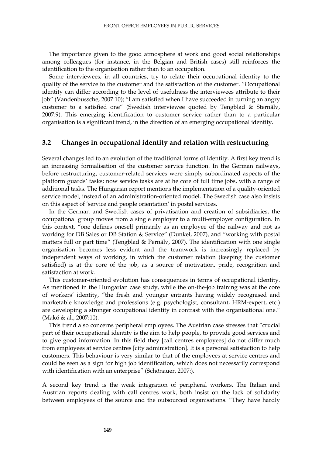The importance given to the good atmosphere at work and good social relationships among colleagues (for instance, in the Belgian and British cases) still reinforces the identification to the organisation rather than to an occupation.

Some interviewees, in all countries, try to relate their occupational identity to the quality of the service to the customer and the satisfaction of the customer. "Occupational identity can differ according to the level of usefulness the interviewees attribute to their job" (Vandenbussche, 2007:10); "I am satisfied when I have succeeded in turning an angry customer to a satisfied one" (Swedish interviewee quoted by Tengblad & Sternälv, 2007:9). This emerging identification to customer service rather than to a particular organisation is a significant trend, in the direction of an emerging occupational identity.

## **3.2 Changes in occupational identity and relation with restructuring**

Several changes led to an evolution of the traditional forms of identity. A first key trend is an increasing formalisation of the customer service function. In the German railways, before restructuring, customer-related services were simply subordinated aspects of the platform guards' tasks; now service tasks are at he core of full time jobs, with a range of additional tasks. The Hungarian report mentions the implementation of a quality-oriented service model, instead of an administration-oriented model. The Swedish case also insists on this aspect of 'service and people orientation' in postal services.

In the German and Swedish cases of privatisation and creation of subsidiaries, the occupational group moves from a single employer to a multi-employer configuration. In this context, "one defines oneself primarily as an employee of the railway and not as working for DB Sales or DB Station & Service" (Dunkel, 2007), and "working with postal matters full or part time" (Tengblad & Pernälv, 2007). The identification with one single organisation becomes less evident and the teamwork is increasingly replaced by independent ways of working, in which the customer relation (keeping the customer satisfied) is at the core of the job, as a source of motivation, pride, recognition and satisfaction at work.

This customer-oriented evolution has consequences in terms of occupational identity. As mentioned in the Hungarian case study, while the on-the-job training was at the core of workers' identity, "the fresh and younger entrants having widely recognised and marketable knowledge and professions (e.g. psychologist, consultant, HRM-expert, etc.) are developing a stronger occupational identity in contrast with the organisational one." (Makó & al., 2007:10).

This trend also concerns peripheral employees. The Austrian case stresses that "crucial part of their occupational identity is the aim to help people, to provide good services and to give good information. In this field they [call centres employees] do not differ much from employees at service centres [city administration]. It is a personal satisfaction to help customers. This behaviour is very similar to that of the employees at service centres and could be seen as a sign for high job identification, which does not necessarily correspond with identification with an enterprise" (Schönauer, 2007:).

A second key trend is the weak integration of peripheral workers. The Italian and Austrian reports dealing with call centres work, both insist on the lack of solidarity between employees of the source and the outsourced organisations. "They have hardly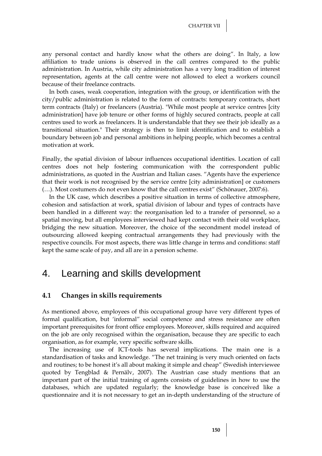CHAPTER VII

any personal contact and hardly know what the others are doing". In Italy, a low affiliation to trade unions is observed in the call centres compared to the public administration. In Austria, while city administration has a very long tradition of interest representation, agents at the call centre were not allowed to elect a workers council because of their freelance contracts.

In both cases, weak cooperation, integration with the group, or identification with the city/public administration is related to the form of contracts: temporary contracts, short term contracts (Italy) or freelancers (Austria). "While most people at service centres [city administration] have job tenure or other forms of highly secured contracts, people at call centres used to work as freelancers. It is understandable that they see their job ideally as a transitional situation." Their strategy is then to limit identification and to establish a boundary between job and personal ambitions in helping people, which becomes a central motivation at work.

Finally, the spatial division of labour influences occupational identities. Location of call centres does not help fostering communication with the correspondent public administrations, as quoted in the Austrian and Italian cases. "Agents have the experience that their work is not recognised by the service centre [city administration] or customers (…). Most costumers do not even know that the call centres exist" (Schönauer, 2007:6).

In the UK case, which describes a positive situation in terms of collective atmosphere, cohesion and satisfaction at work, spatial division of labour and types of contracts have been handled in a different way: the reorganisation led to a transfer of personnel, so a spatial moving, but all employees interviewed had kept contact with their old workplace, bridging the new situation. Moreover, the choice of the secondment model instead of outsourcing allowed keeping contractual arrangements they had previously with the respective councils. For most aspects, there was little change in terms and conditions: staff kept the same scale of pay, and all are in a pension scheme.

## 4. Learning and skills development

## **4.1 Changes in skills requirements**

As mentioned above, employees of this occupational group have very different types of formal qualification, but 'informal" social competence and stress resistance are often important prerequisites for front office employees. Moreover, skills required and acquired on the job are only recognised within the organisation, because they are specific to each organisation, as for example, very specific software skills.

The increasing use of ICT-tools has several implications. The main one is a standardisation of tasks and knowledge. "The net training is very much oriented on facts and routines; to be honest it's all about making it simple and cheap" (Swedish interviewee quoted by Tengblad & Pernälv, 2007). The Austrian case study mentions that an important part of the initial training of agents consists of guidelines in how to use the databases, which are updated regularly; the knowledge base is conceived like a questionnaire and it is not necessary to get an in-depth understanding of the structure of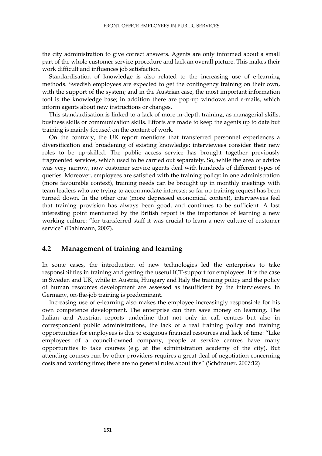the city administration to give correct answers. Agents are only informed about a small part of the whole customer service procedure and lack an overall picture. This makes their work difficult and influences job satisfaction.

Standardisation of knowledge is also related to the increasing use of e-learning methods. Swedish employees are expected to get the contingency training on their own, with the support of the system; and in the Austrian case, the most important information tool is the knowledge base; in addition there are pop-up windows and e-mails, which inform agents about new instructions or changes.

This standardisation is linked to a lack of more in-depth training, as managerial skills, business skills or communication skills. Efforts are made to keep the agents up to date but training is mainly focused on the content of work.

On the contrary, the UK report mentions that transferred personnel experiences a diversification and broadening of existing knowledge; interviewees consider their new roles to be up-skilled. The public access service has brought together previously fragmented services, which used to be carried out separately. So, while the area of advice was very narrow, now customer service agents deal with hundreds of different types of queries. Moreover, employees are satisfied with the training policy: in one administration (more favourable context), training needs can be brought up in monthly meetings with team leaders who are trying to accommodate interests; so far no training request has been turned down. In the other one (more depressed economical context), interviewees feel that training provision has always been good, and continues to be sufficient. A last interesting point mentioned by the British report is the importance of learning a new working culture: "for transferred staff it was crucial to learn a new culture of customer service" (Dahlmann, 2007).

## **4.2 Management of training and learning**

In some cases, the introduction of new technologies led the enterprises to take responsibilities in training and getting the useful ICT-support for employees. It is the case in Sweden and UK, while in Austria, Hungary and Italy the training policy and the policy of human resources development are assessed as insufficient by the interviewees. In Germany, on-the-job training is predominant.

Increasing use of e-learning also makes the employee increasingly responsible for his own competence development. The enterprise can then save money on learning. The Italian and Austrian reports underline that not only in call centres but also in correspondent public administrations, the lack of a real training policy and training opportunities for employees is due to exiguous financial resources and lack of time: "Like employees of a council-owned company, people at service centres have many opportunities to take courses (e.g. at the administration academy of the city). But attending courses run by other providers requires a great deal of negotiation concerning costs and working time; there are no general rules about this" (Schönauer, 2007:12)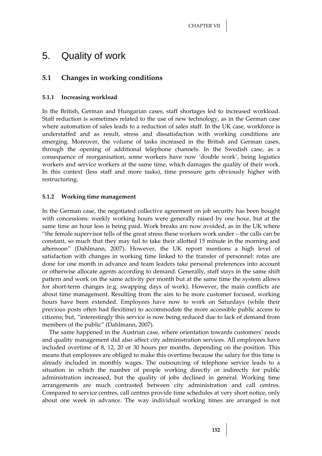## 5. Quality of work

## **5.1 Changes in working conditions**

## **5.1.1 Increasing workload**

In the British, German and Hungarian cases, staff shortages led to increased workload. Staff reduction is sometimes related to the use of new technology, as in the German case where automation of sales leads to a reduction of sales staff. In the UK case, workforce is understaffed and as result, stress and dissatisfaction with working conditions are emerging. Moreover, the volume of tasks increased in the British and German cases, through the opening of additional telephone channels. In the Swedish case, as a consequence of reorganisation, some workers have now 'double work', being logistics workers and service workers at the same time, which damages the quality of their work. In this context (less staff and more tasks), time pressure gets obviously higher with restructuring.

## **5.1.2 Working time management**

In the German case, the negotiated collective agreement on job security has been bought with concessions: weekly working hours were generally raised by one hour, but at the same time an hour less is being paid. Work breaks are now avoided, as in the UK where "the female supervisor tells of the great stress these workers work under – the calls can be constant, so much that they may fail to take their allotted 15 minute in the morning and afternoon" (Dahlmann, 2007). However, the UK report mentions a high level of satisfaction with changes in working time linked to the transfer of personnel: rotas are done for one month in advance and team leaders take personal preferences into account or otherwise allocate agents according to demand. Generally, staff stays in the same shift pattern and work on the same activity per month but at the same time the system allows for short-term changes (e.g. swapping days of work). However, the main conflicts are about time management. Resulting from the aim to be more customer focused, working hours have been extended. Employees have now to work on Saturdays (while their previous posts often had flexitime) to accommodate the more accessible public access to citizens; but, "interestingly this service is now being reduced due to lack of demand from members of the public" (Dahlmann, 2007).

The same happened in the Austrian case, where orientation towards customers' needs and quality management did also affect city administration services. All employees have included overtime of 8, 12, 20 or 30 hours per months, depending on the position. This means that employees are obliged to make this overtime because the salary for this time is already included in monthly wages. The outsourcing of telephone service leads to a situation in which the number of people working directly or indirectly for public administration increased, but the quality of jobs declined in general. Working time arrangements are much contrasted between city administration and call centres. Compared to service centres, call centres provide time schedules at very short notice, only about one week in advance. The way individual working times are arranged is not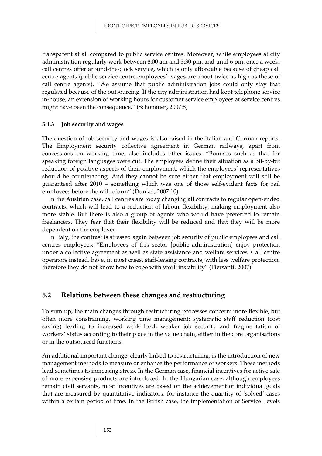transparent at all compared to public service centres. Moreover, while employees at city administration regularly work between 8:00 am and 3:30 pm. and until 6 pm. once a week, call centres offer around-the-clock service, which is only affordable because of cheap call centre agents (public service centre employees' wages are about twice as high as those of call centre agents). "We assume that public administration jobs could only stay that regulated because of the outsourcing. If the city administration had kept telephone service in-house, an extension of working hours for customer service employees at service centres might have been the consequence." (Schönauer, 2007:8)

#### **5.1.3 Job security and wages**

The question of job security and wages is also raised in the Italian and German reports. The Employment security collective agreement in German railways, apart from concessions on working time, also includes other issues: "Bonuses such as that for speaking foreign languages were cut. The employees define their situation as a bit-by-bit reduction of positive aspects of their employment, which the employees' representatives should be counteracting. And they cannot be sure either that employment will still be guaranteed after 2010 – something which was one of those self-evident facts for rail employees before the rail reform" (Dunkel, 2007:10)

In the Austrian case, call centres are today changing all contracts to regular open-ended contracts, which will lead to a reduction of labour flexibility, making employment also more stable. But there is also a group of agents who would have preferred to remain freelancers. They fear that their flexibility will be reduced and that they will be more dependent on the employer.

In Italy, the contrast is stressed again between job security of public employees and call centres employees: "Employees of this sector [public administration] enjoy protection under a collective agreement as well as state assistance and welfare services. Call centre operators instead, have, in most cases, staff-leasing contracts, with less welfare protection, therefore they do not know how to cope with work instability" (Piersanti, 2007).

## **5.2 Relations between these changes and restructuring**

To sum up, the main changes through restructuring processes concern: more flexible, but often more constraining, working time management; systematic staff reduction (cost saving) leading to increased work load; weaker job security and fragmentation of workers' status according to their place in the value chain, either in the core organisations or in the outsourced functions.

An additional important change, clearly linked to restructuring, is the introduction of new management methods to measure or enhance the performance of workers. These methods lead sometimes to increasing stress. In the German case, financial incentives for active sale of more expensive products are introduced. In the Hungarian case, although employees remain civil servants, most incentives are based on the achievement of individual goals that are measured by quantitative indicators, for instance the quantity of 'solved' cases within a certain period of time. In the British case, the implementation of Service Levels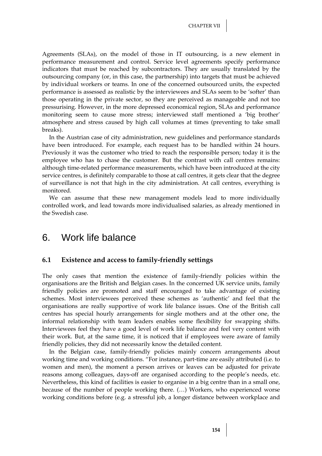CHAPTER VII

Agreements (SLAs), on the model of those in IT outsourcing, is a new element in performance measurement and control. Service level agreements specify performance indicators that must be reached by subcontractors. They are usually translated by the outsourcing company (or, in this case, the partnership) into targets that must be achieved by individual workers or teams. In one of the concerned outsourced units, the expected performance is assessed as realistic by the interviewees and SLAs seem to be 'softer' than those operating in the private sector, so they are perceived as manageable and not too pressurising. However, in the more depressed economical region, SLAs and performance monitoring seem to cause more stress; interviewed staff mentioned a 'big brother' atmosphere and stress caused by high call volumes at times (preventing to take small breaks).

In the Austrian case of city administration, new guidelines and performance standards have been introduced. For example, each request has to be handled within 24 hours. Previously it was the customer who tried to reach the responsible person; today it is the employee who has to chase the customer. But the contrast with call centres remains: although time-related performance measurements, which have been introduced at the city service centres, is definitely comparable to those at call centres, it gets clear that the degree of surveillance is not that high in the city administration. At call centres, everything is monitored.

We can assume that these new management models lead to more individually controlled work, and lead towards more individualised salaries, as already mentioned in the Swedish case.

## 6. Work life balance

## **6.1 Existence and access to family-friendly settings**

The only cases that mention the existence of family-friendly policies within the organisations are the British and Belgian cases. In the concerned UK service units, family friendly policies are promoted and staff encouraged to take advantage of existing schemes. Most interviewees perceived these schemes as 'authentic' and feel that the organisations are really supportive of work life balance issues. One of the British call centres has special hourly arrangements for single mothers and at the other one, the informal relationship with team leaders enables some flexibility for swapping shifts. Interviewees feel they have a good level of work life balance and feel very content with their work. But, at the same time, it is noticed that if employees were aware of family friendly policies, they did not necessarily know the detailed content.

In the Belgian case, family-friendly policies mainly concern arrangements about working time and working conditions. "For instance, part-time are easily attributed (i.e. to women and men), the moment a person arrives or leaves can be adjusted for private reasons among colleagues, days-off are organised according to the people's needs, etc. Nevertheless, this kind of facilities is easier to organise in a big centre than in a small one, because of the number of people working there. (…) Workers, who experienced worse working conditions before (e.g. a stressful job, a longer distance between workplace and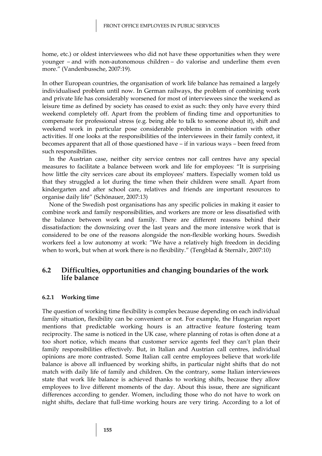home, etc.) or oldest interviewees who did not have these opportunities when they were younger – and with non-autonomous children – do valorise and underline them even more." (Vandenbussche, 2007:19).

In other European countries, the organisation of work life balance has remained a largely individualised problem until now. In German railways, the problem of combining work and private life has considerably worsened for most of interviewees since the weekend as leisure time as defined by society has ceased to exist as such: they only have every third weekend completely off. Apart from the problem of finding time and opportunities to compensate for professional stress (e.g. being able to talk to someone about it), shift and weekend work in particular pose considerable problems in combination with other activities. If one looks at the responsibilities of the interviewees in their family context, it becomes apparent that all of those questioned have – if in various ways – been freed from such responsibilities.

In the Austrian case, neither city service centres nor call centres have any special measures to facilitate a balance between work and life for employees: "It is surprising how little the city services care about its employees' matters. Especially women told us that they struggled a lot during the time when their children were small. Apart from kindergarten and after school care, relatives and friends are important resources to organise daily life" (Schönauer, 2007:13)

None of the Swedish post organisations has any specific policies in making it easier to combine work and family responsibilities, and workers are more or less dissatisfied with the balance between work and family. There are different reasons behind their dissatisfaction: the downsizing over the last years and the more intensive work that is considered to be one of the reasons alongside the non-flexible working hours. Swedish workers feel a low autonomy at work: "We have a relatively high freedom in deciding when to work, but when at work there is no flexibility." (Tengblad & Sternälv, 2007:10)

## **6.2 Difficulties, opportunities and changing boundaries of the work life balance**

#### **6.2.1 Working time**

The question of working time flexibility is complex because depending on each individual family situation, flexibility can be convenient or not. For example, the Hungarian report mentions that predictable working hours is an attractive feature fostering team reciprocity. The same is noticed in the UK case, where planning of rotas is often done at a too short notice, which means that customer service agents feel they can't plan their family responsibilities effectively. But, in Italian and Austrian call centres, individual opinions are more contrasted. Some Italian call centre employees believe that work-life balance is above all influenced by working shifts, in particular night shifts that do not match with daily life of family and children. On the contrary, some Italian interviewees state that work life balance is achieved thanks to working shifts, because they allow employees to live different moments of the day. About this issue, there are significant differences according to gender. Women, including those who do not have to work on night shifts, declare that full-time working hours are very tiring. According to a lot of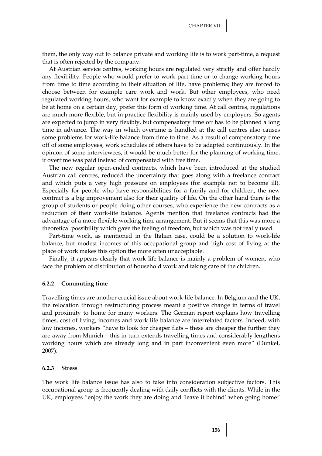them, the only way out to balance private and working life is to work part-time, a request that is often rejected by the company.

At Austrian service centres, working hours are regulated very strictly and offer hardly any flexibility. People who would prefer to work part time or to change working hours from time to time according to their situation of life, have problems; they are forced to choose between for example care work and work. But other employees, who need regulated working hours, who want for example to know exactly when they are going to be at home on a certain day, prefer this form of working time. At call centres, regulations are much more flexible, but in practice flexibility is mainly used by employers. So agents are expected to jump in very flexibly, but compensatory time off has to be planned a long time in advance. The way in which overtime is handled at the call centres also causes some problems for work-life balance from time to time. As a result of compensatory time off of some employees, work schedules of others have to be adapted continuously. In the opinion of some interviewees, it would be much better for the planning of working time, if overtime was paid instead of compensated with free time.

The new regular open-ended contracts, which have been introduced at the studied Austrian call centres, reduced the uncertainty that goes along with a freelance contract and which puts a very high pressure on employees (for example not to become ill). Especially for people who have responsibilities for a family and for children, the new contract is a big improvement also for their quality of life. On the other hand there is the group of students or people doing other courses, who experience the new contracts as a reduction of their work-life balance. Agents mention that freelance contracts had the advantage of a more flexible working time arrangement. But it seems that this was more a theoretical possibility which gave the feeling of freedom, but which was not really used.

Part-time work, as mentioned in the Italian case, could be a solution to work-life balance, but modest incomes of this occupational group and high cost of living at the place of work makes this option the more often unacceptable.

Finally, it appears clearly that work life balance is mainly a problem of women, who face the problem of distribution of household work and taking care of the children.

#### **6.2.2 Commuting time**

Travelling times are another crucial issue about work-life balance. In Belgium and the UK, the relocation through restructuring process meant a positive change in terms of travel and proximity to home for many workers. The German report explains how travelling times, cost of living, incomes and work life balance are interrelated factors. Indeed, with low incomes, workers "have to look for cheaper flats – these are cheaper the further they are away from Munich – this in turn extends travelling times and considerably lengthens working hours which are already long and in part inconvenient even more" (Dunkel, 2007).

#### **6.2.3 Stress**

The work life balance issue has also to take into consideration subjective factors. This occupational group is frequently dealing with daily conflicts with the clients. While in the UK, employees "enjoy the work they are doing and 'leave it behind' when going home"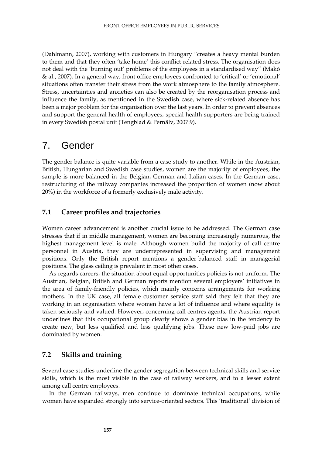(Dahlmann, 2007), working with customers in Hungary "creates a heavy mental burden to them and that they often 'take home' this conflict-related stress. The organisation does not deal with the 'burning out' problems of the employees in a standardised way" (Makó & al., 2007). In a general way, front office employees confronted to 'critical' or 'emotional' situations often transfer their stress from the work atmosphere to the family atmosphere. Stress, uncertainties and anxieties can also be created by the reorganisation process and influence the family, as mentioned in the Swedish case, where sick-related absence has been a major problem for the organisation over the last years. In order to prevent absences and support the general health of employees, special health supporters are being trained in every Swedish postal unit (Tengblad & Pernälv, 2007:9).

## 7. Gender

The gender balance is quite variable from a case study to another. While in the Austrian, British, Hungarian and Swedish case studies, women are the majority of employees, the sample is more balanced in the Belgian, German and Italian cases. In the German case, restructuring of the railway companies increased the proportion of women (now about 20%) in the workforce of a formerly exclusively male activity.

## **7.1 Career profiles and trajectories**

Women career advancement is another crucial issue to be addressed. The German case stresses that if in middle management, women are becoming increasingly numerous, the highest management level is male. Although women build the majority of call centre personnel in Austria, they are underrepresented in supervising and management positions. Only the British report mentions a gender-balanced staff in managerial positions. The glass ceiling is prevalent in most other cases.

As regards careers, the situation about equal opportunities policies is not uniform. The Austrian, Belgian, British and German reports mention several employers' initiatives in the area of family-friendly policies, which mainly concerns arrangements for working mothers. In the UK case, all female customer service staff said they felt that they are working in an organisation where women have a lot of influence and where equality is taken seriously and valued. However, concerning call centres agents, the Austrian report underlines that this occupational group clearly shows a gender bias in the tendency to create new, but less qualified and less qualifying jobs. These new low-paid jobs are dominated by women.

## **7.2 Skills and training**

Several case studies underline the gender segregation between technical skills and service skills, which is the most visible in the case of railway workers, and to a lesser extent among call centre employees.

In the German railways, men continue to dominate technical occupations, while women have expanded strongly into service-oriented sectors. This 'traditional' division of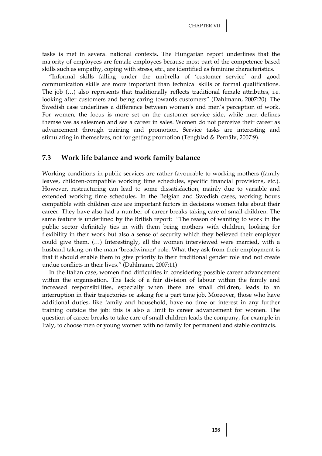CHAPTER VII

tasks is met in several national contexts. The Hungarian report underlines that the majority of employees are female employees because most part of the competence-based skills such as empathy, coping with stress, etc., are identified as feminine characteristics.

"Informal skills falling under the umbrella of 'customer service' and good communication skills are more important than technical skills or formal qualifications. The job (…) also represents that traditionally reflects traditional female attributes, i.e. looking after customers and being caring towards customers" (Dahlmann, 2007:20). The Swedish case underlines a difference between women's and men's perception of work. For women, the focus is more set on the customer service side, while men defines themselves as salesmen and see a career in sales. Women do not perceive their career as advancement through training and promotion. Service tasks are interesting and stimulating in themselves, not for getting promotion (Tengblad & Pernälv, 2007:9).

## **7.3 Work life balance and work family balance**

Working conditions in public services are rather favourable to working mothers (family leaves, children-compatible working time schedules, specific financial provisions, etc.). However, restructuring can lead to some dissatisfaction, mainly due to variable and extended working time schedules. In the Belgian and Swedish cases, working hours compatible with children care are important factors in decisions women take about their career. They have also had a number of career breaks taking care of small children. The same feature is underlined by the British report: "The reason of wanting to work in the public sector definitely ties in with them being mothers with children, looking for flexibility in their work but also a sense of security which they believed their employer could give them. (…) Interestingly, all the women interviewed were married, with a husband taking on the main 'breadwinner' role. What they ask from their employment is that it should enable them to give priority to their traditional gender role and not create undue conflicts in their lives." (Dahlmann, 2007:11)

In the Italian case, women find difficulties in considering possible career advancement within the organisation. The lack of a fair division of labour within the family and increased responsibilities, especially when there are small children, leads to an interruption in their trajectories or asking for a part time job. Moreover, those who have additional duties, like family and household, have no time or interest in any further training outside the job: this is also a limit to career advancement for women. The question of career breaks to take care of small children leads the company, for example in Italy, to choose men or young women with no family for permanent and stable contracts.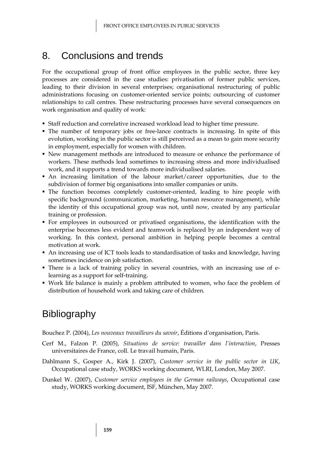## 8. Conclusions and trends

For the occupational group of front office employees in the public sector, three key processes are considered in the case studies: privatisation of former public services, leading to their division in several enterprises; organisational restructuring of public administrations focusing on customer-oriented service points; outsourcing of customer relationships to call centres. These restructuring processes have several consequences on work organisation and quality of work:

- Staff reduction and correlative increased workload lead to higher time pressure.
- The number of temporary jobs or free-lance contracts is increasing. In spite of this evolution, working in the public sector is still perceived as a mean to gain more security in employment, especially for women with children.
- New management methods are introduced to measure or enhance the performance of workers. These methods lead sometimes to increasing stress and more individualised work, and it supports a trend towards more individualised salaries.
- An increasing limitation of the labour market/career opportunities, due to the subdivision of former big organisations into smaller companies or units.
- The function becomes completely customer-oriented, leading to hire people with specific background (communication, marketing, human resource management), while the identity of this occupational group was not, until now, created by any particular training or profession.
- For employees in outsourced or privatised organisations, the identification with the enterprise becomes less evident and teamwork is replaced by an independent way of working. In this context, personal ambition in helping people becomes a central motivation at work.
- An increasing use of ICT tools leads to standardisation of tasks and knowledge, having sometimes incidence on job satisfaction.
- There is a lack of training policy in several countries, with an increasing use of elearning as a support for self-training.
- Work life balance is mainly a problem attributed to women, who face the problem of distribution of household work and taking care of children.

# **Bibliography**

Bouchez P. (2004), *Les nouveaux travailleurs du savoir*, Éditions d'organisation, Paris.

- Cerf M., Falzon P. (2005), *Situations de service: travailler dans l'interaction*, Presses universitaires de France, coll. Le travail humain, Paris.
- Dahlmann S., Gosper A., Kirk J. (2007), *Customer service in the public sector in UK*, Occupational case study, WORKS working document, WLRI, London, May 2007.
- Dunkel W. (2007), *Customer service employees in the German railways*, Occupational case study, WORKS working document, ISF, München, May 2007.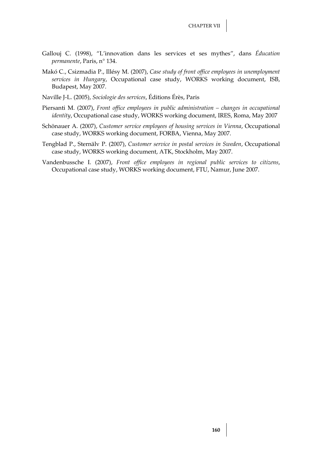- Gallouj C. (1998), "L'innovation dans les services et ses mythes", dans *Éducation permanente*, Paris, n° 134.
- Makó C., Csizmadia P., Illésy M. (2007), *Case study of front office employees in unemployment services in Hungary*, Occupational case study, WORKS working document, ISB, Budapest, May 2007.
- Naville J-L. (2005), *Sociologie des services*, Éditions Érès, Paris
- Piersanti M. (2007), *Front office employees in public administration changes in occupational identity*, Occupational case study, WORKS working document, IRES, Roma, May 2007
- Schönauer A. (2007), *Customer service employees of housing services in Vienna*, Occupational case study, WORKS working document, FORBA, Vienna, May 2007.
- Tengblad P., Sternälv P. (2007), *Customer service in postal services in Sweden*, Occupational case study, WORKS working document, ATK, Stockholm, May 2007.
- Vandenbussche I. (2007), *Front office employees in regional public services to citizens*, Occupational case study, WORKS working document, FTU, Namur, June 2007.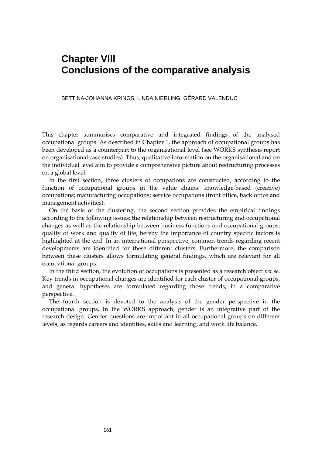# **Chapter VIII Conclusions of the comparative analysis**

BETTINA-JOHANNA KRINGS, LINDA NIERLING, GÉRARD VALENDUC

This chapter summarises comparative and integrated findings of the analysed occupational groups. As described in Chapter 1, the approach of occupational groups has been developed as a counterpart to the organisational level (see WORKS synthesis report on organisational case studies). Thus, qualitative information on the organisational and on the individual level aim to provide a comprehensive picture about restructuring processes on a global level.

In the first section, three clusters of occupations are constructed, according to the function of occupational groups in the value chains: knowledge-based (creative) occupations; manufacturing occupations; service occupations (front office, back office and management activities).

On the basis of the clustering, the second section provides the empirical findings according to the following issues: the relationship between restructuring and occupational changes as well as the relationship between business functions and occupational groups; quality of work and quality of life; hereby the importance of country specific factors is highlighted at the end. In an international perspective, common trends regarding recent developments are identified for these different clusters. Furthermore, the comparison between these clusters allows formulating general findings, which are relevant for all occupational groups.

In the third section, the evolution of occupations is presented as a research object *per se*. Key trends in occupational changes are identified for each cluster of occupational groups, and general hypotheses are formulated regarding those trends, in a comparative perspective.

The fourth section is devoted to the analysis of the gender perspective in the occupational groups. In the WORKS approach, gender is an integrative part of the research design. Gender questions are important in all occupational groups on different levels, as regards careers and identities, skills and learning, and work life balance.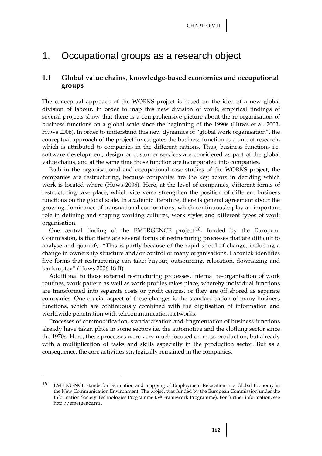## 1. Occupational groups as a research object

## **1.1 Global value chains, knowledge-based economies and occupational groups**

The conceptual approach of the WORKS project is based on the idea of a new global division of labour. In order to map this new division of work, empirical findings of several projects show that there is a comprehensive picture about the re-organisation of business functions on a global scale since the beginning of the 1990s (Huws et al. 2003, Huws 2006). In order to understand this new dynamics of "global work organisation", the conceptual approach of the project investigates the business function as a unit of research, which is attributed to companies in the different nations. Thus, business functions i.e. software development, design or customer services are considered as part of the global value chains, and at the same time those function are incorporated into companies.

Both in the organisational and occupational case studies of the WORKS project, the companies are restructuring, because companies are the key actors in deciding which work is located where (Huws 2006). Here, at the level of companies, different forms of restructuring take place, which vice versa strengthen the position of different business functions on the global scale. In academic literature, there is general agreement about the growing dominance of transnational corporations, which continuously play an important role in defining and shaping working cultures, work styles and different types of work organisation.

One central finding of the EMERGENCE project  $16$ , funded by the European Commission, is that there are several forms of restructuring processes that are difficult to analyse and quantify. "This is partly because of the rapid speed of change, including a change in ownership structure and/or control of many organisations. Lazonick identifies five forms that restructuring can take: buyout, outsourcing, relocation, downsizing and bankruptcy" (Huws 2006:18 ff).

Additional to those external restructuring processes, internal re-organisation of work routines, work pattern as well as work profiles takes place, whereby individual functions are transformed into separate costs or profit centres, or they are off shored as separate companies. One crucial aspect of these changes is the standardisation of many business functions, which are continuously combined with the digitisation of information and worldwide penetration with telecommunication networks.

Processes of commodification, standardisation and fragmentation of business functions already have taken place in some sectors i.e. the automotive and the clothing sector since the 1970s. Here, these processes were very much focused on mass production, but already with a multiplication of tasks and skills especially in the production sector. But as a consequence, the core activities strategically remained in the companies.

 $\ddot{\phantom{a}}$ 

<sup>16</sup> EMERGENCE stands for Estimation and mapping of Employment Relocation in a Global Economy in the New Communication Environment. The project was funded by the European Commission under the Information Society Technologies Programme (5th Framework Programme). For further information, see http://emergence.nu .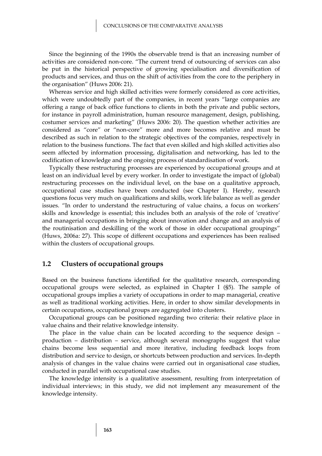Since the beginning of the 1990s the observable trend is that an increasing number of activities are considered non-core. "The current trend of outsourcing of services can also be put in the historical perspective of growing specialisation and diversification of products and services, and thus on the shift of activities from the core to the periphery in the organisation" (Huws 2006: 21).

Whereas service and high skilled activities were formerly considered as core activities, which were undoubtedly part of the companies, in recent years "large companies are offering a range of back office functions to clients in both the private and public sectors, for instance in payroll administration, human resource management, design, publishing, costumer services and marketing" (Huws 2006: 20). The question whether activities are considered as "core" or "non-core" more and more becomes relative and must be described as such in relation to the strategic objectives of the companies, respectively in relation to the business functions. The fact that even skilled and high skilled activities also seem affected by information processing, digitalisation and networking, has led to the codification of knowledge and the ongoing process of standardisation of work.

Typically these restructuring processes are experienced by occupational groups and at least on an individual level by every worker. In order to investigate the impact of (global) restructuring processes on the individual level, on the base on a qualitative approach, occupational case studies have been conducted (see Chapter I). Hereby, research questions focus very much on qualifications and skills, work life balance as well as gender issues. "In order to understand the restructuring of value chains, a focus on workers' skills and knowledge is essential; this includes both an analysis of the role of 'creative' and managerial occupations in bringing about innovation and change and an analysis of the routinisation and deskilling of the work of those in older occupational groupings" (Huws, 2006a: 27). This scope of different occupations and experiences has been realised within the clusters of occupational groups.

## **1.2 Clusters of occupational groups**

Based on the business functions identified for the qualitative research, corresponding occupational groups were selected, as explained in Chapter I (§5). The sample of occupational groups implies a variety of occupations in order to map managerial, creative as well as traditional working activities. Here, in order to show similar developments in certain occupations, occupational groups are aggregated into clusters.

Occupational groups can be positioned regarding two criteria: their relative place in value chains and their relative knowledge intensity.

The place in the value chain can be located according to the sequence design – production – distribution – service, although several monographs suggest that value chains become less sequential and more iterative, including feedback loops from distribution and service to design, or shortcuts between production and services. In-depth analysis of changes in the value chains were carried out in organisational case studies, conducted in parallel with occupational case studies.

The knowledge intensity is a qualitative assessment, resulting from interpretation of individual interviews; in this study, we did not implement any measurement of the knowledge intensity.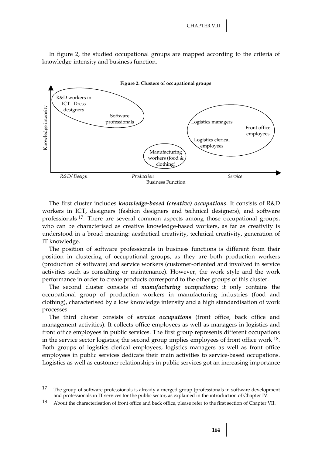In figure 2, the studied occupational groups are mapped according to the criteria of knowledge-intensity and business function.



The first cluster includes *knowledge-based (creative) occupations*. It consists of R&D workers in ICT, designers (fashion designers and technical designers), and software professionals 17. There are several common aspects among those occupational groups, who can be characterised as creative knowledge-based workers, as far as creativity is understood in a broad meaning: aesthetical creativity, technical creativity, generation of IT knowledge.

The position of software professionals in business functions is different from their position in clustering of occupational groups, as they are both production workers (production of software) and service workers (customer-oriented and involved in service activities such as consulting or maintenance). However, the work style and the work performance in order to create products correspond to the other groups of this cluster.

The second cluster consists of *manufacturing occupations*; it only contains the occupational group of production workers in manufacturing industries (food and clothing), characterised by a low knowledge intensity and a high standardisation of work processes.

The third cluster consists of *service occupations* (front office, back office and management activities). It collects office employees as well as managers in logistics and front office employees in public services. The first group represents different occupations in the service sector logistics; the second group implies employees of front office work 18. Both groups of logistics clerical employees, logistics managers as well as front office employees in public services dedicate their main activities to service-based occupations. Logistics as well as customer relationships in public services got an increasing importance

 $\overline{a}$ 

<sup>17</sup> The group of software professionals is already a merged group (professionals in software development and professionals in IT services for the public sector, as explained in the introduction of Chapter IV.

<sup>18</sup> About the characterisation of front office and back office, please refer to the first section of Chapter VII.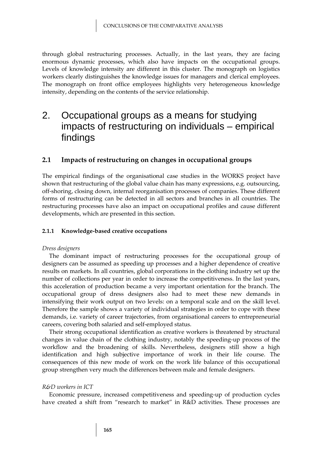through global restructuring processes. Actually, in the last years, they are facing enormous dynamic processes, which also have impacts on the occupational groups. Levels of knowledge intensity are different in this cluster. The monograph on logistics workers clearly distinguishes the knowledge issues for managers and clerical employees. The monograph on front office employees highlights very heterogeneous knowledge intensity, depending on the contents of the service relationship.

# 2. Occupational groups as a means for studying impacts of restructuring on individuals – empirical findings

## **2.1 Impacts of restructuring on changes in occupational groups**

The empirical findings of the organisational case studies in the WORKS project have shown that restructuring of the global value chain has many expressions, e.g. outsourcing, off-shoring, closing down, internal reorganisation processes of companies. These different forms of restructuring can be detected in all sectors and branches in all countries. The restructuring processes have also an impact on occupational profiles and cause different developments, which are presented in this section.

#### **2.1.1 Knowledge-based creative occupations**

#### *Dress designers*

The dominant impact of restructuring processes for the occupational group of designers can be assumed as speeding up processes and a higher dependence of creative results on markets. In all countries, global corporations in the clothing industry set up the number of collections per year in order to increase the competitiveness. In the last years, this acceleration of production became a very important orientation for the branch. The occupational group of dress designers also had to meet these new demands in intensifying their work output on two levels: on a temporal scale and on the skill level. Therefore the sample shows a variety of individual strategies in order to cope with these demands, i.e. variety of career trajectories, from organisational careers to entrepreneurial careers, covering both salaried and self-employed status.

Their strong occupational identification as creative workers is threatened by structural changes in value chain of the clothing industry, notably the speeding-up process of the workflow and the broadening of skills. Nevertheless, designers still show a high identification and high subjective importance of work in their life course. The consequences of this new mode of work on the work life balance of this occupational group strengthen very much the differences between male and female designers.

#### *R&D workers in ICT*

Economic pressure, increased competitiveness and speeding-up of production cycles have created a shift from "research to market" in R&D activities. These processes are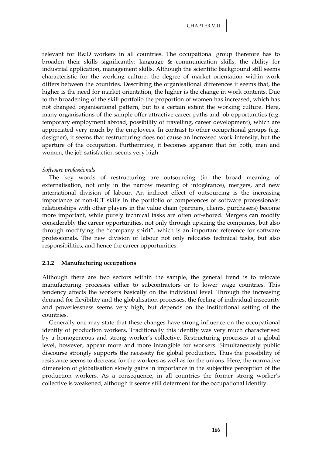CHAPTER VIII

relevant for R&D workers in all countries. The occupational group therefore has to broaden their skills significantly: language & communication skills, the ability for industrial application, management skills. Although the scientific background still seems characteristic for the working culture, the degree of market orientation within work differs between the countries. Describing the organisational differences it seems that, the higher is the need for market orientation, the higher is the change in work contents. Due to the broadening of the skill portfolio the proportion of women has increased, which has not changed organisational pattern, but to a certain extent the working culture. Here, many organisations of the sample offer attractive career paths and job opportunities (e.g. temporary employment abroad, possibility of travelling, career development), which are appreciated very much by the employees. In contrast to other occupational groups (e.g. designer), it seems that restructuring does not cause an increased work intensity, but the aperture of the occupation. Furthermore, it becomes apparent that for both, men and women, the job satisfaction seems very high.

#### *Software professionals*

The key words of restructuring are outsourcing (in the broad meaning of externalisation, not only in the narrow meaning of infogérance), mergers, and new international division of labour. An indirect effect of outsourcing is the increasing importance of non-ICT skills in the portfolio of competences of software professionals: relationships with other players in the value chain (partners, clients, purchasers) become more important, while purely technical tasks are often off-shored. Mergers can modify considerably the career opportunities, not only through upsizing the companies, but also through modifying the "company spirit", which is an important reference for software professionals. The new division of labour not only relocates technical tasks, but also responsibilities, and hence the career opportunities.

#### **2.1.2 Manufacturing occupations**

Although there are two sectors within the sample, the general trend is to relocate manufacturing processes either to subcontractors or to lower wage countries. This tendency affects the workers basically on the individual level. Through the increasing demand for flexibility and the globalisation processes, the feeling of individual insecurity and powerlessness seems very high, but depends on the institutional setting of the countries.

Generally one may state that these changes have strong influence on the occupational identity of production workers. Traditionally this identity was very much characterised by a homogeneous and strong worker's collective. Restructuring processes at a global level, however, appear more and more intangible for workers. Simultaneously public discourse strongly supports the necessity for global production. Thus the possibility of resistance seems to decrease for the workers as well as for the unions. Here, the normative dimension of globalisation slowly gains in importance in the subjective perception of the production workers. As a consequence, in all countries the former strong worker's collective is weakened, although it seems still determent for the occupational identity.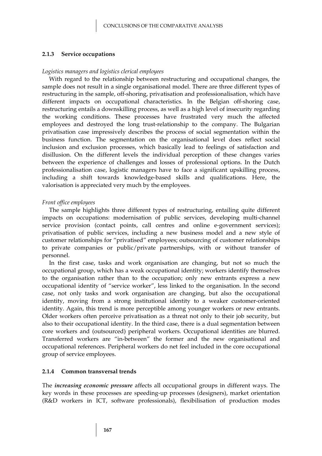#### **2.1.3 Service occupations**

#### *Logistics managers and logistics clerical employees*

With regard to the relationship between restructuring and occupational changes, the sample does not result in a single organisational model. There are three different types of restructuring in the sample, off-shoring, privatisation and professionalisation, which have different impacts on occupational characteristics. In the Belgian off-shoring case, restructuring entails a downskilling process, as well as a high level of insecurity regarding the working conditions. These processes have frustrated very much the affected employees and destroyed the long trust-relationship to the company. The Bulgarian privatisation case impressively describes the process of social segmentation within the business function. The segmentation on the organisational level does reflect social inclusion and exclusion processes, which basically lead to feelings of satisfaction and disillusion. On the different levels the individual perception of these changes varies between the experience of challenges and losses of professional options. In the Dutch professionalisation case, logistic managers have to face a significant upskilling process, including a shift towards knowledge-based skills and qualifications. Here, the valorisation is appreciated very much by the employees.

#### *Front office employees*

The sample highlights three different types of restructuring, entailing quite different impacts on occupations: modernisation of public services, developing multi-channel service provision (contact points, call centres and online e-government services); privatisation of public services, including a new business model and a new style of customer relationships for "privatised" employees; outsourcing of customer relationships to private companies or public/private partnerships, with or without transfer of personnel.

In the first case, tasks and work organisation are changing, but not so much the occupational group, which has a weak occupational identity; workers identify themselves to the organisation rather than to the occupation; only new entrants express a new occupational identity of "service worker", less linked to the organisation. In the second case, not only tasks and work organisation are changing, but also the occupational identity, moving from a strong institutional identity to a weaker customer-oriented identity. Again, this trend is more perceptible among younger workers or new entrants. Older workers often perceive privatisation as a threat not only to their job security, but also to their occupational identity. In the third case, there is a dual segmentation between core workers and (outsourced) peripheral workers. Occupational identities are blurred. Transferred workers are "in-between" the former and the new organisational and occupational references. Peripheral workers do net feel included in the core occupational group of service employees.

#### **2.1.4 Common transversal trends**

The *increasing economic pressure* affects all occupational groups in different ways. The key words in these processes are speeding-up processes (designers), market orientation (R&D workers in ICT, software professionals), flexibilisation of production modes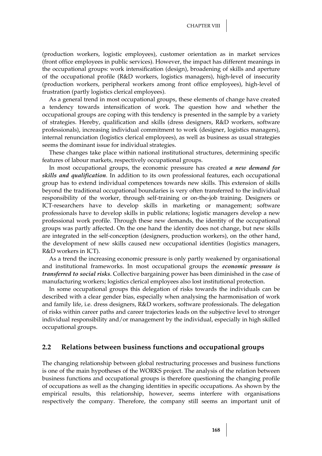CHAPTER VIII

(production workers, logistic employees), customer orientation as in market services (front office employees in public services). However, the impact has different meanings in the occupational groups: work intensification (design), broadening of skills and aperture of the occupational profile (R&D workers, logistics managers), high-level of insecurity (production workers, peripheral workers among front office employees), high-level of frustration (partly logistics clerical employees).

As a general trend in most occupational groups, these elements of change have created a tendency towards intensification of work. The question how and whether the occupational groups are coping with this tendency is presented in the sample by a variety of strategies. Hereby, qualification and skills (dress designers, R&D workers, software professionals), increasing individual commitment to work (designer, logistics managers), internal renunciation (logistics clerical employees), as well as business as usual strategies seems the dominant issue for individual strategies.

These changes take place within national institutional structures, determining specific features of labour markets, respectively occupational groups.

In most occupational groups, the economic pressure has created *a new demand for skills and qualification*. In addition to its own professional features, each occupational group has to extend individual competences towards new skills. This extension of skills beyond the traditional occupational boundaries is very often transferred to the individual responsibility of the worker, through self-training or on-the-job training. Designers or ICT-researchers have to develop skills in marketing or management; software professionals have to develop skills in public relations; logistic managers develop a new professional work profile. Through these new demands, the identity of the occupational groups was partly affected. On the one hand the identity does not change, but new skills are integrated in the self-conception (designers, production workers), on the other hand, the development of new skills caused new occupational identities (logistics managers, R&D workers in ICT).

As a trend the increasing economic pressure is only partly weakened by organisational and institutional frameworks. In most occupational groups the *economic pressure is transferred to social risks*. Collective bargaining power has been diminished in the case of manufacturing workers; logistics clerical employees also lost institutional protection.

In some occupational groups this delegation of risks towards the individuals can be described with a clear gender bias, especially when analysing the harmonisation of work and family life, i.e. dress designers, R&D workers, software professionals. The delegation of risks within career paths and career trajectories leads on the subjective level to stronger individual responsibility and/or management by the individual, especially in high skilled occupational groups.

## **2.2 Relations between business functions and occupational groups**

The changing relationship between global restructuring processes and business functions is one of the main hypotheses of the WORKS project. The analysis of the relation between business functions and occupational groups is therefore questioning the changing profile of occupations as well as the changing identities in specific occupations. As shown by the empirical results, this relationship, however, seems interfere with organisations respectively the company. Therefore, the company still seems an important unit of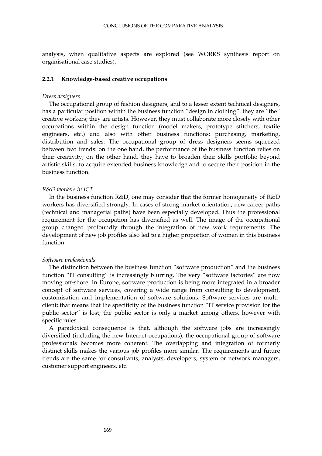analysis, when qualitative aspects are explored (see WORKS synthesis report on organisational case studies).

#### **2.2.1 Knowledge-based creative occupations**

#### *Dress designers*

The occupational group of fashion designers, and to a lesser extent technical designers, has a particular position within the business function "design in clothing": they are "the" creative workers; they are artists. However, they must collaborate more closely with other occupations within the design function (model makers, prototype stitchers, textile engineers, etc.) and also with other business functions: purchasing, marketing, distribution and sales. The occupational group of dress designers seems squeezed between two trends: on the one hand, the performance of the business function relies on their creativity; on the other hand, they have to broaden their skills portfolio beyond artistic skills, to acquire extended business knowledge and to secure their position in the business function.

#### *R&D workers in ICT*

In the business function R&D, one may consider that the former homogeneity of R&D workers has diversified strongly. In cases of strong market orientation, new career paths (technical and managerial paths) have been especially developed. Thus the professional requirement for the occupation has diversified as well. The image of the occupational group changed profoundly through the integration of new work requirements. The development of new job profiles also led to a higher proportion of women in this business function.

#### *Software professionals*

The distinction between the business function "software production" and the business function "IT consulting" is increasingly blurring. The very "software factories" are now moving off-shore. In Europe, software production is being more integrated in a broader concept of software services, covering a wide range from consulting to development, customisation and implementation of software solutions. Software services are multiclient; that means that the specificity of the business function "IT service provision for the public sector" is lost; the public sector is only a market among others, however with specific rules.

A paradoxical consequence is that, although the software jobs are increasingly diversified (including the new Internet occupations), the occupational group of software professionals becomes more coherent. The overlapping and integration of formerly distinct skills makes the various job profiles more similar. The requirements and future trends are the same for consultants, analysts, developers, system or network managers, customer support engineers, etc.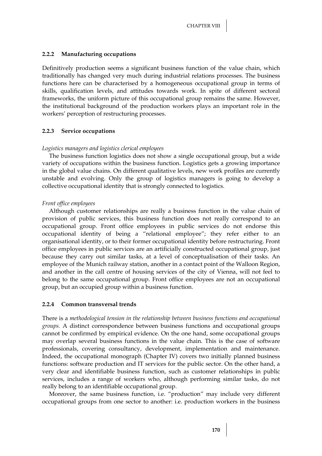#### **2.2.2 Manufacturing occupations**

Definitively production seems a significant business function of the value chain, which traditionally has changed very much during industrial relations processes. The business functions here can be characterised by a homogeneous occupational group in terms of skills, qualification levels, and attitudes towards work. In spite of different sectoral frameworks, the uniform picture of this occupational group remains the same. However, the institutional background of the production workers plays an important role in the workers' perception of restructuring processes.

#### **2.2.3 Service occupations**

#### *Logistics managers and logistics clerical employees*

The business function logistics does not show a single occupational group, but a wide variety of occupations within the business function. Logistics gets a growing importance in the global value chains. On different qualitative levels, new work profiles are currently unstable and evolving. Only the group of logistics managers is going to develop a collective occupational identity that is strongly connected to logistics.

#### *Front office employees*

Although customer relationships are really a business function in the value chain of provision of public services, this business function does not really correspond to an occupational group. Front office employees in public services do not endorse this occupational identity of being a "relational employee"; they refer either to an organisational identity, or to their former occupational identity before restructuring. Front office employees in public services are an artificially constructed occupational group, just because they carry out similar tasks, at a level of conceptualisation of their tasks. An employee of the Munich railway station, another in a contact point of the Walloon Region, and another in the call centre of housing services of the city of Vienna, will not feel to belong to the same occupational group. Front office employees are not an occupational group, but an occupied group within a business function.

#### **2.2.4 Common transversal trends**

There is a *methodological tension in the relationship between business functions and occupational groups.* A distinct correspondence between business functions and occupational groups cannot be confirmed by empirical evidence. On the one hand, some occupational groups may overlap several business functions in the value chain. This is the case of software professionals, covering consultancy, development, implementation and maintenance. Indeed, the occupational monograph (Chapter IV) covers two initially planned business functions: software production and IT services for the public sector. On the other hand, a very clear and identifiable business function, such as customer relationships in public services, includes a range of workers who, although performing similar tasks, do not really belong to an identifiable occupational group.

Moreover, the same business function, i.e. "production" may include very different occupational groups from one sector to another: i.e. production workers in the business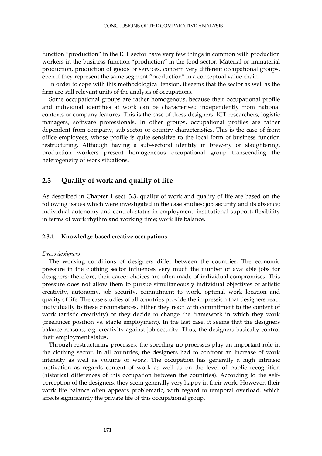function "production" in the ICT sector have very few things in common with production workers in the business function "production" in the food sector. Material or immaterial production, production of goods or services, concern very different occupational groups, even if they represent the same segment "production" in a conceptual value chain.

In order to cope with this methodological tension, it seems that the sector as well as the firm are still relevant units of the analysis of occupations.

Some occupational groups are rather homogenous, because their occupational profile and individual identities at work can be characterised independently from national contexts or company features. This is the case of dress designers, ICT researchers, logistic managers, software professionals. In other groups, occupational profiles are rather dependent from company, sub-sector or country characteristics. This is the case of front office employees, whose profile is quite sensitive to the local form of business function restructuring. Although having a sub-sectoral identity in brewery or slaughtering, production workers present homogeneous occupational group transcending the heterogeneity of work situations.

## **2.3 Quality of work and quality of life**

As described in Chapter 1 sect. 3.3, quality of work and quality of life are based on the following issues which were investigated in the case studies: job security and its absence; individual autonomy and control; status in employment; institutional support; flexibility in terms of work rhythm and working time; work life balance.

#### **2.3.1 Knowledge-based creative occupations**

#### *Dress designers*

The working conditions of designers differ between the countries. The economic pressure in the clothing sector influences very much the number of available jobs for designers; therefore, their career choices are often made of individual compromises. This pressure does not allow them to pursue simultaneously individual objectives of artistic creativity, autonomy, job security, commitment to work, optimal work location and quality of life. The case studies of all countries provide the impression that designers react individually to these circumstances. Either they react with commitment to the content of work (artistic creativity) or they decide to change the framework in which they work (freelancer position vs. stable employment). In the last case, it seems that the designers balance reasons, e.g. creativity against job security. Thus, the designers basically control their employment status.

Through restructuring processes, the speeding up processes play an important role in the clothing sector. In all countries, the designers had to confront an increase of work intensity as well as volume of work. The occupation has generally a high intrinsic motivation as regards content of work as well as on the level of public recognition (historical differences of this occupation between the countries). According to the selfperception of the designers, they seem generally very happy in their work. However, their work life balance often appears problematic, with regard to temporal overload, which affects significantly the private life of this occupational group.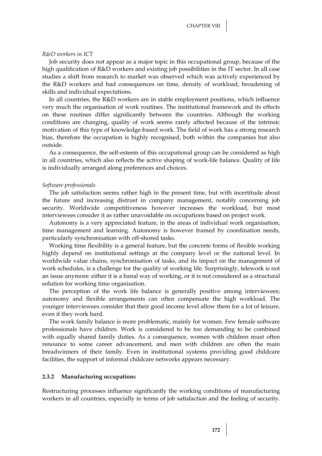#### *R&D workers in ICT*

Job security does not appear as a major topic in this occupational group, because of the high qualification of R&D workers and existing job possibilities in the IT sector. In all case studies a shift from research to market was observed which was actively experienced by the R&D workers and had consequences on time, density of workload, broadening of skills and individual expectations.

In all countries, the R&D workers are in stable employment positions, which influence very much the organisation of work routines. The institutional framework and its effects on these routines differ significantly between the countries. Although the working conditions are changing, quality of work seems rarely affected because of the intrinsic motivation of this type of knowledge-based work. The field of work has a strong research bias, therefore the occupation is highly recognised, both within the companies but also outside.

As a consequence, the self-esteem of this occupational group can be considered as high in all countries, which also reflects the active shaping of work-life balance. Quality of life is individually arranged along preferences and choices.

#### *Software professionals*

The job satisfaction seems rather high in the present time, but with incertitude about the future and increasing distrust in company management, notably concerning job security. Worldwide competitiveness however increases the workload, but most interviewees consider it as rather unavoidable on occupations based on project work.

Autonomy is a very appreciated feature, in the areas of individual work organisation, time management and learning. Autonomy is however framed by coordination needs, particularly synchronisation with off-shored tasks.

Working time flexibility is a general feature, but the concrete forms of flexible working highly depend on institutional settings at the company level or the national level. In worldwide value chains, synchronisation of tasks, and its impact on the management of work schedules, is a challenge for the quality of working life. Surprisingly, telework is not an issue anymore: either it is a banal way of working, or it is not considered as a structural solution for working time organisation.

The perception of the work life balance is generally positive among interviewees; autonomy and flexible arrangements can often compensate the high workload. The younger interviewees consider that their good income level allow them for a lot of leisure, even if they work hard.

The work family balance is more problematic, mainly for women. Few female software professionals have children. Work is considered to be too demanding to be combined with equally shared family duties. As a consequence, women with children must often renounce to some career advancement, and men with children are often the main breadwinners of their family. Even in institutional systems providing good childcare facilities, the support of informal childcare networks appears necessary.

#### **2.3.2 Manufacturing occupation**s

Restructuring processes influence significantly the working conditions of manufacturing workers in all countries, especially in terms of job satisfaction and the feeling of security.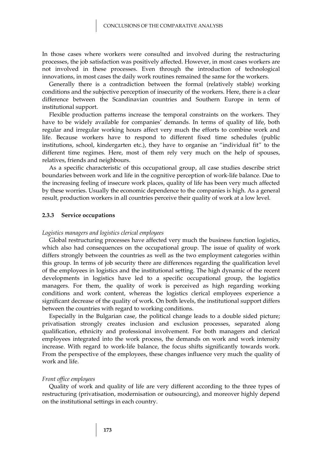In those cases where workers were consulted and involved during the restructuring processes, the job satisfaction was positively affected. However, in most cases workers are not involved in these processes. Even through the introduction of technological innovations, in most cases the daily work routines remained the same for the workers.

Generally there is a contradiction between the formal (relatively stable) working conditions and the subjective perception of insecurity of the workers. Here, there is a clear difference between the Scandinavian countries and Southern Europe in term of institutional support.

Flexible production patterns increase the temporal constraints on the workers. They have to be widely available for companies' demands. In terms of quality of life, both regular and irregular working hours affect very much the efforts to combine work and life. Because workers have to respond to different fixed time schedules (public institutions, school, kindergarten etc.), they have to organise an "individual fit" to the different time regimes. Here, most of them rely very much on the help of spouses, relatives, friends and neighbours.

As a specific characteristic of this occupational group, all case studies describe strict boundaries between work and life in the cognitive perception of work-life balance. Due to the increasing feeling of insecure work places, quality of life has been very much affected by these worries. Usually the economic dependence to the companies is high. As a general result, production workers in all countries perceive their quality of work at a low level.

#### **2.3.3 Service occupations**

#### *Logistics managers and logistics clerical employees*

Global restructuring processes have affected very much the business function logistics, which also had consequences on the occupational group. The issue of quality of work differs strongly between the countries as well as the two employment categories within this group. In terms of job security there are differences regarding the qualification level of the employees in logistics and the institutional setting. The high dynamic of the recent developments in logistics have led to a specific occupational group, the logistics managers. For them, the quality of work is perceived as high regarding working conditions and work content, whereas the logistics clerical employees experience a significant decrease of the quality of work. On both levels, the institutional support differs between the countries with regard to working conditions.

Especially in the Bulgarian case, the political change leads to a double sided picture; privatisation strongly creates inclusion and exclusion processes, separated along qualification, ethnicity and professional involvement. For both managers and clerical employees integrated into the work process, the demands on work and work intensity increase. With regard to work-life balance, the focus shifts significantly towards work. From the perspective of the employees, these changes influence very much the quality of work and life.

#### *Front office employees*

Quality of work and quality of life are very different according to the three types of restructuring (privatisation, modernisation or outsourcing), and moreover highly depend on the institutional settings in each country.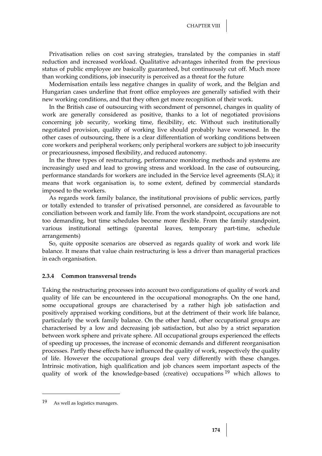#### CHAPTER VIII

Privatisation relies on cost saving strategies, translated by the companies in staff reduction and increased workload. Qualitative advantages inherited from the previous status of public employee are basically guaranteed, but continuously cut off. Much more than working conditions, job insecurity is perceived as a threat for the future

Modernisation entails less negative changes in quality of work, and the Belgian and Hungarian cases underline that front office employees are generally satisfied with their new working conditions, and that they often get more recognition of their work.

In the British case of outsourcing with secondment of personnel, changes in quality of work are generally considered as positive, thanks to a lot of negotiated provisions concerning job security, working time, flexibility, etc. Without such institutionally negotiated provision, quality of working live should probably have worsened. In the other cases of outsourcing, there is a clear differentiation of working conditions between core workers and peripheral workers; only peripheral workers are subject to job insecurity or precariousness, imposed flexibility, and reduced autonomy.

In the three types of restructuring, performance monitoring methods and systems are increasingly used and lead to growing stress and workload. In the case of outsourcing, performance standards for workers are included in the Service level agreements (SLA); it means that work organisation is, to some extent, defined by commercial standards imposed to the workers.

As regards work family balance, the institutional provisions of public services, partly or totally extended to transfer of privatised personnel, are considered as favourable to conciliation between work and family life. From the work standpoint, occupations are not too demanding, but time schedules become more flexible. From the family standpoint, various institutional settings (parental leaves, temporary part-time, schedule arrangements)

So, quite opposite scenarios are observed as regards quality of work and work life balance. It means that value chain restructuring is less a driver than managerial practices in each organisation.

#### **2.3.4 Common transversal trends**

Taking the restructuring processes into account two configurations of quality of work and quality of life can be encountered in the occupational monographs. On the one hand, some occupational groups are characterised by a rather high job satisfaction and positively appraised working conditions, but at the detriment of their work life balance, particularly the work family balance. On the other hand, other occupational groups are characterised by a low and decreasing job satisfaction, but also by a strict separation between work sphere and private sphere. All occupational groups experienced the effects of speeding up processes, the increase of economic demands and different reorganisation processes. Partly these effects have influenced the quality of work, respectively the quality of life. However the occupational groups deal very differently with these changes. Intrinsic motivation, high qualification and job chances seem important aspects of the quality of work of the knowledge-based (creative) occupations 19 which allows to

 $\ddot{\phantom{a}}$ 

<sup>19</sup> As well as logistics managers.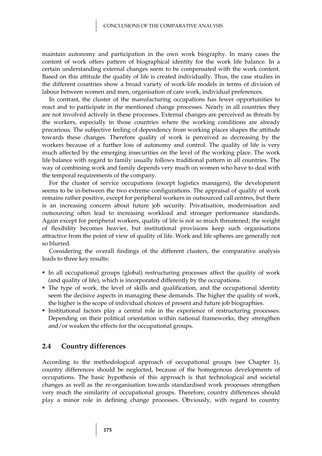maintain autonomy and participation in the own work biography. In many cases the content of work offers pattern of biographical identity for the work life balance. In a certain understanding external changes seem to be compensated with the work content. Based on this attitude the quality of life is created individually. Thus, the case studies in the different countries show a broad variety of work-life models in terms of division of labour between women and men, organisation of care work, individual preferences.

In contrast, the cluster of the manufacturing occupations has fewer opportunities to react and to participate in the mentioned change processes. Nearly in all countries they are not involved actively in these processes. External changes are perceived as threats by the workers, especially in those countries where the working conditions are already precarious. The subjective feeling of dependency from working places shapes the attitude towards these changes. Therefore quality of work is perceived as decreasing by the workers because of a further loss of autonomy and control. The quality of life is very much affected by the emerging insecurities on the level of the working place. The work life balance with regard to family usually follows traditional pattern in all countries. The way of combining work and family depends very much on women who have to deal with the temporal requirements of the company.

For the cluster of service occupations (except logistics managers), the development seems to be in-between the two extreme configurations. The appraisal of quality of work remains rather positive, except for peripheral workers in outsourced call centres, but there is an increasing concern about future job security. Privatisation, modernisation and outsourcing often lead to increasing workload and stronger performance standards. Again except for peripheral workers, quality of life is not so much threatened; the weight of flexibility becomes heavier, but institutional provisions keep such organisations attractive from the point of view of quality of life. Work and life spheres are generally not so blurred.

Considering the overall findings of the different clusters, the comparative analysis leads to three key results:

- In all occupational groups (global) restructuring processes affect the quality of work (and quality of life), which is incorporated differently by the occupations.
- The type of work, the level of skills and qualification, and the occupational identity seem the decisive aspects in managing these demands. The higher the quality of work, the higher is the scope of individual choices of present and future job biographies.
- Institutional factors play a central role in the experience of restructuring processes. Depending on their political orientation within national frameworks, they strengthen and/or weaken the effects for the occupational groups.

## **2.4 Country differences**

According to the methodological approach of occupational groups (see Chapter 1), country differences should be neglected, because of the homogenous developments of occupations. The basic hypothesis of this approach is that technological and societal changes as well as the re-organisation towards standardised work processes strengthen very much the similarity of occupational groups. Therefore, country differences should play a minor role in defining change processes. Obviously, with regard to country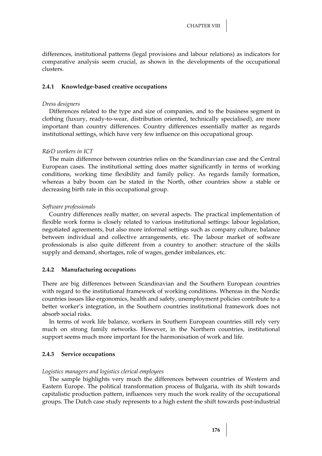CHAPTER VIII

differences, institutional patterns (legal provisions and labour relations) as indicators for comparative analysis seem crucial, as shown in the developments of the occupational clusters.

### **2.4.1 Knowledge-based creative occupations**

### *Dress designers*

Differences related to the type and size of companies, and to the business segment in clothing (luxury, ready-to-wear, distribution oriented, technically specialised), are more important than country differences. Country differences essentially matter as regards institutional settings, which have very few influence on this occupational group.

## *R&D workers in ICT*

The main difference between countries relies on the Scandinavian case and the Central European cases. The institutional setting does matter significantly in terms of working conditions, working time flexibility and family policy. As regards family formation, whereas a baby boom can be stated in the North, other countries show a stable or decreasing birth rate in this occupational group.

#### *Software professionals*

Country differences really matter, on several aspects. The practical implementation of flexible work forms is closely related to various institutional settings: labour legislation, negotiated agreements, but also more informal settings such as company culture, balance between individual and collective arrangements, etc. The labour market of software professionals is also quite different from a country to another: structure of the skills supply and demand, shortages, role of wages, gender imbalances, etc.

## **2.4.2 Manufacturing occupation**s

There are big differences between Scandinavian and the Southern European countries with regard to the institutional framework of working conditions. Whereas in the Nordic countries issues like ergonomics, health and safety, unemployment policies contribute to a better worker's integration, in the Southern countries institutional framework does not absorb social risks.

In terms of work life balance, workers in Southern European countries still rely very much on strong family networks. However, in the Northern countries, institutional support seems much more important for the harmonisation of work and life.

## **2.4.3 Service occupations**

#### *Logistics managers and logistics clerical employees*

The sample highlights very much the differences between countries of Western and Eastern Europe. The political transformation process of Bulgaria, with its shift towards capitalistic production pattern, influences very much the work reality of the occupational groups. The Dutch case study represents to a high extent the shift towards post-industrial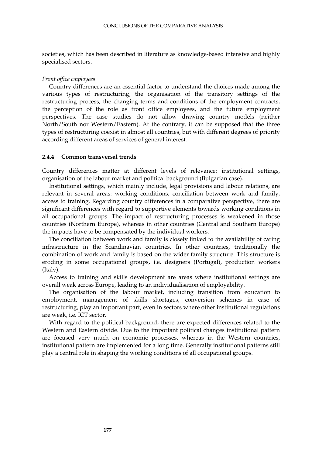societies, which has been described in literature as knowledge-based intensive and highly specialised sectors.

#### *Front office employees*

Country differences are an essential factor to understand the choices made among the various types of restructuring, the organisation of the transitory settings of the restructuring process, the changing terms and conditions of the employment contracts, the perception of the role as front office employees, and the future employment perspectives. The case studies do not allow drawing country models (neither North/South nor Western/Eastern). At the contrary, it can be supposed that the three types of restructuring coexist in almost all countries, but with different degrees of priority according different areas of services of general interest.

#### **2.4.4 Common transversal trends**

Country differences matter at different levels of relevance: institutional settings, organisation of the labour market and political background (Bulgarian case).

Institutional settings, which mainly include, legal provisions and labour relations, are relevant in several areas: working conditions, conciliation between work and family, access to training. Regarding country differences in a comparative perspective, there are significant differences with regard to supportive elements towards working conditions in all occupational groups. The impact of restructuring processes is weakened in those countries (Northern Europe), whereas in other countries (Central and Southern Europe) the impacts have to be compensated by the individual workers.

The conciliation between work and family is closely linked to the availability of caring infrastructure in the Scandinavian countries. In other countries, traditionally the combination of work and family is based on the wider family structure. This structure is eroding in some occupational groups, i.e. designers (Portugal), production workers (Italy).

Access to training and skills development are areas where institutional settings are overall weak across Europe, leading to an individualisation of employability.

The organisation of the labour market, including transition from education to employment, management of skills shortages, conversion schemes in case of restructuring, play an important part, even in sectors where other institutional regulations are weak, i.e. ICT sector.

With regard to the political background, there are expected differences related to the Western and Eastern divide. Due to the important political changes institutional pattern are focused very much on economic processes, whereas in the Western countries, institutional pattern are implemented for a long time. Generally institutional patterns still play a central role in shaping the working conditions of all occupational groups.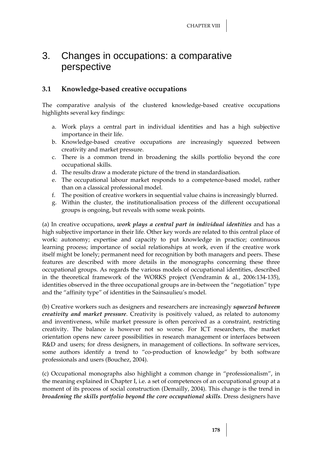# 3. Changes in occupations: a comparative perspective

## **3.1 Knowledge-based creative occupations**

The comparative analysis of the clustered knowledge-based creative occupations highlights several key findings:

- a. Work plays a central part in individual identities and has a high subjective importance in their life.
- b. Knowledge-based creative occupations are increasingly squeezed between creativity and market pressure.
- c. There is a common trend in broadening the skills portfolio beyond the core occupational skills.
- d. The results draw a moderate picture of the trend in standardisation.
- e. The occupational labour market responds to a competence-based model, rather than on a classical professional model.
- f. The position of creative workers in sequential value chains is increasingly blurred.
- g. Within the cluster, the institutionalisation process of the different occupational groups is ongoing, but reveals with some weak points.

(a) In creative occupations, *work plays a central part in individual identities* and has a high subjective importance in their life. Other key words are related to this central place of work: autonomy; expertise and capacity to put knowledge in practice; continuous learning process; importance of social relationships at work, even if the creative work itself might be lonely; permanent need for recognition by both managers and peers. These features are described with more details in the monographs concerning these three occupational groups. As regards the various models of occupational identities, described in the theoretical framework of the WORKS project (Vendramin & al., 2006:134-135), identities observed in the three occupational groups are in-between the "negotiation" type and the "affinity type" of identities in the Sainsaulieu's model.

(b) Creative workers such as designers and researchers are increasingly *squeezed between creativity and market pressure*. Creativity is positively valued, as related to autonomy and inventiveness, while market pressure is often perceived as a constraint, restricting creativity. The balance is however not so worse. For ICT researchers, the market orientation opens new career possibilities in research management or interfaces between R&D and users; for dress designers, in management of collections. In software services, some authors identify a trend to "co-production of knowledge" by both software professionals and users (Bouchez, 2004).

(c) Occupational monographs also highlight a common change in "professionalism", in the meaning explained in Chapter I, i.e. a set of competences of an occupational group at a moment of its process of social construction (Demailly, 2004). This change is the trend in *broadening the skills portfolio beyond the core occupational skills*. Dress designers have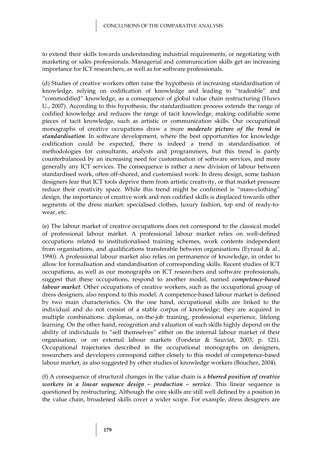to extend their skills towards understanding industrial requirements, or negotiating with marketing or sales professionals. Managerial and communication skills get an increasing importance for ICT researchers, as well as for software professionals.

(d) Studies of creative workers often raise the hypothesis of increasing standardisation of knowledge, relying on codification of knowledge and leading to "tradeable" and "commodified" knowledge, as a consequence of global value chain restructuring (Huws U., 2007). According to this hypothesis, the standardisation process extends the range of codified knowledge and reduces the range of tacit knowledge, making codifiable some pieces of tacit knowledge, such as artistic or communication skills. Our occupational monographs of creative occupations draw a more *moderate picture of the trend in standardisation*. In software development, where the best opportunities for knowledge codification could be expected, there is indeed a trend in standardisation of methodologies for consultants, analysts and programmers, but this trend is partly counterbalanced by an increasing need for customisation of software services, and more generally any ICT services. The consequence is rather a new division of labour between standardised work, often off-shored, and customised work. In dress design, some fashion designers fear that ICT tools deprive them from artistic creativity, or that market pressure reduce their creativity space. While this trend might be confirmed is "mass-clothing" design, the importance of creative work and non codified skills is displaced towards other segments of the dress market: specialised clothes, luxury fashion, top end of ready-towear, etc.

(e) The labour market of creative occupations does not correspond to the classical model of professional labour market. A professional labour market relies on well-defined occupations related to institutionalised training schemes, work contents independent from organisations, and qualifications transferable between organisations (Eyraud & al., 1990). A professional labour market also relies on permanence of knowledge, in order to allow for formalisation and standardisation of corresponding skills. Recent studies of ICT occupations, as well as our monographs on ICT researchers and software professionals, suggest that these occupations, respond to another model, named *competence-based labour market*. Other occupations of creative workers, such as the occupational group of dress designers, also respond to this model. A competence-based labour market is defined by two main characteristics. On the one hand, occupational skills are linked to the individual and do not consist of a stable corpus of knowledge; they are acquired in multiple combinations: diplomas, on-the-job training, professional experience, lifelong learning. On the other hand, recognition and valuation of such skills highly depend on the ability of individuals to "sell themselves" either on the internal labour market of their organisation, or on external labour markets (Fondeur & Sauviat, 2003, p. 121). Occupational trajectories described in the occupational monographs on designers, researchers and developers correspond rather closely to this model of competence-based labour market, as also suggested by other studies of knowledge workers (Bouchez, 2004).

(f) A consequence of structural changes in the value chain is a *blurred position of creative workers in a linear sequence design – production – service*. This linear sequence is questioned by restructuring. Although the core skills are still well defined by a position in the value chain, broadened skills cover a wider scope. For example, dress designers are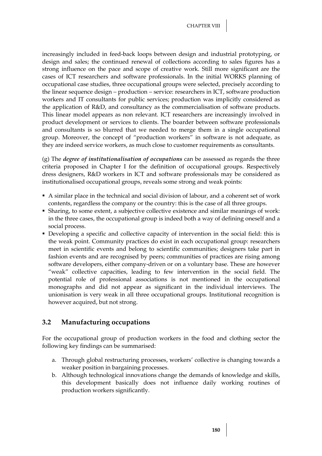CHAPTER VIII

increasingly included in feed-back loops between design and industrial prototyping, or design and sales; the continued renewal of collections according to sales figures has a strong influence on the pace and scope of creative work. Still more significant are the cases of ICT researchers and software professionals. In the initial WORKS planning of occupational case studies, three occupational groups were selected, precisely according to the linear sequence design – production – service: researchers in ICT, software production workers and IT consultants for public services; production was implicitly considered as the application of R&D, and consultancy as the commercialisation of software products. This linear model appears as non relevant. ICT researchers are increasingly involved in product development or services to clients. The boarder between software professionals and consultants is so blurred that we needed to merge them in a single occupational group. Moreover, the concept of "production workers" in software is not adequate, as they are indeed service workers, as much close to customer requirements as consultants.

(g) The *degree of institutionalisation of occupations* can be assessed as regards the three criteria proposed in Chapter I for the definition of occupational groups. Respectively dress designers, R&D workers in ICT and software professionals may be considered as institutionalised occupational groups, reveals some strong and weak points:

- A similar place in the technical and social division of labour, and a coherent set of work contents, regardless the company or the country: this is the case of all three groups.
- Sharing, to some extent, a subjective collective existence and similar meanings of work: in the three cases, the occupational group is indeed both a way of defining oneself and a social process.
- Developing a specific and collective capacity of intervention in the social field: this is the weak point. Community practices do exist in each occupational group: researchers meet in scientific events and belong to scientific communities; designers take part in fashion events and are recognised by peers; communities of practices are rising among software developers, either company-driven or on a voluntary base. These are however "weak" collective capacities, leading to few intervention in the social field. The potential role of professional associations is not mentioned in the occupational monographs and did not appear as significant in the individual interviews. The unionisation is very weak in all three occupational groups. Institutional recognition is however acquired, but not strong.

## **3.2 Manufacturing occupations**

For the occupational group of production workers in the food and clothing sector the following key findings can be summarised:

- a. Through global restructuring processes, workers' collective is changing towards a weaker position in bargaining processes.
- b. Although technological innovations change the demands of knowledge and skills, this development basically does not influence daily working routines of production workers significantly.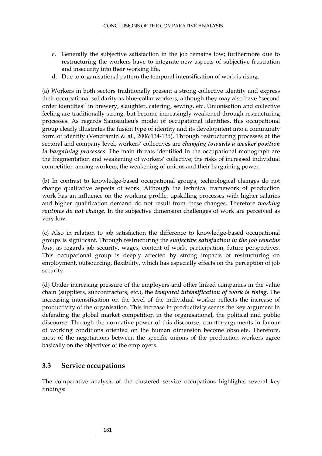- c. Generally the subjective satisfaction in the job remains low; furthermore due to restructuring the workers have to integrate new aspects of subjective frustration and insecurity into their working life.
- d. Due to organisational pattern the temporal intensification of work is rising.

(a) Workers in both sectors traditionally present a strong collective identity and express their occupational solidarity as blue-collar workers, although they may also have "second order identities" in brewery, slaughter, catering, sewing, etc. Unionisation and collective feeling are traditionally strong, but become increasingly weakened through restructuring processes. As regards Sainsaulieu's model of occupational identities, this occupational group clearly illustrates the fusion type of identity and its development into a community form of identity (Vendramin & al., 2006:134-135). Through restructuring processes at the sectoral and company level, workers' collectives are *changing towards a weaker position in bargaining processes*. The main threats identified in the occupational monograph are the fragmentation and weakening of workers' collective; the risks of increased individual competition among workers; the weakening of unions and their bargaining power.

(b) In contrast to knowledge-based occupational groups, technological changes do not change qualitative aspects of work. Although the technical framework of production work has an influence on the working profile, upskilling processes with higher salaries and higher qualification demand do not result from these changes. Therefore *working routines do not change*. In the subjective dimension challenges of work are perceived as very low.

(c) Also in relation to job satisfaction the difference to knowledge-based occupational groups is significant. Through restructuring the *subjective satisfaction in the job remains low*, as regards job security, wages, content of work, participation, future perspectives. This occupational group is deeply affected by strong impacts of restructuring on employment, outsourcing, flexibility, which has especially effects on the perception of job security.

(d) Under increasing pressure of the employers and other linked companies in the value chain (suppliers, subcontractors, etc.), the *temporal intensification of work is rising*. The increasing intensification on the level of the individual worker reflects the increase of productivity of the organisation. This increase in productivity seems the key argument in defending the global market competition in the organisational, the political and public discourse. Through the normative power of this discourse, counter-arguments in favour of working conditions oriented on the human dimension become obsolete. Therefore, most of the negotiations between the specific unions of the production workers agree basically on the objectives of the employers.

# **3.3 Service occupations**

The comparative analysis of the clustered service occupations highlights several key findings: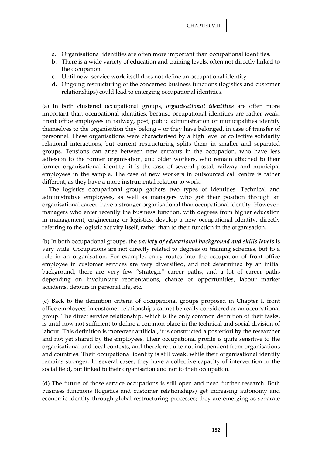- a. Organisational identities are often more important than occupational identities.
- b. There is a wide variety of education and training levels, often not directly linked to the occupation.
- c. Until now, service work itself does not define an occupational identity.
- d. Ongoing restructuring of the concerned business functions (logistics and customer relationships) could lead to emerging occupational identities.

(a) In both clustered occupational groups, *organisational identities* are often more important than occupational identities, because occupational identities are rather weak. Front office employees in railway, post, public administration or municipalities identify themselves to the organisation they belong – or they have belonged, in case of transfer of personnel. These organisations were characterised by a high level of collective solidarity relational interactions, but current restructuring splits them in smaller and separated groups. Tensions can arise between new entrants in the occupation, who have less adhesion to the former organisation, and older workers, who remain attached to their former organisational identity: it is the case of several postal, railway and municipal employees in the sample. The case of new workers in outsourced call centre is rather different, as they have a more instrumental relation to work.

The logistics occupational group gathers two types of identities. Technical and administrative employees, as well as managers who got their position through an organisational career, have a stronger organisational than occupational identity. However, managers who enter recently the business function, with degrees from higher education in management, engineering or logistics, develop a new occupational identity, directly referring to the logistic activity itself, rather than to their function in the organisation.

(b) In both occupational groups, the *variety of educational background and skills levels* is very wide. Occupations are not directly related to degrees or training schemes, but to a role in an organisation. For example, entry routes into the occupation of front office employee in customer services are very diversified, and not determined by an initial background; there are very few "strategic" career paths, and a lot of career paths depending on involuntary reorientations, chance or opportunities, labour market accidents, detours in personal life, etc.

(c) Back to the definition criteria of occupational groups proposed in Chapter I, front office employees in customer relationships cannot be really considered as an occupational group. The direct service relationship, which is the only common definition of their tasks, is until now not sufficient to define a common place in the technical and social division of labour. This definition is moreover artificial, it is constructed a posteriori by the researcher and not yet shared by the employees. Their occupational profile is quite sensitive to the organisational and local contexts, and therefore quite not independent from organisations and countries. Their occupational identity is still weak, while their organisational identity remains stronger. In several cases, they have a collective capacity of intervention in the social field, but linked to their organisation and not to their occupation.

(d) The future of those service occupations is still open and need further research. Both business functions (logistics and customer relationships) get increasing autonomy and economic identity through global restructuring processes; they are emerging as separate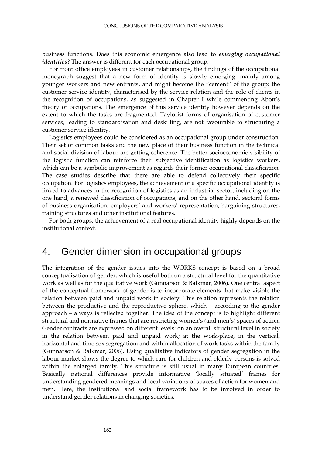business functions. Does this economic emergence also lead to *emerging occupational identities*? The answer is different for each occupational group.

For front office employees in customer relationships, the findings of the occupational monograph suggest that a new form of identity is slowly emerging, mainly among younger workers and new entrants, and might become the "cement" of the group: the customer service identity, characterised by the service relation and the role of clients in the recognition of occupations, as suggested in Chapter I while commenting Abott's theory of occupations. The emergence of this service identity however depends on the extent to which the tasks are fragmented. Taylorist forms of organisation of customer services, leading to standardisation and deskilling, are not favourable to structuring a customer service identity.

Logistics employees could be considered as an occupational group under construction. Their set of common tasks and the new place of their business function in the technical and social division of labour are getting coherence. The better socioeconomic visibility of the logistic function can reinforce their subjective identification as logistics workers, which can be a symbolic improvement as regards their former occupational classification. The case studies describe that there are able to defend collectively their specific occupation. For logistics employees, the achievement of a specific occupational identity is linked to advances in the recognition of logistics as an industrial sector, including on the one hand, a renewed classification of occupations, and on the other hand, sectoral forms of business organisation, employers' and workers' representation, bargaining structures, training structures and other institutional features.

For both groups, the achievement of a real occupational identity highly depends on the institutional context.

# 4. Gender dimension in occupational groups

The integration of the gender issues into the WORKS concept is based on a broad conceptualisation of gender, which is useful both on a structural level for the quantitative work as well as for the qualitative work (Gunnarson & Balkmar, 2006). One central aspect of the conceptual framework of gender is to incorporate elements that make visible the relation between paid and unpaid work in society. This relation represents the relation between the productive and the reproductive sphere, which – according to the gender approach – always is reflected together. The idea of the concept is to highlight different structural and normative frames that are restricting women's (and men's) spaces of action. Gender contracts are expressed on different levels: on an overall structural level in society in the relation between paid and unpaid work; at the work-place, in the vertical, horizontal and time sex segregation; and within allocation of work tasks within the family (Gunnarson & Balkmar, 2006). Using qualitative indicators of gender segregation in the labour market shows the degree to which care for children and elderly persons is solved within the enlarged family. This structure is still usual in many European countries. Basically national differences provide informative 'locally situated' frames for understanding gendered meanings and local variations of spaces of action for women and men. Here, the institutional and social framework has to be involved in order to understand gender relations in changing societies.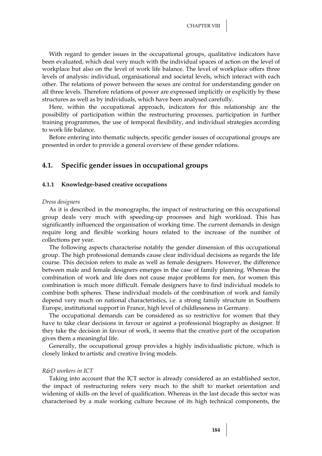With regard to gender issues in the occupational groups, qualitative indicators have been evaluated, which deal very much with the individual spaces of action on the level of workplace but also on the level of work life balance. The level of workplace offers three levels of analysis: individual, organisational and societal levels, which interact with each other. The relations of power between the sexes are central for understanding gender on all three levels. Therefore relations of power are expressed implicitly or explicitly by these structures as well as by individuals, which have been analysed carefully.

Here, within the occupational approach, indicators for this relationship are the possibility of participation within the restructuring processes, participation in further training programmes, the use of temporal flexibility, and individual strategies according to work life balance.

Before entering into thematic subjects, specific gender issues of occupational groups are presented in order to provide a general overview of these gender relations.

# **4.1. Specific gender issues in occupational groups**

#### **4.1.1 Knowledge-based creative occupations**

#### *Dress designers*

As it is described in the monographs, the impact of restructuring on this occupational group deals very much with speeding-up processes and high workload. This has significantly influenced the organisation of working time. The current demands in design require long and flexible working hours related to the increase of the number of collections per year.

The following aspects characterise notably the gender dimension of this occupational group. The high professional demands cause clear individual decisions as regards the life course. This decision refers to male as well as female designers. However, the difference between male and female designers emerges in the case of family planning. Whereas the combination of work and life does not cause major problems for men, for women this combination is much more difficult. Female designers have to find individual models to combine both spheres. These individual models of the combination of work and family depend very much on national characteristics, i.e. a strong family structure in Southern Europe, institutional support in France, high level of childlessness in Germany.

The occupational demands can be considered as so restrictive for women that they have to take clear decisions in favour or against a professional biography as designer. If they take the decision in favour of work, it seems that the creative part of the occupation gives them a meaningful life.

Generally, the occupational group provides a highly individualistic picture, which is closely linked to artistic and creative living models.

#### *R&D workers in ICT*

Taking into account that the ICT sector is already considered as an established sector, the impact of restructuring refers very much to the shift to market orientation and widening of skills on the level of qualification. Whereas in the last decade this sector was characterised by a male working culture because of its high technical components, the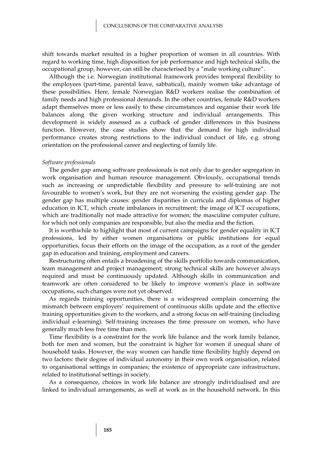shift towards market resulted in a higher proportion of women in all countries. With regard to working time, high disposition for job performance and high technical skills, the occupational group, however, can still be characterised by a "male working culture".

Although the i.e. Norwegian institutional framework provides temporal flexibility to the employees (part-time, parental leave, sabbatical), mainly women take advantage of these possibilities. Here, female Norwegian R&D workers realise the combination of family needs and high professional demands. In the other countries, female R&D workers adapt themselves more or less easily to these circumstances and organise their work life balances along the given working structure and individual arrangements. This development is widely assessed as a cutback of gender differences in this business function. However, the case studies show that the demand for high individual performance creates strong restrictions to the individual conduct of life, e.g. strong orientation on the professional career and neglecting of family life.

#### *Software professionals*

The gender gap among software professionals is not only due to gender segregation in work organisation and human resource management. Obviously, occupational trends such as increasing or unpredictable flexibility and pressure to self-training are not favourable to women's work, but they are not worsening the existing gender gap. The gender gap has multiple causes: gender disparities in curricula and diplomas of higher education in ICT, which create imbalances in recruitment; the image of ICT occupations, which are traditionally not made attractive for women; the masculine computer culture, for which not only companies are responsible, but also the media and the fiction.

It is worthwhile to highlight that most of current campaigns for gender equality in ICT professions, led by either women organisations or public institutions for equal opportunities, focus their efforts on the image of the occupation, as a root of the gender gap in education and training, employment and careers.

Restructuring often entails a broadening of the skills portfolio towards communication, team management and project management; strong technical skills are however always required and must be continuously updated. Although skills in communication and teamwork are often considered to be likely to improve women's place in software occupations, such changes were not yet observed.

As regards training opportunities, there is a widespread complain concerning the mismatch between employers' requirement of continuous skills update and the effective training opportunities given to the workers, and a strong focus on self-training (including individual e-learning). Self-training increases the time pressure on women, who have generally much less free time than men.

Time flexibility is a constraint for the work life balance and the work family balance, both for men and women, but the constraint is higher for women if unequal share of household tasks. However, the way women can handle time flexibility highly depend on two factors: their degree of individual autonomy in their own work organisation, related to organisational settings in companies; the existence of appropriate care infrastructure, related to institutional settings in society.

As a consequence, choices in work life balance are strongly individualised and are linked to individual arrangements, as well at work as in the household network. In this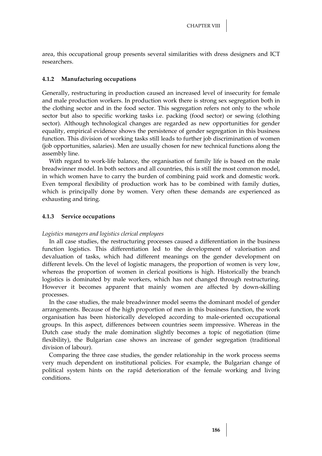area, this occupational group presents several similarities with dress designers and ICT researchers.

#### **4.1.2 Manufacturing occupations**

Generally, restructuring in production caused an increased level of insecurity for female and male production workers. In production work there is strong sex segregation both in the clothing sector and in the food sector. This segregation refers not only to the whole sector but also to specific working tasks i.e. packing (food sector) or sewing (clothing sector). Although technological changes are regarded as new opportunities for gender equality, empirical evidence shows the persistence of gender segregation in this business function. This division of working tasks still leads to further job discrimination of women (job opportunities, salaries). Men are usually chosen for new technical functions along the assembly line.

With regard to work-life balance, the organisation of family life is based on the male breadwinner model. In both sectors and all countries, this is still the most common model, in which women have to carry the burden of combining paid work and domestic work. Even temporal flexibility of production work has to be combined with family duties, which is principally done by women. Very often these demands are experienced as exhausting and tiring.

#### **4.1.3 Service occupations**

#### *Logistics managers and logistics clerical employees*

In all case studies, the restructuring processes caused a differentiation in the business function logistics. This differentiation led to the development of valorisation and devaluation of tasks, which had different meanings on the gender development on different levels. On the level of logistic managers, the proportion of women is very low, whereas the proportion of women in clerical positions is high. Historically the branch logistics is dominated by male workers, which has not changed through restructuring. However it becomes apparent that mainly women are affected by down-skilling processes.

In the case studies, the male breadwinner model seems the dominant model of gender arrangements. Because of the high proportion of men in this business function, the work organisation has been historically developed according to male-oriented occupational groups. In this aspect, differences between countries seem impressive. Whereas in the Dutch case study the male domination slightly becomes a topic of negotiation (time flexibility), the Bulgarian case shows an increase of gender segregation (traditional division of labour).

Comparing the three case studies, the gender relationship in the work process seems very much dependent on institutional policies. For example, the Bulgarian change of political system hints on the rapid deterioration of the female working and living conditions.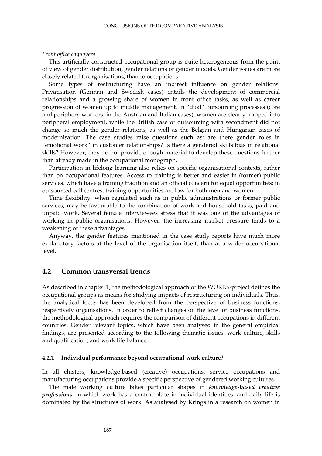#### *Front office employees*

This artificially constructed occupational group is quite heterogeneous from the point of view of gender distribution, gender relations or gender models. Gender issues are more closely related to organisations, than to occupations.

Some types of restructuring have an indirect influence on gender relations. Privatisation (German and Swedish cases) entails the development of commercial relationships and a growing share of women in front office tasks, as well as career progression of women up to middle management. In "dual" outsourcing processes (core and periphery workers, in the Austrian and Italian cases), women are clearly trapped into peripheral employment, while the British case of outsourcing with secondment did not change so much the gender relations, as well as the Belgian and Hungarian cases of modernisation. The case studies raise questions such as: are there gender roles in "emotional work" in customer relationships? Is there a gendered skills bias in relational skills? However, they do not provide enough material to develop these questions further than already made in the occupational monograph.

Participation in lifelong learning also relies on specific organisational contexts, rather than on occupational features. Access to training is better and easier in (former) public services, which have a training tradition and an official concern for equal opportunities; in outsourced call centres, training opportunities are low for both men and women.

Time flexibility, when regulated such as in public administrations or former public services, may be favourable to the combination of work and household tasks, paid and unpaid work. Several female interviewees stress that it was one of the advantages of working in public organisations. However, the increasing market pressure tends to a weakening of these advantages.

Anyway, the gender features mentioned in the case study reports have much more explanatory factors at the level of the organisation itself, than at a wider occupational level.

# **4.2 Common transversal trends**

As described in chapter 1, the methodological approach of the WORKS-project defines the occupational groups as means for studying impacts of restructuring on individuals. Thus, the analytical focus has been developed from the perspective of business functions, respectively organisations. In order to reflect changes on the level of business functions, the methodological approach requires the comparison of different occupations in different countries. Gender relevant topics, which have been analysed in the general empirical findings, are presented according to the following thematic issues: work culture, skills and qualification, and work life balance.

#### **4.2.1 Individual performance beyond occupational work culture?**

In all clusters, knowledge-based (creative) occupations, service occupations and manufacturing occupations provide a specific perspective of gendered working cultures.

The male working culture takes particular shapes in *knowledge-based creative professions*, in which work has a central place in individual identities, and daily life is dominated by the structures of work. As analysed by Krings in a research on women in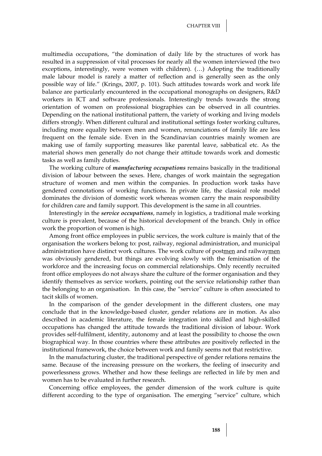multimedia occupations, "the domination of daily life by the structures of work has resulted in a suppression of vital processes for nearly all the women interviewed (the two exceptions, interestingly, were women with children). (…) Adopting the traditionally male labour model is rarely a matter of reflection and is generally seen as the only possible way of life." (Krings, 2007, p. 101). Such attitudes towards work and work life balance are particularly encountered in the occupational monographs on designers, R&D workers in ICT and software professionals. Interestingly trends towards the strong orientation of women on professional biographies can be observed in all countries. Depending on the national institutional pattern, the variety of working and living models differs strongly. When different cultural and institutional settings foster working cultures, including more equality between men and women, renunciations of family life are less frequent on the female side. Even in the Scandinavian countries mainly women are making use of family supporting measures like parental leave, sabbatical etc. As the material shows men generally do not change their attitude towards work and domestic tasks as well as family duties.

The working culture of *manufacturing occupations* remains basically in the traditional division of labour between the sexes. Here, changes of work maintain the segregation structure of women and men within the companies. In production work tasks have gendered connotations of working functions. In private life, the classical role model dominates the division of domestic work whereas women carry the main responsibility for children care and family support. This development is the same in all countries.

Interestingly in the *service occupations*, namely in logistics, a traditional male working culture is prevalent, because of the historical development of the branch. Only in office work the proportion of women is high.

Among front office employees in public services, the work culture is mainly that of the organisation the workers belong to: post, railway, regional administration, and municipal administration have distinct work cultures. The work culture of postmen and railwaymen was obviously gendered, but things are evolving slowly with the feminisation of the workforce and the increasing focus on commercial relationships. Only recently recruited front office employees do not always share the culture of the former organisation and they identify themselves as service workers, pointing out the service relationship rather than the belonging to an organisation. In this case, the "service" culture is often associated to tacit skills of women.

In the comparison of the gender development in the different clusters, one may conclude that in the knowledge-based cluster, gender relations are in motion. As also described in academic literature, the female integration into skilled and high-skilled occupations has changed the attitude towards the traditional division of labour. Work provides self-fulfilment, identity, autonomy and at least the possibility to choose the own biographical way. In those countries where these attributes are positively reflected in the institutional framework, the choice between work and family seems not that restrictive.

In the manufacturing cluster, the traditional perspective of gender relations remains the same. Because of the increasing pressure on the workers, the feeling of insecurity and powerlessness grows. Whether and how these feelings are reflected in life by men and women has to be evaluated in further research.

Concerning office employees, the gender dimension of the work culture is quite different according to the type of organisation. The emerging "service" culture, which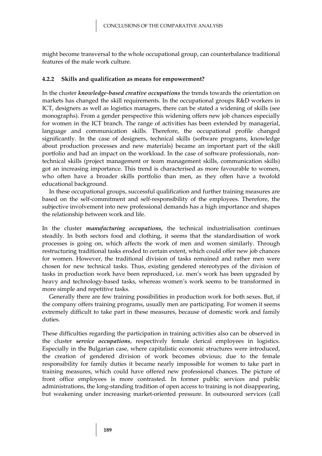might become transversal to the whole occupational group, can counterbalance traditional features of the male work culture.

# **4.2.2 Skills and qualification as means for empowerment?**

In the cluster *knowledge-based creative occupations* the trends towards the orientation on markets has changed the skill requirements. In the occupational groups R&D workers in ICT, designers as well as logistics managers, there can be stated a widening of skills (see monographs). From a gender perspective this widening offers new job chances especially for women in the ICT branch. The range of activities has been extended by managerial, language and communication skills. Therefore, the occupational profile changed significantly. In the case of designers, technical skills (software programs, knowledge about production processes and new materials) became an important part of the skill portfolio and had an impact on the workload. In the case of software professionals, nontechnical skills (project management or team management skills, communication skills) got an increasing importance. This trend is characterised as more favourable to women, who often have a broader skills portfolio than men, as they often have a twofold educational background.

In these occupational groups, successful qualification and further training measures are based on the self-commitment and self-responsibility of the employees. Therefore, the subjective involvement into new professional demands has a high importance and shapes the relationship between work and life.

In the cluster *manufacturing occupations,* the technical industrialisation continues steadily. In both sectors food and clothing, it seems that the standardisation of work processes is going on, which affects the work of men and women similarly. Through restructuring traditional tasks eroded to certain extent, which could offer new job chances for women. However, the traditional division of tasks remained and rather men were chosen for new technical tasks. Thus, existing gendered stereotypes of the division of tasks in production work have been reproduced, i.e. men's work has been upgraded by heavy and technology-based tasks, whereas women's work seems to be transformed in more simple and repetitive tasks.

Generally there are few training possibilities in production work for both sexes. But, if the company offers training programs, usually men are participating. For women it seems extremely difficult to take part in these measures, because of domestic work and family duties.

These difficulties regarding the participation in training activities also can be observed in the cluster *service occupations*, respectively female clerical employees in logistics. Especially in the Bulgarian case, where capitalistic economic structures were introduced, the creation of gendered division of work becomes obvious; due to the female responsibility for family duties it became nearly impossible for women to take part in training measures, which could have offered new professional chances. The picture of front office employees is more contrasted. In former public services and public administrations, the long-standing tradition of open access to training is not disappearing, but weakening under increasing market-oriented pressure. In outsourced services (call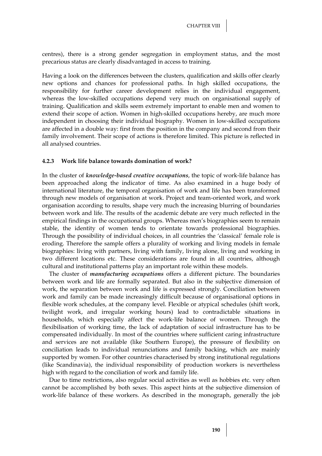centres), there is a strong gender segregation in employment status, and the most precarious status are clearly disadvantaged in access to training.

Having a look on the differences between the clusters, qualification and skills offer clearly new options and chances for professional paths. In high skilled occupations, the responsibility for further career development relies in the individual engagement, whereas the low-skilled occupations depend very much on organisational supply of training. Qualification and skills seem extremely important to enable men and women to extend their scope of action. Women in high-skilled occupations hereby, are much more independent in choosing their individual biography. Women in low-skilled occupations are affected in a double way: first from the position in the company and second from their family involvement. Their scope of actions is therefore limited. This picture is reflected in all analysed countries.

#### **4.2.3 Work life balance towards domination of work?**

In the cluster of *knowledge-based creative occupations*, the topic of work-life balance has been approached along the indicator of time. As also examined in a huge body of international literature, the temporal organisation of work and life has been transformed through new models of organisation at work. Project and team-oriented work, and work organisation according to results, shape very much the increasing blurring of boundaries between work and life. The results of the academic debate are very much reflected in the empirical findings in the occupational groups. Whereas men's biographies seem to remain stable, the identity of women tends to orientate towards professional biographies. Through the possibility of individual choices, in all countries the 'classical' female role is eroding. Therefore the sample offers a plurality of working and living models in female biographies: living with partners, living with family, living alone, living and working in two different locations etc. These considerations are found in all countries, although cultural and institutional patterns play an important role within these models.

The cluster of *manufacturing occupations* offers a different picture. The boundaries between work and life are formally separated. But also in the subjective dimension of work, the separation between work and life is expressed strongly. Conciliation between work and family can be made increasingly difficult because of organisational options in flexible work schedules, at the company level. Flexible or atypical schedules (shift work, twilight work, and irregular working hours) lead to contradictable situations in households, which especially affect the work-life balance of women. Through the flexibilisation of working time, the lack of adaptation of social infrastructure has to be compensated individually. In most of the countries where sufficient caring infrastructure and services are not available (like Southern Europe), the pressure of flexibility on conciliation leads to individual renunciations and family backing, which are mainly supported by women. For other countries characterised by strong institutional regulations (like Scandinavia), the individual responsibility of production workers is nevertheless high with regard to the conciliation of work and family life.

Due to time restrictions, also regular social activities as well as hobbies etc. very often cannot be accomplished by both sexes. This aspect hints at the subjective dimension of work-life balance of these workers. As described in the monograph, generally the job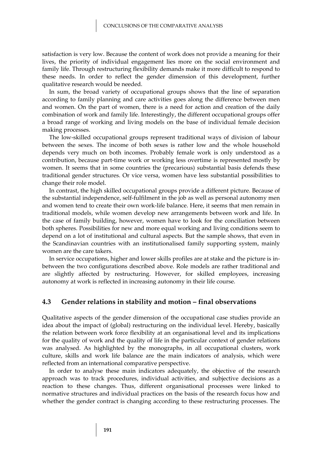satisfaction is very low. Because the content of work does not provide a meaning for their lives, the priority of individual engagement lies more on the social environment and family life. Through restructuring flexibility demands make it more difficult to respond to these needs. In order to reflect the gender dimension of this development, further qualitative research would be needed.

In sum, the broad variety of occupational groups shows that the line of separation according to family planning and care activities goes along the difference between men and women. On the part of women, there is a need for action and creation of the daily combination of work and family life. Interestingly, the different occupational groups offer a broad range of working and living models on the base of individual female decision making processes.

The low-skilled occupational groups represent traditional ways of division of labour between the sexes. The income of both sexes is rather low and the whole household depends very much on both incomes. Probably female work is only understood as a contribution, because part-time work or working less overtime is represented mostly by women. It seems that in some countries the (precarious) substantial basis defends these traditional gender structures. Or vice versa, women have less substantial possibilities to change their role model.

In contrast, the high skilled occupational groups provide a different picture. Because of the substantial independence, self-fulfilment in the job as well as personal autonomy men and women tend to create their own work-life balance. Here, it seems that men remain in traditional models, while women develop new arrangements between work and life. In the case of family building, however, women have to look for the conciliation between both spheres. Possibilities for new and more equal working and living conditions seem to depend on a lot of institutional and cultural aspects. But the sample shows, that even in the Scandinavian countries with an institutionalised family supporting system, mainly women are the care takers.

In service occupations, higher and lower skills profiles are at stake and the picture is inbetween the two configurations described above. Role models are rather traditional and are slightly affected by restructuring. However, for skilled employees, increasing autonomy at work is reflected in increasing autonomy in their life course.

# **4.3 Gender relations in stability and motion – final observations**

Qualitative aspects of the gender dimension of the occupational case studies provide an idea about the impact of (global) restructuring on the individual level. Hereby, basically the relation between work force flexibility at an organisational level and its implications for the quality of work and the quality of life in the particular context of gender relations was analysed. As highlighted by the monographs, in all occupational clusters, work culture, skills and work life balance are the main indicators of analysis, which were reflected from an international comparative perspective.

In order to analyse these main indicators adequately, the objective of the research approach was to track procedures, individual activities, and subjective decisions as a reaction to these changes. Thus, different organisational processes were linked to normative structures and individual practices on the basis of the research focus how and whether the gender contract is changing according to these restructuring processes. The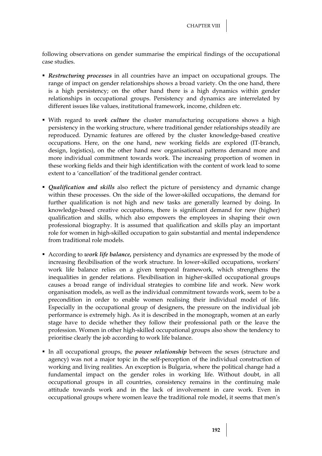following observations on gender summarise the empirical findings of the occupational case studies.

- *Restructuring processes* in all countries have an impact on occupational groups. The range of impact on gender relationships shows a broad variety. On the one hand, there is a high persistency; on the other hand there is a high dynamics within gender relationships in occupational groups. Persistency and dynamics are interrelated by different issues like values, institutional framework, income, children etc.
- With regard to *work culture* the cluster manufacturing occupations shows a high persistency in the working structure, where traditional gender relationships steadily are reproduced. Dynamic features are offered by the cluster knowledge-based creative occupations. Here, on the one hand, new working fields are explored (IT-branch, design, logistics), on the other hand new organisational patterns demand more and more individual commitment towards work. The increasing proportion of women in these working fields and their high identification with the content of work lead to some extent to a 'cancellation' of the traditional gender contract.
- *Qualification and skills* also reflect the picture of persistency and dynamic change within these processes. On the side of the lower-skilled occupations, the demand for further qualification is not high and new tasks are generally learned by doing. In knowledge-based creative occupations, there is significant demand for new (higher) qualification and skills, which also empowers the employees in shaping their own professional biography. It is assumed that qualification and skills play an important role for women in high-skilled occupation to gain substantial and mental independence from traditional role models.
- According to *work life balance,* persistency and dynamics are expressed by the mode of increasing flexibilisation of the work structure. In lower-skilled occupations, workers' work life balance relies on a given temporal framework, which strengthens the inequalities in gender relations. Flexibilisation in higher-skilled occupational groups causes a broad range of individual strategies to combine life and work. New work organisation models, as well as the individual commitment towards work, seem to be a precondition in order to enable women realising their individual model of life. Especially in the occupational group of designers, the pressure on the individual job performance is extremely high. As it is described in the monograph, women at an early stage have to decide whether they follow their professional path or the leave the profession. Women in other high-skilled occupational groups also show the tendency to prioritise clearly the job according to work life balance.
- In all occupational groups, the *power relationship* between the sexes (structure and agency) was not a major topic in the self-perception of the individual construction of working and living realities. An exception is Bulgaria, where the political change had a fundamental impact on the gender roles in working life. Without doubt, in all occupational groups in all countries, consistency remains in the continuing male attitude towards work and in the lack of involvement in care work. Even in occupational groups where women leave the traditional role model, it seems that men's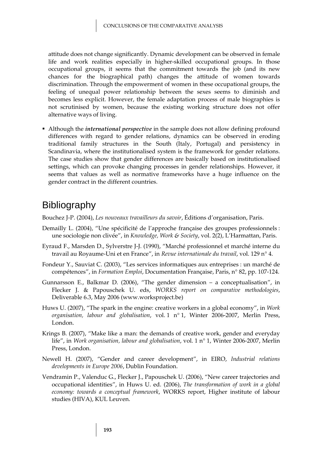attitude does not change significantly. Dynamic development can be observed in female life and work realities especially in higher-skilled occupational groups. In those occupational groups, it seems that the commitment towards the job (and its new chances for the biographical path) changes the attitude of women towards discrimination. Through the empowerment of women in these occupational groups, the feeling of unequal power relationship between the sexes seems to diminish and becomes less explicit. However, the female adaptation process of male biographies is not scrutinised by women, because the existing working structure does not offer alternative ways of living.

 Although the *international perspective* in the sample does not allow defining profound differences with regard to gender relations, dynamics can be observed in eroding traditional family structures in the South (Italy, Portugal) and persistency in Scandinavia, where the institutionalised system is the framework for gender relations. The case studies show that gender differences are basically based on institutionalised settings, which can provoke changing processes in gender relationships. However, it seems that values as well as normative frameworks have a huge influence on the gender contract in the different countries.

# **Bibliography**

Bouchez J-P. (2004), *Les nouveaux travailleurs du savoir*, Éditions d'organisation, Paris.

- Demailly L. (2004), "Une spécificité de l'approche française des groupes professionnels : une sociologie non clivée", in *Knowledge, Work & Society*, vol. 2(2), L'Harmattan, Paris.
- Eyraud F., Marsden D., Sylverstre J-J. (1990), "Marché professionnel et marché interne du travail au Royaume-Uni et en France", in *Revue internationale du travail*, vol. 129 n° 4.
- Fondeur Y., Sauviat C. (2003), "Les services informatiques aux entreprises : un marché de compétences", in *Formation Emploi*, Documentation Française, Paris, n° 82, pp. 107-124.
- Gunnarsson E., Balkmar D. (2006), "The gender dimension a conceptualisation", in Flecker J. & Papouschek U. eds, *WORKS report on comparative methodologies*, Deliverable 6.3, May 2006 (www.worksproject.be)
- Huws U. (2007), "The spark in the engine: creative workers in a global economy", in *Work organisation, labour and globalisation*, vol. 1 n° 1, Winter 2006-2007, Merlin Press, London.
- Krings B. (2007), "Make like a man: the demands of creative work, gender and everyday life", in *Work organisation, labour and globalisation*, vol. 1 n° 1, Winter 2006-2007, Merlin Press, London.
- Newell H. (2007), "Gender and career development", in EIRO, *Industrial relations developments in Europe 2006*, Dublin Foundation.
- Vendramin P., Valenduc G., Flecker J., Papouschek U. (2006), "New career trajectories and occupational identities", in Huws U. ed. (2006), *The transformation of work in a global economy: towards a conceptual framework*, WORKS report, Higher institute of labour studies (HIVA), KUL Leuven.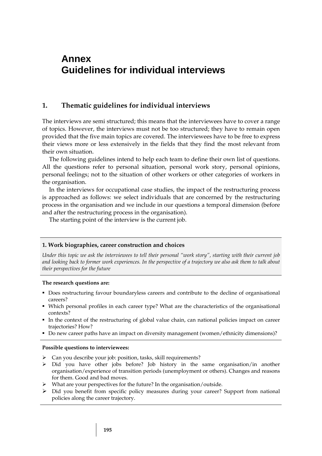# **Annex Guidelines for individual interviews**

# **1. Thematic guidelines for individual interviews**

The interviews are semi structured; this means that the interviewees have to cover a range of topics. However, the interviews must not be too structured; they have to remain open provided that the five main topics are covered. The interviewees have to be free to express their views more or less extensively in the fields that they find the most relevant from their own situation.

The following guidelines intend to help each team to define their own list of questions. All the questions refer to personal situation, personal work story, personal opinions, personal feelings; not to the situation of other workers or other categories of workers in the organisation.

In the interviews for occupational case studies, the impact of the restructuring process is approached as follows: we select individuals that are concerned by the restructuring process in the organisation and we include in our questions a temporal dimension (before and after the restructuring process in the organisation).

The starting point of the interview is the current job.

## **1. Work biographies, career construction and choices**

*Under this topic we ask the interviewees to tell their personal "work story", starting with their current job and looking back to former work experiences. In the perspective of a trajectory we also ask them to talk about their perspectives for the future*

## **The research questions are:**

- Does restructuring favour boundaryless careers and contribute to the decline of organisational careers?
- Which personal profiles in each career type? What are the characteristics of the organisational contexts?
- In the context of the restructuring of global value chain, can national policies impact on career trajectories? How?
- Do new career paths have an impact on diversity management (women/ethnicity dimensions)?

#### **Possible questions to interviewees:**

- ¾ Can you describe your job: position, tasks, skill requirements?
- $\triangleright$  Did you have other jobs before? Job history in the same organisation/in another organisation/experience of transition periods (unemployment or others). Changes and reasons for them. Good and bad moves.
- $\triangleright$  What are your perspectives for the future? In the organisation/outside.
- ¾ Did you benefit from specific policy measures during your career? Support from national policies along the career trajectory.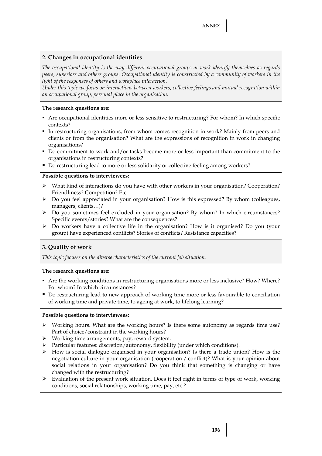# **2. Changes in occupational identities**

*The occupational identity is the way different occupational groups at work identify themselves as regards peers, superiors and others groups. Occupational identity is constructed by a community of workers in the light of the responses of others and workplace interaction.* 

*Under this topic we focus on interactions between workers, collective feelings and mutual recognition within an occupational group, personal place in the organisation.*

#### **The research questions are:**

- Are occupational identities more or less sensitive to restructuring? For whom? In which specific contexts?
- In restructuring organisations, from whom comes recognition in work? Mainly from peers and clients or from the organisation? What are the expressions of recognition in work in changing organisations?
- Do commitment to work and/or tasks become more or less important than commitment to the organisations in restructuring contexts?
- Do restructuring lead to more or less solidarity or collective feeling among workers?

#### **Possible questions to interviewees:**

- ¾ What kind of interactions do you have with other workers in your organisation? Cooperation? Friendliness? Competition? Etc.
- $\triangleright$  Do you feel appreciated in your organisation? How is this expressed? By whom (colleagues, managers, clients…)?
- Do you sometimes feel excluded in your organisation? By whom? In which circumstances? Specific events/stories? What are the consequences?
- $\triangleright$  Do workers have a collective life in the organisation? How is it organised? Do you (your group) have experienced conflicts? Stories of conflicts? Resistance capacities?

## **3. Quality of work**

*This topic focuses on the diverse characteristics of the current job situation.*

#### **The research questions are:**

- Are the working conditions in restructuring organisations more or less inclusive? How? Where? For whom? In which circumstances?
- Do restructuring lead to new approach of working time more or less favourable to conciliation of working time and private time, to ageing at work, to lifelong learning?

#### **Possible questions to interviewees:**

- $\triangleright$  Working hours. What are the working hours? Is there some autonomy as regards time use? Part of choice/constraint in the working hours?
- $\triangleright$  Working time arrangements, pay, reward system.
- ¾ Particular features: discretion/autonomy, flexibility (under which conditions).
- $\triangleright$  How is social dialogue organised in your organisation? Is there a trade union? How is the negotiation culture in your organisation (cooperation / conflict)? What is your opinion about social relations in your organisation? Do you think that something is changing or have changed with the restructuring?
- $\triangleright$  Evaluation of the present work situation. Does it feel right in terms of type of work, working conditions, social relationships, working time, pay, etc.?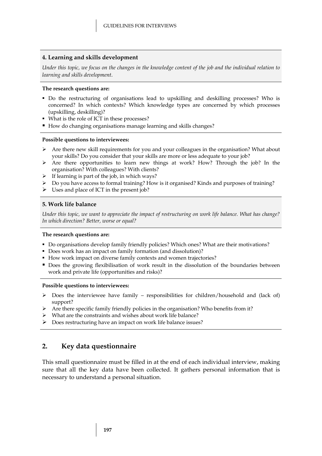# **4. Learning and skills development**

*Under this topic, we focus on the changes in the knowledge content of the job and the individual relation to learning and skills development.*

#### **The research questions are:**

- Do the restructuring of organisations lead to upskilling and deskilling processes? Who is concerned? In which contexts? Which knowledge types are concerned by which processes (upskilling, deskilling)?
- What is the role of ICT in these processes?
- How do changing organisations manage learning and skills changes?

## **Possible questions to interviewees:**

- $\triangleright$  Are there new skill requirements for you and your colleagues in the organisation? What about your skills? Do you consider that your skills are more or less adequate to your job?
- $\triangleright$  Are there opportunities to learn new things at work? How? Through the job? In the organisation? With colleagues? With clients?
- If learning is part of the job, in which ways?
- Do you have access to formal training? How is it organised? Kinds and purposes of training?
- $\triangleright$  Uses and place of ICT in the present job?

# **5. Work life balance**

*Under this topic, we want to appreciate the impact of restructuring on work life balance. What has change? In which direction? Better, worse or equal?*

## **The research questions are:**

- Do organisations develop family friendly policies? Which ones? What are their motivations?
- Does work has an impact on family formation (and dissolution)?
- How work impact on diverse family contexts and women trajectories?
- Does the growing flexibilisation of work result in the dissolution of the boundaries between work and private life (opportunities and risks)?

#### **Possible questions to interviewees:**

- ¾ Does the interviewee have family responsibilities for children/household and (lack of) support?
- $\blacktriangleright$  Are there specific family friendly policies in the organisation? Who benefits from it?
- $\triangleright$  What are the constraints and wishes about work life balance?
- ¾ Does restructuring have an impact on work life balance issues?

# **2. Key data questionnaire**

This small questionnaire must be filled in at the end of each individual interview, making sure that all the key data have been collected. It gathers personal information that is necessary to understand a personal situation.